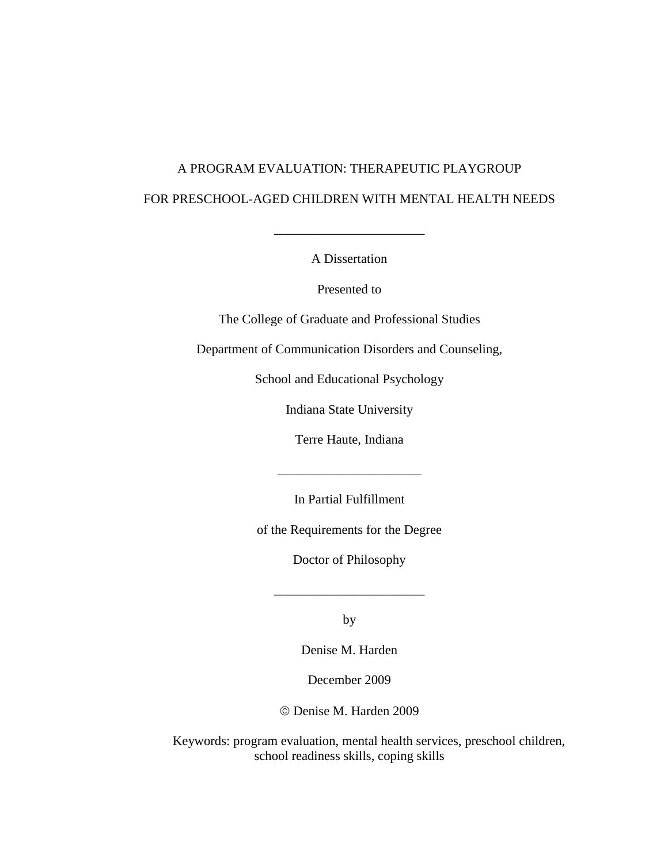# A PROGRAM EVALUATION: THERAPEUTIC PLAYGROUP FOR PRESCHOOL-AGED CHILDREN WITH MENTAL HEALTH NEEDS

A Dissertation

\_\_\_\_\_\_\_\_\_\_\_\_\_\_\_\_\_\_\_\_\_\_\_

Presented to

The College of Graduate and Professional Studies

Department of Communication Disorders and Counseling,

School and Educational Psychology

Indiana State University

Terre Haute, Indiana

In Partial Fulfillment

\_\_\_\_\_\_\_\_\_\_\_\_\_\_\_\_\_\_\_\_\_\_

of the Requirements for the Degree

Doctor of Philosophy

by

\_\_\_\_\_\_\_\_\_\_\_\_\_\_\_\_\_\_\_\_\_\_\_

Denise M. Harden

December 2009

Denise M. Harden 2009

Keywords: program evaluation, mental health services, preschool children, school readiness skills, coping skills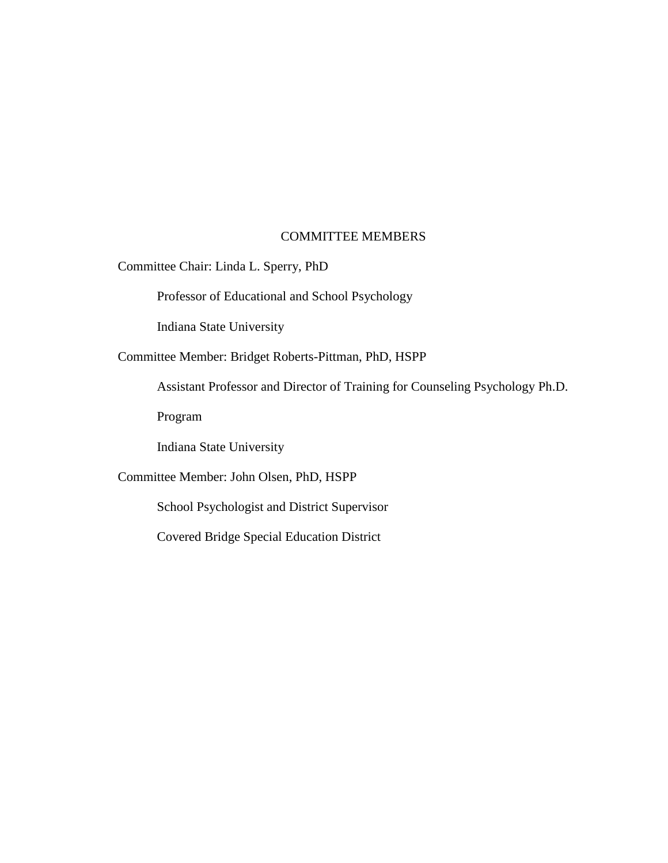# COMMITTEE MEMBERS

Committee Chair: Linda L. Sperry, PhD

Professor of Educational and School Psychology

Indiana State University

Committee Member: Bridget Roberts-Pittman, PhD, HSPP

Assistant Professor and Director of Training for Counseling Psychology Ph.D.

Program

Indiana State University

# Committee Member: John Olsen, PhD, HSPP

School Psychologist and District Supervisor

Covered Bridge Special Education District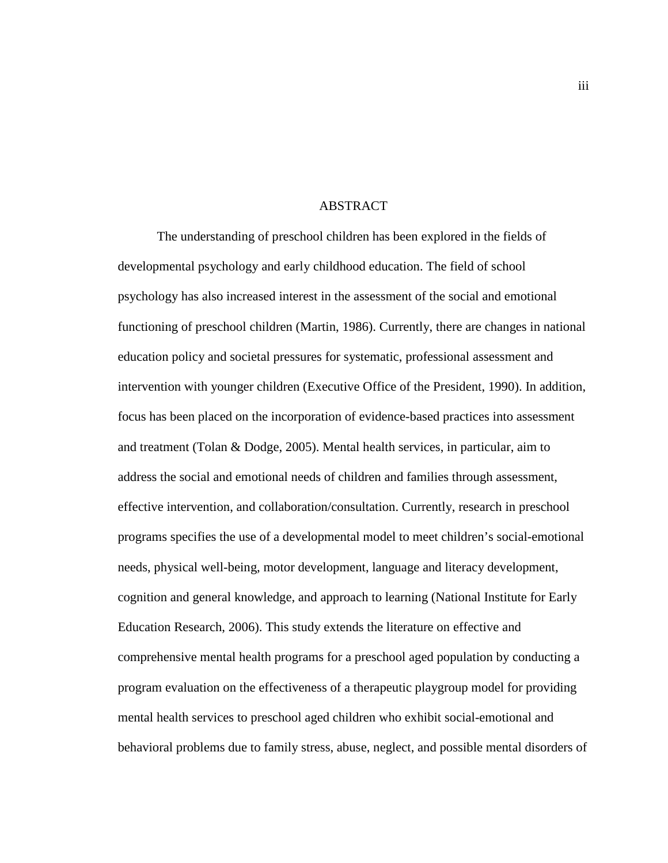# ABSTRACT

The understanding of preschool children has been explored in the fields of developmental psychology and early childhood education. The field of school psychology has also increased interest in the assessment of the social and emotional functioning of preschool children (Martin, 1986). Currently, there are changes in national education policy and societal pressures for systematic, professional assessment and intervention with younger children (Executive Office of the President, 1990). In addition, focus has been placed on the incorporation of evidence-based practices into assessment and treatment (Tolan & Dodge, 2005). Mental health services, in particular, aim to address the social and emotional needs of children and families through assessment, effective intervention, and collaboration/consultation. Currently, research in preschool programs specifies the use of a developmental model to meet children's social-emotional needs, physical well-being, motor development, language and literacy development, cognition and general knowledge, and approach to learning (National Institute for Early Education Research, 2006). This study extends the literature on effective and comprehensive mental health programs for a preschool aged population by conducting a program evaluation on the effectiveness of a therapeutic playgroup model for providing mental health services to preschool aged children who exhibit social-emotional and behavioral problems due to family stress, abuse, neglect, and possible mental disorders of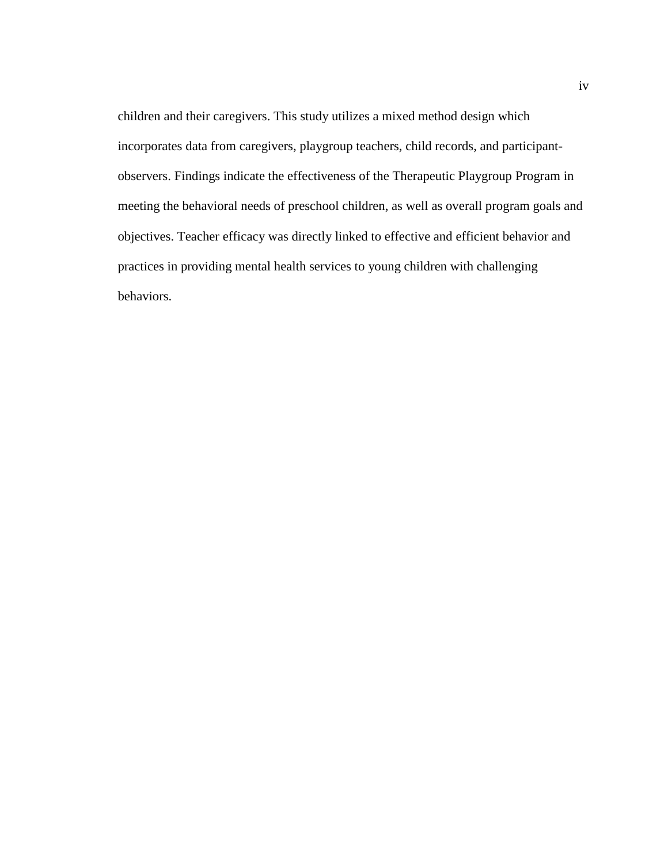children and their caregivers. This study utilizes a mixed method design which incorporates data from caregivers, playgroup teachers, child records, and participantobservers. Findings indicate the effectiveness of the Therapeutic Playgroup Program in meeting the behavioral needs of preschool children, as well as overall program goals and objectives. Teacher efficacy was directly linked to effective and efficient behavior and practices in providing mental health services to young children with challenging behaviors.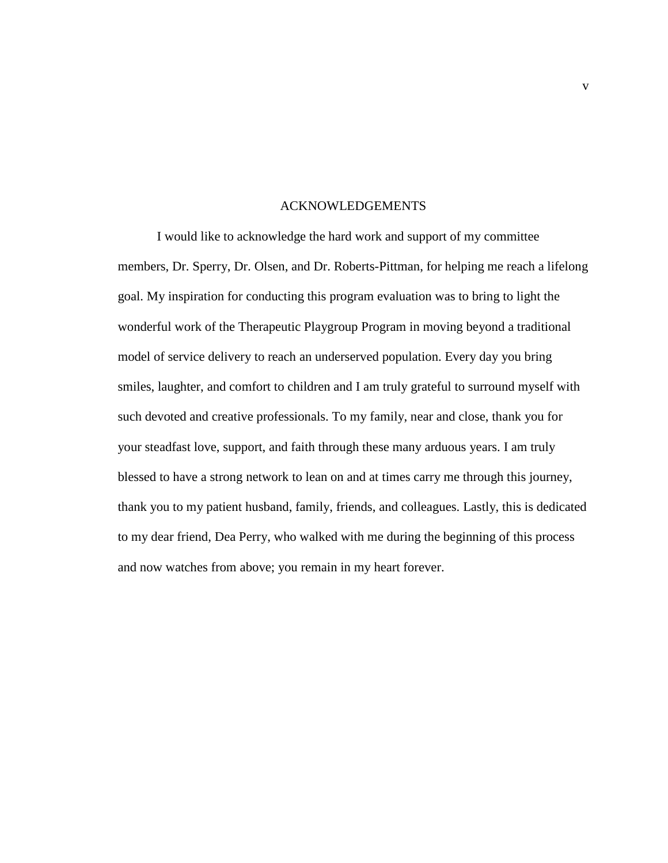# ACKNOWLEDGEMENTS

I would like to acknowledge the hard work and support of my committee members, Dr. Sperry, Dr. Olsen, and Dr. Roberts-Pittman, for helping me reach a lifelong goal. My inspiration for conducting this program evaluation was to bring to light the wonderful work of the Therapeutic Playgroup Program in moving beyond a traditional model of service delivery to reach an underserved population. Every day you bring smiles, laughter, and comfort to children and I am truly grateful to surround myself with such devoted and creative professionals. To my family, near and close, thank you for your steadfast love, support, and faith through these many arduous years. I am truly blessed to have a strong network to lean on and at times carry me through this journey, thank you to my patient husband, family, friends, and colleagues. Lastly, this is dedicated to my dear friend, Dea Perry, who walked with me during the beginning of this process and now watches from above; you remain in my heart forever.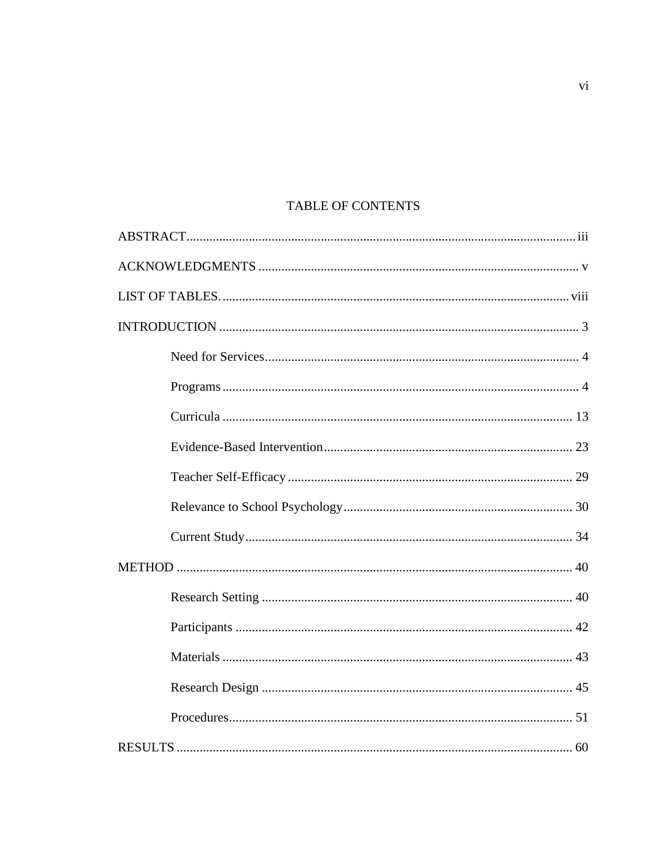# TABLE OF CONTENTS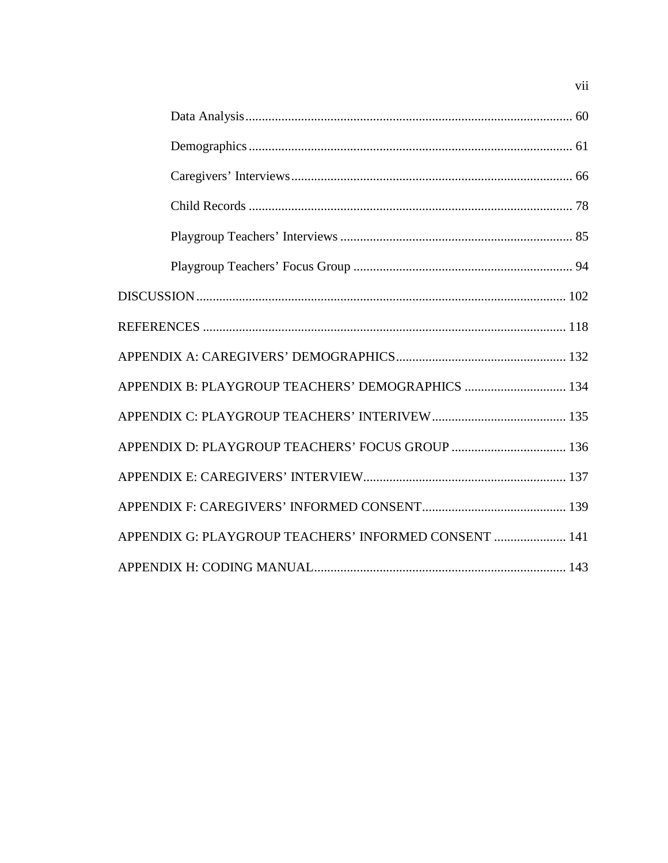| APPENDIX B: PLAYGROUP TEACHERS' DEMOGRAPHICS  134     |  |
|-------------------------------------------------------|--|
|                                                       |  |
|                                                       |  |
|                                                       |  |
|                                                       |  |
| APPENDIX G: PLAYGROUP TEACHERS' INFORMED CONSENT  141 |  |
|                                                       |  |

 $\rm vii$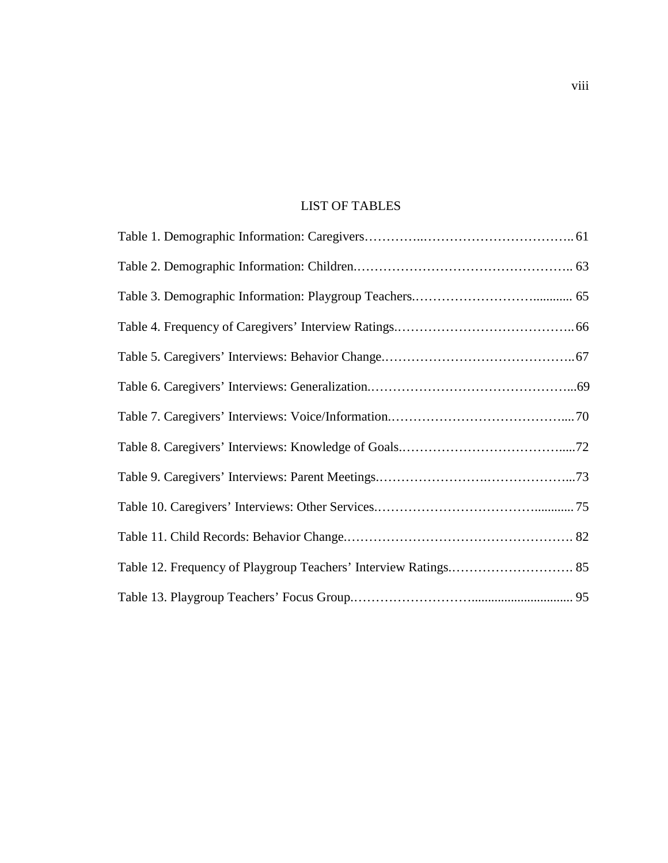# LIST OF TABLES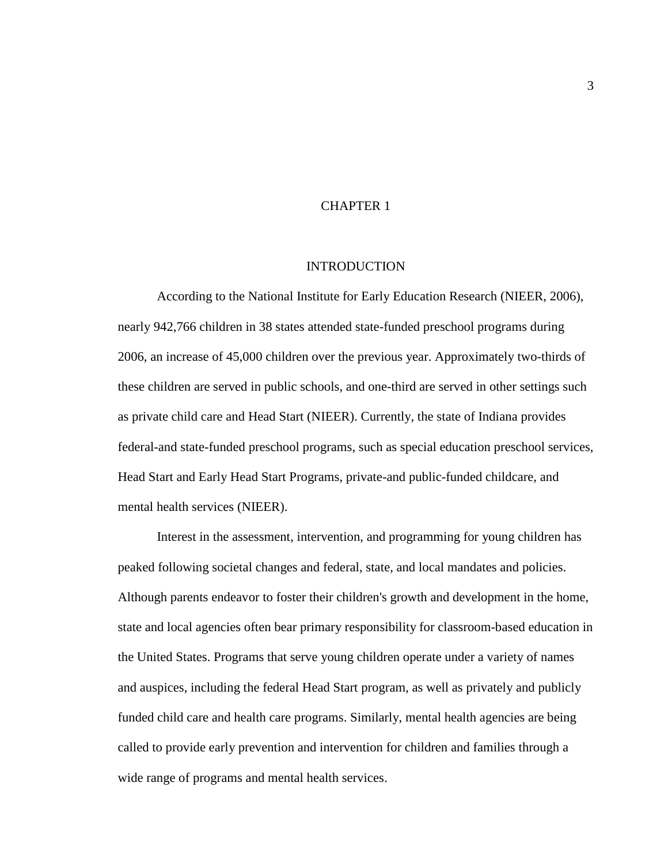# CHAPTER 1

#### INTRODUCTION

According to the National Institute for Early Education Research (NIEER, 2006), nearly 942,766 children in 38 states attended state-funded preschool programs during 2006, an increase of 45,000 children over the previous year. Approximately two-thirds of these children are served in public schools, and one-third are served in other settings such as private child care and Head Start (NIEER). Currently, the state of Indiana provides federal-and state-funded preschool programs, such as special education preschool services, Head Start and Early Head Start Programs, private-and public-funded childcare, and mental health services (NIEER).

Interest in the assessment, intervention, and programming for young children has peaked following societal changes and federal, state, and local mandates and policies. Although parents endeavor to foster their children's growth and development in the home, state and local agencies often bear primary responsibility for classroom-based education in the United States. Programs that serve young children operate under a variety of names and auspices, including the federal Head Start program, as well as privately and publicly funded child care and health care programs. Similarly, mental health agencies are being called to provide early prevention and intervention for children and families through a wide range of programs and mental health services.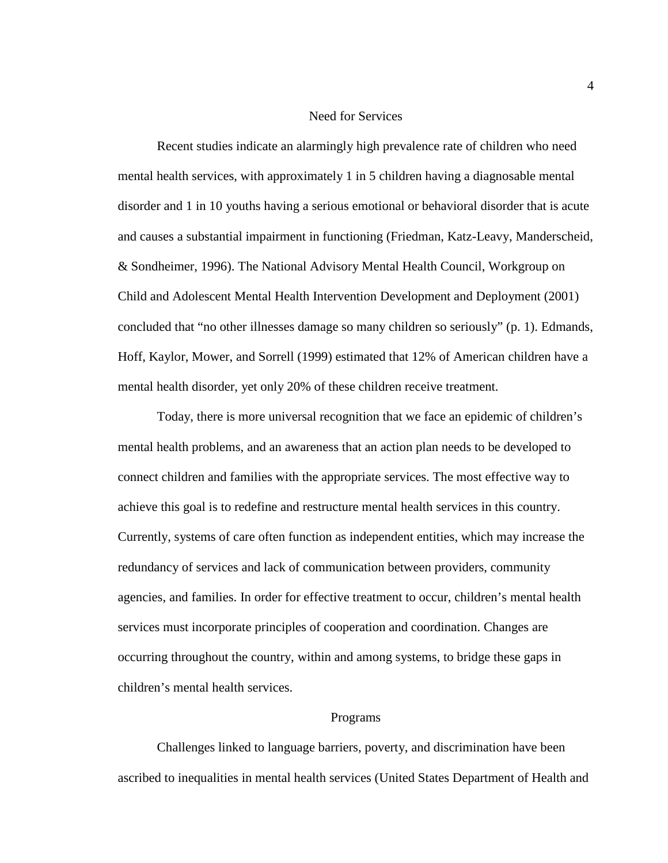## Need for Services

Recent studies indicate an alarmingly high prevalence rate of children who need mental health services, with approximately 1 in 5 children having a diagnosable mental disorder and 1 in 10 youths having a serious emotional or behavioral disorder that is acute and causes a substantial impairment in functioning (Friedman, Katz-Leavy, Manderscheid, & Sondheimer, 1996). The National Advisory Mental Health Council, Workgroup on Child and Adolescent Mental Health Intervention Development and Deployment (2001) concluded that "no other illnesses damage so many children so seriously" (p. 1). Edmands, Hoff, Kaylor, Mower, and Sorrell (1999) estimated that 12% of American children have a mental health disorder, yet only 20% of these children receive treatment.

Today, there is more universal recognition that we face an epidemic of children's mental health problems, and an awareness that an action plan needs to be developed to connect children and families with the appropriate services. The most effective way to achieve this goal is to redefine and restructure mental health services in this country. Currently, systems of care often function as independent entities, which may increase the redundancy of services and lack of communication between providers, community agencies, and families. In order for effective treatment to occur, children's mental health services must incorporate principles of cooperation and coordination. Changes are occurring throughout the country, within and among systems, to bridge these gaps in children's mental health services.

#### Programs

Challenges linked to language barriers, poverty, and discrimination have been ascribed to inequalities in mental health services (United States Department of Health and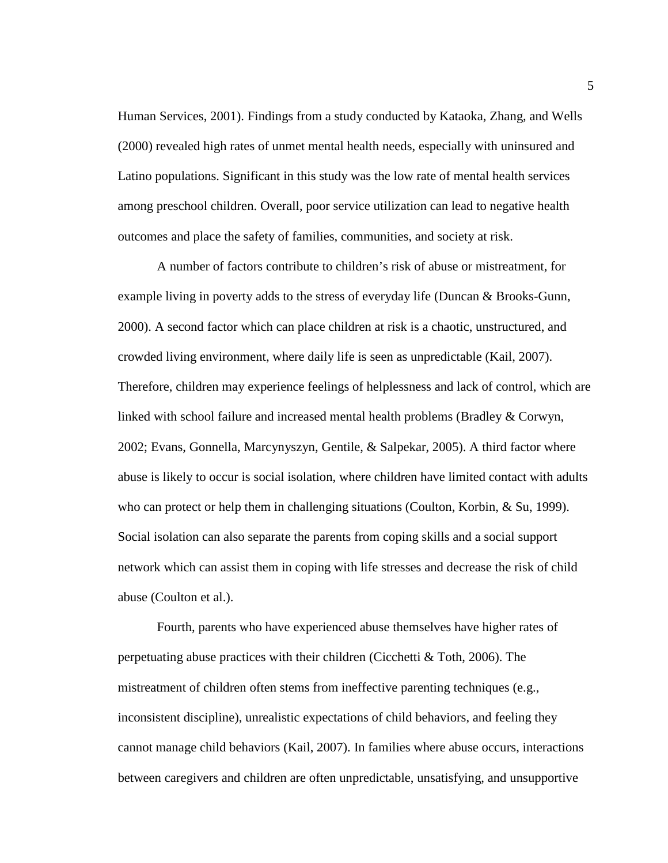Human Services, 2001). Findings from a study conducted by Kataoka, Zhang, and Wells (2000) revealed high rates of unmet mental health needs, especially with uninsured and Latino populations. Significant in this study was the low rate of mental health services among preschool children. Overall, poor service utilization can lead to negative health outcomes and place the safety of families, communities, and society at risk.

A number of factors contribute to children's risk of abuse or mistreatment, for example living in poverty adds to the stress of everyday life (Duncan & Brooks-Gunn, 2000). A second factor which can place children at risk is a chaotic, unstructured, and crowded living environment, where daily life is seen as unpredictable (Kail, 2007). Therefore, children may experience feelings of helplessness and lack of control, which are linked with school failure and increased mental health problems (Bradley & Corwyn, 2002; Evans, Gonnella, Marcynyszyn, Gentile, & Salpekar, 2005). A third factor where abuse is likely to occur is social isolation, where children have limited contact with adults who can protect or help them in challenging situations (Coulton, Korbin, & Su, 1999). Social isolation can also separate the parents from coping skills and a social support network which can assist them in coping with life stresses and decrease the risk of child abuse (Coulton et al.).

Fourth, parents who have experienced abuse themselves have higher rates of perpetuating abuse practices with their children (Cicchetti  $& \text{Toth}$ , 2006). The mistreatment of children often stems from ineffective parenting techniques (e.g., inconsistent discipline), unrealistic expectations of child behaviors, and feeling they cannot manage child behaviors (Kail, 2007). In families where abuse occurs, interactions between caregivers and children are often unpredictable, unsatisfying, and unsupportive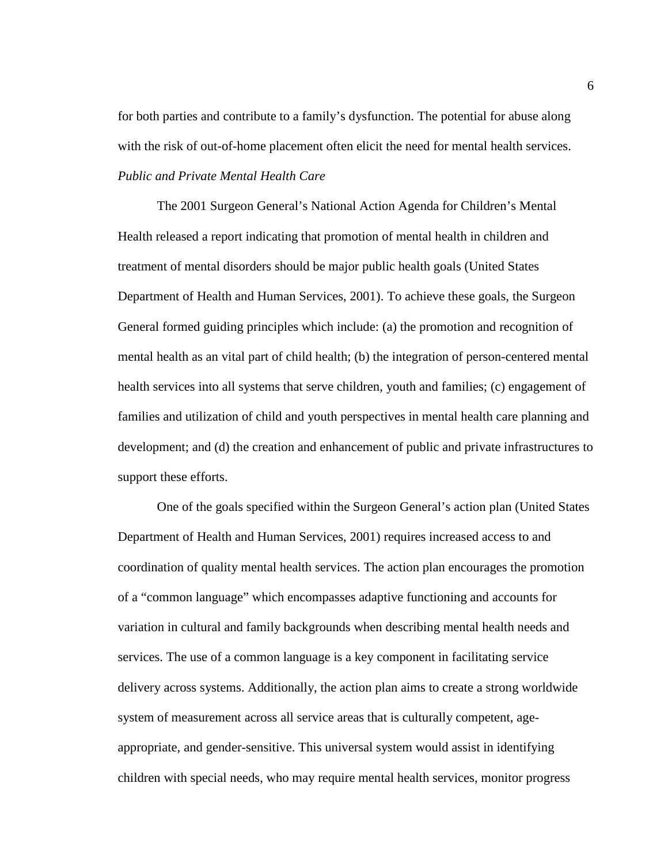for both parties and contribute to a family's dysfunction. The potential for abuse along with the risk of out-of-home placement often elicit the need for mental health services. *Public and Private Mental Health Care* 

The 2001 Surgeon General's National Action Agenda for Children's Mental Health released a report indicating that promotion of mental health in children and treatment of mental disorders should be major public health goals (United States Department of Health and Human Services, 2001). To achieve these goals, the Surgeon General formed guiding principles which include: (a) the promotion and recognition of mental health as an vital part of child health; (b) the integration of person-centered mental health services into all systems that serve children, youth and families; (c) engagement of families and utilization of child and youth perspectives in mental health care planning and development; and (d) the creation and enhancement of public and private infrastructures to support these efforts.

One of the goals specified within the Surgeon General's action plan (United States Department of Health and Human Services, 2001) requires increased access to and coordination of quality mental health services. The action plan encourages the promotion of a "common language" which encompasses adaptive functioning and accounts for variation in cultural and family backgrounds when describing mental health needs and services. The use of a common language is a key component in facilitating service delivery across systems. Additionally, the action plan aims to create a strong worldwide system of measurement across all service areas that is culturally competent, ageappropriate, and gender-sensitive. This universal system would assist in identifying children with special needs, who may require mental health services, monitor progress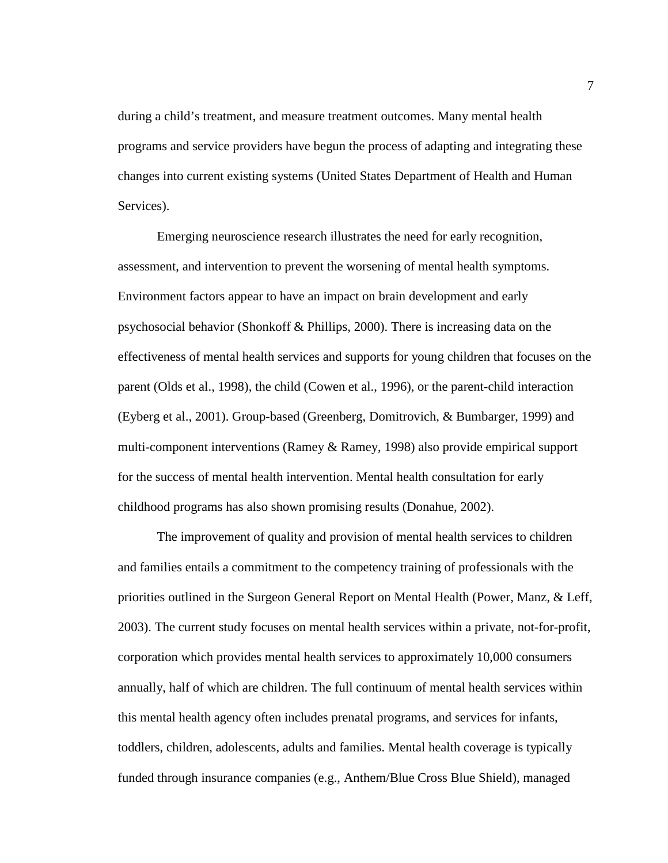during a child's treatment, and measure treatment outcomes. Many mental health programs and service providers have begun the process of adapting and integrating these changes into current existing systems (United States Department of Health and Human Services).

Emerging neuroscience research illustrates the need for early recognition, assessment, and intervention to prevent the worsening of mental health symptoms. Environment factors appear to have an impact on brain development and early psychosocial behavior (Shonkoff & Phillips, 2000). There is increasing data on the effectiveness of mental health services and supports for young children that focuses on the parent (Olds et al., 1998), the child (Cowen et al., 1996), or the parent-child interaction (Eyberg et al., 2001). Group-based (Greenberg, Domitrovich, & Bumbarger, 1999) and multi-component interventions (Ramey & Ramey, 1998) also provide empirical support for the success of mental health intervention. Mental health consultation for early childhood programs has also shown promising results (Donahue, 2002).

The improvement of quality and provision of mental health services to children and families entails a commitment to the competency training of professionals with the priorities outlined in the Surgeon General Report on Mental Health (Power, Manz, & Leff, 2003). The current study focuses on mental health services within a private, not-for-profit, corporation which provides mental health services to approximately 10,000 consumers annually, half of which are children. The full continuum of mental health services within this mental health agency often includes prenatal programs, and services for infants, toddlers, children, adolescents, adults and families. Mental health coverage is typically funded through insurance companies (e.g., Anthem/Blue Cross Blue Shield), managed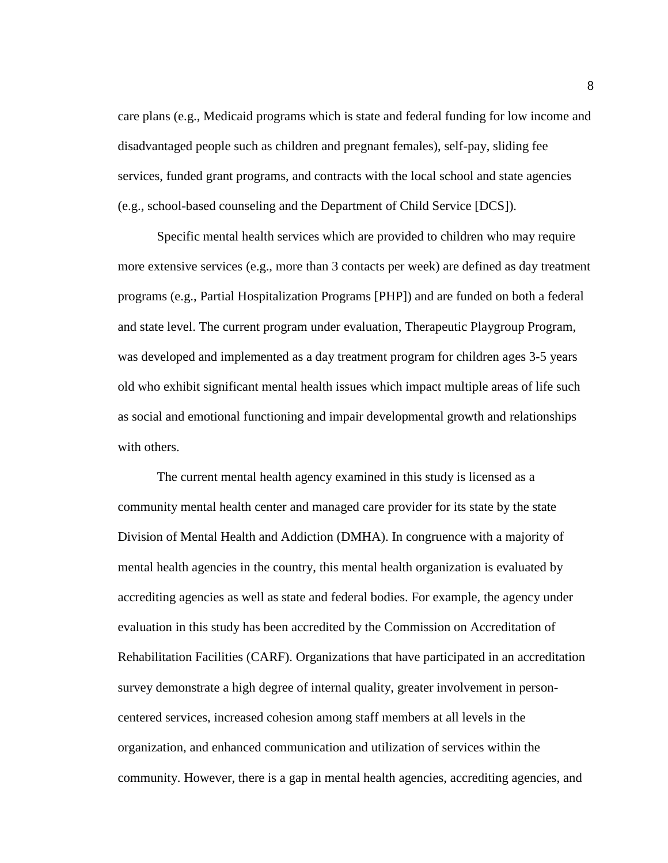care plans (e.g., Medicaid programs which is state and federal funding for low income and disadvantaged people such as children and pregnant females), self-pay, sliding fee services, funded grant programs, and contracts with the local school and state agencies (e.g., school-based counseling and the Department of Child Service [DCS]).

Specific mental health services which are provided to children who may require more extensive services (e.g., more than 3 contacts per week) are defined as day treatment programs (e.g., Partial Hospitalization Programs [PHP]) and are funded on both a federal and state level. The current program under evaluation, Therapeutic Playgroup Program, was developed and implemented as a day treatment program for children ages 3-5 years old who exhibit significant mental health issues which impact multiple areas of life such as social and emotional functioning and impair developmental growth and relationships with others.

The current mental health agency examined in this study is licensed as a community mental health center and managed care provider for its state by the state Division of Mental Health and Addiction (DMHA). In congruence with a majority of mental health agencies in the country, this mental health organization is evaluated by accrediting agencies as well as state and federal bodies. For example, the agency under evaluation in this study has been accredited by the Commission on Accreditation of Rehabilitation Facilities (CARF). Organizations that have participated in an accreditation survey demonstrate a high degree of internal quality, greater involvement in personcentered services, increased cohesion among staff members at all levels in the organization, and enhanced communication and utilization of services within the community. However, there is a gap in mental health agencies, accrediting agencies, and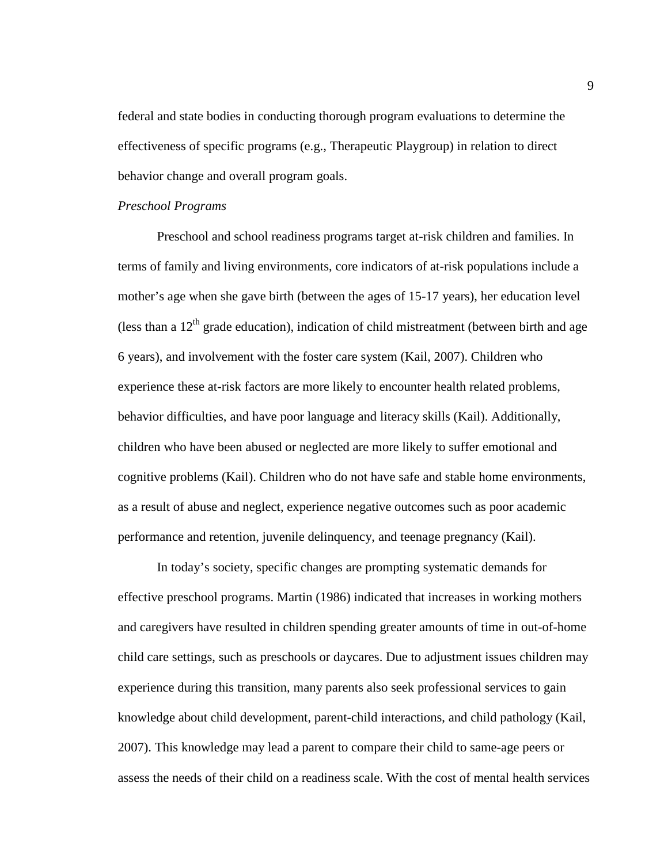federal and state bodies in conducting thorough program evaluations to determine the effectiveness of specific programs (e.g., Therapeutic Playgroup) in relation to direct behavior change and overall program goals.

# *Preschool Programs*

Preschool and school readiness programs target at-risk children and families. In terms of family and living environments, core indicators of at-risk populations include a mother's age when she gave birth (between the ages of 15-17 years), her education level (less than a  $12<sup>th</sup>$  grade education), indication of child mistreatment (between birth and age 6 years), and involvement with the foster care system (Kail, 2007). Children who experience these at-risk factors are more likely to encounter health related problems, behavior difficulties, and have poor language and literacy skills (Kail). Additionally, children who have been abused or neglected are more likely to suffer emotional and cognitive problems (Kail). Children who do not have safe and stable home environments, as a result of abuse and neglect, experience negative outcomes such as poor academic performance and retention, juvenile delinquency, and teenage pregnancy (Kail).

In today's society, specific changes are prompting systematic demands for effective preschool programs. Martin (1986) indicated that increases in working mothers and caregivers have resulted in children spending greater amounts of time in out-of-home child care settings, such as preschools or daycares. Due to adjustment issues children may experience during this transition, many parents also seek professional services to gain knowledge about child development, parent-child interactions, and child pathology (Kail, 2007). This knowledge may lead a parent to compare their child to same-age peers or assess the needs of their child on a readiness scale. With the cost of mental health services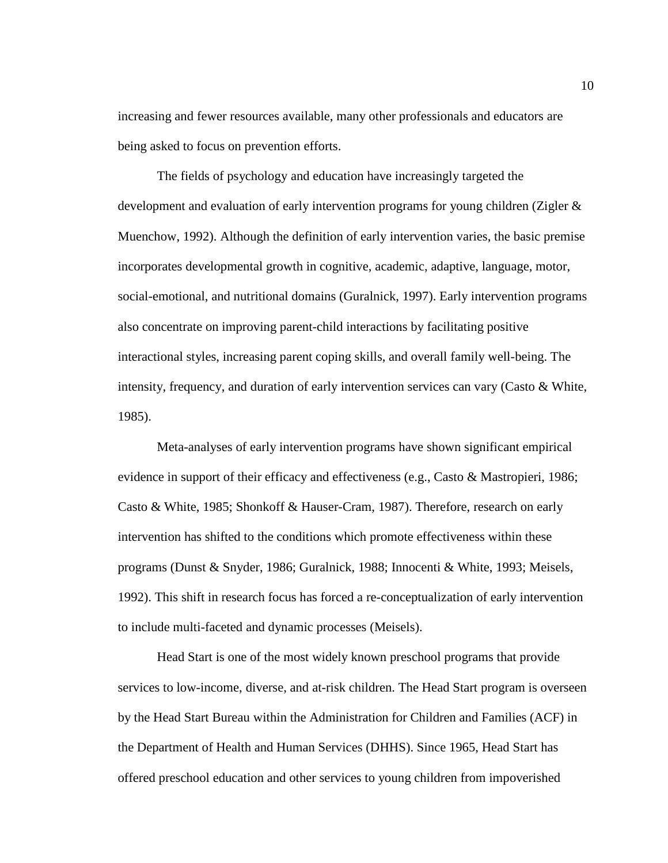increasing and fewer resources available, many other professionals and educators are being asked to focus on prevention efforts.

The fields of psychology and education have increasingly targeted the development and evaluation of early intervention programs for young children (Zigler & Muenchow, 1992). Although the definition of early intervention varies, the basic premise incorporates developmental growth in cognitive, academic, adaptive, language, motor, social-emotional, and nutritional domains (Guralnick, 1997). Early intervention programs also concentrate on improving parent-child interactions by facilitating positive interactional styles, increasing parent coping skills, and overall family well-being. The intensity, frequency, and duration of early intervention services can vary (Casto & White, 1985).

Meta-analyses of early intervention programs have shown significant empirical evidence in support of their efficacy and effectiveness (e.g., Casto & Mastropieri, 1986; Casto & White, 1985; Shonkoff & Hauser-Cram, 1987). Therefore, research on early intervention has shifted to the conditions which promote effectiveness within these programs (Dunst & Snyder, 1986; Guralnick, 1988; Innocenti & White, 1993; Meisels, 1992). This shift in research focus has forced a re-conceptualization of early intervention to include multi-faceted and dynamic processes (Meisels).

Head Start is one of the most widely known preschool programs that provide services to low-income, diverse, and at-risk children. The Head Start program is overseen by the Head Start Bureau within the Administration for Children and Families (ACF) in the Department of Health and Human Services (DHHS). Since 1965, Head Start has offered preschool education and other services to young children from impoverished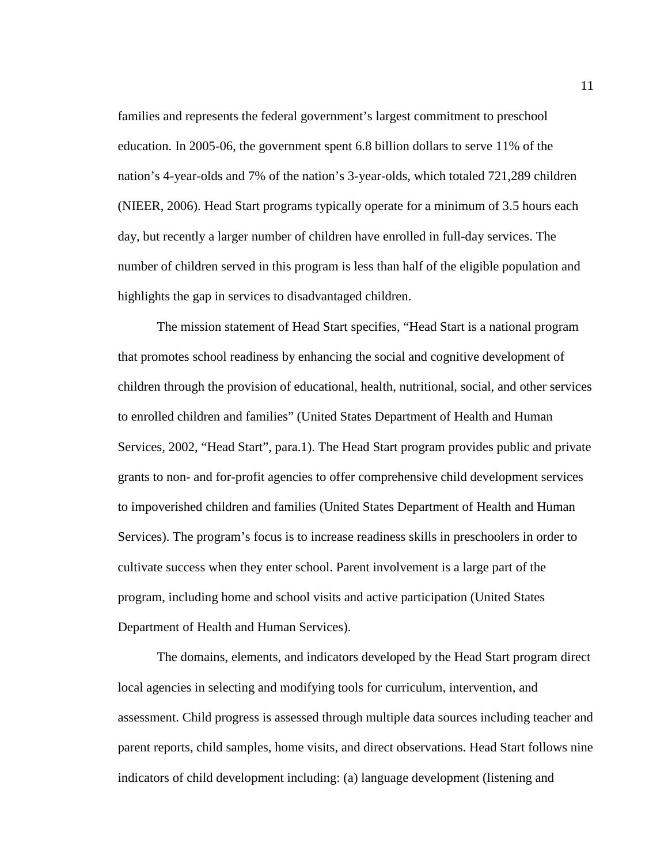families and represents the federal government's largest commitment to preschool education. In 2005-06, the government spent 6.8 billion dollars to serve 11% of the nation's 4-year-olds and 7% of the nation's 3-year-olds, which totaled 721,289 children (NIEER, 2006). Head Start programs typically operate for a minimum of 3.5 hours each day, but recently a larger number of children have enrolled in full-day services. The number of children served in this program is less than half of the eligible population and highlights the gap in services to disadvantaged children.

The mission statement of Head Start specifies, "Head Start is a national program that promotes school readiness by enhancing the social and cognitive development of children through the provision of educational, health, nutritional, social, and other services to enrolled children and families" (United States Department of Health and Human Services, 2002, "Head Start", para.1). The Head Start program provides public and private grants to non- and for-profit agencies to offer comprehensive child development services to impoverished children and families (United States Department of Health and Human Services). The program's focus is to increase readiness skills in preschoolers in order to cultivate success when they enter school. Parent involvement is a large part of the program, including home and school visits and active participation (United States Department of Health and Human Services).

The domains, elements, and indicators developed by the Head Start program direct local agencies in selecting and modifying tools for curriculum, intervention, and assessment. Child progress is assessed through multiple data sources including teacher and parent reports, child samples, home visits, and direct observations. Head Start follows nine indicators of child development including: (a) language development (listening and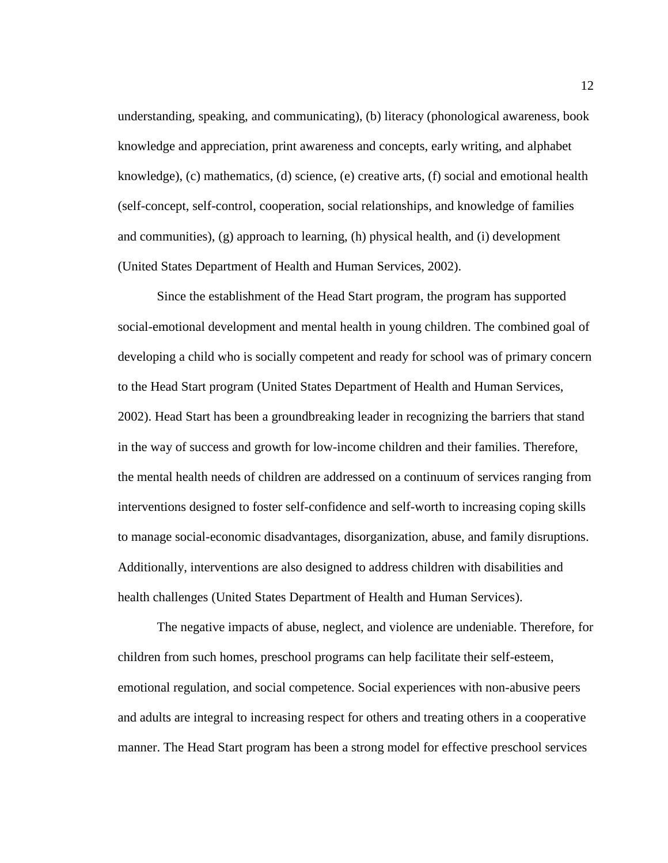understanding, speaking, and communicating), (b) literacy (phonological awareness, book knowledge and appreciation, print awareness and concepts, early writing, and alphabet knowledge), (c) mathematics, (d) science, (e) creative arts, (f) social and emotional health (self-concept, self-control, cooperation, social relationships, and knowledge of families and communities), (g) approach to learning, (h) physical health, and (i) development (United States Department of Health and Human Services, 2002).

Since the establishment of the Head Start program, the program has supported social-emotional development and mental health in young children. The combined goal of developing a child who is socially competent and ready for school was of primary concern to the Head Start program (United States Department of Health and Human Services, 2002). Head Start has been a groundbreaking leader in recognizing the barriers that stand in the way of success and growth for low-income children and their families. Therefore, the mental health needs of children are addressed on a continuum of services ranging from interventions designed to foster self-confidence and self-worth to increasing coping skills to manage social-economic disadvantages, disorganization, abuse, and family disruptions. Additionally, interventions are also designed to address children with disabilities and health challenges (United States Department of Health and Human Services).

The negative impacts of abuse, neglect, and violence are undeniable. Therefore, for children from such homes, preschool programs can help facilitate their self-esteem, emotional regulation, and social competence. Social experiences with non-abusive peers and adults are integral to increasing respect for others and treating others in a cooperative manner. The Head Start program has been a strong model for effective preschool services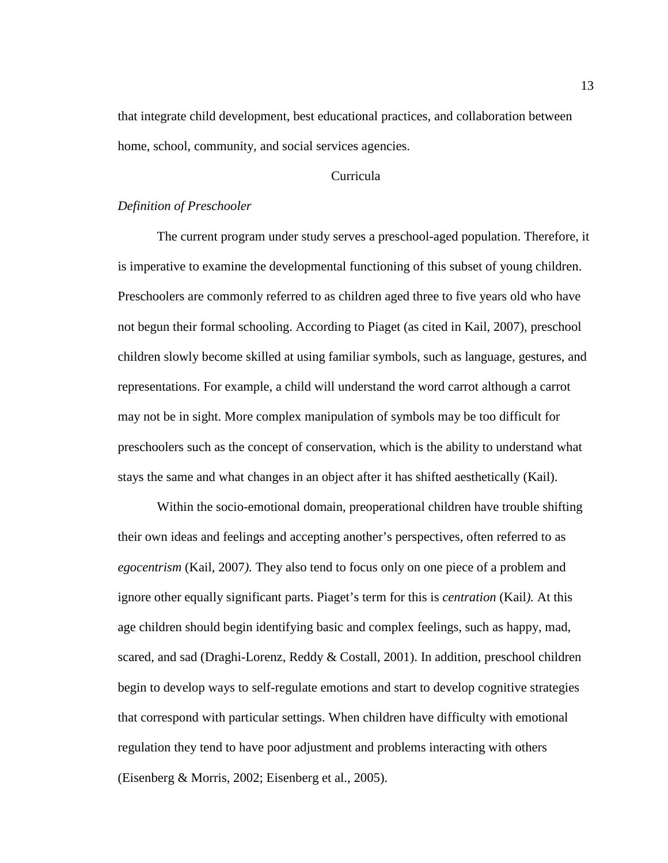that integrate child development, best educational practices, and collaboration between home, school, community, and social services agencies.

# Curricula

# *Definition of Preschooler*

The current program under study serves a preschool-aged population. Therefore, it is imperative to examine the developmental functioning of this subset of young children. Preschoolers are commonly referred to as children aged three to five years old who have not begun their formal schooling. According to Piaget (as cited in Kail, 2007), preschool children slowly become skilled at using familiar symbols, such as language, gestures, and representations. For example, a child will understand the word carrot although a carrot may not be in sight. More complex manipulation of symbols may be too difficult for preschoolers such as the concept of conservation, which is the ability to understand what stays the same and what changes in an object after it has shifted aesthetically (Kail).

Within the socio-emotional domain, preoperational children have trouble shifting their own ideas and feelings and accepting another's perspectives, often referred to as *egocentrism* (Kail, 2007*).* They also tend to focus only on one piece of a problem and ignore other equally significant parts. Piaget's term for this is *centration* (Kail*).* At this age children should begin identifying basic and complex feelings, such as happy, mad, scared, and sad (Draghi-Lorenz, Reddy & Costall, 2001). In addition, preschool children begin to develop ways to self-regulate emotions and start to develop cognitive strategies that correspond with particular settings. When children have difficulty with emotional regulation they tend to have poor adjustment and problems interacting with others (Eisenberg & Morris, 2002; Eisenberg et al., 2005).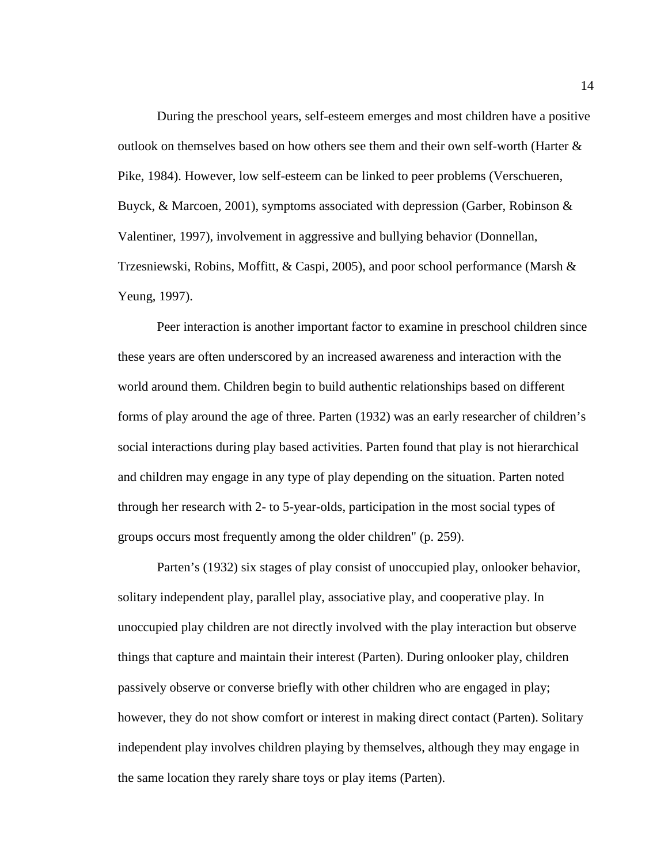During the preschool years, self-esteem emerges and most children have a positive outlook on themselves based on how others see them and their own self-worth (Harter  $\&$ Pike, 1984). However, low self-esteem can be linked to peer problems (Verschueren, Buyck, & Marcoen, 2001), symptoms associated with depression (Garber, Robinson  $\&$ Valentiner, 1997), involvement in aggressive and bullying behavior (Donnellan, Trzesniewski, Robins, Moffitt, & Caspi, 2005), and poor school performance (Marsh & Yeung, 1997).

Peer interaction is another important factor to examine in preschool children since these years are often underscored by an increased awareness and interaction with the world around them. Children begin to build authentic relationships based on different forms of play around the age of three. Parten (1932) was an early researcher of children's social interactions during play based activities. Parten found that play is not hierarchical and children may engage in any type of play depending on the situation. Parten noted through her research with 2- to 5-year-olds, participation in the most social types of groups occurs most frequently among the older children" (p. 259).

Parten's (1932) six stages of play consist of unoccupied play, onlooker behavior, solitary independent play, parallel play, associative play, and cooperative play. In unoccupied play children are not directly involved with the play interaction but observe things that capture and maintain their interest (Parten). During onlooker play, children passively observe or converse briefly with other children who are engaged in play; however, they do not show comfort or interest in making direct contact (Parten). Solitary independent play involves children playing by themselves, although they may engage in the same location they rarely share toys or play items (Parten).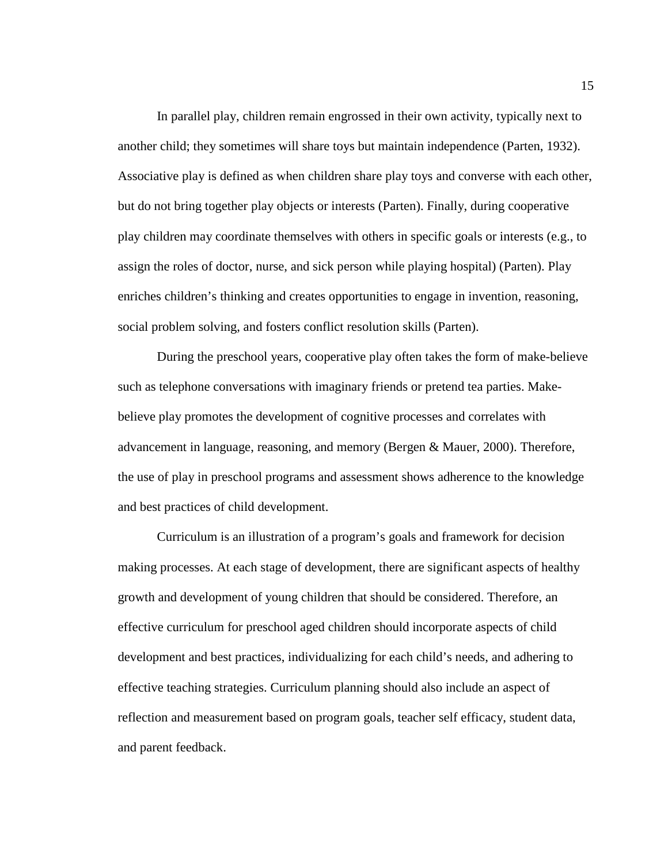In parallel play, children remain engrossed in their own activity, typically next to another child; they sometimes will share toys but maintain independence (Parten, 1932). Associative play is defined as when children share play toys and converse with each other, but do not bring together play objects or interests (Parten). Finally, during cooperative play children may coordinate themselves with others in specific goals or interests (e.g., to assign the roles of doctor, nurse, and sick person while playing hospital) (Parten). Play enriches children's thinking and creates opportunities to engage in invention, reasoning, social problem solving, and fosters conflict resolution skills (Parten).

During the preschool years, cooperative play often takes the form of make-believe such as telephone conversations with imaginary friends or pretend tea parties. Makebelieve play promotes the development of cognitive processes and correlates with advancement in language, reasoning, and memory (Bergen & Mauer, 2000). Therefore, the use of play in preschool programs and assessment shows adherence to the knowledge and best practices of child development.

Curriculum is an illustration of a program's goals and framework for decision making processes. At each stage of development, there are significant aspects of healthy growth and development of young children that should be considered. Therefore, an effective curriculum for preschool aged children should incorporate aspects of child development and best practices, individualizing for each child's needs, and adhering to effective teaching strategies. Curriculum planning should also include an aspect of reflection and measurement based on program goals, teacher self efficacy, student data, and parent feedback.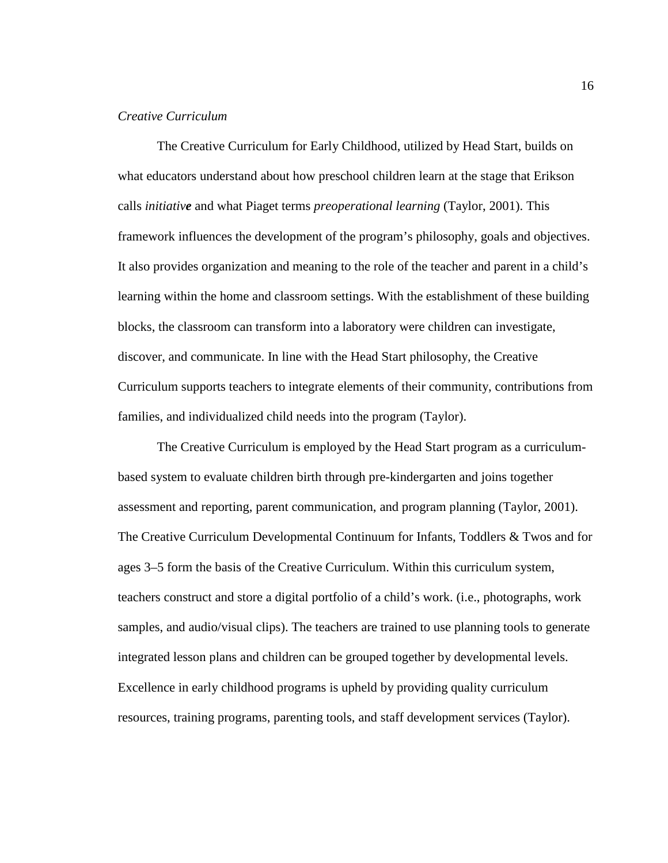# *Creative Curriculum*

The Creative Curriculum for Early Childhood, utilized by Head Start, builds on what educators understand about how preschool children learn at the stage that Erikson calls *initiative* and what Piaget terms *preoperational learning* (Taylor, 2001). This framework influences the development of the program's philosophy, goals and objectives. It also provides organization and meaning to the role of the teacher and parent in a child's learning within the home and classroom settings. With the establishment of these building blocks, the classroom can transform into a laboratory were children can investigate, discover, and communicate. In line with the Head Start philosophy, the Creative Curriculum supports teachers to integrate elements of their community, contributions from families, and individualized child needs into the program (Taylor).

The Creative Curriculum is employed by the Head Start program as a curriculumbased system to evaluate children birth through pre-kindergarten and joins together assessment and reporting, parent communication, and program planning (Taylor, 2001). The Creative Curriculum Developmental Continuum for Infants, Toddlers & Twos and for ages 3–5 form the basis of the Creative Curriculum. Within this curriculum system, teachers construct and store a digital portfolio of a child's work. (i.e., photographs, work samples, and audio/visual clips). The teachers are trained to use planning tools to generate integrated lesson plans and children can be grouped together by developmental levels. Excellence in early childhood programs is upheld by providing quality curriculum resources, training programs, parenting tools, and staff development services (Taylor).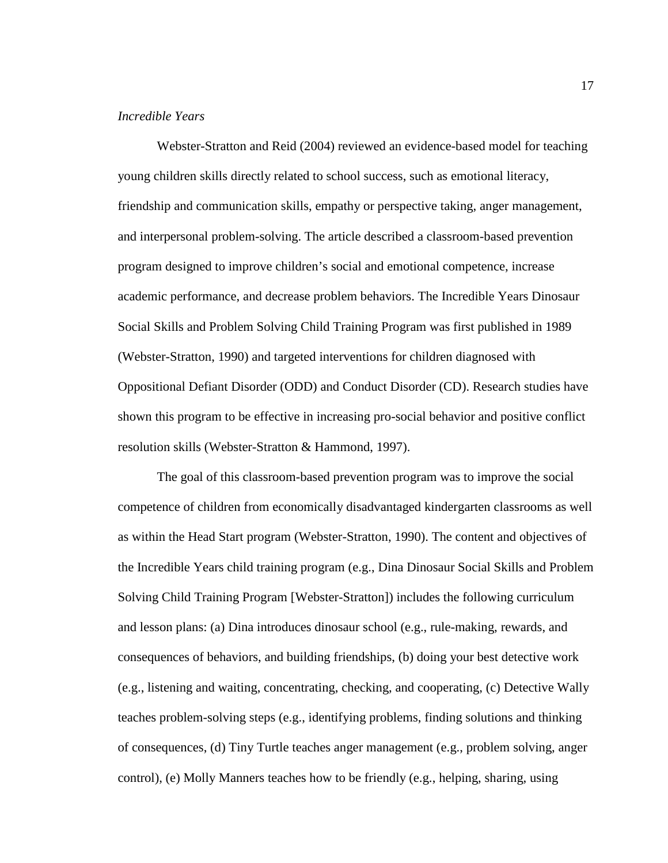# *Incredible Years*

Webster-Stratton and Reid (2004) reviewed an evidence-based model for teaching young children skills directly related to school success, such as emotional literacy, friendship and communication skills, empathy or perspective taking, anger management, and interpersonal problem-solving. The article described a classroom-based prevention program designed to improve children's social and emotional competence, increase academic performance, and decrease problem behaviors. The Incredible Years Dinosaur Social Skills and Problem Solving Child Training Program was first published in 1989 (Webster-Stratton, 1990) and targeted interventions for children diagnosed with Oppositional Defiant Disorder (ODD) and Conduct Disorder (CD). Research studies have shown this program to be effective in increasing pro-social behavior and positive conflict resolution skills (Webster-Stratton & Hammond, 1997).

The goal of this classroom-based prevention program was to improve the social competence of children from economically disadvantaged kindergarten classrooms as well as within the Head Start program (Webster-Stratton, 1990). The content and objectives of the Incredible Years child training program (e.g., Dina Dinosaur Social Skills and Problem Solving Child Training Program [Webster-Stratton]) includes the following curriculum and lesson plans: (a) Dina introduces dinosaur school (e.g., rule-making, rewards, and consequences of behaviors, and building friendships, (b) doing your best detective work (e.g., listening and waiting, concentrating, checking, and cooperating, (c) Detective Wally teaches problem-solving steps (e.g., identifying problems, finding solutions and thinking of consequences, (d) Tiny Turtle teaches anger management (e.g., problem solving, anger control), (e) Molly Manners teaches how to be friendly (e.g., helping, sharing, using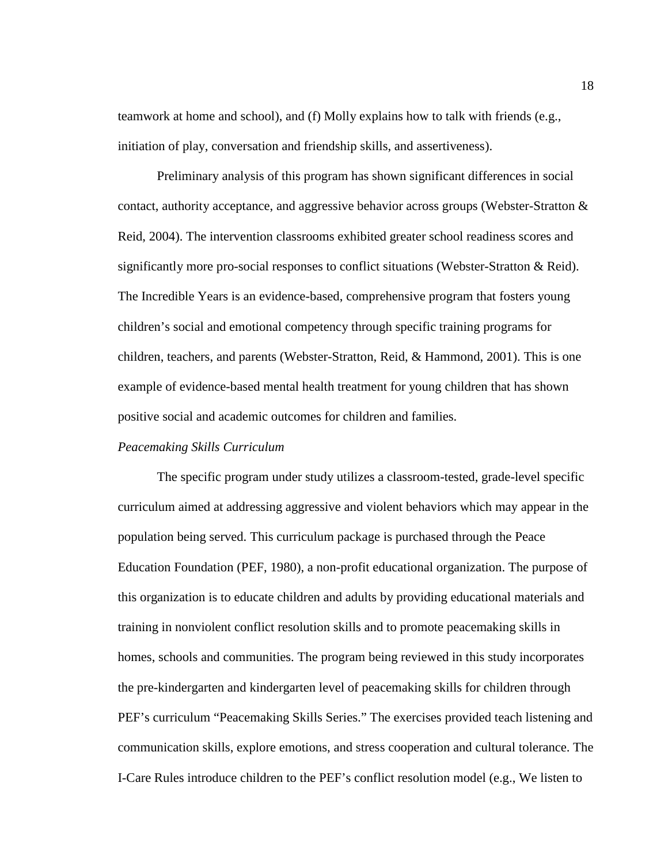teamwork at home and school), and (f) Molly explains how to talk with friends (e.g., initiation of play, conversation and friendship skills, and assertiveness).

Preliminary analysis of this program has shown significant differences in social contact, authority acceptance, and aggressive behavior across groups (Webster-Stratton  $\&$ Reid, 2004). The intervention classrooms exhibited greater school readiness scores and significantly more pro-social responses to conflict situations (Webster-Stratton & Reid). The Incredible Years is an evidence-based, comprehensive program that fosters young children's social and emotional competency through specific training programs for children, teachers, and parents (Webster-Stratton, Reid, & Hammond, 2001). This is one example of evidence-based mental health treatment for young children that has shown positive social and academic outcomes for children and families.

### *Peacemaking Skills Curriculum*

The specific program under study utilizes a classroom-tested, grade-level specific curriculum aimed at addressing aggressive and violent behaviors which may appear in the population being served. This curriculum package is purchased through the Peace Education Foundation (PEF, 1980), a non-profit educational organization. The purpose of this organization is to educate children and adults by providing educational materials and training in nonviolent conflict resolution skills and to promote peacemaking skills in homes, schools and communities. The program being reviewed in this study incorporates the pre-kindergarten and kindergarten level of peacemaking skills for children through PEF's curriculum "Peacemaking Skills Series." The exercises provided teach listening and communication skills, explore emotions, and stress cooperation and cultural tolerance. The I-Care Rules introduce children to the PEF's conflict resolution model (e.g., We listen to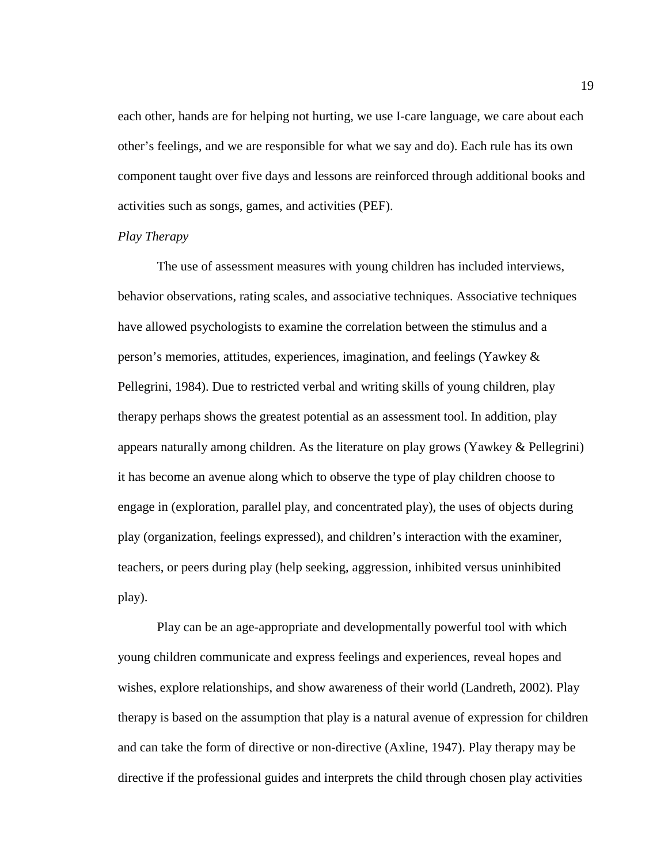each other, hands are for helping not hurting, we use I-care language, we care about each other's feelings, and we are responsible for what we say and do). Each rule has its own component taught over five days and lessons are reinforced through additional books and activities such as songs, games, and activities (PEF).

#### *Play Therapy*

The use of assessment measures with young children has included interviews, behavior observations, rating scales, and associative techniques. Associative techniques have allowed psychologists to examine the correlation between the stimulus and a person's memories, attitudes, experiences, imagination, and feelings (Yawkey & Pellegrini, 1984). Due to restricted verbal and writing skills of young children, play therapy perhaps shows the greatest potential as an assessment tool. In addition, play appears naturally among children. As the literature on play grows (Yawkey & Pellegrini) it has become an avenue along which to observe the type of play children choose to engage in (exploration, parallel play, and concentrated play), the uses of objects during play (organization, feelings expressed), and children's interaction with the examiner, teachers, or peers during play (help seeking, aggression, inhibited versus uninhibited play).

Play can be an age-appropriate and developmentally powerful tool with which young children communicate and express feelings and experiences, reveal hopes and wishes, explore relationships, and show awareness of their world (Landreth, 2002). Play therapy is based on the assumption that play is a natural avenue of expression for children and can take the form of directive or non-directive (Axline, 1947). Play therapy may be directive if the professional guides and interprets the child through chosen play activities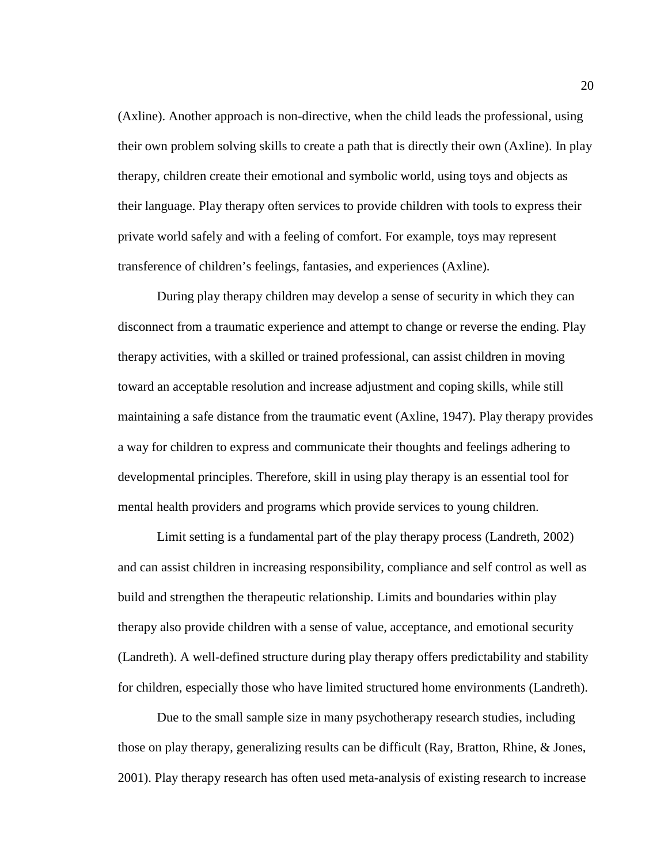(Axline). Another approach is non-directive, when the child leads the professional, using their own problem solving skills to create a path that is directly their own (Axline). In play therapy, children create their emotional and symbolic world, using toys and objects as their language. Play therapy often services to provide children with tools to express their private world safely and with a feeling of comfort. For example, toys may represent transference of children's feelings, fantasies, and experiences (Axline).

During play therapy children may develop a sense of security in which they can disconnect from a traumatic experience and attempt to change or reverse the ending. Play therapy activities, with a skilled or trained professional, can assist children in moving toward an acceptable resolution and increase adjustment and coping skills, while still maintaining a safe distance from the traumatic event (Axline, 1947). Play therapy provides a way for children to express and communicate their thoughts and feelings adhering to developmental principles. Therefore, skill in using play therapy is an essential tool for mental health providers and programs which provide services to young children.

Limit setting is a fundamental part of the play therapy process (Landreth, 2002) and can assist children in increasing responsibility, compliance and self control as well as build and strengthen the therapeutic relationship. Limits and boundaries within play therapy also provide children with a sense of value, acceptance, and emotional security (Landreth). A well-defined structure during play therapy offers predictability and stability for children, especially those who have limited structured home environments (Landreth).

Due to the small sample size in many psychotherapy research studies, including those on play therapy, generalizing results can be difficult (Ray, Bratton, Rhine, & Jones, 2001). Play therapy research has often used meta-analysis of existing research to increase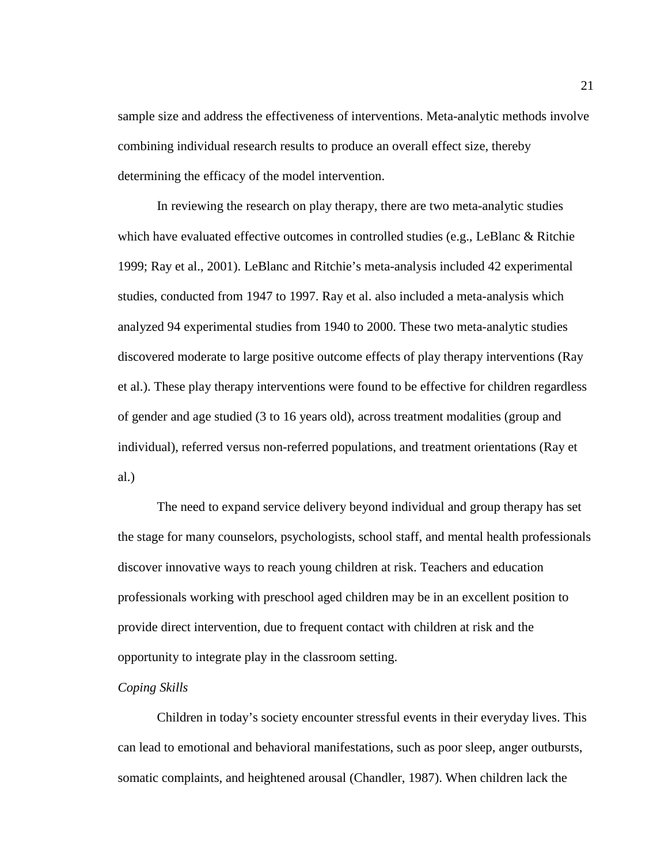sample size and address the effectiveness of interventions. Meta-analytic methods involve combining individual research results to produce an overall effect size, thereby determining the efficacy of the model intervention.

In reviewing the research on play therapy, there are two meta-analytic studies which have evaluated effective outcomes in controlled studies (e.g., LeBlanc & Ritchie 1999; Ray et al., 2001). LeBlanc and Ritchie's meta-analysis included 42 experimental studies, conducted from 1947 to 1997. Ray et al. also included a meta-analysis which analyzed 94 experimental studies from 1940 to 2000. These two meta-analytic studies discovered moderate to large positive outcome effects of play therapy interventions (Ray et al.). These play therapy interventions were found to be effective for children regardless of gender and age studied (3 to 16 years old), across treatment modalities (group and individual), referred versus non-referred populations, and treatment orientations (Ray et al.)

The need to expand service delivery beyond individual and group therapy has set the stage for many counselors, psychologists, school staff, and mental health professionals discover innovative ways to reach young children at risk. Teachers and education professionals working with preschool aged children may be in an excellent position to provide direct intervention, due to frequent contact with children at risk and the opportunity to integrate play in the classroom setting.

### *Coping Skills*

Children in today's society encounter stressful events in their everyday lives. This can lead to emotional and behavioral manifestations, such as poor sleep, anger outbursts, somatic complaints, and heightened arousal (Chandler, 1987). When children lack the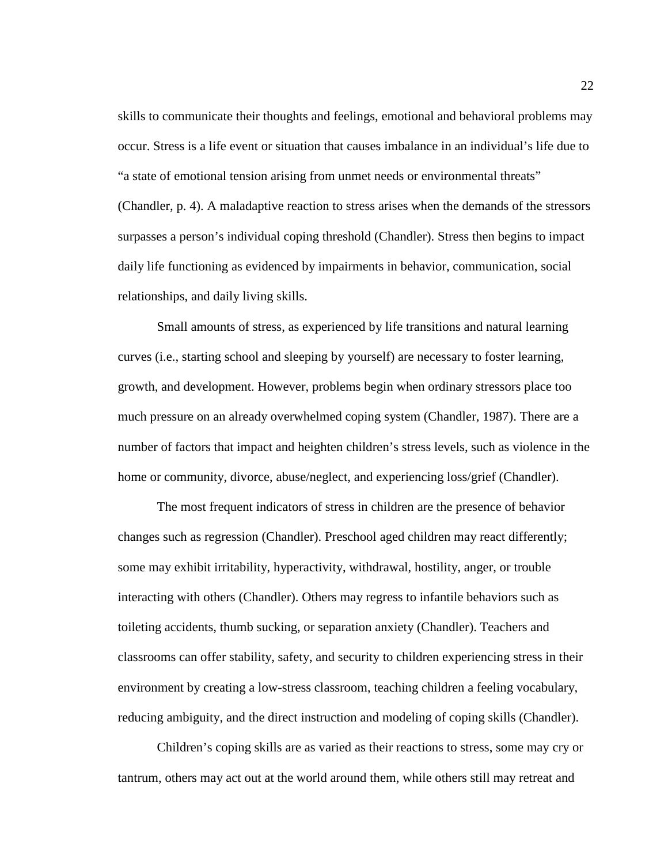skills to communicate their thoughts and feelings, emotional and behavioral problems may occur. Stress is a life event or situation that causes imbalance in an individual's life due to "a state of emotional tension arising from unmet needs or environmental threats" (Chandler, p. 4). A maladaptive reaction to stress arises when the demands of the stressors surpasses a person's individual coping threshold (Chandler). Stress then begins to impact daily life functioning as evidenced by impairments in behavior, communication, social relationships, and daily living skills.

Small amounts of stress, as experienced by life transitions and natural learning curves (i.e., starting school and sleeping by yourself) are necessary to foster learning, growth, and development. However, problems begin when ordinary stressors place too much pressure on an already overwhelmed coping system (Chandler, 1987). There are a number of factors that impact and heighten children's stress levels, such as violence in the home or community, divorce, abuse/neglect, and experiencing loss/grief (Chandler).

The most frequent indicators of stress in children are the presence of behavior changes such as regression (Chandler). Preschool aged children may react differently; some may exhibit irritability, hyperactivity, withdrawal, hostility, anger, or trouble interacting with others (Chandler). Others may regress to infantile behaviors such as toileting accidents, thumb sucking, or separation anxiety (Chandler). Teachers and classrooms can offer stability, safety, and security to children experiencing stress in their environment by creating a low-stress classroom, teaching children a feeling vocabulary, reducing ambiguity, and the direct instruction and modeling of coping skills (Chandler).

Children's coping skills are as varied as their reactions to stress, some may cry or tantrum, others may act out at the world around them, while others still may retreat and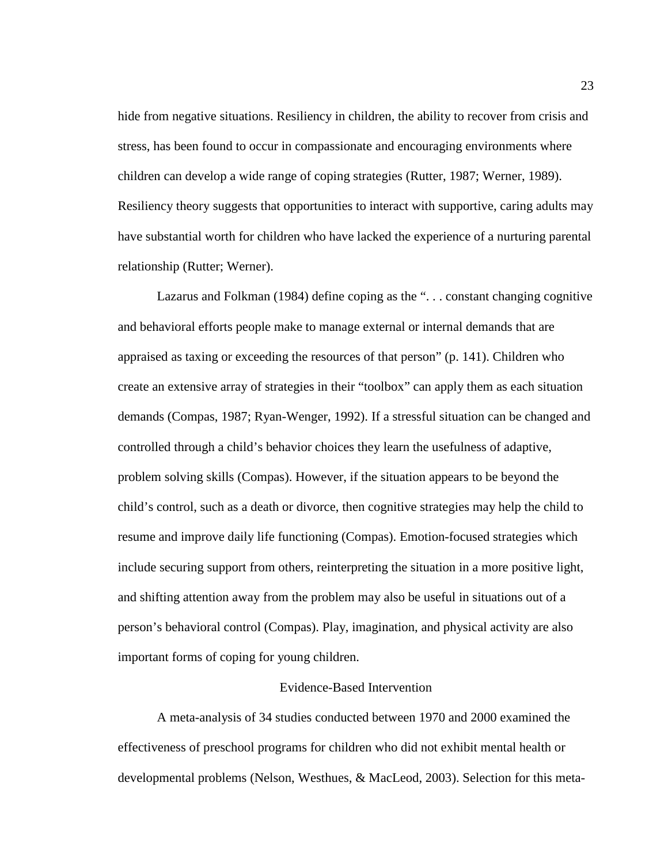hide from negative situations. Resiliency in children, the ability to recover from crisis and stress, has been found to occur in compassionate and encouraging environments where children can develop a wide range of coping strategies (Rutter, 1987; Werner, 1989). Resiliency theory suggests that opportunities to interact with supportive, caring adults may have substantial worth for children who have lacked the experience of a nurturing parental relationship (Rutter; Werner).

Lazarus and Folkman (1984) define coping as the ". . . constant changing cognitive and behavioral efforts people make to manage external or internal demands that are appraised as taxing or exceeding the resources of that person" (p. 141). Children who create an extensive array of strategies in their "toolbox" can apply them as each situation demands (Compas, 1987; Ryan-Wenger, 1992). If a stressful situation can be changed and controlled through a child's behavior choices they learn the usefulness of adaptive, problem solving skills (Compas). However, if the situation appears to be beyond the child's control, such as a death or divorce, then cognitive strategies may help the child to resume and improve daily life functioning (Compas). Emotion-focused strategies which include securing support from others, reinterpreting the situation in a more positive light, and shifting attention away from the problem may also be useful in situations out of a person's behavioral control (Compas). Play, imagination, and physical activity are also important forms of coping for young children.

### Evidence-Based Intervention

A meta-analysis of 34 studies conducted between 1970 and 2000 examined the effectiveness of preschool programs for children who did not exhibit mental health or developmental problems (Nelson, Westhues, & MacLeod, 2003). Selection for this meta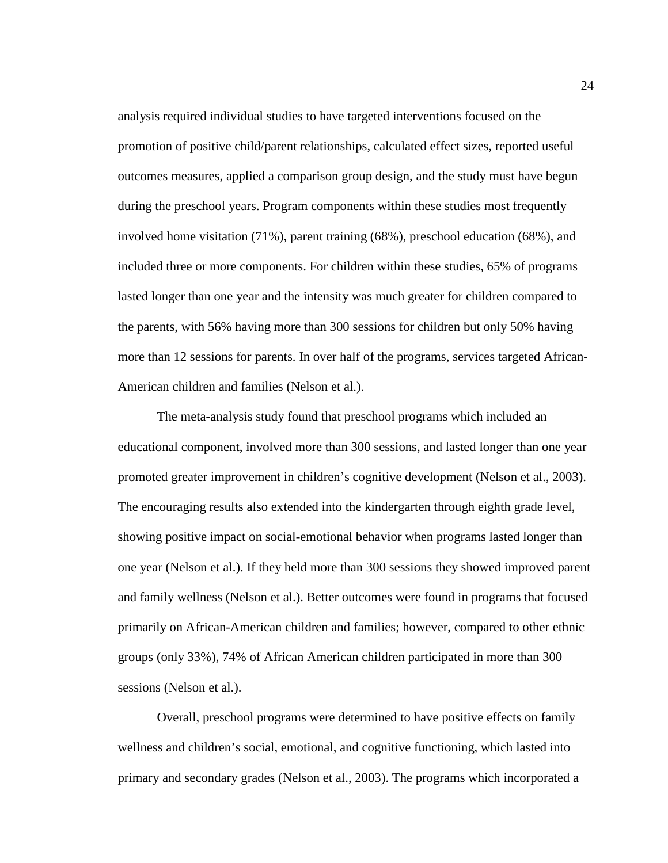analysis required individual studies to have targeted interventions focused on the promotion of positive child/parent relationships, calculated effect sizes, reported useful outcomes measures, applied a comparison group design, and the study must have begun during the preschool years. Program components within these studies most frequently involved home visitation (71%), parent training (68%), preschool education (68%), and included three or more components. For children within these studies, 65% of programs lasted longer than one year and the intensity was much greater for children compared to the parents, with 56% having more than 300 sessions for children but only 50% having more than 12 sessions for parents. In over half of the programs, services targeted African-American children and families (Nelson et al.).

The meta-analysis study found that preschool programs which included an educational component, involved more than 300 sessions, and lasted longer than one year promoted greater improvement in children's cognitive development (Nelson et al., 2003). The encouraging results also extended into the kindergarten through eighth grade level, showing positive impact on social-emotional behavior when programs lasted longer than one year (Nelson et al.). If they held more than 300 sessions they showed improved parent and family wellness (Nelson et al.). Better outcomes were found in programs that focused primarily on African-American children and families; however, compared to other ethnic groups (only 33%), 74% of African American children participated in more than 300 sessions (Nelson et al.).

Overall, preschool programs were determined to have positive effects on family wellness and children's social, emotional, and cognitive functioning, which lasted into primary and secondary grades (Nelson et al., 2003). The programs which incorporated a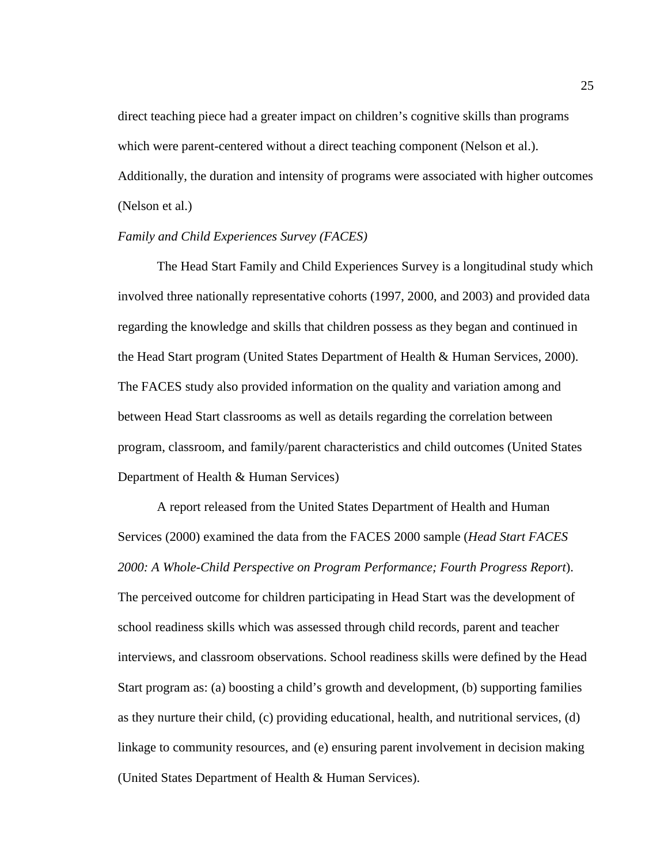direct teaching piece had a greater impact on children's cognitive skills than programs which were parent-centered without a direct teaching component (Nelson et al.). Additionally, the duration and intensity of programs were associated with higher outcomes (Nelson et al.)

#### *Family and Child Experiences Survey (FACES)*

The Head Start Family and Child Experiences Survey is a longitudinal study which involved three nationally representative cohorts (1997, 2000, and 2003) and provided data regarding the knowledge and skills that children possess as they began and continued in the Head Start program (United States Department of Health & Human Services, 2000). The FACES study also provided information on the quality and variation among and between Head Start classrooms as well as details regarding the correlation between program, classroom, and family/parent characteristics and child outcomes (United States Department of Health & Human Services)

A report released from the United States Department of Health and Human Services (2000) examined the data from the FACES 2000 sample (*Head Start FACES 2000: A Whole-Child Perspective on Program Performance; Fourth Progress Report*). The perceived outcome for children participating in Head Start was the development of school readiness skills which was assessed through child records, parent and teacher interviews, and classroom observations. School readiness skills were defined by the Head Start program as: (a) boosting a child's growth and development, (b) supporting families as they nurture their child, (c) providing educational, health, and nutritional services, (d) linkage to community resources, and (e) ensuring parent involvement in decision making (United States Department of Health & Human Services).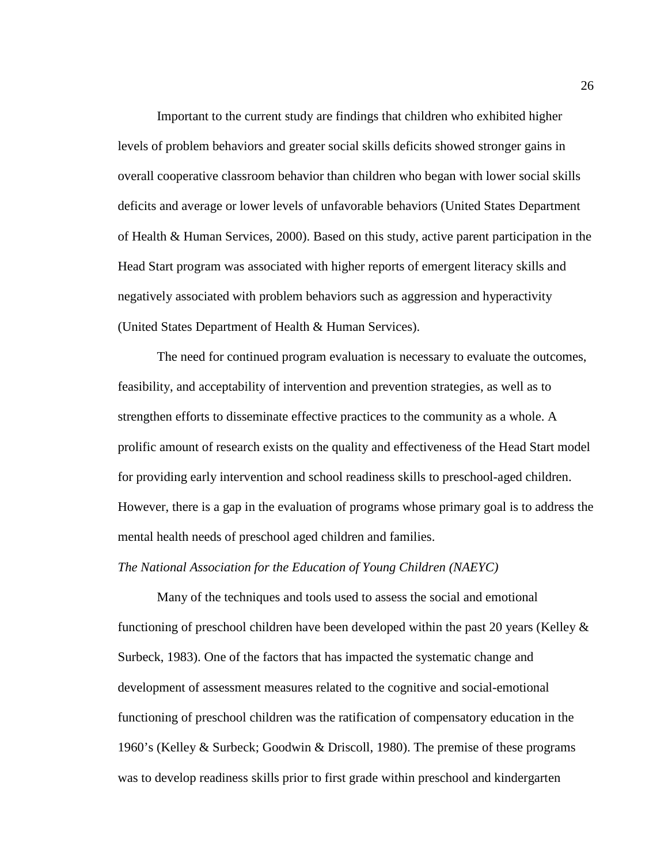Important to the current study are findings that children who exhibited higher levels of problem behaviors and greater social skills deficits showed stronger gains in overall cooperative classroom behavior than children who began with lower social skills deficits and average or lower levels of unfavorable behaviors (United States Department of Health & Human Services, 2000). Based on this study, active parent participation in the Head Start program was associated with higher reports of emergent literacy skills and negatively associated with problem behaviors such as aggression and hyperactivity (United States Department of Health & Human Services).

The need for continued program evaluation is necessary to evaluate the outcomes, feasibility, and acceptability of intervention and prevention strategies, as well as to strengthen efforts to disseminate effective practices to the community as a whole. A prolific amount of research exists on the quality and effectiveness of the Head Start model for providing early intervention and school readiness skills to preschool-aged children. However, there is a gap in the evaluation of programs whose primary goal is to address the mental health needs of preschool aged children and families.

#### *The National Association for the Education of Young Children (NAEYC)*

Many of the techniques and tools used to assess the social and emotional functioning of preschool children have been developed within the past 20 years (Kelley  $\&$ Surbeck, 1983). One of the factors that has impacted the systematic change and development of assessment measures related to the cognitive and social-emotional functioning of preschool children was the ratification of compensatory education in the 1960's (Kelley & Surbeck; Goodwin & Driscoll, 1980). The premise of these programs was to develop readiness skills prior to first grade within preschool and kindergarten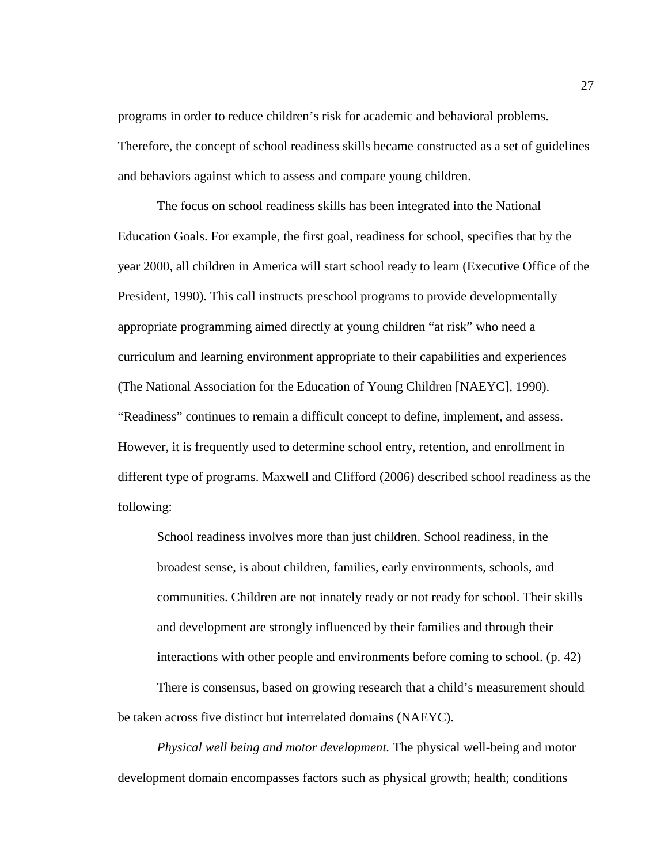programs in order to reduce children's risk for academic and behavioral problems. Therefore, the concept of school readiness skills became constructed as a set of guidelines and behaviors against which to assess and compare young children.

The focus on school readiness skills has been integrated into the National Education Goals. For example, the first goal, readiness for school, specifies that by the year 2000, all children in America will start school ready to learn (Executive Office of the President, 1990). This call instructs preschool programs to provide developmentally appropriate programming aimed directly at young children "at risk" who need a curriculum and learning environment appropriate to their capabilities and experiences (The National Association for the Education of Young Children [NAEYC], 1990). "Readiness" continues to remain a difficult concept to define, implement, and assess. However, it is frequently used to determine school entry, retention, and enrollment in different type of programs. Maxwell and Clifford (2006) described school readiness as the following:

School readiness involves more than just children. School readiness, in the broadest sense, is about children, families, early environments, schools, and communities. Children are not innately ready or not ready for school. Their skills and development are strongly influenced by their families and through their interactions with other people and environments before coming to school. (p. 42)

There is consensus, based on growing research that a child's measurement should be taken across five distinct but interrelated domains (NAEYC).

*Physical well being and motor development.* The physical well-being and motor development domain encompasses factors such as physical growth; health; conditions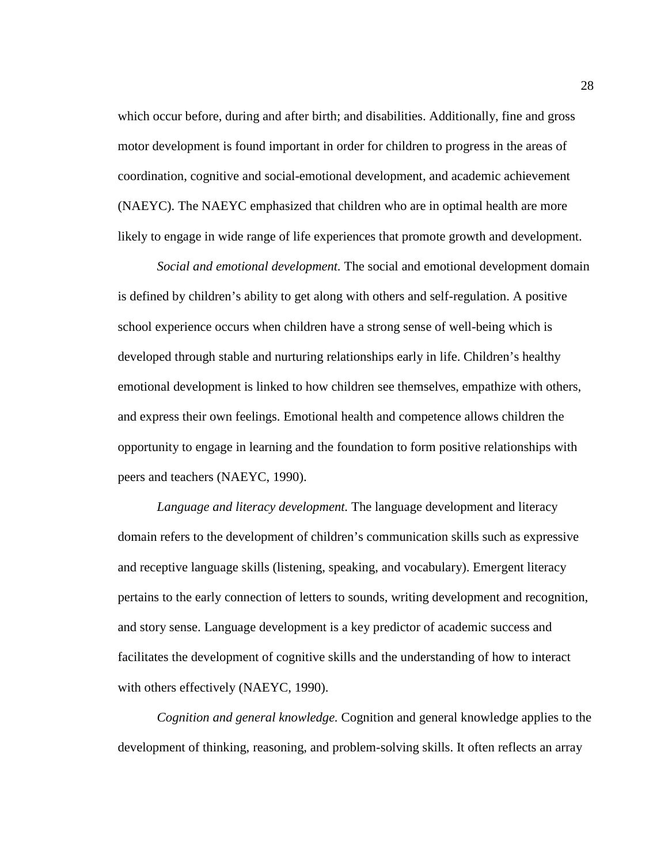which occur before, during and after birth; and disabilities. Additionally, fine and gross motor development is found important in order for children to progress in the areas of coordination, cognitive and social-emotional development, and academic achievement (NAEYC). The NAEYC emphasized that children who are in optimal health are more likely to engage in wide range of life experiences that promote growth and development.

*Social and emotional development.* The social and emotional development domain is defined by children's ability to get along with others and self-regulation. A positive school experience occurs when children have a strong sense of well-being which is developed through stable and nurturing relationships early in life. Children's healthy emotional development is linked to how children see themselves, empathize with others, and express their own feelings. Emotional health and competence allows children the opportunity to engage in learning and the foundation to form positive relationships with peers and teachers (NAEYC, 1990).

*Language and literacy development.* The language development and literacy domain refers to the development of children's communication skills such as expressive and receptive language skills (listening, speaking, and vocabulary). Emergent literacy pertains to the early connection of letters to sounds, writing development and recognition, and story sense. Language development is a key predictor of academic success and facilitates the development of cognitive skills and the understanding of how to interact with others effectively (NAEYC, 1990).

*Cognition and general knowledge.* Cognition and general knowledge applies to the development of thinking, reasoning, and problem-solving skills. It often reflects an array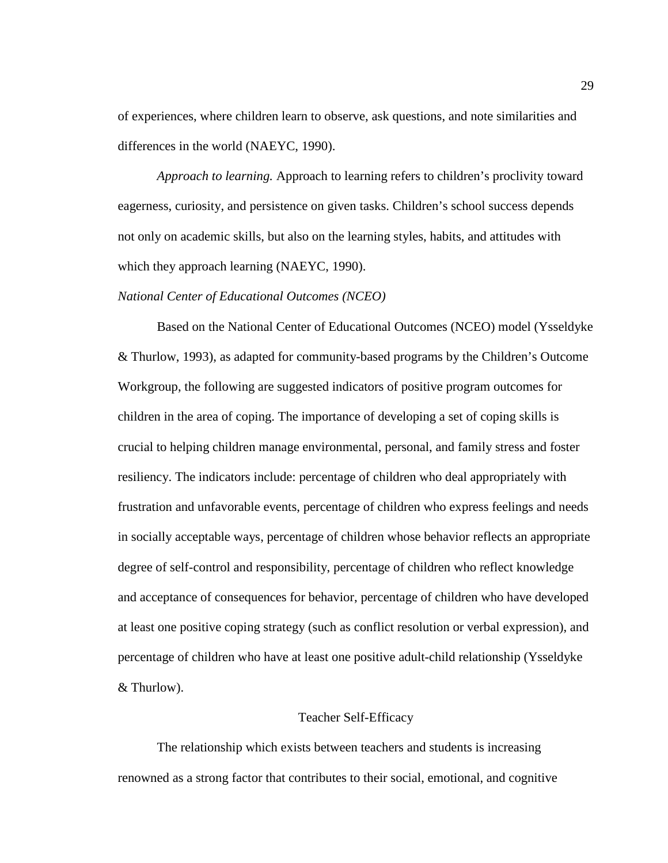of experiences, where children learn to observe, ask questions, and note similarities and differences in the world (NAEYC, 1990).

*Approach to learning.* Approach to learning refers to children's proclivity toward eagerness, curiosity, and persistence on given tasks. Children's school success depends not only on academic skills, but also on the learning styles, habits, and attitudes with which they approach learning (NAEYC, 1990).

#### *National Center of Educational Outcomes (NCEO)*

Based on the National Center of Educational Outcomes (NCEO) model (Ysseldyke & Thurlow, 1993), as adapted for community-based programs by the Children's Outcome Workgroup, the following are suggested indicators of positive program outcomes for children in the area of coping. The importance of developing a set of coping skills is crucial to helping children manage environmental, personal, and family stress and foster resiliency. The indicators include: percentage of children who deal appropriately with frustration and unfavorable events, percentage of children who express feelings and needs in socially acceptable ways, percentage of children whose behavior reflects an appropriate degree of self-control and responsibility, percentage of children who reflect knowledge and acceptance of consequences for behavior, percentage of children who have developed at least one positive coping strategy (such as conflict resolution or verbal expression), and percentage of children who have at least one positive adult-child relationship (Ysseldyke & Thurlow).

#### Teacher Self-Efficacy

The relationship which exists between teachers and students is increasing renowned as a strong factor that contributes to their social, emotional, and cognitive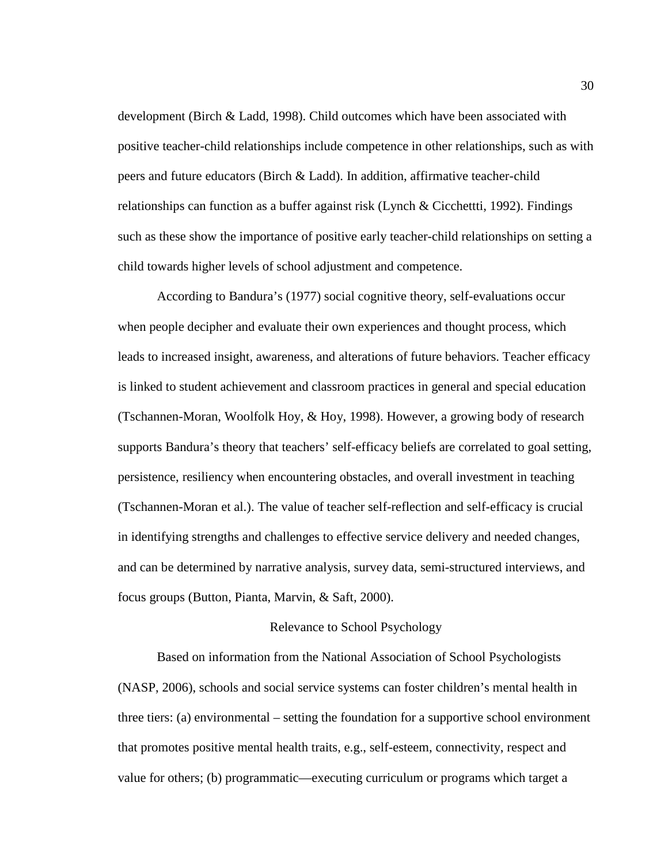development (Birch & Ladd, 1998). Child outcomes which have been associated with positive teacher-child relationships include competence in other relationships, such as with peers and future educators (Birch & Ladd). In addition, affirmative teacher-child relationships can function as a buffer against risk (Lynch & Cicchettti, 1992). Findings such as these show the importance of positive early teacher-child relationships on setting a child towards higher levels of school adjustment and competence.

According to Bandura's (1977) social cognitive theory, self-evaluations occur when people decipher and evaluate their own experiences and thought process, which leads to increased insight, awareness, and alterations of future behaviors. Teacher efficacy is linked to student achievement and classroom practices in general and special education (Tschannen-Moran, Woolfolk Hoy, & Hoy, 1998). However, a growing body of research supports Bandura's theory that teachers' self-efficacy beliefs are correlated to goal setting, persistence, resiliency when encountering obstacles, and overall investment in teaching (Tschannen-Moran et al.). The value of teacher self-reflection and self-efficacy is crucial in identifying strengths and challenges to effective service delivery and needed changes, and can be determined by narrative analysis, survey data, semi-structured interviews, and focus groups (Button, Pianta, Marvin, & Saft, 2000).

#### Relevance to School Psychology

Based on information from the National Association of School Psychologists (NASP, 2006), schools and social service systems can foster children's mental health in three tiers: (a) environmental – setting the foundation for a supportive school environment that promotes positive mental health traits, e.g., self-esteem, connectivity, respect and value for others; (b) programmatic—executing curriculum or programs which target a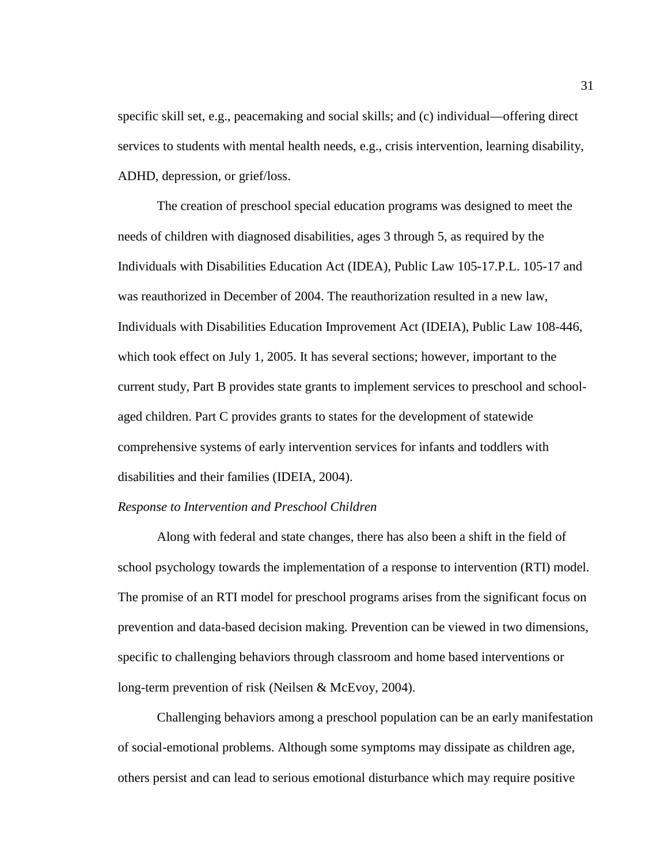specific skill set, e.g., peacemaking and social skills; and (c) individual—offering direct services to students with mental health needs, e.g., crisis intervention, learning disability, ADHD, depression, or grief/loss.

The creation of preschool special education programs was designed to meet the needs of children with diagnosed disabilities, ages 3 through 5, as required by the Individuals with Disabilities Education Act (IDEA), Public Law 105-17.P.L. 105-17 and was reauthorized in December of 2004. The reauthorization resulted in a new law, Individuals with Disabilities Education Improvement Act (IDEIA), Public Law 108-446, which took effect on July 1, 2005. It has several sections; however, important to the current study, Part B provides state grants to implement services to preschool and schoolaged children. Part C provides grants to states for the development of statewide comprehensive systems of early intervention services for infants and toddlers with disabilities and their families (IDEIA, 2004).

#### *Response to Intervention and Preschool Children*

Along with federal and state changes, there has also been a shift in the field of school psychology towards the implementation of a response to intervention (RTI) model. The promise of an RTI model for preschool programs arises from the significant focus on prevention and data-based decision making. Prevention can be viewed in two dimensions, specific to challenging behaviors through classroom and home based interventions or long-term prevention of risk (Neilsen & McEvoy, 2004).

Challenging behaviors among a preschool population can be an early manifestation of social-emotional problems. Although some symptoms may dissipate as children age, others persist and can lead to serious emotional disturbance which may require positive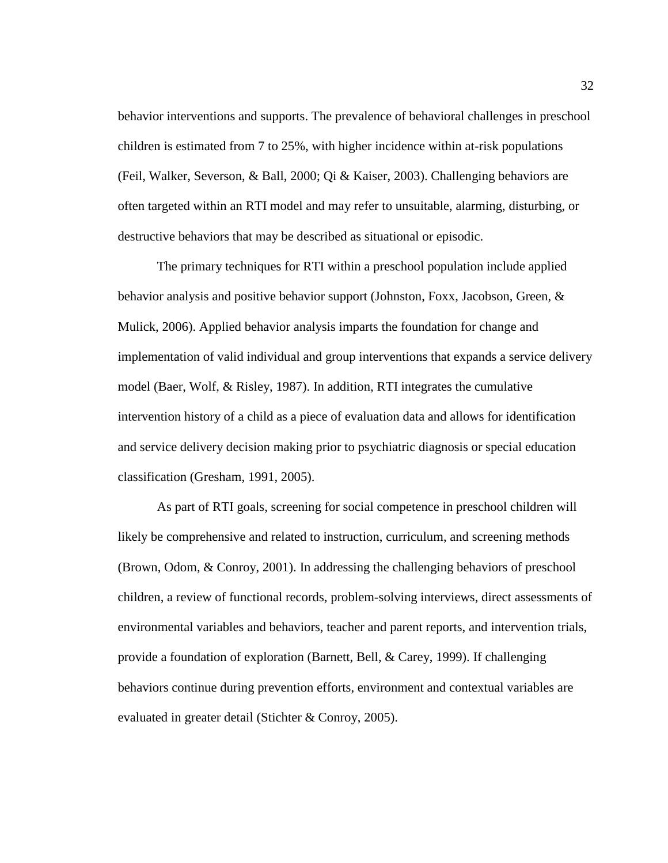behavior interventions and supports. The prevalence of behavioral challenges in preschool children is estimated from 7 to 25%, with higher incidence within at-risk populations (Feil, Walker, Severson, & Ball, 2000; Qi & Kaiser, 2003). Challenging behaviors are often targeted within an RTI model and may refer to unsuitable, alarming, disturbing, or destructive behaviors that may be described as situational or episodic.

The primary techniques for RTI within a preschool population include applied behavior analysis and positive behavior support (Johnston, Foxx, Jacobson, Green, & Mulick, 2006). Applied behavior analysis imparts the foundation for change and implementation of valid individual and group interventions that expands a service delivery model (Baer, Wolf, & Risley, 1987). In addition, RTI integrates the cumulative intervention history of a child as a piece of evaluation data and allows for identification and service delivery decision making prior to psychiatric diagnosis or special education classification (Gresham, 1991, 2005).

As part of RTI goals, screening for social competence in preschool children will likely be comprehensive and related to instruction, curriculum, and screening methods (Brown, Odom, & Conroy, 2001). In addressing the challenging behaviors of preschool children, a review of functional records, problem-solving interviews, direct assessments of environmental variables and behaviors, teacher and parent reports, and intervention trials, provide a foundation of exploration (Barnett, Bell, & Carey, 1999). If challenging behaviors continue during prevention efforts, environment and contextual variables are evaluated in greater detail (Stichter & Conroy, 2005).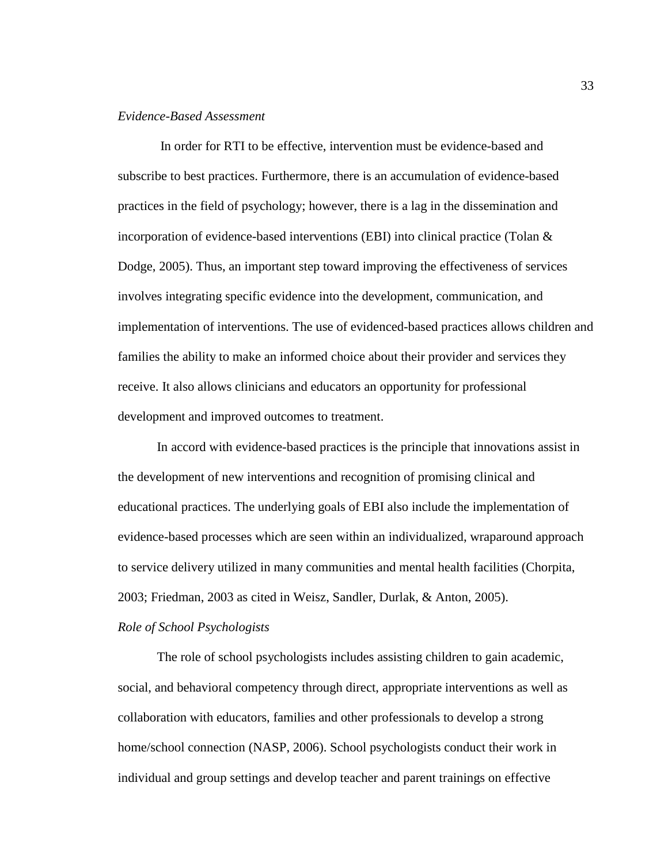### *Evidence-Based Assessment*

In order for RTI to be effective, intervention must be evidence-based and subscribe to best practices. Furthermore, there is an accumulation of evidence-based practices in the field of psychology; however, there is a lag in the dissemination and incorporation of evidence-based interventions (EBI) into clinical practice (Tolan & Dodge, 2005). Thus, an important step toward improving the effectiveness of services involves integrating specific evidence into the development, communication, and implementation of interventions. The use of evidenced-based practices allows children and families the ability to make an informed choice about their provider and services they receive. It also allows clinicians and educators an opportunity for professional development and improved outcomes to treatment.

In accord with evidence-based practices is the principle that innovations assist in the development of new interventions and recognition of promising clinical and educational practices. The underlying goals of EBI also include the implementation of evidence-based processes which are seen within an individualized, wraparound approach to service delivery utilized in many communities and mental health facilities (Chorpita, 2003; Friedman, 2003 as cited in Weisz, Sandler, Durlak, & Anton, 2005).

#### *Role of School Psychologists*

The role of school psychologists includes assisting children to gain academic, social, and behavioral competency through direct, appropriate interventions as well as collaboration with educators, families and other professionals to develop a strong home/school connection (NASP, 2006). School psychologists conduct their work in individual and group settings and develop teacher and parent trainings on effective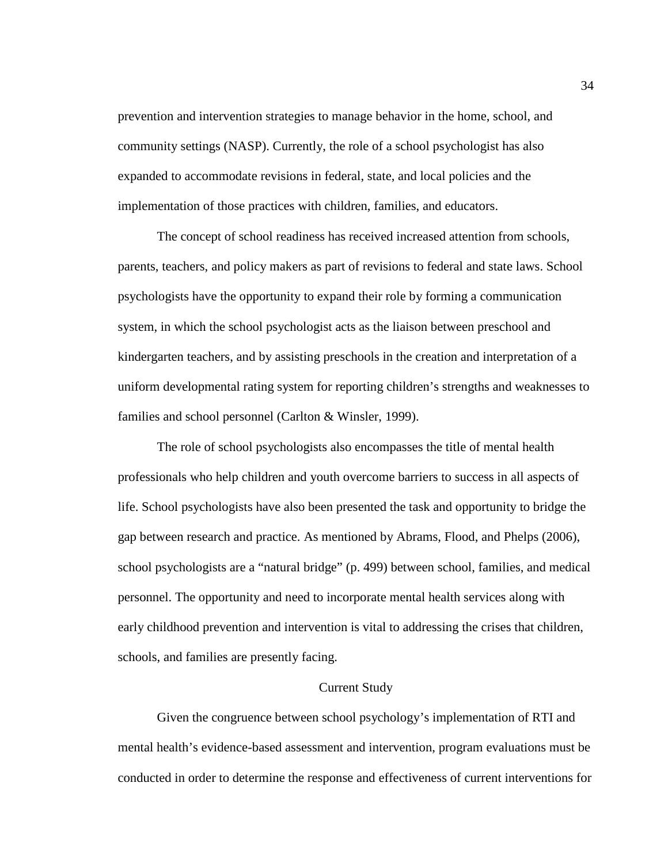prevention and intervention strategies to manage behavior in the home, school, and community settings (NASP). Currently, the role of a school psychologist has also expanded to accommodate revisions in federal, state, and local policies and the implementation of those practices with children, families, and educators.

The concept of school readiness has received increased attention from schools, parents, teachers, and policy makers as part of revisions to federal and state laws. School psychologists have the opportunity to expand their role by forming a communication system, in which the school psychologist acts as the liaison between preschool and kindergarten teachers, and by assisting preschools in the creation and interpretation of a uniform developmental rating system for reporting children's strengths and weaknesses to families and school personnel (Carlton & Winsler, 1999).

The role of school psychologists also encompasses the title of mental health professionals who help children and youth overcome barriers to success in all aspects of life. School psychologists have also been presented the task and opportunity to bridge the gap between research and practice. As mentioned by Abrams, Flood, and Phelps (2006), school psychologists are a "natural bridge" (p. 499) between school, families, and medical personnel. The opportunity and need to incorporate mental health services along with early childhood prevention and intervention is vital to addressing the crises that children, schools, and families are presently facing.

#### Current Study

Given the congruence between school psychology's implementation of RTI and mental health's evidence-based assessment and intervention, program evaluations must be conducted in order to determine the response and effectiveness of current interventions for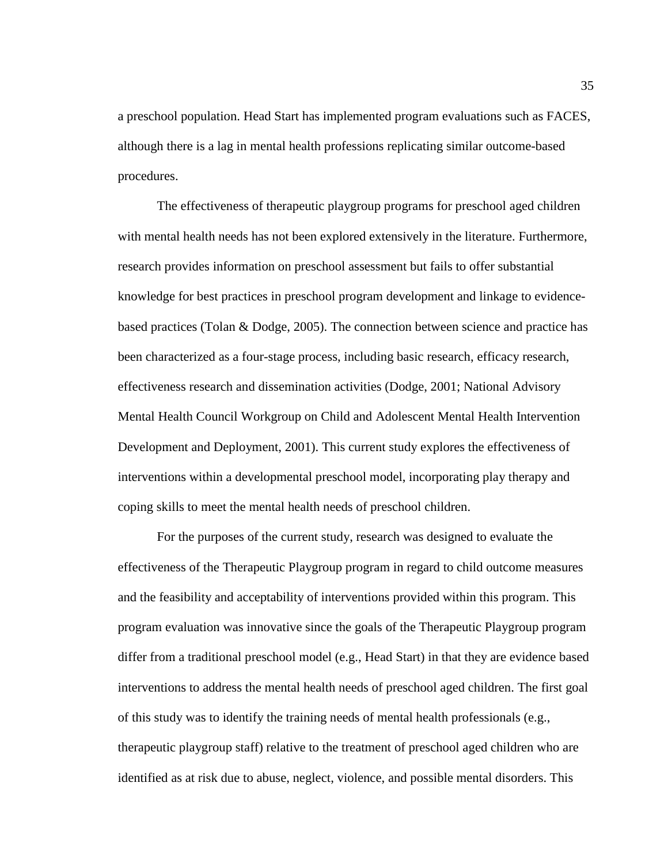a preschool population. Head Start has implemented program evaluations such as FACES, although there is a lag in mental health professions replicating similar outcome-based procedures.

The effectiveness of therapeutic playgroup programs for preschool aged children with mental health needs has not been explored extensively in the literature. Furthermore, research provides information on preschool assessment but fails to offer substantial knowledge for best practices in preschool program development and linkage to evidencebased practices (Tolan & Dodge, 2005). The connection between science and practice has been characterized as a four-stage process, including basic research, efficacy research, effectiveness research and dissemination activities (Dodge, 2001; National Advisory Mental Health Council Workgroup on Child and Adolescent Mental Health Intervention Development and Deployment, 2001). This current study explores the effectiveness of interventions within a developmental preschool model, incorporating play therapy and coping skills to meet the mental health needs of preschool children.

For the purposes of the current study, research was designed to evaluate the effectiveness of the Therapeutic Playgroup program in regard to child outcome measures and the feasibility and acceptability of interventions provided within this program. This program evaluation was innovative since the goals of the Therapeutic Playgroup program differ from a traditional preschool model (e.g., Head Start) in that they are evidence based interventions to address the mental health needs of preschool aged children. The first goal of this study was to identify the training needs of mental health professionals (e.g., therapeutic playgroup staff) relative to the treatment of preschool aged children who are identified as at risk due to abuse, neglect, violence, and possible mental disorders. This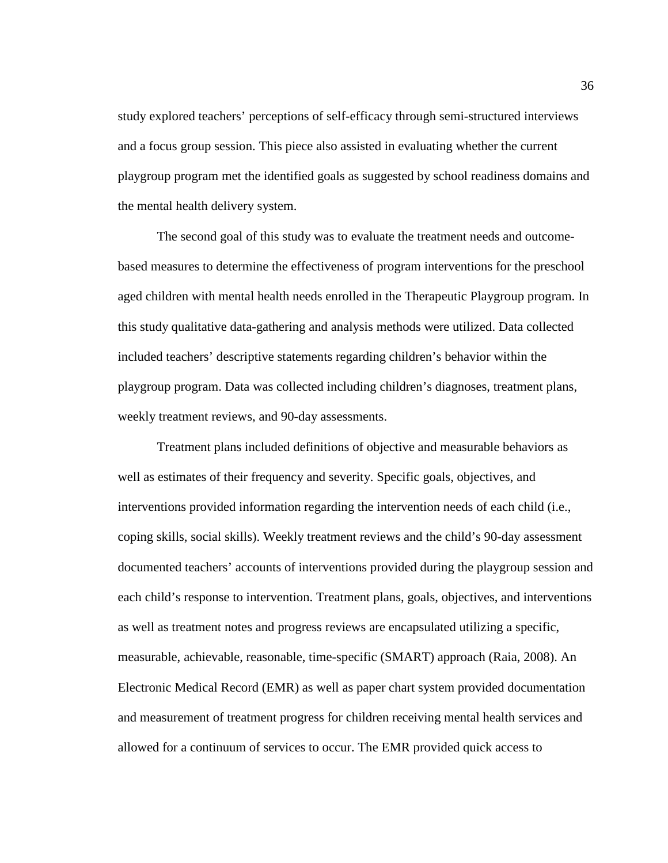study explored teachers' perceptions of self-efficacy through semi-structured interviews and a focus group session. This piece also assisted in evaluating whether the current playgroup program met the identified goals as suggested by school readiness domains and the mental health delivery system.

The second goal of this study was to evaluate the treatment needs and outcomebased measures to determine the effectiveness of program interventions for the preschool aged children with mental health needs enrolled in the Therapeutic Playgroup program. In this study qualitative data-gathering and analysis methods were utilized. Data collected included teachers' descriptive statements regarding children's behavior within the playgroup program. Data was collected including children's diagnoses, treatment plans, weekly treatment reviews, and 90-day assessments.

Treatment plans included definitions of objective and measurable behaviors as well as estimates of their frequency and severity. Specific goals, objectives, and interventions provided information regarding the intervention needs of each child (i.e., coping skills, social skills). Weekly treatment reviews and the child's 90-day assessment documented teachers' accounts of interventions provided during the playgroup session and each child's response to intervention. Treatment plans, goals, objectives, and interventions as well as treatment notes and progress reviews are encapsulated utilizing a specific, measurable, achievable, reasonable, time-specific (SMART) approach (Raia, 2008). An Electronic Medical Record (EMR) as well as paper chart system provided documentation and measurement of treatment progress for children receiving mental health services and allowed for a continuum of services to occur. The EMR provided quick access to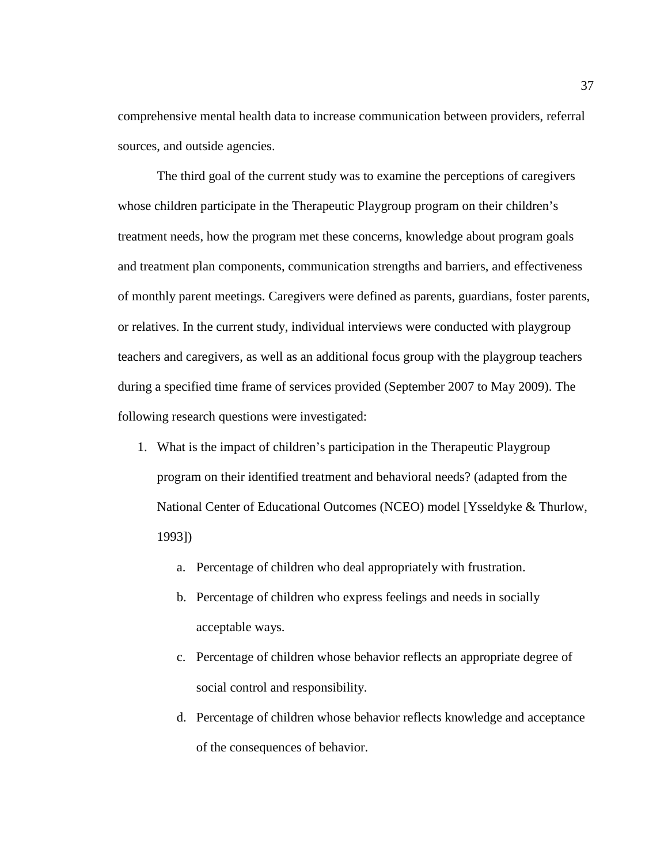comprehensive mental health data to increase communication between providers, referral sources, and outside agencies.

The third goal of the current study was to examine the perceptions of caregivers whose children participate in the Therapeutic Playgroup program on their children's treatment needs, how the program met these concerns, knowledge about program goals and treatment plan components, communication strengths and barriers, and effectiveness of monthly parent meetings. Caregivers were defined as parents, guardians, foster parents, or relatives. In the current study, individual interviews were conducted with playgroup teachers and caregivers, as well as an additional focus group with the playgroup teachers during a specified time frame of services provided (September 2007 to May 2009). The following research questions were investigated:

- 1. What is the impact of children's participation in the Therapeutic Playgroup program on their identified treatment and behavioral needs? (adapted from the National Center of Educational Outcomes (NCEO) model [Ysseldyke & Thurlow, 1993])
	- a. Percentage of children who deal appropriately with frustration.
	- b. Percentage of children who express feelings and needs in socially acceptable ways.
	- c. Percentage of children whose behavior reflects an appropriate degree of social control and responsibility.
	- d. Percentage of children whose behavior reflects knowledge and acceptance of the consequences of behavior.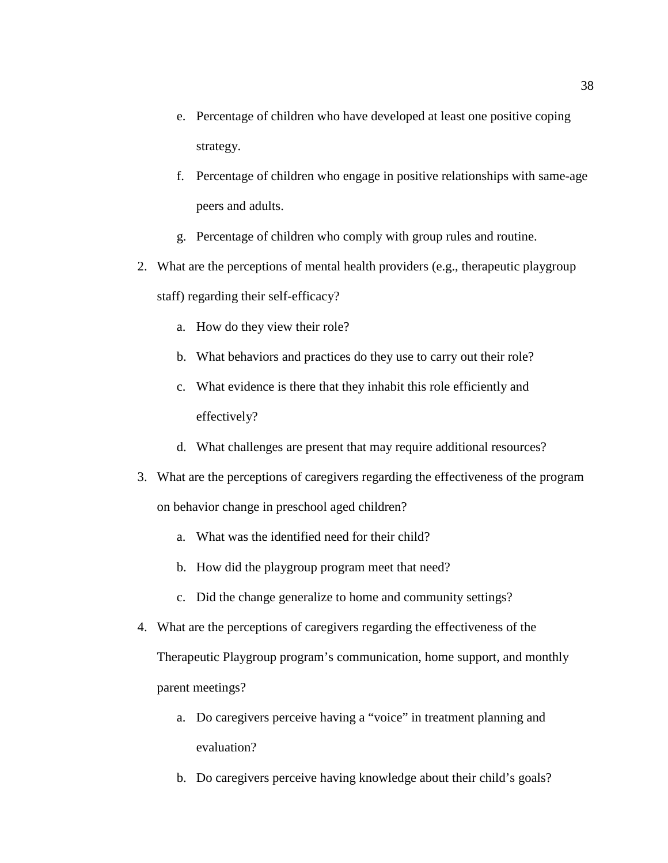- e. Percentage of children who have developed at least one positive coping strategy.
- f. Percentage of children who engage in positive relationships with same-age peers and adults.
- g. Percentage of children who comply with group rules and routine.
- 2. What are the perceptions of mental health providers (e.g., therapeutic playgroup staff) regarding their self-efficacy?
	- a. How do they view their role?
	- b. What behaviors and practices do they use to carry out their role?
	- c. What evidence is there that they inhabit this role efficiently and effectively?
	- d. What challenges are present that may require additional resources?
- 3. What are the perceptions of caregivers regarding the effectiveness of the program on behavior change in preschool aged children?
	- a. What was the identified need for their child?
	- b. How did the playgroup program meet that need?
	- c. Did the change generalize to home and community settings?
- 4. What are the perceptions of caregivers regarding the effectiveness of the

Therapeutic Playgroup program's communication, home support, and monthly parent meetings?

- a. Do caregivers perceive having a "voice" in treatment planning and evaluation?
- b. Do caregivers perceive having knowledge about their child's goals?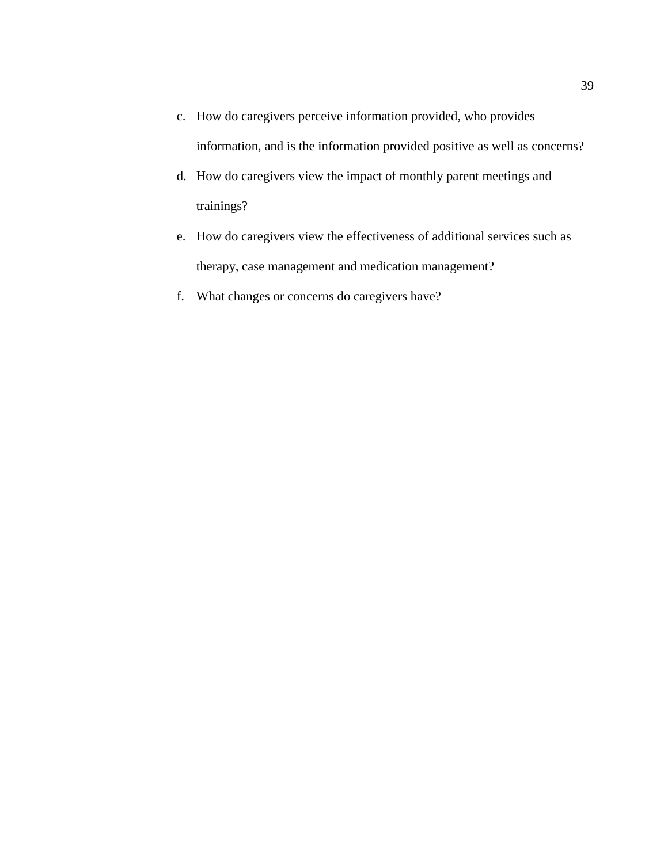- c. How do caregivers perceive information provided, who provides information, and is the information provided positive as well as concerns?
- d. How do caregivers view the impact of monthly parent meetings and trainings?
- e. How do caregivers view the effectiveness of additional services such as therapy, case management and medication management?
- f. What changes or concerns do caregivers have?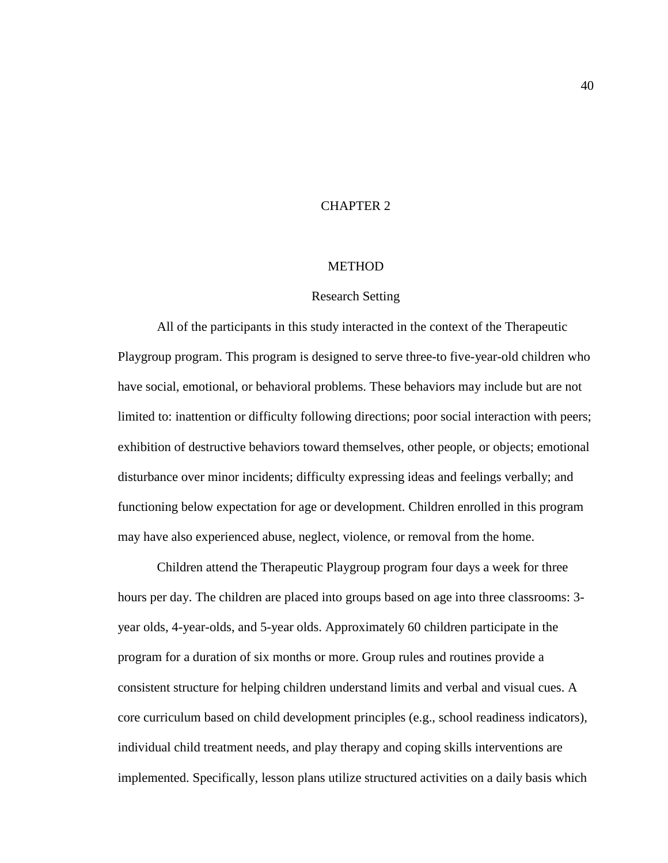# CHAPTER 2

#### **METHOD**

#### Research Setting

All of the participants in this study interacted in the context of the Therapeutic Playgroup program. This program is designed to serve three-to five-year-old children who have social, emotional, or behavioral problems. These behaviors may include but are not limited to: inattention or difficulty following directions; poor social interaction with peers; exhibition of destructive behaviors toward themselves, other people, or objects; emotional disturbance over minor incidents; difficulty expressing ideas and feelings verbally; and functioning below expectation for age or development. Children enrolled in this program may have also experienced abuse, neglect, violence, or removal from the home.

Children attend the Therapeutic Playgroup program four days a week for three hours per day. The children are placed into groups based on age into three classrooms: 3 year olds, 4-year-olds, and 5-year olds. Approximately 60 children participate in the program for a duration of six months or more. Group rules and routines provide a consistent structure for helping children understand limits and verbal and visual cues. A core curriculum based on child development principles (e.g., school readiness indicators), individual child treatment needs, and play therapy and coping skills interventions are implemented. Specifically, lesson plans utilize structured activities on a daily basis which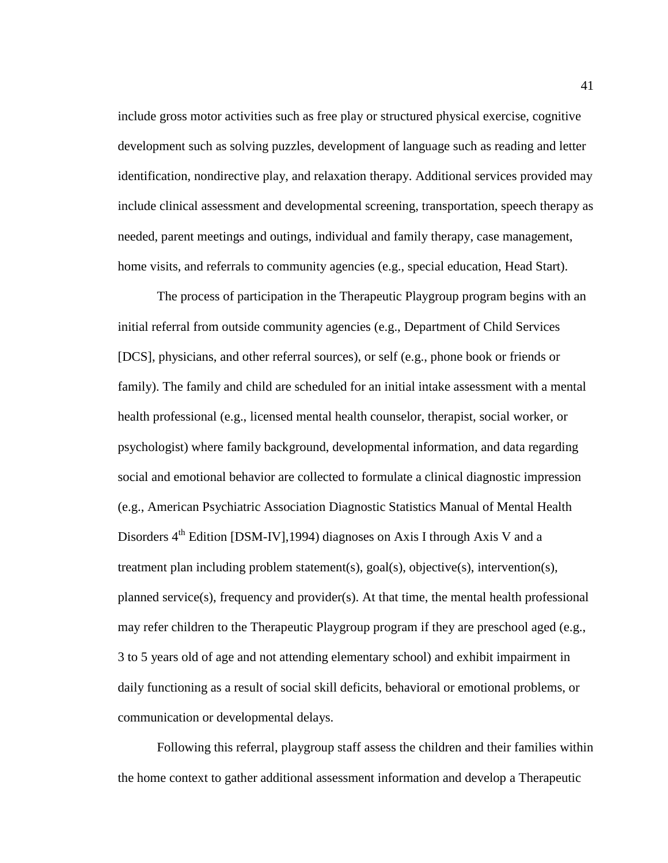include gross motor activities such as free play or structured physical exercise, cognitive development such as solving puzzles, development of language such as reading and letter identification, nondirective play, and relaxation therapy. Additional services provided may include clinical assessment and developmental screening, transportation, speech therapy as needed, parent meetings and outings, individual and family therapy, case management, home visits, and referrals to community agencies (e.g., special education, Head Start).

The process of participation in the Therapeutic Playgroup program begins with an initial referral from outside community agencies (e.g., Department of Child Services [DCS], physicians, and other referral sources), or self (e.g., phone book or friends or family). The family and child are scheduled for an initial intake assessment with a mental health professional (e.g., licensed mental health counselor, therapist, social worker, or psychologist) where family background, developmental information, and data regarding social and emotional behavior are collected to formulate a clinical diagnostic impression (e.g., American Psychiatric Association Diagnostic Statistics Manual of Mental Health Disorders  $4^{th}$  Edition [DSM-IV], 1994) diagnoses on Axis I through Axis V and a treatment plan including problem statement(s), goal(s), objective(s), intervention(s), planned service(s), frequency and provider(s). At that time, the mental health professional may refer children to the Therapeutic Playgroup program if they are preschool aged (e.g., 3 to 5 years old of age and not attending elementary school) and exhibit impairment in daily functioning as a result of social skill deficits, behavioral or emotional problems, or communication or developmental delays.

Following this referral, playgroup staff assess the children and their families within the home context to gather additional assessment information and develop a Therapeutic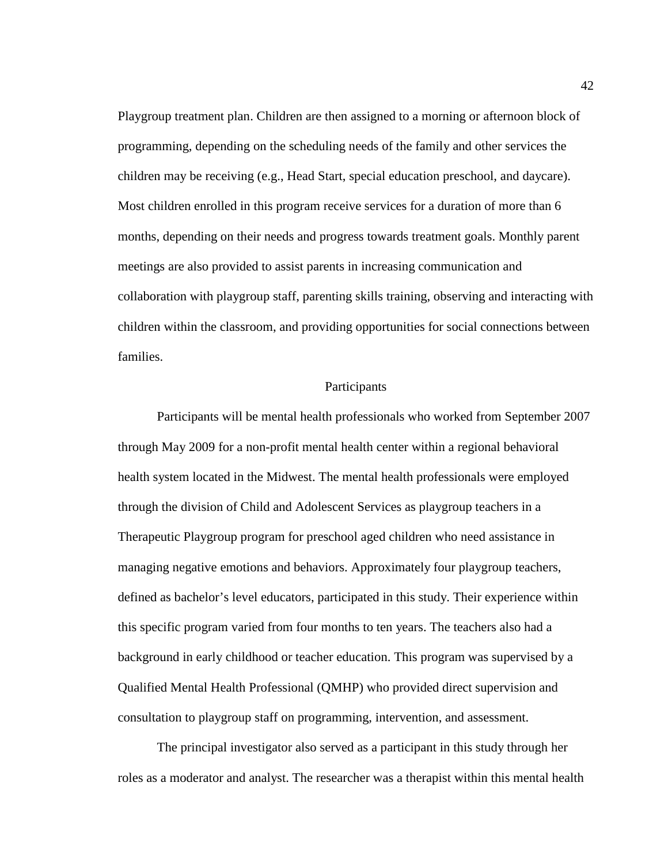Playgroup treatment plan. Children are then assigned to a morning or afternoon block of programming, depending on the scheduling needs of the family and other services the children may be receiving (e.g., Head Start, special education preschool, and daycare). Most children enrolled in this program receive services for a duration of more than 6 months, depending on their needs and progress towards treatment goals. Monthly parent meetings are also provided to assist parents in increasing communication and collaboration with playgroup staff, parenting skills training, observing and interacting with children within the classroom, and providing opportunities for social connections between families.

#### Participants

Participants will be mental health professionals who worked from September 2007 through May 2009 for a non-profit mental health center within a regional behavioral health system located in the Midwest. The mental health professionals were employed through the division of Child and Adolescent Services as playgroup teachers in a Therapeutic Playgroup program for preschool aged children who need assistance in managing negative emotions and behaviors. Approximately four playgroup teachers, defined as bachelor's level educators, participated in this study. Their experience within this specific program varied from four months to ten years. The teachers also had a background in early childhood or teacher education. This program was supervised by a Qualified Mental Health Professional (QMHP) who provided direct supervision and consultation to playgroup staff on programming, intervention, and assessment.

The principal investigator also served as a participant in this study through her roles as a moderator and analyst. The researcher was a therapist within this mental health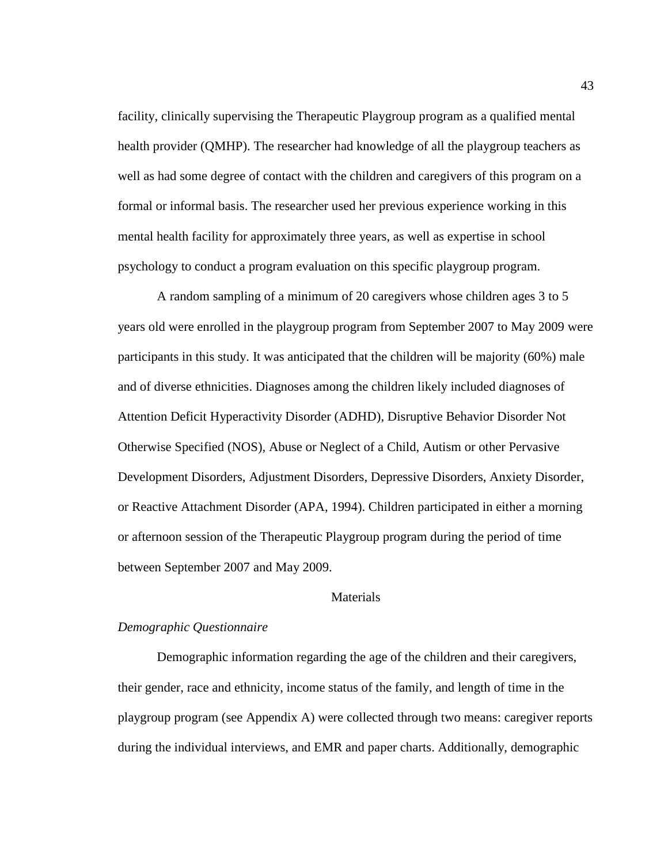facility, clinically supervising the Therapeutic Playgroup program as a qualified mental health provider (QMHP). The researcher had knowledge of all the playgroup teachers as well as had some degree of contact with the children and caregivers of this program on a formal or informal basis. The researcher used her previous experience working in this mental health facility for approximately three years, as well as expertise in school psychology to conduct a program evaluation on this specific playgroup program.

 A random sampling of a minimum of 20 caregivers whose children ages 3 to 5 years old were enrolled in the playgroup program from September 2007 to May 2009 were participants in this study. It was anticipated that the children will be majority (60%) male and of diverse ethnicities. Diagnoses among the children likely included diagnoses of Attention Deficit Hyperactivity Disorder (ADHD), Disruptive Behavior Disorder Not Otherwise Specified (NOS), Abuse or Neglect of a Child, Autism or other Pervasive Development Disorders, Adjustment Disorders, Depressive Disorders, Anxiety Disorder, or Reactive Attachment Disorder (APA, 1994). Children participated in either a morning or afternoon session of the Therapeutic Playgroup program during the period of time between September 2007 and May 2009.

#### Materials

#### *Demographic Questionnaire*

Demographic information regarding the age of the children and their caregivers, their gender, race and ethnicity, income status of the family, and length of time in the playgroup program (see Appendix A) were collected through two means: caregiver reports during the individual interviews, and EMR and paper charts. Additionally, demographic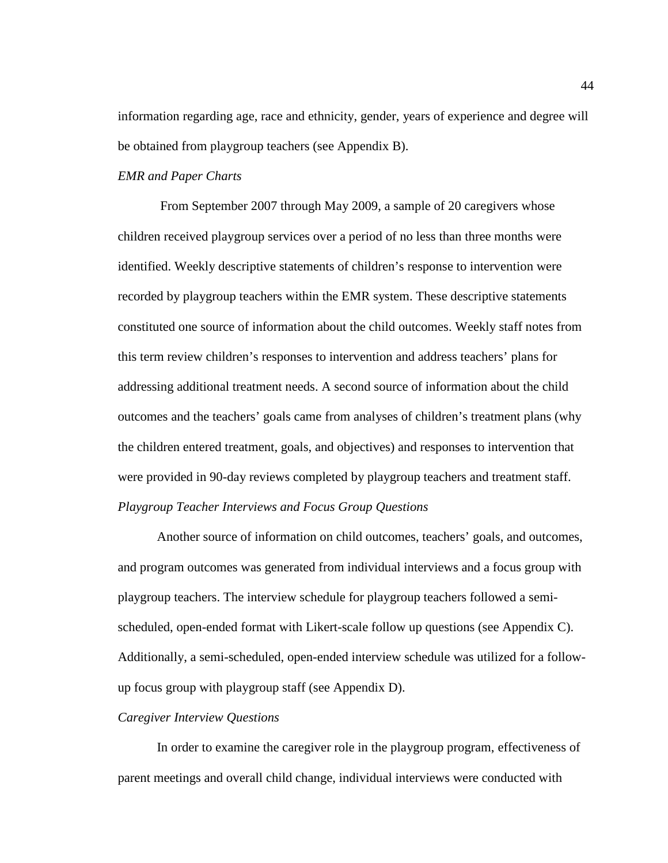information regarding age, race and ethnicity, gender, years of experience and degree will be obtained from playgroup teachers (see Appendix B).

## *EMR and Paper Charts*

From September 2007 through May 2009, a sample of 20 caregivers whose children received playgroup services over a period of no less than three months were identified. Weekly descriptive statements of children's response to intervention were recorded by playgroup teachers within the EMR system. These descriptive statements constituted one source of information about the child outcomes. Weekly staff notes from this term review children's responses to intervention and address teachers' plans for addressing additional treatment needs. A second source of information about the child outcomes and the teachers' goals came from analyses of children's treatment plans (why the children entered treatment, goals, and objectives) and responses to intervention that were provided in 90-day reviews completed by playgroup teachers and treatment staff. *Playgroup Teacher Interviews and Focus Group Questions* 

Another source of information on child outcomes, teachers' goals, and outcomes, and program outcomes was generated from individual interviews and a focus group with playgroup teachers. The interview schedule for playgroup teachers followed a semischeduled, open-ended format with Likert-scale follow up questions (see Appendix C). Additionally, a semi-scheduled, open-ended interview schedule was utilized for a followup focus group with playgroup staff (see Appendix D).

#### *Caregiver Interview Questions*

In order to examine the caregiver role in the playgroup program, effectiveness of parent meetings and overall child change, individual interviews were conducted with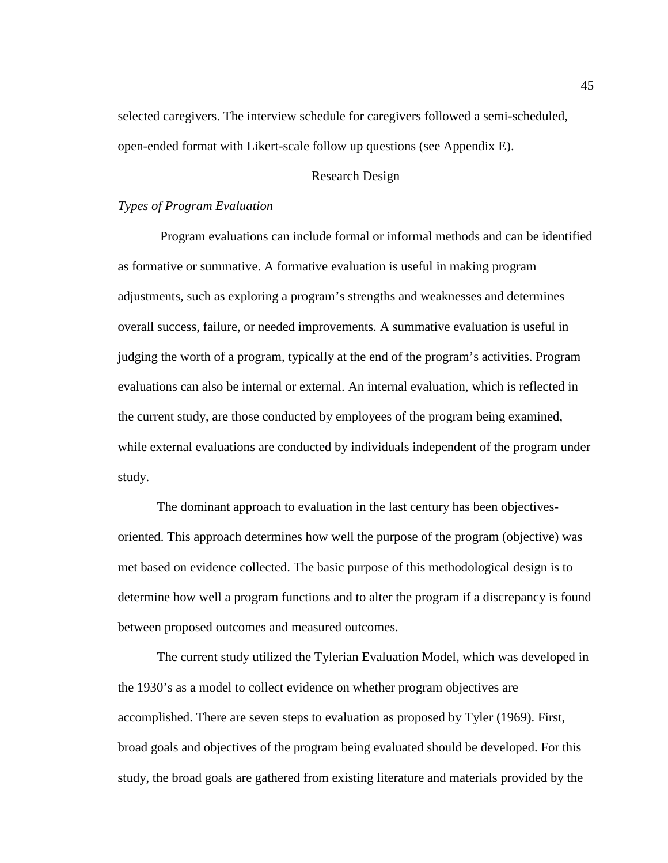selected caregivers. The interview schedule for caregivers followed a semi-scheduled, open-ended format with Likert-scale follow up questions (see Appendix E).

## Research Design

## *Types of Program Evaluation*

Program evaluations can include formal or informal methods and can be identified as formative or summative. A formative evaluation is useful in making program adjustments, such as exploring a program's strengths and weaknesses and determines overall success, failure, or needed improvements. A summative evaluation is useful in judging the worth of a program, typically at the end of the program's activities. Program evaluations can also be internal or external. An internal evaluation, which is reflected in the current study, are those conducted by employees of the program being examined, while external evaluations are conducted by individuals independent of the program under study.

The dominant approach to evaluation in the last century has been objectivesoriented. This approach determines how well the purpose of the program (objective) was met based on evidence collected. The basic purpose of this methodological design is to determine how well a program functions and to alter the program if a discrepancy is found between proposed outcomes and measured outcomes.

The current study utilized the Tylerian Evaluation Model, which was developed in the 1930's as a model to collect evidence on whether program objectives are accomplished. There are seven steps to evaluation as proposed by Tyler (1969). First, broad goals and objectives of the program being evaluated should be developed. For this study, the broad goals are gathered from existing literature and materials provided by the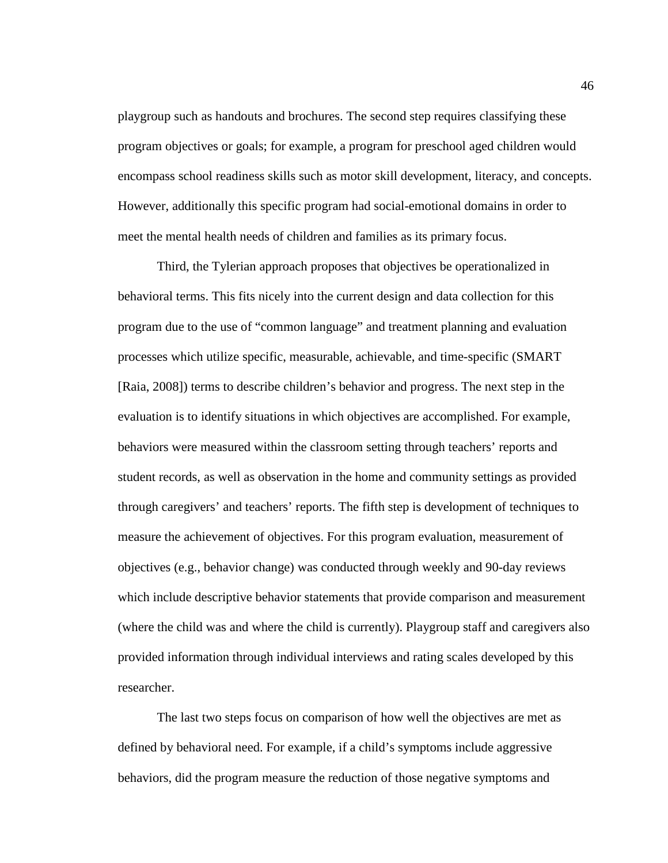playgroup such as handouts and brochures. The second step requires classifying these program objectives or goals; for example, a program for preschool aged children would encompass school readiness skills such as motor skill development, literacy, and concepts. However, additionally this specific program had social-emotional domains in order to meet the mental health needs of children and families as its primary focus.

Third, the Tylerian approach proposes that objectives be operationalized in behavioral terms. This fits nicely into the current design and data collection for this program due to the use of "common language" and treatment planning and evaluation processes which utilize specific, measurable, achievable, and time-specific (SMART [Raia, 2008]) terms to describe children's behavior and progress. The next step in the evaluation is to identify situations in which objectives are accomplished. For example, behaviors were measured within the classroom setting through teachers' reports and student records, as well as observation in the home and community settings as provided through caregivers' and teachers' reports. The fifth step is development of techniques to measure the achievement of objectives. For this program evaluation, measurement of objectives (e.g., behavior change) was conducted through weekly and 90-day reviews which include descriptive behavior statements that provide comparison and measurement (where the child was and where the child is currently). Playgroup staff and caregivers also provided information through individual interviews and rating scales developed by this researcher.

The last two steps focus on comparison of how well the objectives are met as defined by behavioral need. For example, if a child's symptoms include aggressive behaviors, did the program measure the reduction of those negative symptoms and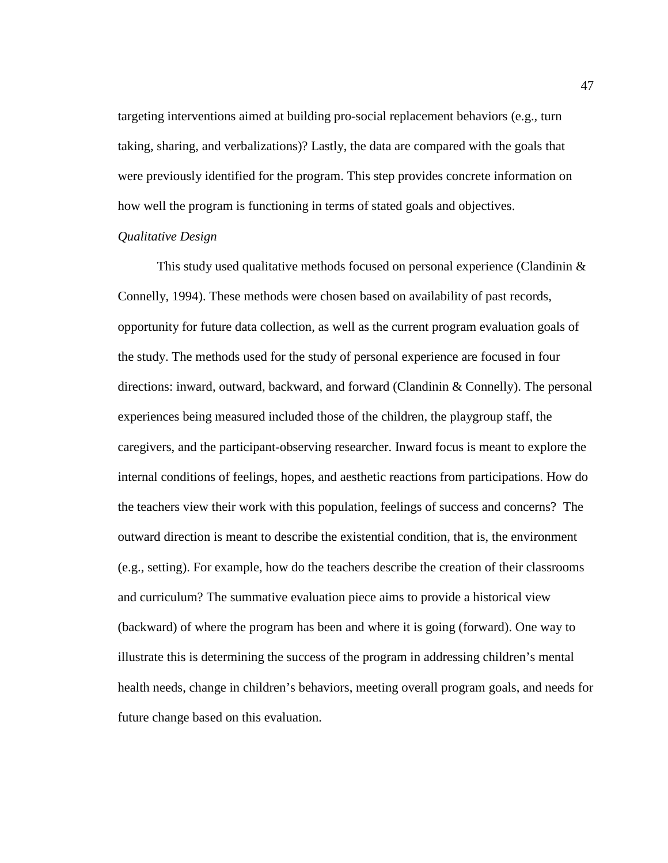targeting interventions aimed at building pro-social replacement behaviors (e.g., turn taking, sharing, and verbalizations)? Lastly, the data are compared with the goals that were previously identified for the program. This step provides concrete information on how well the program is functioning in terms of stated goals and objectives.

#### *Qualitative Design*

This study used qualitative methods focused on personal experience (Clandinin & Connelly, 1994). These methods were chosen based on availability of past records, opportunity for future data collection, as well as the current program evaluation goals of the study. The methods used for the study of personal experience are focused in four directions: inward, outward, backward, and forward (Clandinin & Connelly). The personal experiences being measured included those of the children, the playgroup staff, the caregivers, and the participant-observing researcher. Inward focus is meant to explore the internal conditions of feelings, hopes, and aesthetic reactions from participations. How do the teachers view their work with this population, feelings of success and concerns? The outward direction is meant to describe the existential condition, that is, the environment (e.g., setting). For example, how do the teachers describe the creation of their classrooms and curriculum? The summative evaluation piece aims to provide a historical view (backward) of where the program has been and where it is going (forward). One way to illustrate this is determining the success of the program in addressing children's mental health needs, change in children's behaviors, meeting overall program goals, and needs for future change based on this evaluation.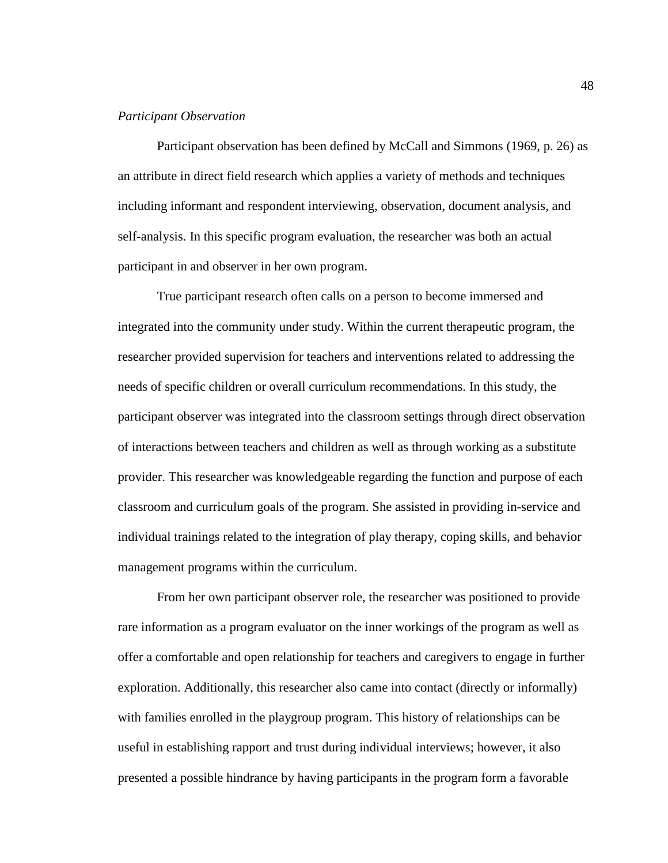### *Participant Observation*

Participant observation has been defined by McCall and Simmons (1969, p. 26) as an attribute in direct field research which applies a variety of methods and techniques including informant and respondent interviewing, observation, document analysis, and self-analysis. In this specific program evaluation, the researcher was both an actual participant in and observer in her own program.

True participant research often calls on a person to become immersed and integrated into the community under study. Within the current therapeutic program, the researcher provided supervision for teachers and interventions related to addressing the needs of specific children or overall curriculum recommendations. In this study, the participant observer was integrated into the classroom settings through direct observation of interactions between teachers and children as well as through working as a substitute provider. This researcher was knowledgeable regarding the function and purpose of each classroom and curriculum goals of the program. She assisted in providing in-service and individual trainings related to the integration of play therapy, coping skills, and behavior management programs within the curriculum.

From her own participant observer role, the researcher was positioned to provide rare information as a program evaluator on the inner workings of the program as well as offer a comfortable and open relationship for teachers and caregivers to engage in further exploration. Additionally, this researcher also came into contact (directly or informally) with families enrolled in the playgroup program. This history of relationships can be useful in establishing rapport and trust during individual interviews; however, it also presented a possible hindrance by having participants in the program form a favorable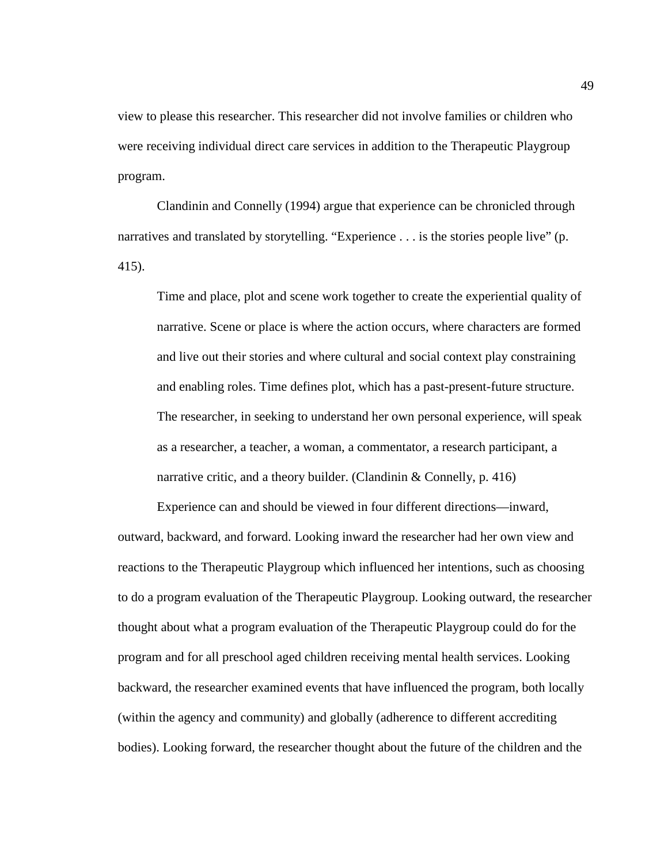view to please this researcher. This researcher did not involve families or children who were receiving individual direct care services in addition to the Therapeutic Playgroup program.

Clandinin and Connelly (1994) argue that experience can be chronicled through narratives and translated by storytelling. "Experience . . . is the stories people live" (p. 415).

Time and place, plot and scene work together to create the experiential quality of narrative. Scene or place is where the action occurs, where characters are formed and live out their stories and where cultural and social context play constraining and enabling roles. Time defines plot, which has a past-present-future structure. The researcher, in seeking to understand her own personal experience, will speak as a researcher, a teacher, a woman, a commentator, a research participant, a narrative critic, and a theory builder. (Clandinin  $&$  Connelly, p. 416)

Experience can and should be viewed in four different directions—inward, outward, backward, and forward. Looking inward the researcher had her own view and reactions to the Therapeutic Playgroup which influenced her intentions, such as choosing to do a program evaluation of the Therapeutic Playgroup. Looking outward, the researcher thought about what a program evaluation of the Therapeutic Playgroup could do for the program and for all preschool aged children receiving mental health services. Looking backward, the researcher examined events that have influenced the program, both locally (within the agency and community) and globally (adherence to different accrediting bodies). Looking forward, the researcher thought about the future of the children and the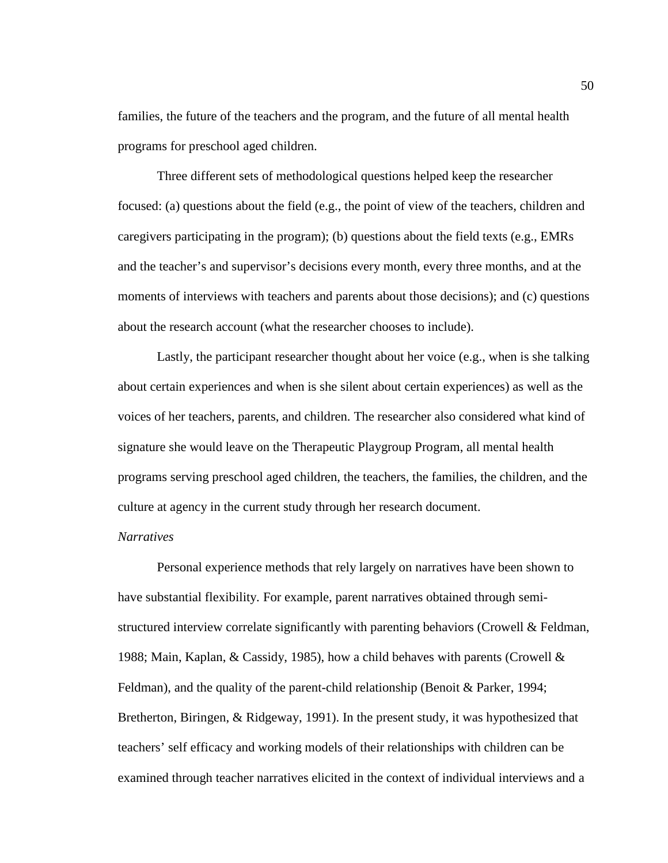families, the future of the teachers and the program, and the future of all mental health programs for preschool aged children.

Three different sets of methodological questions helped keep the researcher focused: (a) questions about the field (e.g., the point of view of the teachers, children and caregivers participating in the program); (b) questions about the field texts (e.g., EMRs and the teacher's and supervisor's decisions every month, every three months, and at the moments of interviews with teachers and parents about those decisions); and (c) questions about the research account (what the researcher chooses to include).

Lastly, the participant researcher thought about her voice (e.g., when is she talking about certain experiences and when is she silent about certain experiences) as well as the voices of her teachers, parents, and children. The researcher also considered what kind of signature she would leave on the Therapeutic Playgroup Program, all mental health programs serving preschool aged children, the teachers, the families, the children, and the culture at agency in the current study through her research document.

### *Narratives*

Personal experience methods that rely largely on narratives have been shown to have substantial flexibility. For example, parent narratives obtained through semistructured interview correlate significantly with parenting behaviors (Crowell  $\&$  Feldman, 1988; Main, Kaplan, & Cassidy, 1985), how a child behaves with parents (Crowell & Feldman), and the quality of the parent-child relationship (Benoit & Parker, 1994; Bretherton, Biringen, & Ridgeway, 1991). In the present study, it was hypothesized that teachers' self efficacy and working models of their relationships with children can be examined through teacher narratives elicited in the context of individual interviews and a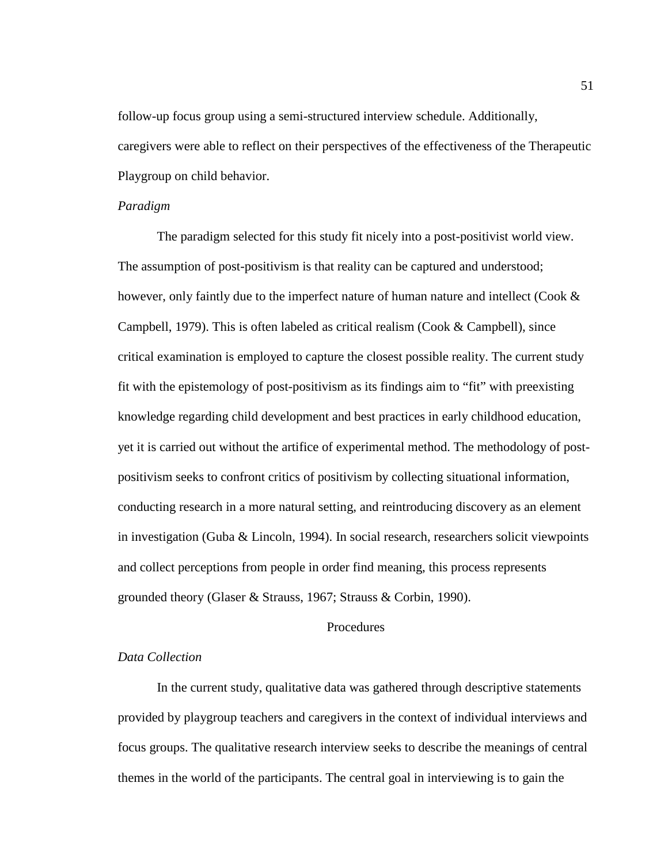follow-up focus group using a semi-structured interview schedule. Additionally, caregivers were able to reflect on their perspectives of the effectiveness of the Therapeutic Playgroup on child behavior.

### *Paradigm*

The paradigm selected for this study fit nicely into a post-positivist world view. The assumption of post-positivism is that reality can be captured and understood; however, only faintly due to the imperfect nature of human nature and intellect (Cook & Campbell, 1979). This is often labeled as critical realism (Cook & Campbell), since critical examination is employed to capture the closest possible reality. The current study fit with the epistemology of post-positivism as its findings aim to "fit" with preexisting knowledge regarding child development and best practices in early childhood education, yet it is carried out without the artifice of experimental method. The methodology of postpositivism seeks to confront critics of positivism by collecting situational information, conducting research in a more natural setting, and reintroducing discovery as an element in investigation (Guba & Lincoln, 1994). In social research, researchers solicit viewpoints and collect perceptions from people in order find meaning, this process represents grounded theory (Glaser & Strauss, 1967; Strauss & Corbin, 1990).

## **Procedures**

## *Data Collection*

In the current study, qualitative data was gathered through descriptive statements provided by playgroup teachers and caregivers in the context of individual interviews and focus groups. The qualitative research interview seeks to describe the meanings of central themes in the world of the participants. The central goal in interviewing is to gain the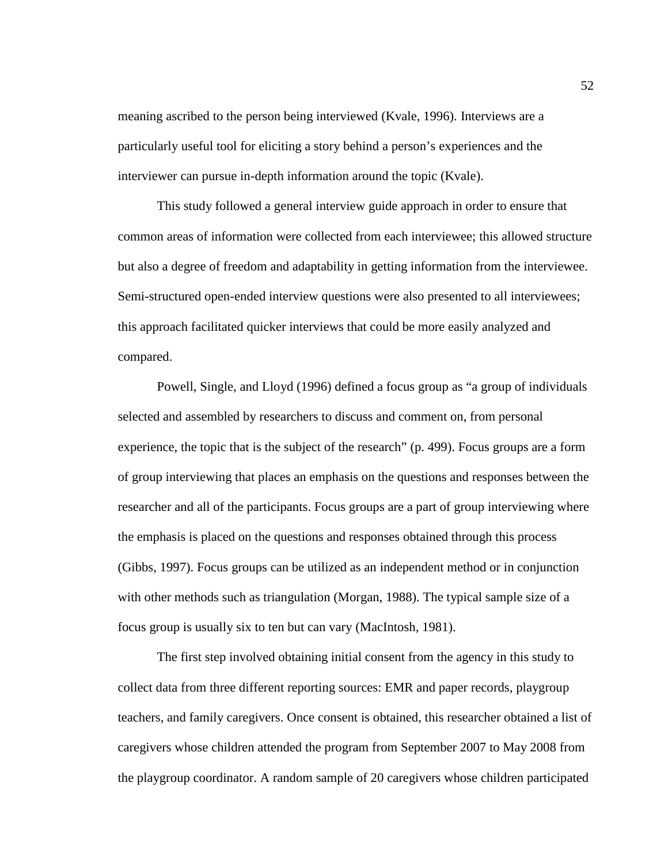meaning ascribed to the person being interviewed (Kvale, 1996). Interviews are a particularly useful tool for eliciting a story behind a person's experiences and the interviewer can pursue in-depth information around the topic (Kvale).

This study followed a general interview guide approach in order to ensure that common areas of information were collected from each interviewee; this allowed structure but also a degree of freedom and adaptability in getting information from the interviewee. Semi-structured open-ended interview questions were also presented to all interviewees; this approach facilitated quicker interviews that could be more easily analyzed and compared.

 Powell, Single, and Lloyd (1996) defined a focus group as "a group of individuals selected and assembled by researchers to discuss and comment on, from personal experience, the topic that is the subject of the research" (p. 499). Focus groups are a form of group interviewing that places an emphasis on the questions and responses between the researcher and all of the participants. Focus groups are a part of group interviewing where the emphasis is placed on the questions and responses obtained through this process (Gibbs, 1997). Focus groups can be utilized as an independent method or in conjunction with other methods such as triangulation (Morgan, 1988). The typical sample size of a focus group is usually six to ten but can vary (MacIntosh, 1981).

The first step involved obtaining initial consent from the agency in this study to collect data from three different reporting sources: EMR and paper records, playgroup teachers, and family caregivers. Once consent is obtained, this researcher obtained a list of caregivers whose children attended the program from September 2007 to May 2008 from the playgroup coordinator. A random sample of 20 caregivers whose children participated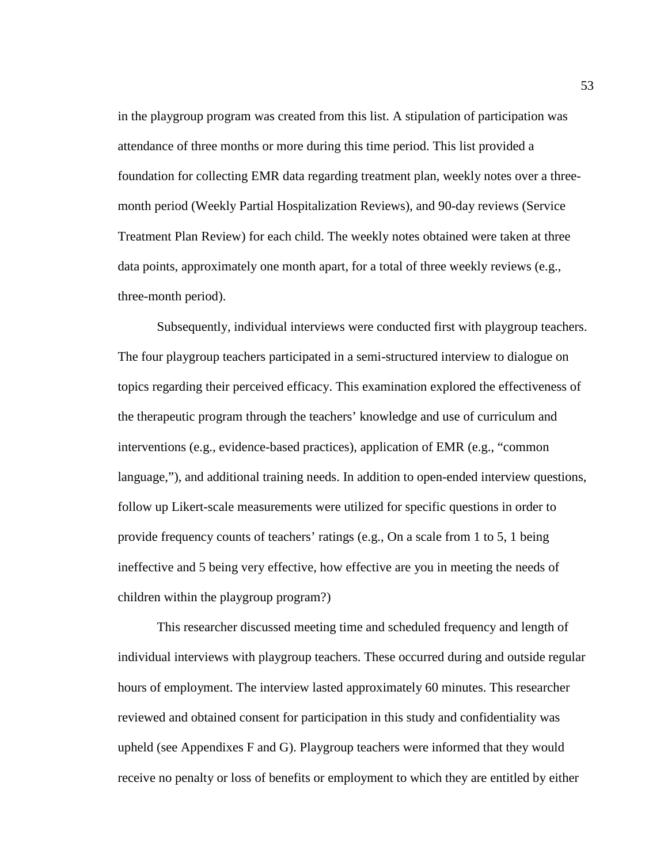in the playgroup program was created from this list. A stipulation of participation was attendance of three months or more during this time period. This list provided a foundation for collecting EMR data regarding treatment plan, weekly notes over a threemonth period (Weekly Partial Hospitalization Reviews), and 90-day reviews (Service Treatment Plan Review) for each child. The weekly notes obtained were taken at three data points, approximately one month apart, for a total of three weekly reviews (e.g., three-month period).

Subsequently, individual interviews were conducted first with playgroup teachers. The four playgroup teachers participated in a semi-structured interview to dialogue on topics regarding their perceived efficacy. This examination explored the effectiveness of the therapeutic program through the teachers' knowledge and use of curriculum and interventions (e.g., evidence-based practices), application of EMR (e.g., "common language,"), and additional training needs. In addition to open-ended interview questions, follow up Likert-scale measurements were utilized for specific questions in order to provide frequency counts of teachers' ratings (e.g., On a scale from 1 to 5, 1 being ineffective and 5 being very effective, how effective are you in meeting the needs of children within the playgroup program?)

This researcher discussed meeting time and scheduled frequency and length of individual interviews with playgroup teachers. These occurred during and outside regular hours of employment. The interview lasted approximately 60 minutes. This researcher reviewed and obtained consent for participation in this study and confidentiality was upheld (see Appendixes F and G). Playgroup teachers were informed that they would receive no penalty or loss of benefits or employment to which they are entitled by either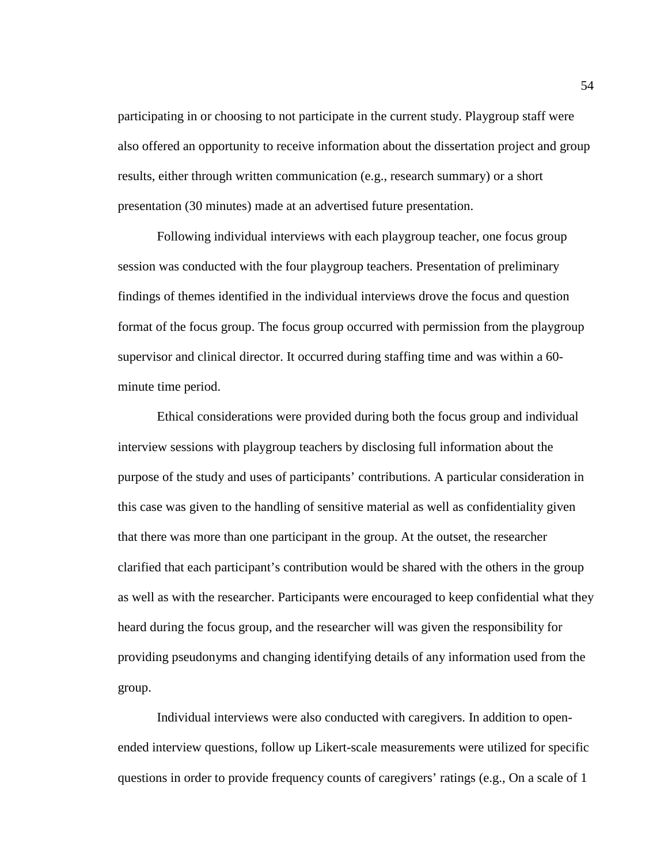participating in or choosing to not participate in the current study. Playgroup staff were also offered an opportunity to receive information about the dissertation project and group results, either through written communication (e.g., research summary) or a short presentation (30 minutes) made at an advertised future presentation.

 Following individual interviews with each playgroup teacher, one focus group session was conducted with the four playgroup teachers. Presentation of preliminary findings of themes identified in the individual interviews drove the focus and question format of the focus group. The focus group occurred with permission from the playgroup supervisor and clinical director. It occurred during staffing time and was within a 60 minute time period.

Ethical considerations were provided during both the focus group and individual interview sessions with playgroup teachers by disclosing full information about the purpose of the study and uses of participants' contributions. A particular consideration in this case was given to the handling of sensitive material as well as confidentiality given that there was more than one participant in the group. At the outset, the researcher clarified that each participant's contribution would be shared with the others in the group as well as with the researcher. Participants were encouraged to keep confidential what they heard during the focus group, and the researcher will was given the responsibility for providing pseudonyms and changing identifying details of any information used from the group.

Individual interviews were also conducted with caregivers. In addition to openended interview questions, follow up Likert-scale measurements were utilized for specific questions in order to provide frequency counts of caregivers' ratings (e.g., On a scale of 1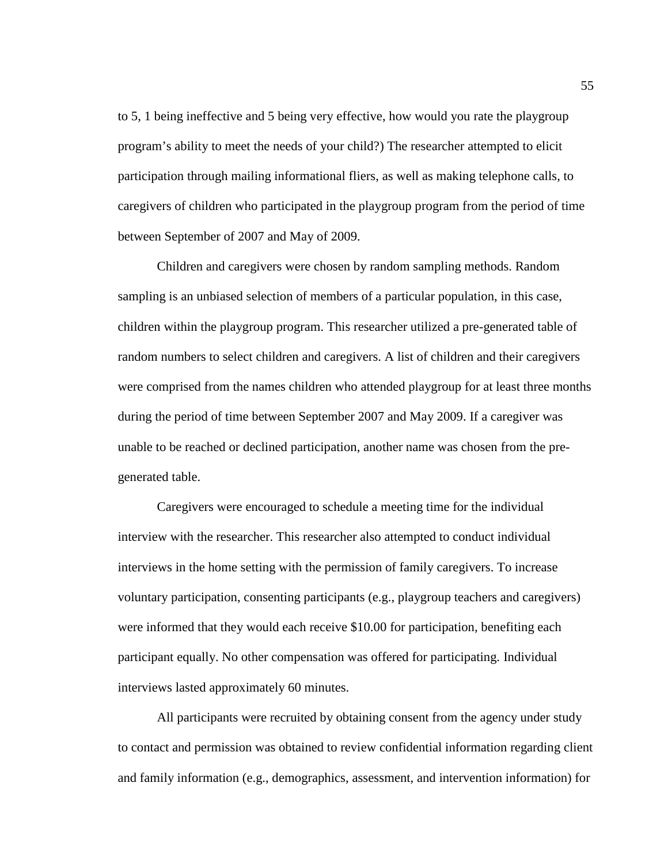to 5, 1 being ineffective and 5 being very effective, how would you rate the playgroup program's ability to meet the needs of your child?) The researcher attempted to elicit participation through mailing informational fliers, as well as making telephone calls, to caregivers of children who participated in the playgroup program from the period of time between September of 2007 and May of 2009.

Children and caregivers were chosen by random sampling methods. Random sampling is an unbiased selection of members of a particular population, in this case, children within the playgroup program. This researcher utilized a pre-generated table of random numbers to select children and caregivers. A list of children and their caregivers were comprised from the names children who attended playgroup for at least three months during the period of time between September 2007 and May 2009. If a caregiver was unable to be reached or declined participation, another name was chosen from the pregenerated table.

Caregivers were encouraged to schedule a meeting time for the individual interview with the researcher. This researcher also attempted to conduct individual interviews in the home setting with the permission of family caregivers. To increase voluntary participation, consenting participants (e.g., playgroup teachers and caregivers) were informed that they would each receive \$10.00 for participation, benefiting each participant equally. No other compensation was offered for participating. Individual interviews lasted approximately 60 minutes.

All participants were recruited by obtaining consent from the agency under study to contact and permission was obtained to review confidential information regarding client and family information (e.g., demographics, assessment, and intervention information) for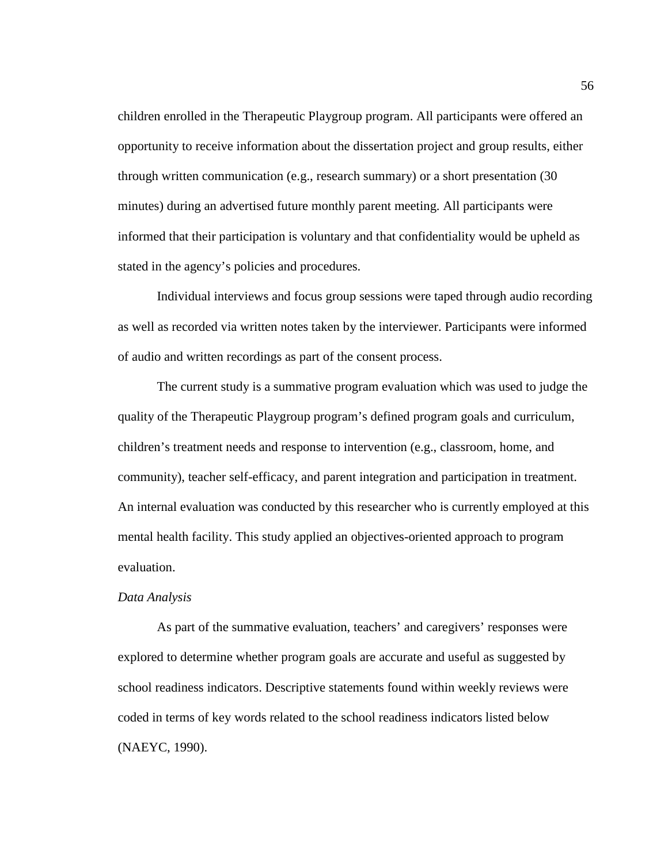children enrolled in the Therapeutic Playgroup program. All participants were offered an opportunity to receive information about the dissertation project and group results, either through written communication (e.g., research summary) or a short presentation (30 minutes) during an advertised future monthly parent meeting. All participants were informed that their participation is voluntary and that confidentiality would be upheld as stated in the agency's policies and procedures.

Individual interviews and focus group sessions were taped through audio recording as well as recorded via written notes taken by the interviewer. Participants were informed of audio and written recordings as part of the consent process.

The current study is a summative program evaluation which was used to judge the quality of the Therapeutic Playgroup program's defined program goals and curriculum, children's treatment needs and response to intervention (e.g., classroom, home, and community), teacher self-efficacy, and parent integration and participation in treatment. An internal evaluation was conducted by this researcher who is currently employed at this mental health facility. This study applied an objectives-oriented approach to program evaluation.

#### *Data Analysis*

As part of the summative evaluation, teachers' and caregivers' responses were explored to determine whether program goals are accurate and useful as suggested by school readiness indicators. Descriptive statements found within weekly reviews were coded in terms of key words related to the school readiness indicators listed below (NAEYC, 1990).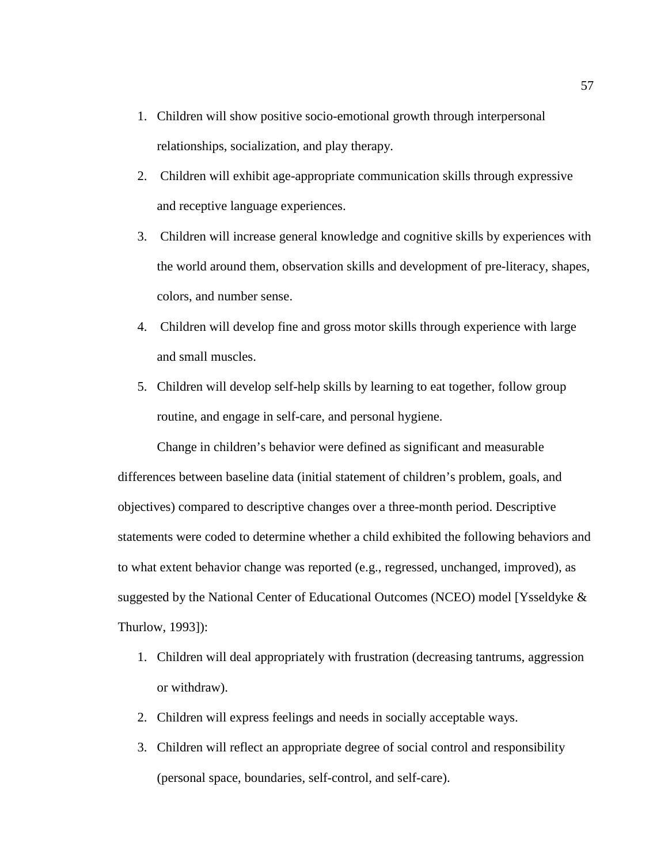- 1. Children will show positive socio-emotional growth through interpersonal relationships, socialization, and play therapy.
- 2. Children will exhibit age-appropriate communication skills through expressive and receptive language experiences.
- 3. Children will increase general knowledge and cognitive skills by experiences with the world around them, observation skills and development of pre-literacy, shapes, colors, and number sense.
- 4. Children will develop fine and gross motor skills through experience with large and small muscles.
- 5. Children will develop self-help skills by learning to eat together, follow group routine, and engage in self-care, and personal hygiene.

Change in children's behavior were defined as significant and measurable differences between baseline data (initial statement of children's problem, goals, and objectives) compared to descriptive changes over a three-month period. Descriptive statements were coded to determine whether a child exhibited the following behaviors and to what extent behavior change was reported (e.g., regressed, unchanged, improved), as suggested by the National Center of Educational Outcomes (NCEO) model [Ysseldyke & Thurlow, 1993]):

- 1. Children will deal appropriately with frustration (decreasing tantrums, aggression or withdraw).
- 2. Children will express feelings and needs in socially acceptable ways.
- 3. Children will reflect an appropriate degree of social control and responsibility (personal space, boundaries, self-control, and self-care).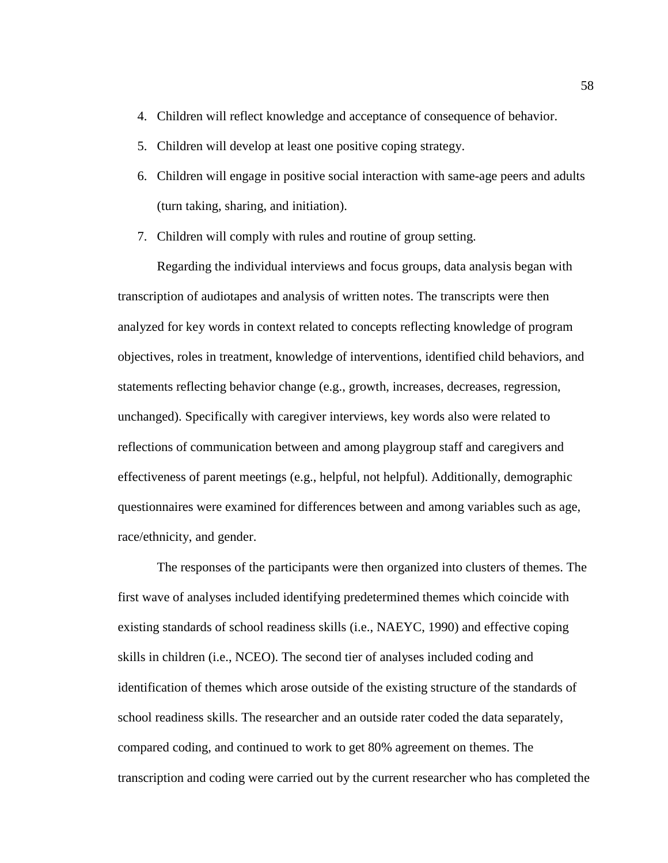- 4. Children will reflect knowledge and acceptance of consequence of behavior.
- 5. Children will develop at least one positive coping strategy.
- 6. Children will engage in positive social interaction with same-age peers and adults (turn taking, sharing, and initiation).
- 7. Children will comply with rules and routine of group setting.

Regarding the individual interviews and focus groups, data analysis began with transcription of audiotapes and analysis of written notes. The transcripts were then analyzed for key words in context related to concepts reflecting knowledge of program objectives, roles in treatment, knowledge of interventions, identified child behaviors, and statements reflecting behavior change (e.g., growth, increases, decreases, regression, unchanged). Specifically with caregiver interviews, key words also were related to reflections of communication between and among playgroup staff and caregivers and effectiveness of parent meetings (e.g., helpful, not helpful). Additionally, demographic questionnaires were examined for differences between and among variables such as age, race/ethnicity, and gender.

The responses of the participants were then organized into clusters of themes. The first wave of analyses included identifying predetermined themes which coincide with existing standards of school readiness skills (i.e., NAEYC, 1990) and effective coping skills in children (i.e., NCEO). The second tier of analyses included coding and identification of themes which arose outside of the existing structure of the standards of school readiness skills. The researcher and an outside rater coded the data separately, compared coding, and continued to work to get 80% agreement on themes. The transcription and coding were carried out by the current researcher who has completed the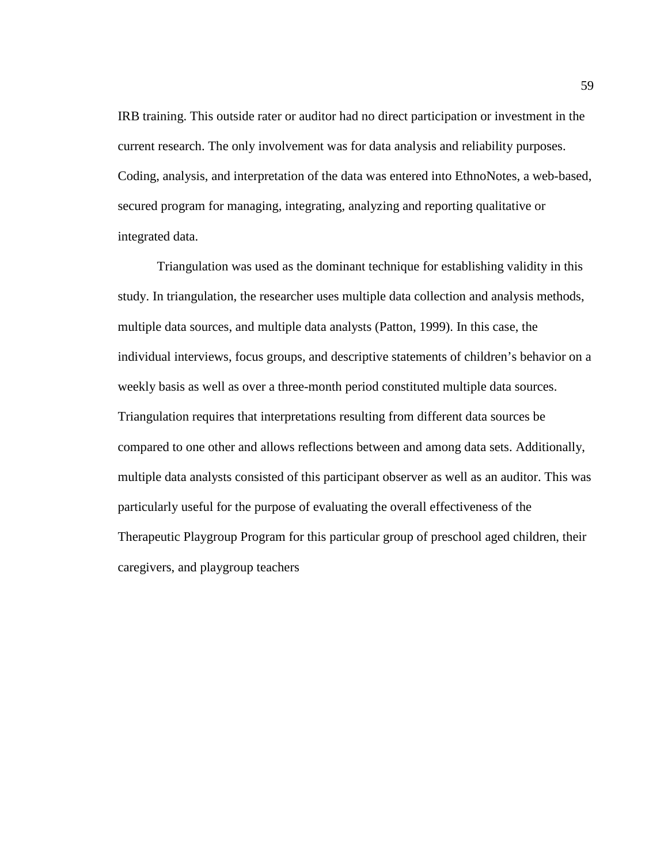IRB training. This outside rater or auditor had no direct participation or investment in the current research. The only involvement was for data analysis and reliability purposes. Coding, analysis, and interpretation of the data was entered into EthnoNotes, a web-based, secured program for managing, integrating, analyzing and reporting qualitative or integrated data.

 Triangulation was used as the dominant technique for establishing validity in this study. In triangulation, the researcher uses multiple data collection and analysis methods, multiple data sources, and multiple data analysts (Patton, 1999). In this case, the individual interviews, focus groups, and descriptive statements of children's behavior on a weekly basis as well as over a three-month period constituted multiple data sources. Triangulation requires that interpretations resulting from different data sources be compared to one other and allows reflections between and among data sets. Additionally, multiple data analysts consisted of this participant observer as well as an auditor. This was particularly useful for the purpose of evaluating the overall effectiveness of the Therapeutic Playgroup Program for this particular group of preschool aged children, their caregivers, and playgroup teachers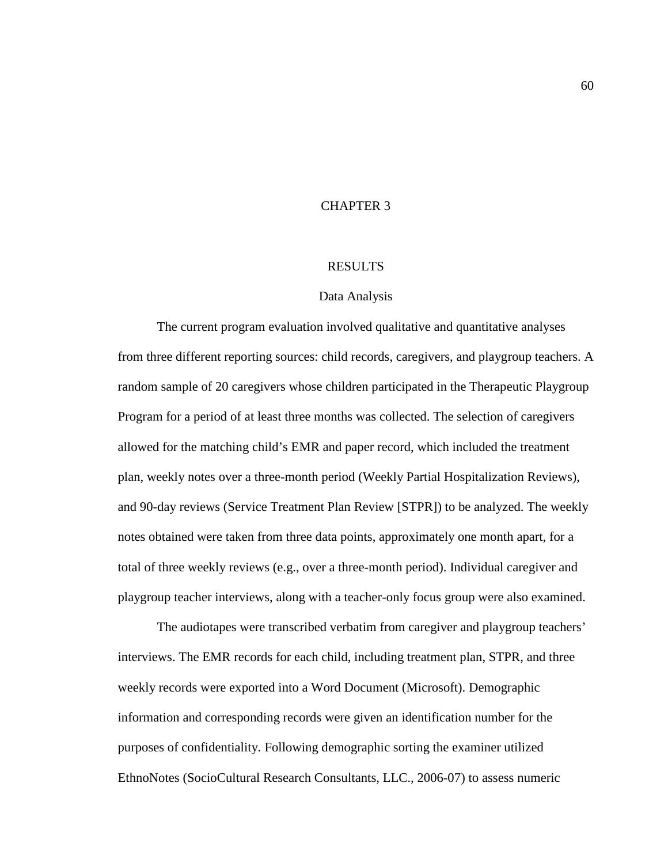# CHAPTER 3

#### RESULTS

#### Data Analysis

The current program evaluation involved qualitative and quantitative analyses from three different reporting sources: child records, caregivers, and playgroup teachers. A random sample of 20 caregivers whose children participated in the Therapeutic Playgroup Program for a period of at least three months was collected. The selection of caregivers allowed for the matching child's EMR and paper record, which included the treatment plan, weekly notes over a three-month period (Weekly Partial Hospitalization Reviews), and 90-day reviews (Service Treatment Plan Review [STPR]) to be analyzed. The weekly notes obtained were taken from three data points, approximately one month apart, for a total of three weekly reviews (e.g., over a three-month period). Individual caregiver and playgroup teacher interviews, along with a teacher-only focus group were also examined.

The audiotapes were transcribed verbatim from caregiver and playgroup teachers' interviews. The EMR records for each child, including treatment plan, STPR, and three weekly records were exported into a Word Document (Microsoft). Demographic information and corresponding records were given an identification number for the purposes of confidentiality. Following demographic sorting the examiner utilized EthnoNotes (SocioCultural Research Consultants, LLC., 2006-07) to assess numeric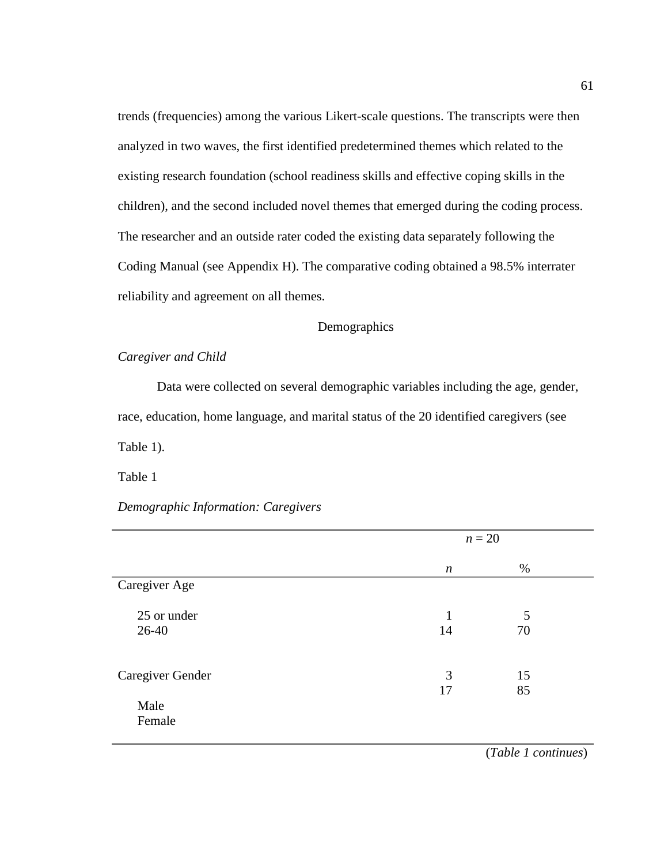trends (frequencies) among the various Likert-scale questions. The transcripts were then analyzed in two waves, the first identified predetermined themes which related to the existing research foundation (school readiness skills and effective coping skills in the children), and the second included novel themes that emerged during the coding process. The researcher and an outside rater coded the existing data separately following the Coding Manual (see Appendix H). The comparative coding obtained a 98.5% interrater reliability and agreement on all themes.

## Demographics

### *Caregiver and Child*

Data were collected on several demographic variables including the age, gender, race, education, home language, and marital status of the 20 identified caregivers (see Table 1).

Table 1

## *Demographic Information: Caregivers*

|                          | $n=20$             |          |  |
|--------------------------|--------------------|----------|--|
|                          | $\boldsymbol{n}$   | %        |  |
| Caregiver Age            |                    |          |  |
| 25 or under<br>26-40     | $\mathbf{1}$<br>14 | 5<br>70  |  |
| Caregiver Gender<br>Male | 3<br>17            | 15<br>85 |  |
| Female                   |                    |          |  |

(*Table 1 continues*)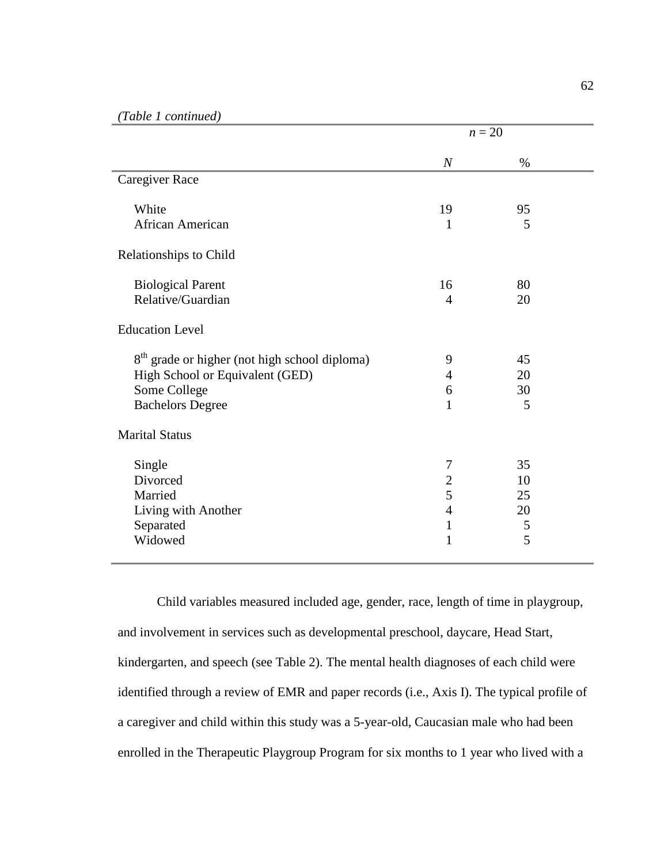|                                                           | $n=20$           |      |  |
|-----------------------------------------------------------|------------------|------|--|
|                                                           | $\boldsymbol{N}$ | $\%$ |  |
| Caregiver Race                                            |                  |      |  |
| White                                                     | 19               | 95   |  |
| African American                                          | 1                | 5    |  |
| Relationships to Child                                    |                  |      |  |
| <b>Biological Parent</b>                                  | 16               | 80   |  |
| Relative/Guardian                                         | $\overline{4}$   | 20   |  |
| <b>Education Level</b>                                    |                  |      |  |
| 8 <sup>th</sup> grade or higher (not high school diploma) | 9                | 45   |  |
| High School or Equivalent (GED)                           | $\overline{4}$   | 20   |  |
| Some College                                              | 6                | 30   |  |
| <b>Bachelors Degree</b>                                   | 1                | 5    |  |
| <b>Marital Status</b>                                     |                  |      |  |
| Single                                                    | $\tau$           | 35   |  |
| Divorced                                                  | $\overline{2}$   | 10   |  |
| Married                                                   | 5                | 25   |  |
| Living with Another                                       | $\overline{4}$   | 20   |  |
| Separated                                                 | $\mathbf{1}$     | 5    |  |
| Widowed                                                   | $\mathbf{1}$     | 5    |  |

Child variables measured included age, gender, race, length of time in playgroup, and involvement in services such as developmental preschool, daycare, Head Start, kindergarten, and speech (see Table 2). The mental health diagnoses of each child were identified through a review of EMR and paper records (i.e., Axis I). The typical profile of a caregiver and child within this study was a 5-year-old, Caucasian male who had been enrolled in the Therapeutic Playgroup Program for six months to 1 year who lived with a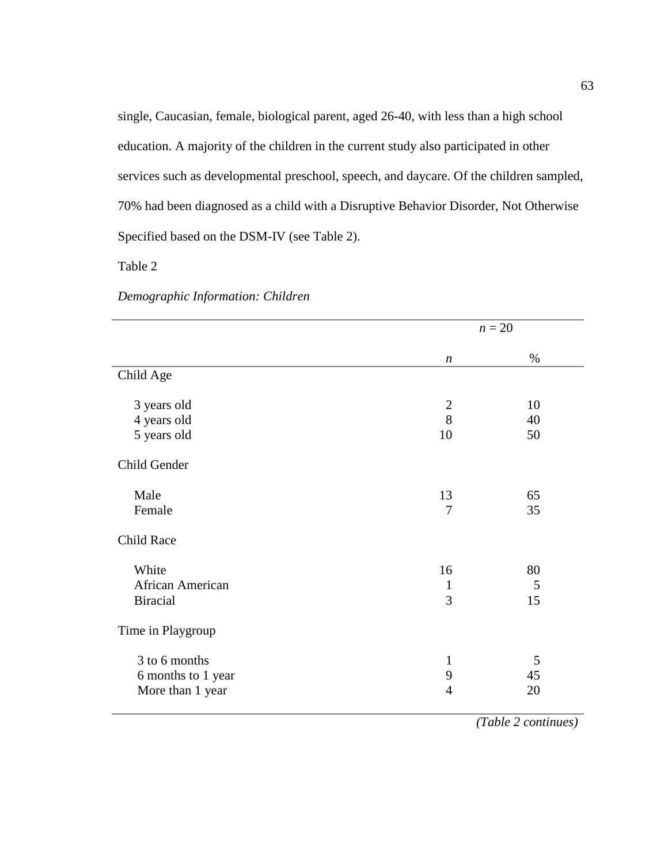single, Caucasian, female, biological parent, aged 26-40, with less than a high school education. A majority of the children in the current study also participated in other services such as developmental preschool, speech, and daycare. Of the children sampled, 70% had been diagnosed as a child with a Disruptive Behavior Disorder, Not Otherwise Specified based on the DSM-IV (see Table 2).

Table 2

|                    |                  | $n=20$ |  |
|--------------------|------------------|--------|--|
|                    | $\boldsymbol{n}$ | $\%$   |  |
| Child Age          |                  |        |  |
| 3 years old        | $\mathbf{2}$     | 10     |  |
| 4 years old        | 8                | 40     |  |
| 5 years old        | 10               | 50     |  |
| Child Gender       |                  |        |  |
| Male               | 13               | 65     |  |
| Female             | $\overline{7}$   | 35     |  |
| Child Race         |                  |        |  |
| White              | 16               | 80     |  |
| African American   | 1                | 5      |  |
| <b>Biracial</b>    | 3                | 15     |  |
| Time in Playgroup  |                  |        |  |
| 3 to 6 months      | $\mathbf{1}$     | 5      |  |
| 6 months to 1 year | 9                | 45     |  |
| More than 1 year   | $\overline{4}$   | 20     |  |
|                    |                  |        |  |

*Demographic Information: Children* 

*(Table 2 continues)*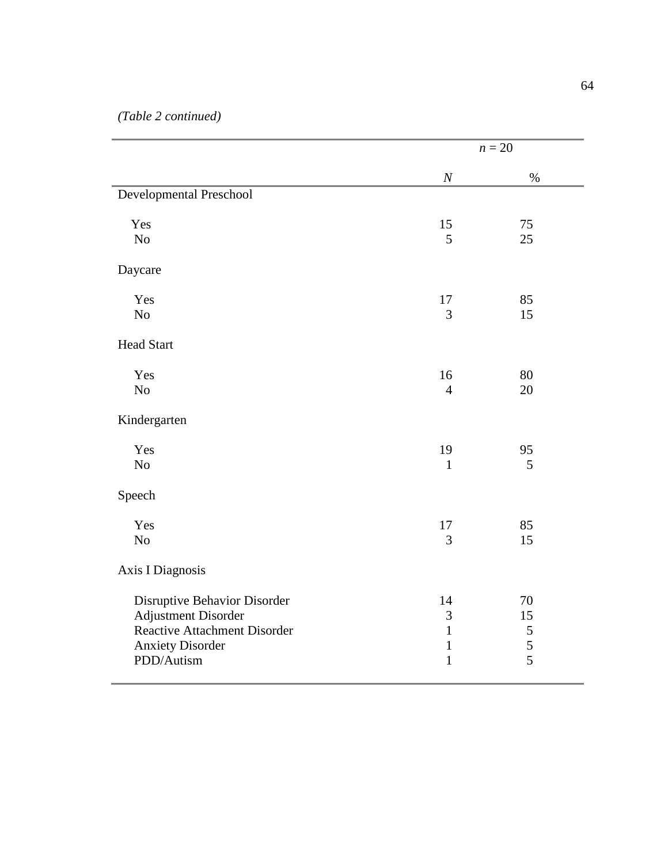|                                                                |                              | $n = 20$       |  |
|----------------------------------------------------------------|------------------------------|----------------|--|
|                                                                | $\cal N$                     | $\%$           |  |
| Developmental Preschool                                        |                              |                |  |
| Yes                                                            | 15                           | 75             |  |
| N <sub>o</sub>                                                 | 5                            | 25             |  |
| Daycare                                                        |                              |                |  |
| Yes                                                            | 17                           | 85             |  |
| No                                                             | 3                            | 15             |  |
| <b>Head Start</b>                                              |                              |                |  |
| Yes                                                            | 16                           | 80             |  |
| $\rm No$                                                       | $\overline{4}$               | 20             |  |
| Kindergarten                                                   |                              |                |  |
| Yes                                                            | 19                           | 95             |  |
| N <sub>o</sub>                                                 | $\mathbf{1}$                 | 5              |  |
| Speech                                                         |                              |                |  |
| Yes                                                            | 17                           | 85             |  |
| No                                                             | 3                            | 15             |  |
| Axis I Diagnosis                                               |                              |                |  |
| Disruptive Behavior Disorder                                   | 14                           | 70             |  |
| <b>Adjustment Disorder</b>                                     | 3                            | 15             |  |
| <b>Reactive Attachment Disorder</b><br><b>Anxiety Disorder</b> | $\mathbf{1}$<br>$\mathbf{1}$ | 5<br>5         |  |
| PDD/Autism                                                     | $\mathbf{1}$                 | $\overline{5}$ |  |
|                                                                |                              |                |  |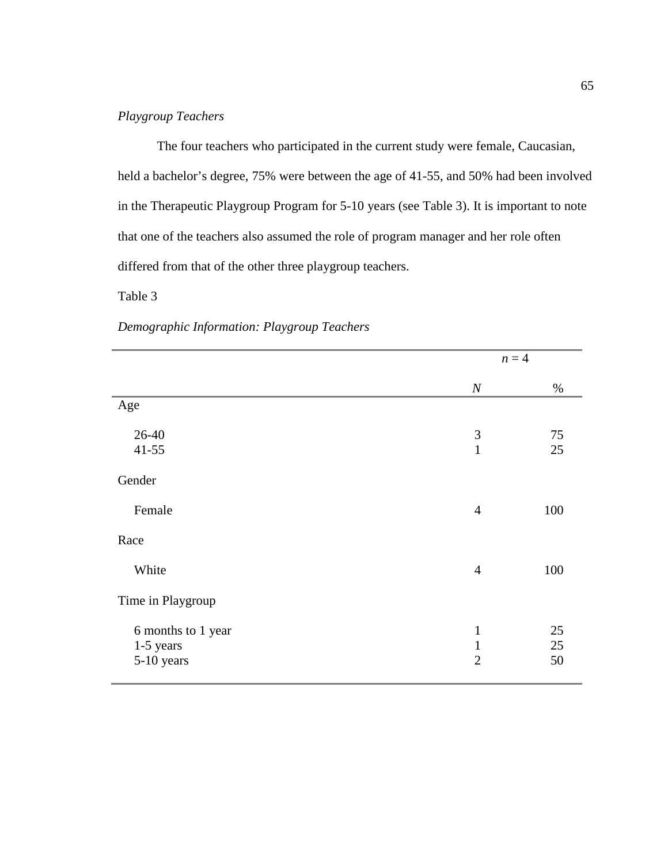# *Playgroup Teachers*

The four teachers who participated in the current study were female, Caucasian, held a bachelor's degree, 75% were between the age of 41-55, and 50% had been involved in the Therapeutic Playgroup Program for 5-10 years (see Table 3). It is important to note that one of the teachers also assumed the role of program manager and her role often differed from that of the other three playgroup teachers.

## Table 3

|                                               |                                                | $n = 4$        |
|-----------------------------------------------|------------------------------------------------|----------------|
|                                               | $\boldsymbol{N}$                               | $\%$           |
| Age                                           |                                                |                |
| 26-40<br>$41 - 55$                            | $\mathfrak{Z}$<br>$\mathbf{1}$                 | 75<br>25       |
| Gender                                        |                                                |                |
| Female                                        | $\overline{4}$                                 | 100            |
| Race                                          |                                                |                |
| White                                         | $\overline{4}$                                 | 100            |
| Time in Playgroup                             |                                                |                |
| 6 months to 1 year<br>1-5 years<br>5-10 years | $\mathbf{1}$<br>$\mathbf{1}$<br>$\overline{2}$ | 25<br>25<br>50 |

*Demographic Information: Playgroup Teachers*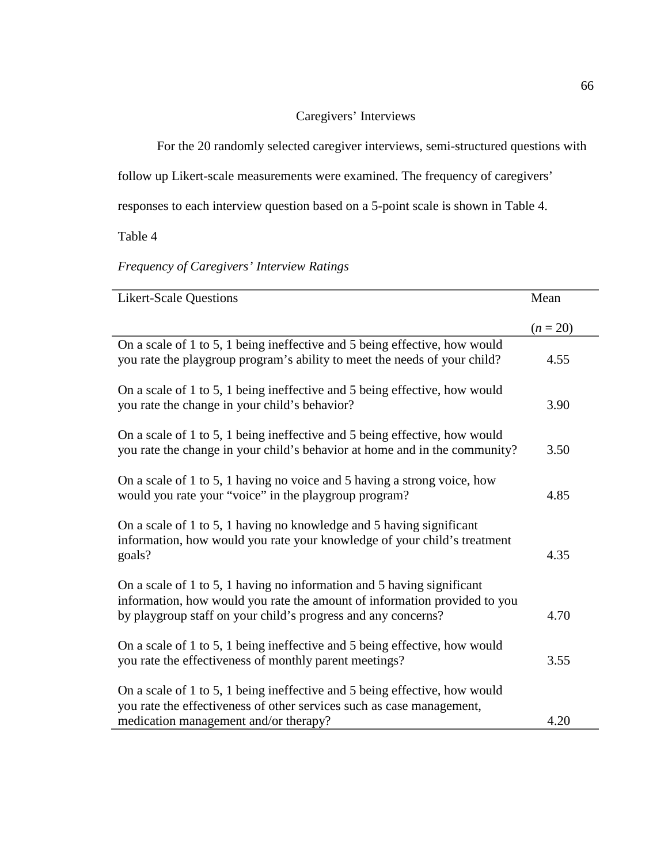# Caregivers' Interviews

For the 20 randomly selected caregiver interviews, semi-structured questions with

follow up Likert-scale measurements were examined. The frequency of caregivers'

responses to each interview question based on a 5-point scale is shown in Table 4.

Table 4

# *Frequency of Caregivers' Interview Ratings*

| <b>Likert-Scale Questions</b>                                                                                                                                                                                        | Mean       |
|----------------------------------------------------------------------------------------------------------------------------------------------------------------------------------------------------------------------|------------|
|                                                                                                                                                                                                                      | $(n = 20)$ |
| On a scale of 1 to 5, 1 being ineffective and 5 being effective, how would<br>you rate the playgroup program's ability to meet the needs of your child?                                                              | 4.55       |
| On a scale of 1 to 5, 1 being ineffective and 5 being effective, how would<br>you rate the change in your child's behavior?                                                                                          | 3.90       |
| On a scale of 1 to 5, 1 being ineffective and 5 being effective, how would<br>you rate the change in your child's behavior at home and in the community?                                                             | 3.50       |
| On a scale of 1 to 5, 1 having no voice and 5 having a strong voice, how<br>would you rate your "voice" in the playgroup program?                                                                                    | 4.85       |
| On a scale of 1 to 5, 1 having no knowledge and 5 having significant<br>information, how would you rate your knowledge of your child's treatment<br>goals?                                                           | 4.35       |
| On a scale of 1 to 5, 1 having no information and 5 having significant<br>information, how would you rate the amount of information provided to you<br>by playgroup staff on your child's progress and any concerns? | 4.70       |
| On a scale of 1 to 5, 1 being ineffective and 5 being effective, how would<br>you rate the effectiveness of monthly parent meetings?                                                                                 | 3.55       |
| On a scale of 1 to 5, 1 being ineffective and 5 being effective, how would<br>you rate the effectiveness of other services such as case management,<br>medication management and/or therapy?                         | 4.20       |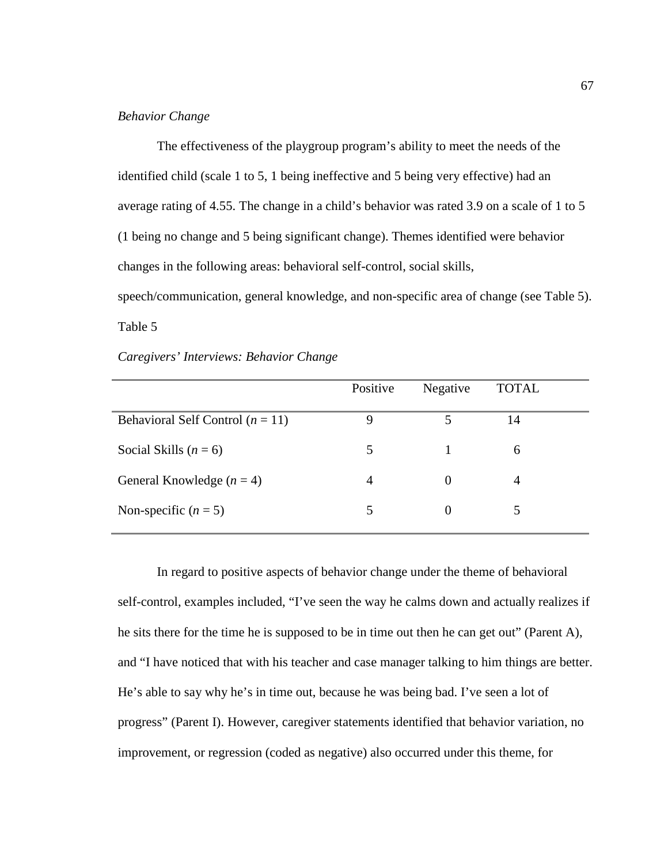## *Behavior Change*

The effectiveness of the playgroup program's ability to meet the needs of the identified child (scale 1 to 5, 1 being ineffective and 5 being very effective) had an average rating of 4.55. The change in a child's behavior was rated 3.9 on a scale of 1 to 5 (1 being no change and 5 being significant change). Themes identified were behavior changes in the following areas: behavioral self-control, social skills, speech/communication, general knowledge, and non-specific area of change (see Table 5). Table 5

*Caregivers' Interviews: Behavior Change* 

|                                    | Positive | Negative | <b>TOTAL</b> |
|------------------------------------|----------|----------|--------------|
| Behavioral Self Control $(n = 11)$ | 9        | 5        | 14           |
| Social Skills $(n = 6)$            | 5        |          | 6            |
| General Knowledge $(n = 4)$        | 4        | $\Omega$ | 4            |
| Non-specific $(n = 5)$             | 5        | $\theta$ |              |

In regard to positive aspects of behavior change under the theme of behavioral self-control, examples included, "I've seen the way he calms down and actually realizes if he sits there for the time he is supposed to be in time out then he can get out" (Parent A), and "I have noticed that with his teacher and case manager talking to him things are better. He's able to say why he's in time out, because he was being bad. I've seen a lot of progress" (Parent I). However, caregiver statements identified that behavior variation, no improvement, or regression (coded as negative) also occurred under this theme, for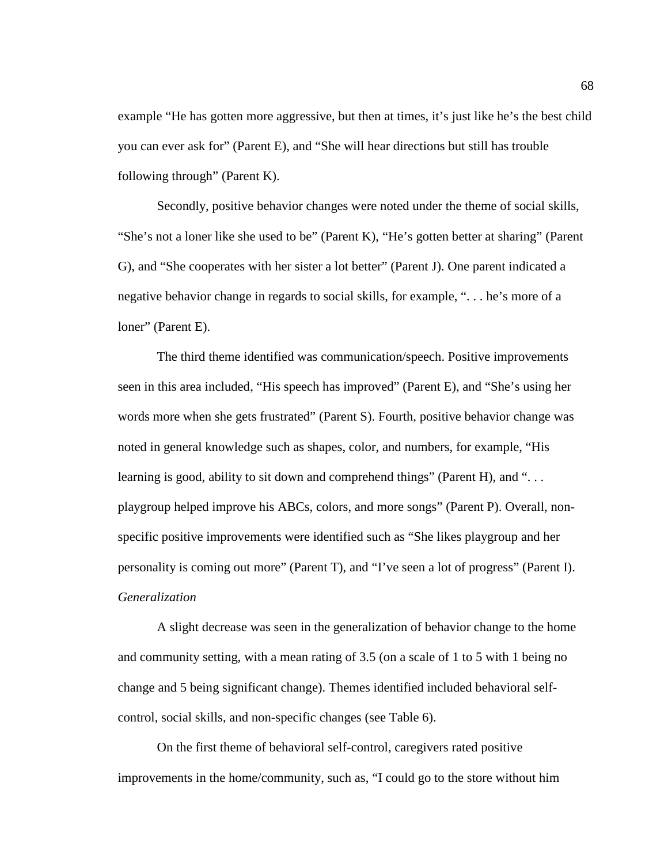example "He has gotten more aggressive, but then at times, it's just like he's the best child you can ever ask for" (Parent E), and "She will hear directions but still has trouble following through" (Parent K).

Secondly, positive behavior changes were noted under the theme of social skills, "She's not a loner like she used to be" (Parent K), "He's gotten better at sharing" (Parent G), and "She cooperates with her sister a lot better" (Parent J). One parent indicated a negative behavior change in regards to social skills, for example, ". . . he's more of a loner" (Parent E).

The third theme identified was communication/speech. Positive improvements seen in this area included, "His speech has improved" (Parent E), and "She's using her words more when she gets frustrated" (Parent S). Fourth, positive behavior change was noted in general knowledge such as shapes, color, and numbers, for example, "His learning is good, ability to sit down and comprehend things" (Parent H), and ". . . playgroup helped improve his ABCs, colors, and more songs" (Parent P). Overall, nonspecific positive improvements were identified such as "She likes playgroup and her personality is coming out more" (Parent T), and "I've seen a lot of progress" (Parent I). *Generalization* 

A slight decrease was seen in the generalization of behavior change to the home and community setting, with a mean rating of 3.5 (on a scale of 1 to 5 with 1 being no change and 5 being significant change). Themes identified included behavioral selfcontrol, social skills, and non-specific changes (see Table 6).

On the first theme of behavioral self-control, caregivers rated positive improvements in the home/community, such as, "I could go to the store without him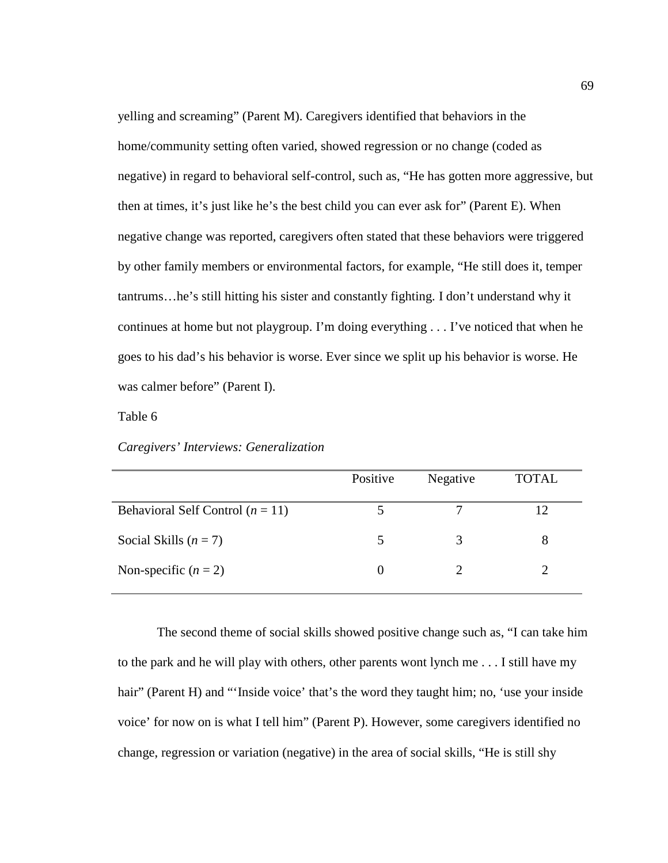yelling and screaming" (Parent M). Caregivers identified that behaviors in the home/community setting often varied, showed regression or no change (coded as negative) in regard to behavioral self-control, such as, "He has gotten more aggressive, but then at times, it's just like he's the best child you can ever ask for" (Parent E). When negative change was reported, caregivers often stated that these behaviors were triggered by other family members or environmental factors, for example, "He still does it, temper tantrums…he's still hitting his sister and constantly fighting. I don't understand why it continues at home but not playgroup. I'm doing everything . . . I've noticed that when he goes to his dad's his behavior is worse. Ever since we split up his behavior is worse. He was calmer before" (Parent I).

Table 6

|  |  | Caregivers' Interviews: Generalization |
|--|--|----------------------------------------|
|--|--|----------------------------------------|

|                                    | Positive          | Negative | <b>TOTAL</b> |
|------------------------------------|-------------------|----------|--------------|
| Behavioral Self Control $(n = 11)$ |                   |          | 12           |
| Social Skills $(n = 7)$            |                   |          |              |
| Non-specific $(n = 2)$             | $\mathbf{\Omega}$ |          |              |

The second theme of social skills showed positive change such as, "I can take him to the park and he will play with others, other parents wont lynch me . . . I still have my hair" (Parent H) and "'Inside voice' that's the word they taught him; no, 'use your inside voice' for now on is what I tell him" (Parent P). However, some caregivers identified no change, regression or variation (negative) in the area of social skills, "He is still shy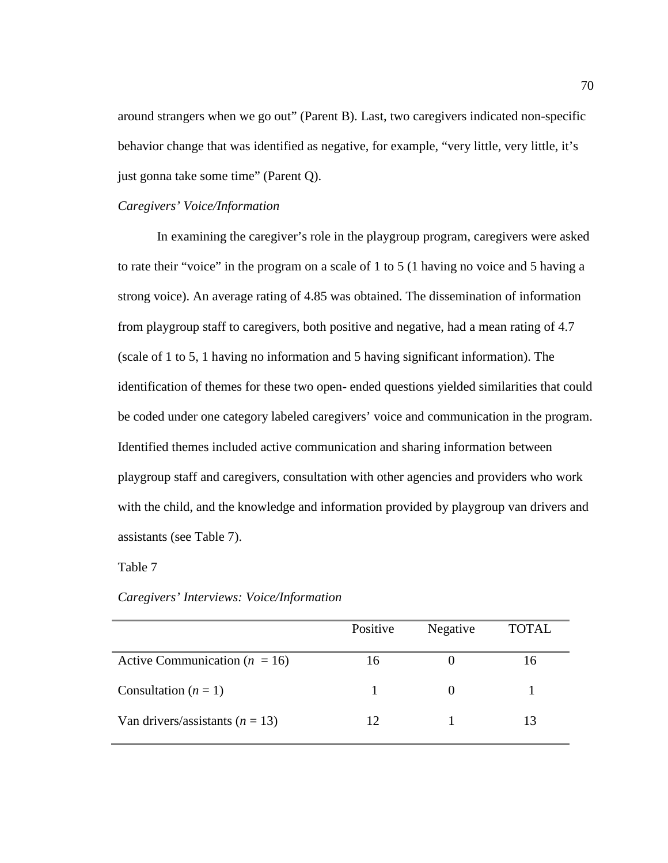around strangers when we go out" (Parent B). Last, two caregivers indicated non-specific behavior change that was identified as negative, for example, "very little, very little, it's just gonna take some time" (Parent Q).

# *Caregivers' Voice/Information*

In examining the caregiver's role in the playgroup program, caregivers were asked to rate their "voice" in the program on a scale of 1 to 5 (1 having no voice and 5 having a strong voice). An average rating of 4.85 was obtained. The dissemination of information from playgroup staff to caregivers, both positive and negative, had a mean rating of 4.7 (scale of 1 to 5, 1 having no information and 5 having significant information). The identification of themes for these two open- ended questions yielded similarities that could be coded under one category labeled caregivers' voice and communication in the program. Identified themes included active communication and sharing information between playgroup staff and caregivers, consultation with other agencies and providers who work with the child, and the knowledge and information provided by playgroup van drivers and assistants (see Table 7).

## Table 7

|                                     | Positive | Negative | <b>TOTAL</b> |
|-------------------------------------|----------|----------|--------------|
| Active Communication ( $n = 16$ )   | 16       |          | 16           |
| Consultation $(n = 1)$              |          |          |              |
| Van drivers/assistants ( $n = 13$ ) | 12       |          | 13           |

### *Caregivers' Interviews: Voice/Information*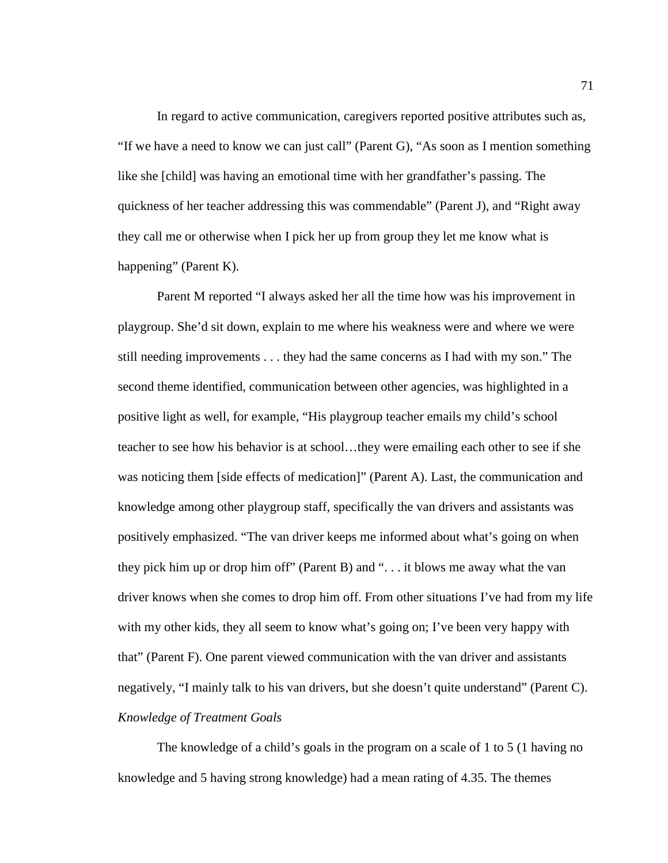In regard to active communication, caregivers reported positive attributes such as, "If we have a need to know we can just call" (Parent G), "As soon as I mention something like she [child] was having an emotional time with her grandfather's passing. The quickness of her teacher addressing this was commendable" (Parent J), and "Right away they call me or otherwise when I pick her up from group they let me know what is happening" (Parent K).

Parent M reported "I always asked her all the time how was his improvement in playgroup. She'd sit down, explain to me where his weakness were and where we were still needing improvements . . . they had the same concerns as I had with my son." The second theme identified, communication between other agencies, was highlighted in a positive light as well, for example, "His playgroup teacher emails my child's school teacher to see how his behavior is at school…they were emailing each other to see if she was noticing them [side effects of medication]" (Parent A). Last, the communication and knowledge among other playgroup staff, specifically the van drivers and assistants was positively emphasized. "The van driver keeps me informed about what's going on when they pick him up or drop him off" (Parent B) and ". . . it blows me away what the van driver knows when she comes to drop him off. From other situations I've had from my life with my other kids, they all seem to know what's going on; I've been very happy with that" (Parent F). One parent viewed communication with the van driver and assistants negatively, "I mainly talk to his van drivers, but she doesn't quite understand" (Parent C). *Knowledge of Treatment Goals* 

The knowledge of a child's goals in the program on a scale of 1 to 5 (1 having no knowledge and 5 having strong knowledge) had a mean rating of 4.35. The themes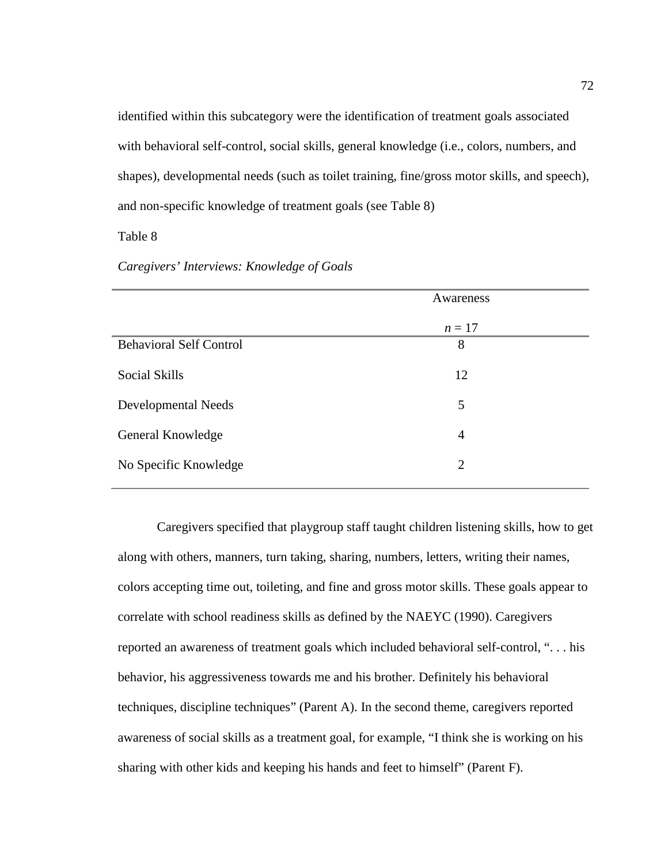identified within this subcategory were the identification of treatment goals associated with behavioral self-control, social skills, general knowledge (i.e., colors, numbers, and shapes), developmental needs (such as toilet training, fine/gross motor skills, and speech), and non-specific knowledge of treatment goals (see Table 8)

## Table 8

## *Caregivers' Interviews: Knowledge of Goals*

|                                | Awareness      |
|--------------------------------|----------------|
|                                | $n = 17$       |
| <b>Behavioral Self Control</b> | 8              |
| Social Skills                  | 12             |
| Developmental Needs            | 5              |
| General Knowledge              | $\overline{4}$ |
| No Specific Knowledge          | $\overline{2}$ |
|                                |                |

Caregivers specified that playgroup staff taught children listening skills, how to get along with others, manners, turn taking, sharing, numbers, letters, writing their names, colors accepting time out, toileting, and fine and gross motor skills. These goals appear to correlate with school readiness skills as defined by the NAEYC (1990). Caregivers reported an awareness of treatment goals which included behavioral self-control, ". . . his behavior, his aggressiveness towards me and his brother. Definitely his behavioral techniques, discipline techniques" (Parent A). In the second theme, caregivers reported awareness of social skills as a treatment goal, for example, "I think she is working on his sharing with other kids and keeping his hands and feet to himself" (Parent F).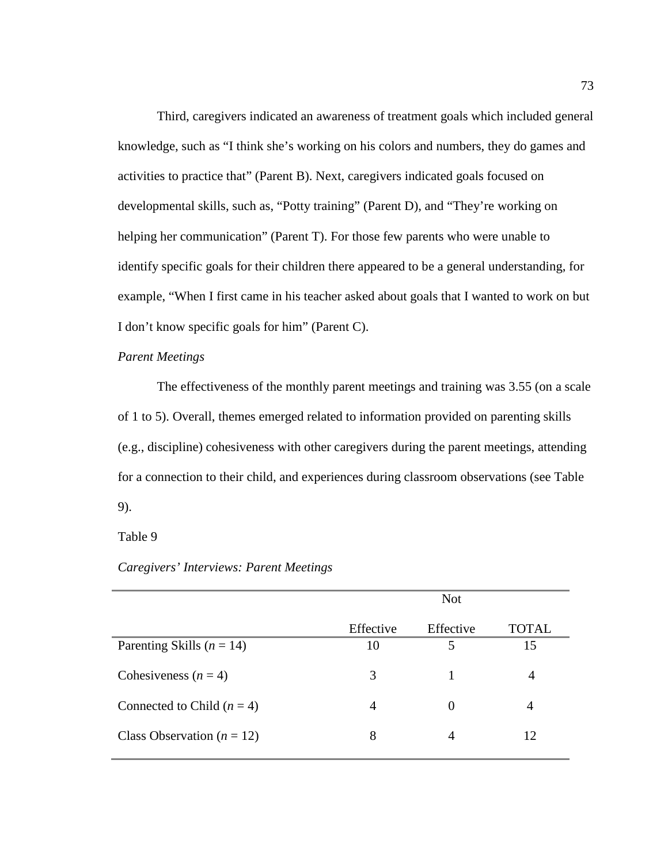Third, caregivers indicated an awareness of treatment goals which included general knowledge, such as "I think she's working on his colors and numbers, they do games and activities to practice that" (Parent B). Next, caregivers indicated goals focused on developmental skills, such as, "Potty training" (Parent D), and "They're working on helping her communication" (Parent T). For those few parents who were unable to identify specific goals for their children there appeared to be a general understanding, for example, "When I first came in his teacher asked about goals that I wanted to work on but I don't know specific goals for him" (Parent C).

## *Parent Meetings*

The effectiveness of the monthly parent meetings and training was 3.55 (on a scale of 1 to 5). Overall, themes emerged related to information provided on parenting skills (e.g., discipline) cohesiveness with other caregivers during the parent meetings, attending for a connection to their child, and experiences during classroom observations (see Table 9).

### Table 9

### *Caregivers' Interviews: Parent Meetings*

|                                |           | <b>Not</b> |                |
|--------------------------------|-----------|------------|----------------|
|                                | Effective | Effective  | <b>TOTAL</b>   |
| Parenting Skills ( $n = 14$ )  | 10        | 5          | 15             |
| Cohesiveness $(n = 4)$         | 3         |            | $\overline{A}$ |
| Connected to Child $(n = 4)$   | 4         | $\theta$   | $\overline{4}$ |
| Class Observation ( $n = 12$ ) | 8         |            | 12             |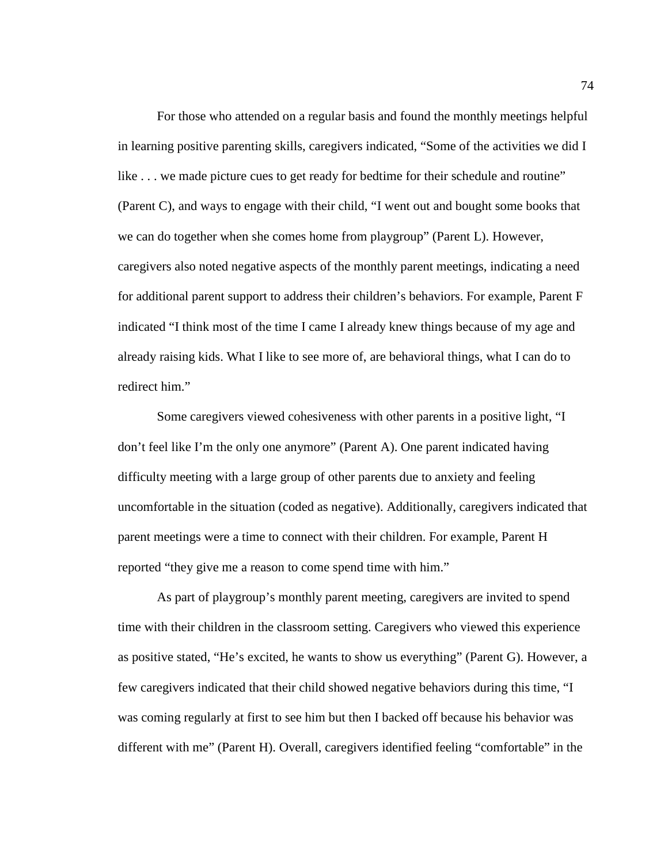For those who attended on a regular basis and found the monthly meetings helpful in learning positive parenting skills, caregivers indicated, "Some of the activities we did I like . . . we made picture cues to get ready for bedtime for their schedule and routine" (Parent C), and ways to engage with their child, "I went out and bought some books that we can do together when she comes home from playgroup" (Parent L). However, caregivers also noted negative aspects of the monthly parent meetings, indicating a need for additional parent support to address their children's behaviors. For example, Parent F indicated "I think most of the time I came I already knew things because of my age and already raising kids. What I like to see more of, are behavioral things, what I can do to redirect him."

Some caregivers viewed cohesiveness with other parents in a positive light, "I don't feel like I'm the only one anymore" (Parent A). One parent indicated having difficulty meeting with a large group of other parents due to anxiety and feeling uncomfortable in the situation (coded as negative). Additionally, caregivers indicated that parent meetings were a time to connect with their children. For example, Parent H reported "they give me a reason to come spend time with him."

As part of playgroup's monthly parent meeting, caregivers are invited to spend time with their children in the classroom setting. Caregivers who viewed this experience as positive stated, "He's excited, he wants to show us everything" (Parent G). However, a few caregivers indicated that their child showed negative behaviors during this time, "I was coming regularly at first to see him but then I backed off because his behavior was different with me" (Parent H). Overall, caregivers identified feeling "comfortable" in the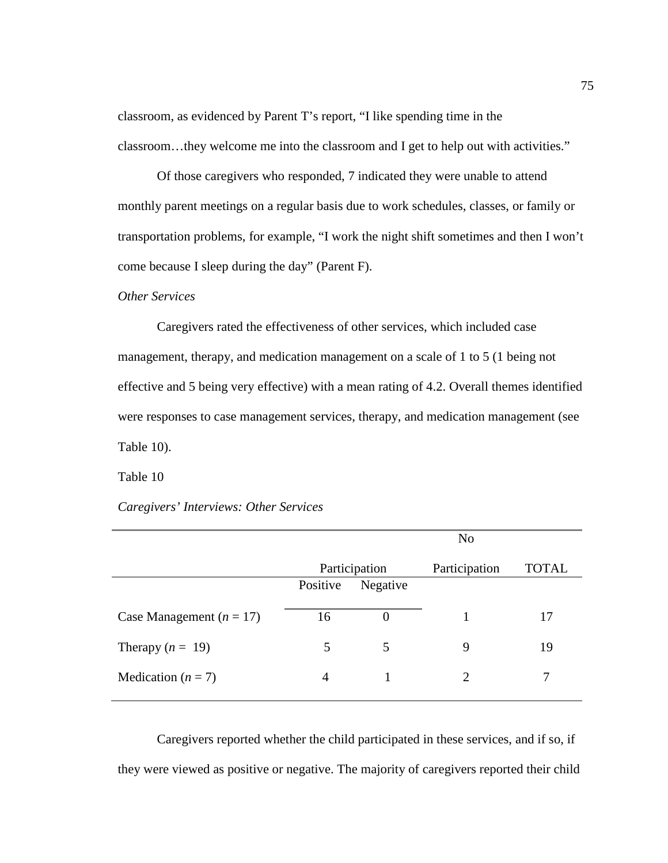classroom, as evidenced by Parent T's report, "I like spending time in the classroom…they welcome me into the classroom and I get to help out with activities."

Of those caregivers who responded, 7 indicated they were unable to attend monthly parent meetings on a regular basis due to work schedules, classes, or family or transportation problems, for example, "I work the night shift sometimes and then I won't come because I sleep during the day" (Parent F).

### *Other Services*

Caregivers rated the effectiveness of other services, which included case management, therapy, and medication management on a scale of 1 to 5 (1 being not effective and 5 being very effective) with a mean rating of 4.2. Overall themes identified were responses to case management services, therapy, and medication management (see Table 10).

Table 10

## *Caregivers' Interviews: Other Services*

|                            | N <sub>o</sub> |               |               |       |
|----------------------------|----------------|---------------|---------------|-------|
|                            |                | Participation | Participation | TOTAL |
|                            | Positive       | Negative      |               |       |
| Case Management $(n = 17)$ | 16             | $\theta$      |               | 17    |
| Therapy $(n = 19)$         |                | 5             | 9             | 19    |
| Medication $(n = 7)$       | 4              |               | $\mathcal{D}$ |       |

Caregivers reported whether the child participated in these services, and if so, if they were viewed as positive or negative. The majority of caregivers reported their child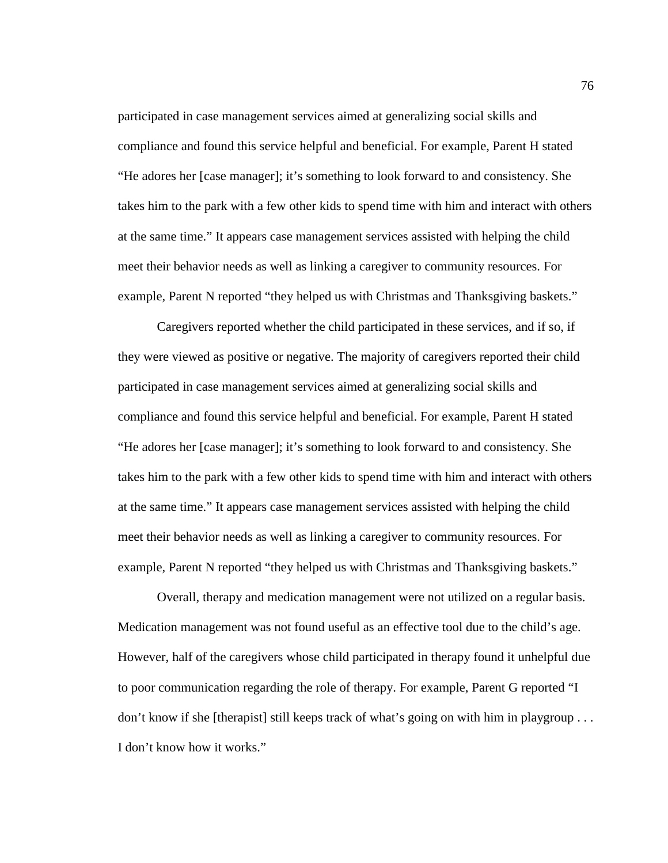participated in case management services aimed at generalizing social skills and compliance and found this service helpful and beneficial. For example, Parent H stated "He adores her [case manager]; it's something to look forward to and consistency. She takes him to the park with a few other kids to spend time with him and interact with others at the same time." It appears case management services assisted with helping the child meet their behavior needs as well as linking a caregiver to community resources. For example, Parent N reported "they helped us with Christmas and Thanksgiving baskets."

Caregivers reported whether the child participated in these services, and if so, if they were viewed as positive or negative. The majority of caregivers reported their child participated in case management services aimed at generalizing social skills and compliance and found this service helpful and beneficial. For example, Parent H stated "He adores her [case manager]; it's something to look forward to and consistency. She takes him to the park with a few other kids to spend time with him and interact with others at the same time." It appears case management services assisted with helping the child meet their behavior needs as well as linking a caregiver to community resources. For example, Parent N reported "they helped us with Christmas and Thanksgiving baskets."

Overall, therapy and medication management were not utilized on a regular basis. Medication management was not found useful as an effective tool due to the child's age. However, half of the caregivers whose child participated in therapy found it unhelpful due to poor communication regarding the role of therapy. For example, Parent G reported "I don't know if she [therapist] still keeps track of what's going on with him in playgroup . . . I don't know how it works."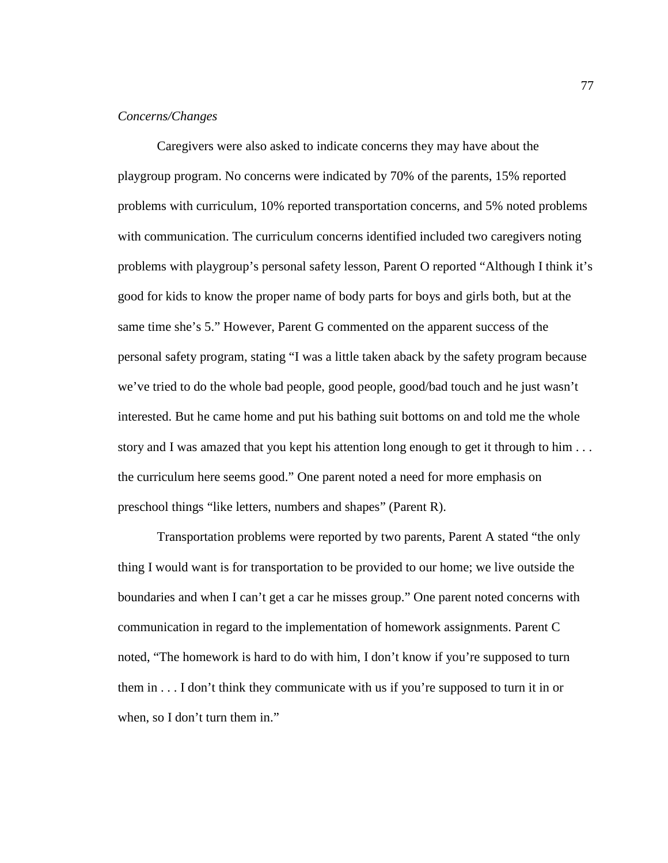## *Concerns/Changes*

Caregivers were also asked to indicate concerns they may have about the playgroup program. No concerns were indicated by 70% of the parents, 15% reported problems with curriculum, 10% reported transportation concerns, and 5% noted problems with communication. The curriculum concerns identified included two caregivers noting problems with playgroup's personal safety lesson, Parent O reported "Although I think it's good for kids to know the proper name of body parts for boys and girls both, but at the same time she's 5." However, Parent G commented on the apparent success of the personal safety program, stating "I was a little taken aback by the safety program because we've tried to do the whole bad people, good people, good/bad touch and he just wasn't interested. But he came home and put his bathing suit bottoms on and told me the whole story and I was amazed that you kept his attention long enough to get it through to him . . . the curriculum here seems good." One parent noted a need for more emphasis on preschool things "like letters, numbers and shapes" (Parent R).

Transportation problems were reported by two parents, Parent A stated "the only thing I would want is for transportation to be provided to our home; we live outside the boundaries and when I can't get a car he misses group." One parent noted concerns with communication in regard to the implementation of homework assignments. Parent C noted, "The homework is hard to do with him, I don't know if you're supposed to turn them in . . . I don't think they communicate with us if you're supposed to turn it in or when, so I don't turn them in."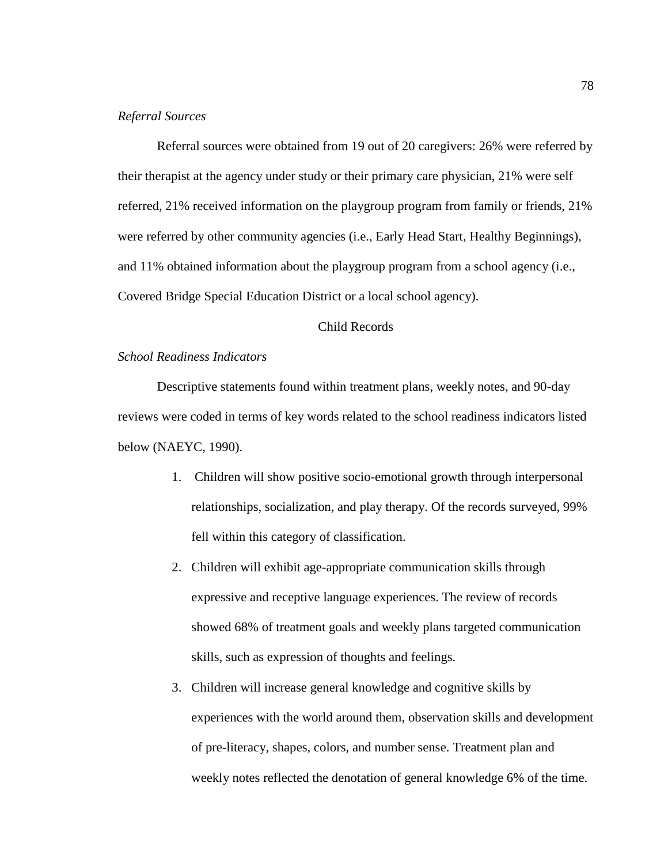## *Referral Sources*

Referral sources were obtained from 19 out of 20 caregivers: 26% were referred by their therapist at the agency under study or their primary care physician, 21% were self referred, 21% received information on the playgroup program from family or friends, 21% were referred by other community agencies (i.e., Early Head Start, Healthy Beginnings), and 11% obtained information about the playgroup program from a school agency (i.e., Covered Bridge Special Education District or a local school agency).

## Child Records

# *School Readiness Indicators*

Descriptive statements found within treatment plans, weekly notes, and 90-day reviews were coded in terms of key words related to the school readiness indicators listed below (NAEYC, 1990).

- 1. Children will show positive socio-emotional growth through interpersonal relationships, socialization, and play therapy. Of the records surveyed, 99% fell within this category of classification.
- 2. Children will exhibit age-appropriate communication skills through expressive and receptive language experiences. The review of records showed 68% of treatment goals and weekly plans targeted communication skills, such as expression of thoughts and feelings.
- 3. Children will increase general knowledge and cognitive skills by experiences with the world around them, observation skills and development of pre-literacy, shapes, colors, and number sense. Treatment plan and weekly notes reflected the denotation of general knowledge 6% of the time.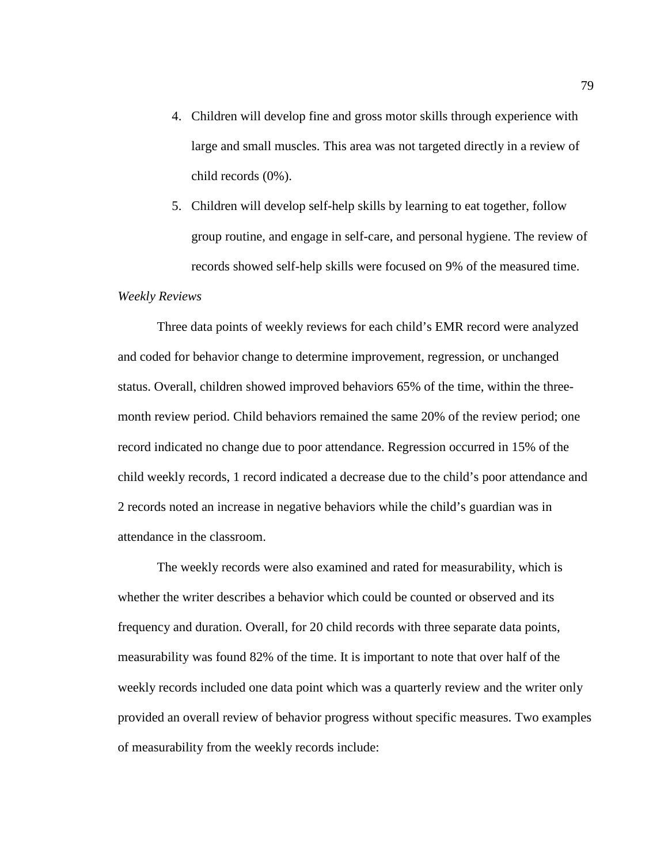- 4. Children will develop fine and gross motor skills through experience with large and small muscles. This area was not targeted directly in a review of child records (0%).
- 5. Children will develop self-help skills by learning to eat together, follow group routine, and engage in self-care, and personal hygiene. The review of records showed self-help skills were focused on 9% of the measured time.

#### *Weekly Reviews*

Three data points of weekly reviews for each child's EMR record were analyzed and coded for behavior change to determine improvement, regression, or unchanged status. Overall, children showed improved behaviors 65% of the time, within the threemonth review period. Child behaviors remained the same 20% of the review period; one record indicated no change due to poor attendance. Regression occurred in 15% of the child weekly records, 1 record indicated a decrease due to the child's poor attendance and 2 records noted an increase in negative behaviors while the child's guardian was in attendance in the classroom.

The weekly records were also examined and rated for measurability, which is whether the writer describes a behavior which could be counted or observed and its frequency and duration. Overall, for 20 child records with three separate data points, measurability was found 82% of the time. It is important to note that over half of the weekly records included one data point which was a quarterly review and the writer only provided an overall review of behavior progress without specific measures. Two examples of measurability from the weekly records include: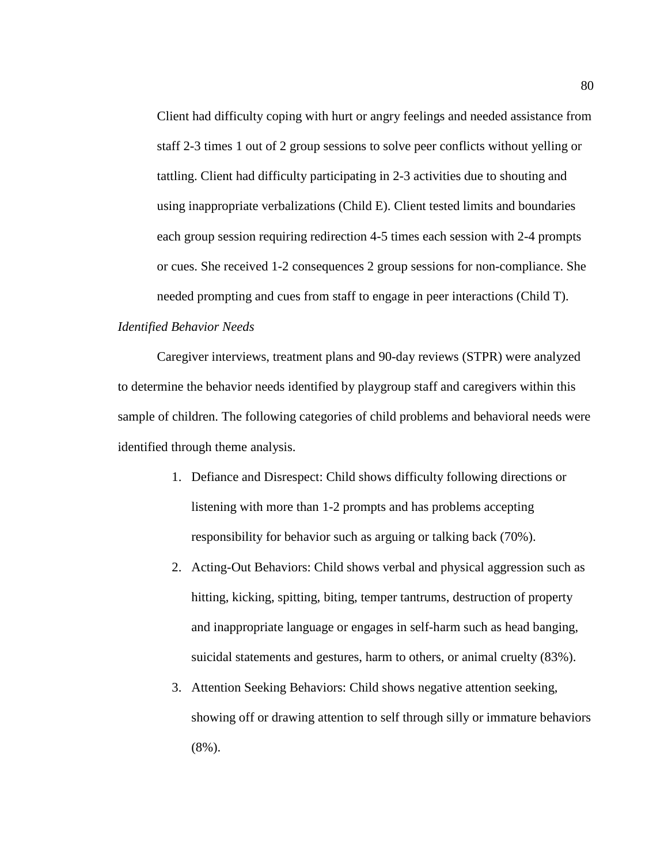Client had difficulty coping with hurt or angry feelings and needed assistance from staff 2-3 times 1 out of 2 group sessions to solve peer conflicts without yelling or tattling. Client had difficulty participating in 2-3 activities due to shouting and using inappropriate verbalizations (Child E). Client tested limits and boundaries each group session requiring redirection 4-5 times each session with 2-4 prompts or cues. She received 1-2 consequences 2 group sessions for non-compliance. She needed prompting and cues from staff to engage in peer interactions (Child T).

# *Identified Behavior Needs*

Caregiver interviews, treatment plans and 90-day reviews (STPR) were analyzed to determine the behavior needs identified by playgroup staff and caregivers within this sample of children. The following categories of child problems and behavioral needs were identified through theme analysis.

- 1. Defiance and Disrespect: Child shows difficulty following directions or listening with more than 1-2 prompts and has problems accepting responsibility for behavior such as arguing or talking back (70%).
- 2. Acting-Out Behaviors: Child shows verbal and physical aggression such as hitting, kicking, spitting, biting, temper tantrums, destruction of property and inappropriate language or engages in self-harm such as head banging, suicidal statements and gestures, harm to others, or animal cruelty (83%).
- 3. Attention Seeking Behaviors: Child shows negative attention seeking, showing off or drawing attention to self through silly or immature behaviors (8%).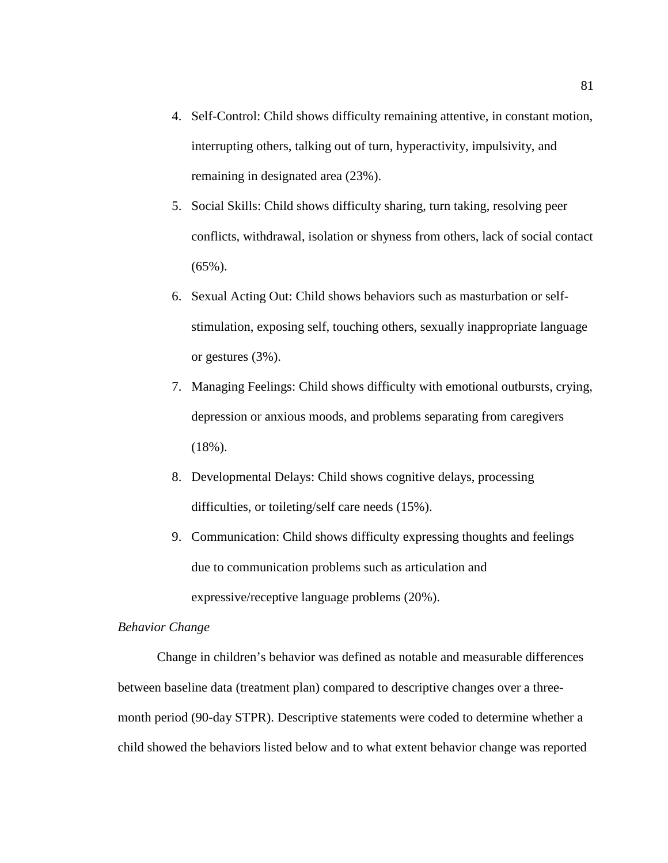- 4. Self-Control: Child shows difficulty remaining attentive, in constant motion, interrupting others, talking out of turn, hyperactivity, impulsivity, and remaining in designated area (23%).
- 5. Social Skills: Child shows difficulty sharing, turn taking, resolving peer conflicts, withdrawal, isolation or shyness from others, lack of social contact  $(65\%)$ .
- 6. Sexual Acting Out: Child shows behaviors such as masturbation or selfstimulation, exposing self, touching others, sexually inappropriate language or gestures (3%).
- 7. Managing Feelings: Child shows difficulty with emotional outbursts, crying, depression or anxious moods, and problems separating from caregivers  $(18\%)$ .
- 8. Developmental Delays: Child shows cognitive delays, processing difficulties, or toileting/self care needs (15%).
- 9. Communication: Child shows difficulty expressing thoughts and feelings due to communication problems such as articulation and expressive/receptive language problems (20%).

# *Behavior Change*

Change in children's behavior was defined as notable and measurable differences between baseline data (treatment plan) compared to descriptive changes over a threemonth period (90-day STPR). Descriptive statements were coded to determine whether a child showed the behaviors listed below and to what extent behavior change was reported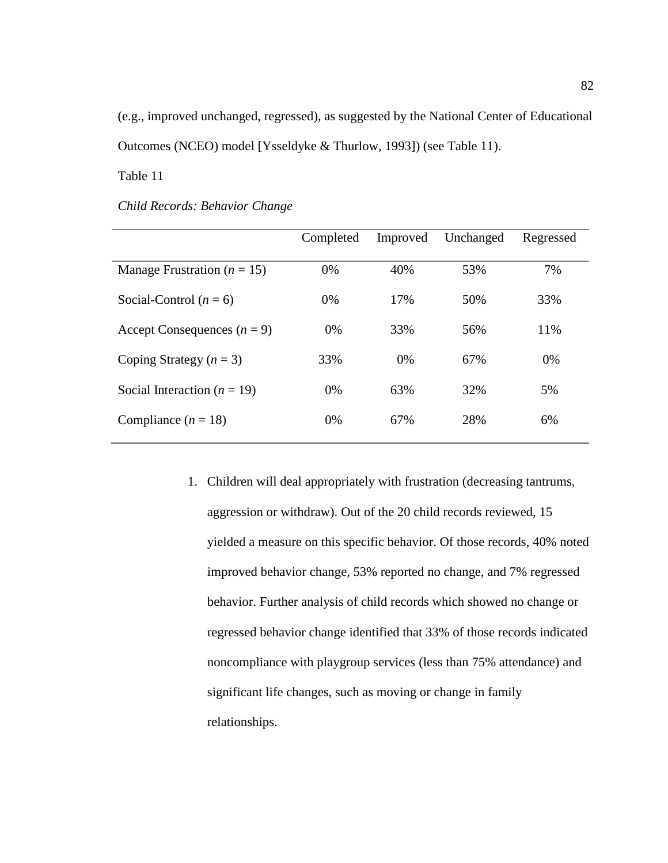(e.g., improved unchanged, regressed), as suggested by the National Center of Educational Outcomes (NCEO) model [Ysseldyke & Thurlow, 1993]) (see Table 11).

Table 11

|                                 | Completed | Improved | Unchanged | Regressed |
|---------------------------------|-----------|----------|-----------|-----------|
| Manage Frustration ( $n = 15$ ) | 0%        | 40%      | 53%       | 7%        |
| Social-Control $(n = 6)$        | 0%        | 17%      | 50%       | 33%       |
| Accept Consequences $(n = 9)$   | $0\%$     | 33%      | 56%       | 11%       |
| Coping Strategy $(n = 3)$       | 33%       | 0%       | 67%       | 0%        |
| Social Interaction ( $n = 19$ ) | 0%        | 63%      | 32%       | 5%        |
| Compliance $(n = 18)$           | $0\%$     | 67%      | 28%       | 6%        |

1. Children will deal appropriately with frustration (decreasing tantrums, aggression or withdraw). Out of the 20 child records reviewed, 15 yielded a measure on this specific behavior. Of those records, 40% noted improved behavior change, 53% reported no change, and 7% regressed behavior. Further analysis of child records which showed no change or regressed behavior change identified that 33% of those records indicated noncompliance with playgroup services (less than 75% attendance) and significant life changes, such as moving or change in family relationships.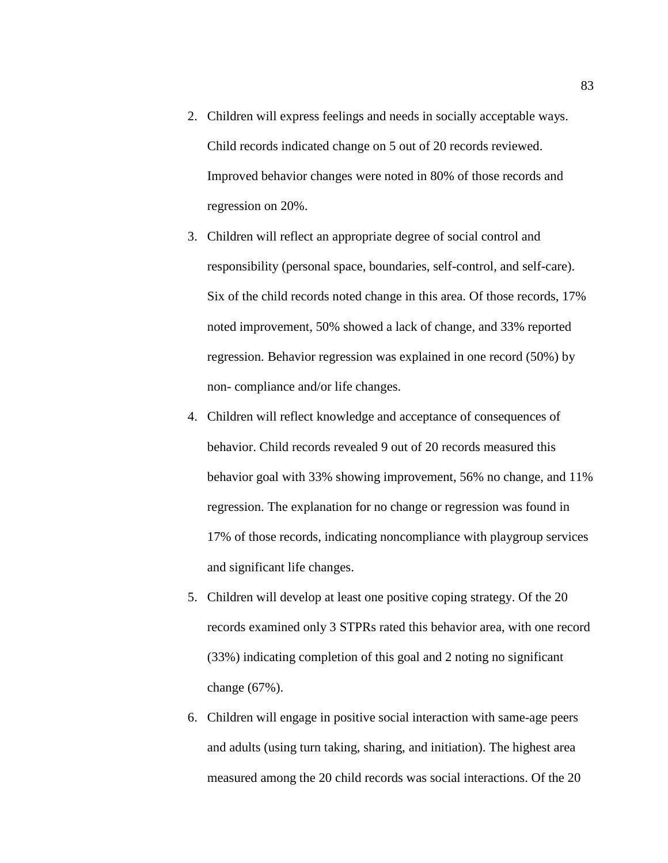- 2. Children will express feelings and needs in socially acceptable ways. Child records indicated change on 5 out of 20 records reviewed. Improved behavior changes were noted in 80% of those records and regression on 20%.
- 3. Children will reflect an appropriate degree of social control and responsibility (personal space, boundaries, self-control, and self-care). Six of the child records noted change in this area. Of those records, 17% noted improvement, 50% showed a lack of change, and 33% reported regression. Behavior regression was explained in one record (50%) by non- compliance and/or life changes.
- 4. Children will reflect knowledge and acceptance of consequences of behavior. Child records revealed 9 out of 20 records measured this behavior goal with 33% showing improvement, 56% no change, and 11% regression. The explanation for no change or regression was found in 17% of those records, indicating noncompliance with playgroup services and significant life changes.
- 5. Children will develop at least one positive coping strategy. Of the 20 records examined only 3 STPRs rated this behavior area, with one record (33%) indicating completion of this goal and 2 noting no significant change (67%).
- 6. Children will engage in positive social interaction with same-age peers and adults (using turn taking, sharing, and initiation). The highest area measured among the 20 child records was social interactions. Of the 20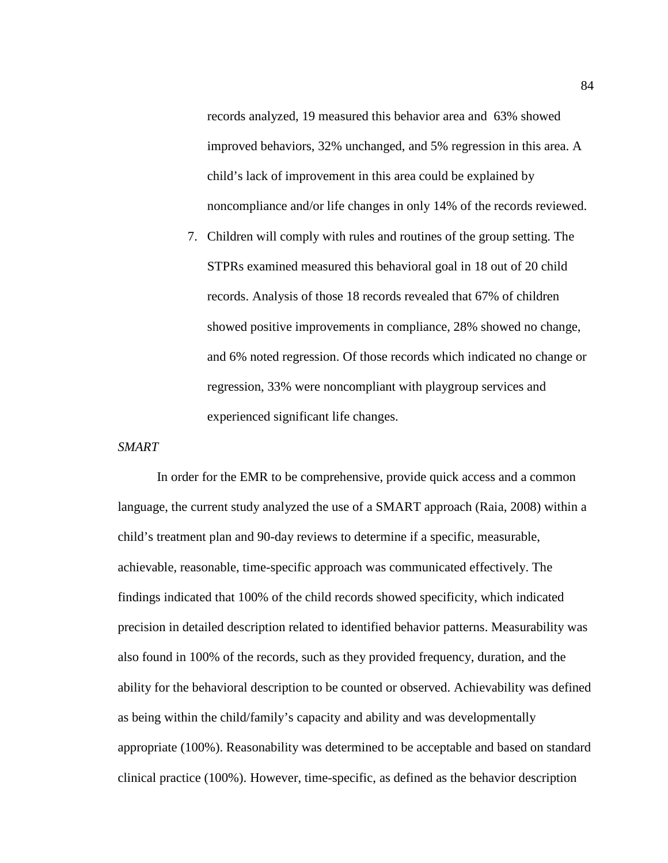records analyzed, 19 measured this behavior area and 63% showed improved behaviors, 32% unchanged, and 5% regression in this area. A child's lack of improvement in this area could be explained by noncompliance and/or life changes in only 14% of the records reviewed.

7. Children will comply with rules and routines of the group setting. The STPRs examined measured this behavioral goal in 18 out of 20 child records. Analysis of those 18 records revealed that 67% of children showed positive improvements in compliance, 28% showed no change, and 6% noted regression. Of those records which indicated no change or regression, 33% were noncompliant with playgroup services and experienced significant life changes.

### *SMART*

In order for the EMR to be comprehensive, provide quick access and a common language, the current study analyzed the use of a SMART approach (Raia, 2008) within a child's treatment plan and 90-day reviews to determine if a specific, measurable, achievable, reasonable, time-specific approach was communicated effectively. The findings indicated that 100% of the child records showed specificity, which indicated precision in detailed description related to identified behavior patterns. Measurability was also found in 100% of the records, such as they provided frequency, duration, and the ability for the behavioral description to be counted or observed. Achievability was defined as being within the child/family's capacity and ability and was developmentally appropriate (100%). Reasonability was determined to be acceptable and based on standard clinical practice (100%). However, time-specific, as defined as the behavior description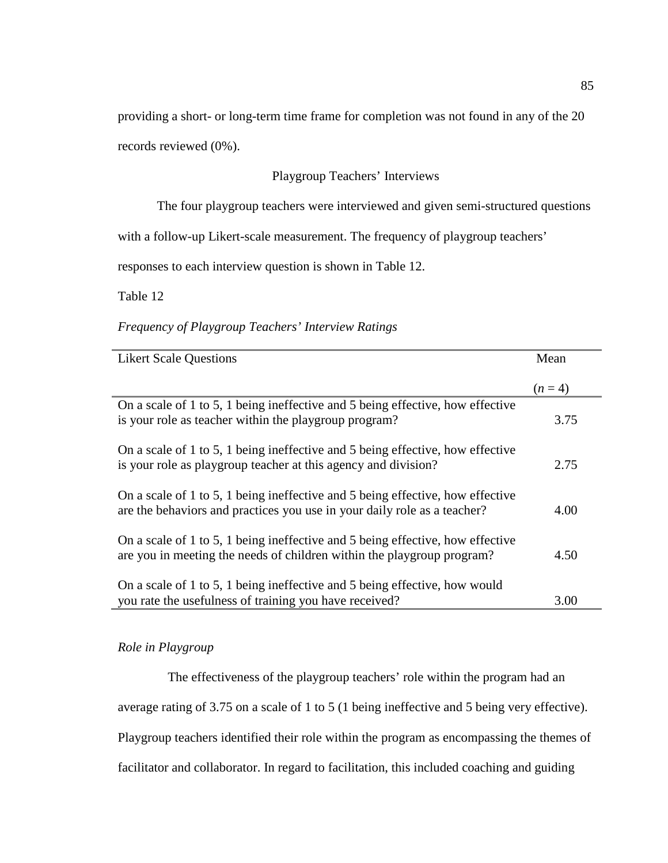providing a short- or long-term time frame for completion was not found in any of the 20

records reviewed (0%).

# Playgroup Teachers' Interviews

The four playgroup teachers were interviewed and given semi-structured questions

with a follow-up Likert-scale measurement. The frequency of playgroup teachers'

responses to each interview question is shown in Table 12.

Table 12

*Frequency of Playgroup Teachers' Interview Ratings* 

| <b>Likert Scale Questions</b>                                                                                                                              | Mean    |
|------------------------------------------------------------------------------------------------------------------------------------------------------------|---------|
|                                                                                                                                                            | $(n=4)$ |
| On a scale of 1 to 5, 1 being ineffective and 5 being effective, how effective<br>is your role as teacher within the playgroup program?                    | 3.75    |
| On a scale of 1 to 5, 1 being ineffective and 5 being effective, how effective<br>is your role as playgroup teacher at this agency and division?           | 2.75    |
| On a scale of 1 to 5, 1 being ineffective and 5 being effective, how effective<br>are the behaviors and practices you use in your daily role as a teacher? | 4.00    |
| On a scale of 1 to 5, 1 being ineffective and 5 being effective, how effective<br>are you in meeting the needs of children within the playgroup program?   | 4.50    |
| On a scale of 1 to 5, 1 being ineffective and 5 being effective, how would<br>you rate the usefulness of training you have received?                       | 3.00    |

# *Role in Playgroup*

The effectiveness of the playgroup teachers' role within the program had an average rating of 3.75 on a scale of 1 to 5 (1 being ineffective and 5 being very effective). Playgroup teachers identified their role within the program as encompassing the themes of facilitator and collaborator. In regard to facilitation, this included coaching and guiding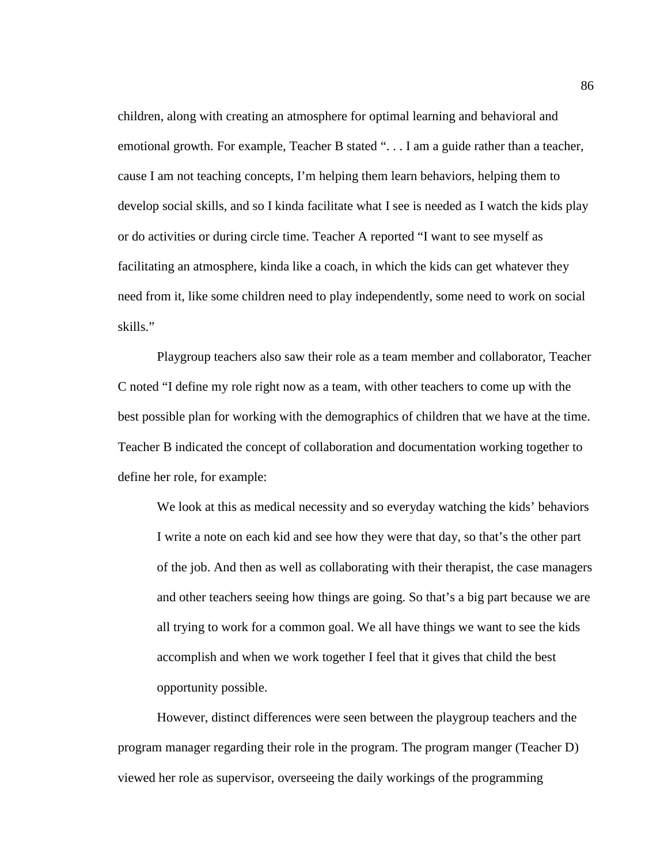children, along with creating an atmosphere for optimal learning and behavioral and emotional growth. For example, Teacher B stated ". . . I am a guide rather than a teacher, cause I am not teaching concepts, I'm helping them learn behaviors, helping them to develop social skills, and so I kinda facilitate what I see is needed as I watch the kids play or do activities or during circle time. Teacher A reported "I want to see myself as facilitating an atmosphere, kinda like a coach, in which the kids can get whatever they need from it, like some children need to play independently, some need to work on social skills."

Playgroup teachers also saw their role as a team member and collaborator, Teacher C noted "I define my role right now as a team, with other teachers to come up with the best possible plan for working with the demographics of children that we have at the time. Teacher B indicated the concept of collaboration and documentation working together to define her role, for example:

We look at this as medical necessity and so everyday watching the kids' behaviors I write a note on each kid and see how they were that day, so that's the other part of the job. And then as well as collaborating with their therapist, the case managers and other teachers seeing how things are going. So that's a big part because we are all trying to work for a common goal. We all have things we want to see the kids accomplish and when we work together I feel that it gives that child the best opportunity possible.

However, distinct differences were seen between the playgroup teachers and the program manager regarding their role in the program. The program manger (Teacher D) viewed her role as supervisor, overseeing the daily workings of the programming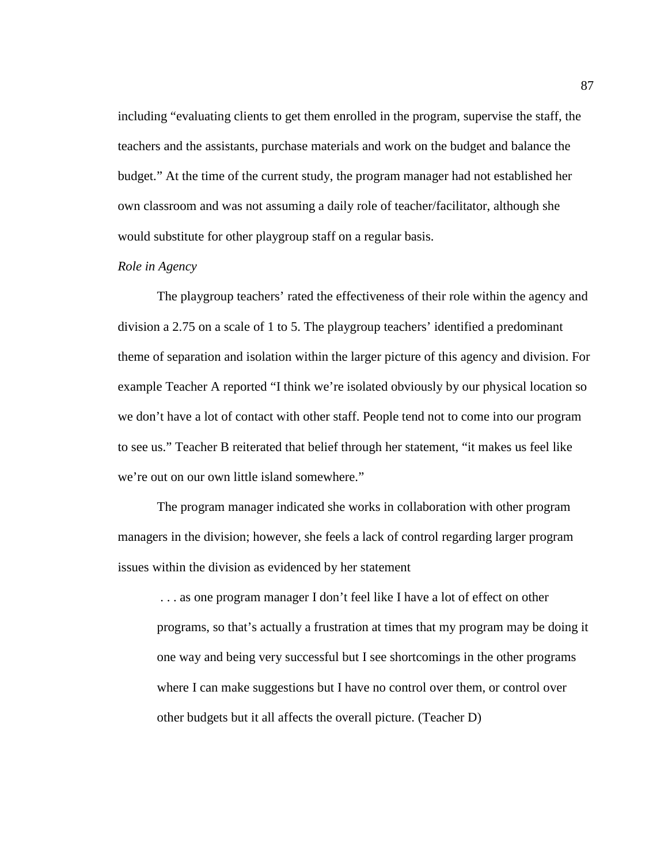including "evaluating clients to get them enrolled in the program, supervise the staff, the teachers and the assistants, purchase materials and work on the budget and balance the budget." At the time of the current study, the program manager had not established her own classroom and was not assuming a daily role of teacher/facilitator, although she would substitute for other playgroup staff on a regular basis.

## *Role in Agency*

The playgroup teachers' rated the effectiveness of their role within the agency and division a 2.75 on a scale of 1 to 5. The playgroup teachers' identified a predominant theme of separation and isolation within the larger picture of this agency and division. For example Teacher A reported "I think we're isolated obviously by our physical location so we don't have a lot of contact with other staff. People tend not to come into our program to see us." Teacher B reiterated that belief through her statement, "it makes us feel like we're out on our own little island somewhere."

The program manager indicated she works in collaboration with other program managers in the division; however, she feels a lack of control regarding larger program issues within the division as evidenced by her statement

 . . . as one program manager I don't feel like I have a lot of effect on other programs, so that's actually a frustration at times that my program may be doing it one way and being very successful but I see shortcomings in the other programs where I can make suggestions but I have no control over them, or control over other budgets but it all affects the overall picture. (Teacher D)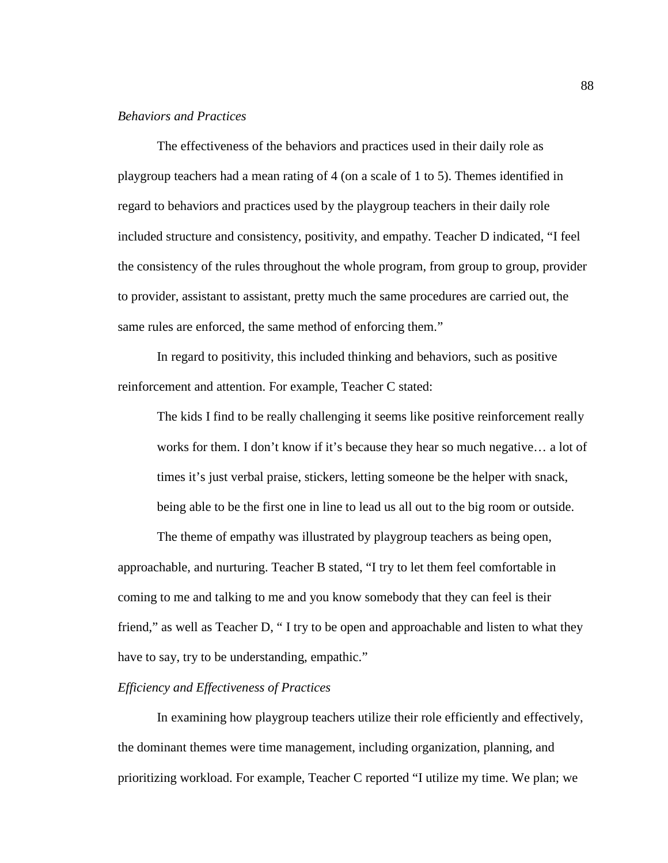## *Behaviors and Practices*

 The effectiveness of the behaviors and practices used in their daily role as playgroup teachers had a mean rating of 4 (on a scale of 1 to 5). Themes identified in regard to behaviors and practices used by the playgroup teachers in their daily role included structure and consistency, positivity, and empathy. Teacher D indicated, "I feel the consistency of the rules throughout the whole program, from group to group, provider to provider, assistant to assistant, pretty much the same procedures are carried out, the same rules are enforced, the same method of enforcing them."

In regard to positivity, this included thinking and behaviors, such as positive reinforcement and attention. For example, Teacher C stated:

The kids I find to be really challenging it seems like positive reinforcement really works for them. I don't know if it's because they hear so much negative… a lot of times it's just verbal praise, stickers, letting someone be the helper with snack, being able to be the first one in line to lead us all out to the big room or outside.

The theme of empathy was illustrated by playgroup teachers as being open, approachable, and nurturing. Teacher B stated, "I try to let them feel comfortable in coming to me and talking to me and you know somebody that they can feel is their friend," as well as Teacher D, " I try to be open and approachable and listen to what they have to say, try to be understanding, empathic."

### *Efficiency and Effectiveness of Practices*

 In examining how playgroup teachers utilize their role efficiently and effectively, the dominant themes were time management, including organization, planning, and prioritizing workload. For example, Teacher C reported "I utilize my time. We plan; we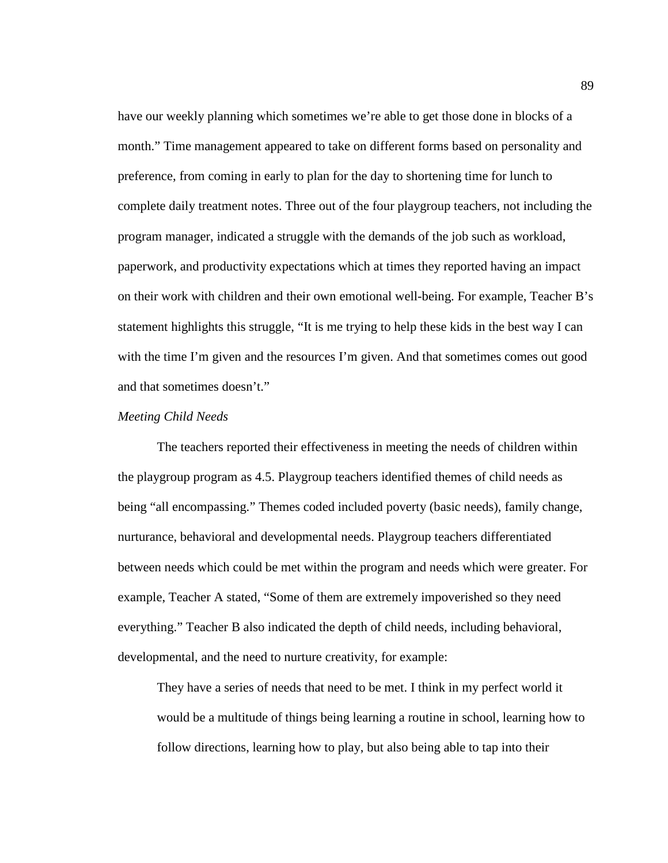have our weekly planning which sometimes we're able to get those done in blocks of a month." Time management appeared to take on different forms based on personality and preference, from coming in early to plan for the day to shortening time for lunch to complete daily treatment notes. Three out of the four playgroup teachers, not including the program manager, indicated a struggle with the demands of the job such as workload, paperwork, and productivity expectations which at times they reported having an impact on their work with children and their own emotional well-being. For example, Teacher B's statement highlights this struggle, "It is me trying to help these kids in the best way I can with the time I'm given and the resources I'm given. And that sometimes comes out good and that sometimes doesn't."

### *Meeting Child Needs*

 The teachers reported their effectiveness in meeting the needs of children within the playgroup program as 4.5. Playgroup teachers identified themes of child needs as being "all encompassing." Themes coded included poverty (basic needs), family change, nurturance, behavioral and developmental needs. Playgroup teachers differentiated between needs which could be met within the program and needs which were greater. For example, Teacher A stated, "Some of them are extremely impoverished so they need everything." Teacher B also indicated the depth of child needs, including behavioral, developmental, and the need to nurture creativity, for example:

They have a series of needs that need to be met. I think in my perfect world it would be a multitude of things being learning a routine in school, learning how to follow directions, learning how to play, but also being able to tap into their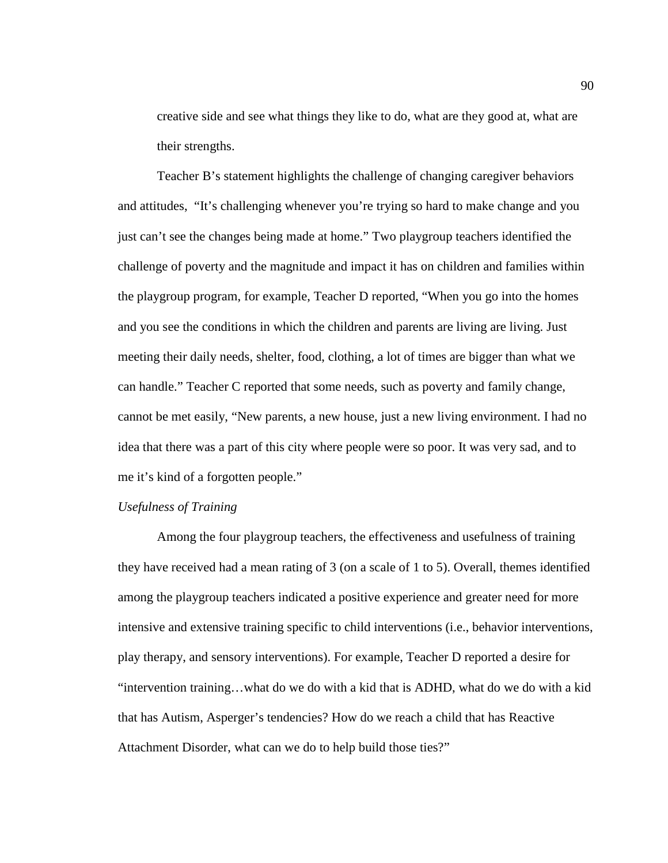creative side and see what things they like to do, what are they good at, what are their strengths.

Teacher B's statement highlights the challenge of changing caregiver behaviors and attitudes, "It's challenging whenever you're trying so hard to make change and you just can't see the changes being made at home." Two playgroup teachers identified the challenge of poverty and the magnitude and impact it has on children and families within the playgroup program, for example, Teacher D reported, "When you go into the homes and you see the conditions in which the children and parents are living are living. Just meeting their daily needs, shelter, food, clothing, a lot of times are bigger than what we can handle." Teacher C reported that some needs, such as poverty and family change, cannot be met easily, "New parents, a new house, just a new living environment. I had no idea that there was a part of this city where people were so poor. It was very sad, and to me it's kind of a forgotten people."

## *Usefulness of Training*

Among the four playgroup teachers, the effectiveness and usefulness of training they have received had a mean rating of 3 (on a scale of 1 to 5). Overall, themes identified among the playgroup teachers indicated a positive experience and greater need for more intensive and extensive training specific to child interventions (i.e., behavior interventions, play therapy, and sensory interventions). For example, Teacher D reported a desire for "intervention training…what do we do with a kid that is ADHD, what do we do with a kid that has Autism, Asperger's tendencies? How do we reach a child that has Reactive Attachment Disorder, what can we do to help build those ties?"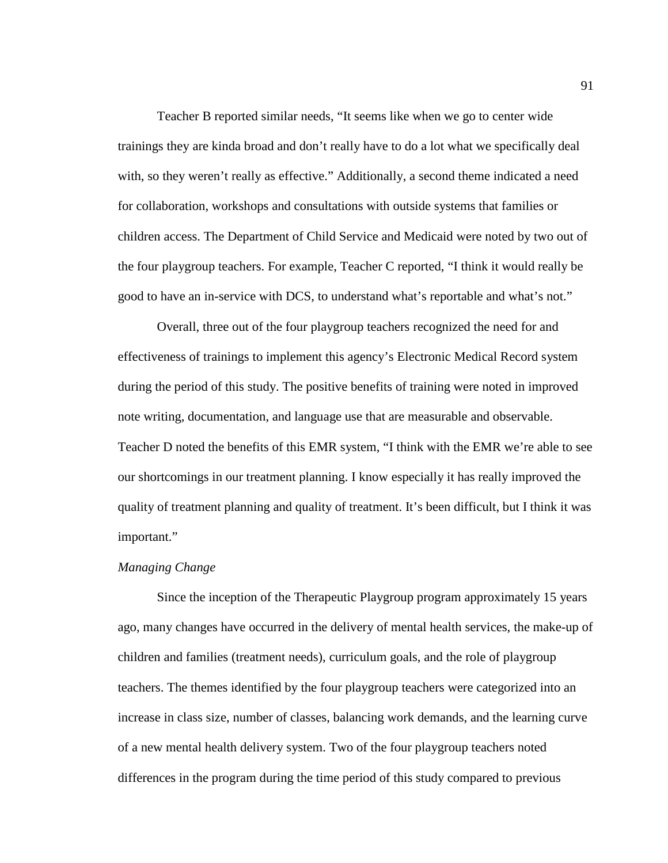Teacher B reported similar needs, "It seems like when we go to center wide trainings they are kinda broad and don't really have to do a lot what we specifically deal with, so they weren't really as effective." Additionally, a second theme indicated a need for collaboration, workshops and consultations with outside systems that families or children access. The Department of Child Service and Medicaid were noted by two out of the four playgroup teachers. For example, Teacher C reported, "I think it would really be good to have an in-service with DCS, to understand what's reportable and what's not."

Overall, three out of the four playgroup teachers recognized the need for and effectiveness of trainings to implement this agency's Electronic Medical Record system during the period of this study. The positive benefits of training were noted in improved note writing, documentation, and language use that are measurable and observable. Teacher D noted the benefits of this EMR system, "I think with the EMR we're able to see our shortcomings in our treatment planning. I know especially it has really improved the quality of treatment planning and quality of treatment. It's been difficult, but I think it was important."

### *Managing Change*

Since the inception of the Therapeutic Playgroup program approximately 15 years ago, many changes have occurred in the delivery of mental health services, the make-up of children and families (treatment needs), curriculum goals, and the role of playgroup teachers. The themes identified by the four playgroup teachers were categorized into an increase in class size, number of classes, balancing work demands, and the learning curve of a new mental health delivery system. Two of the four playgroup teachers noted differences in the program during the time period of this study compared to previous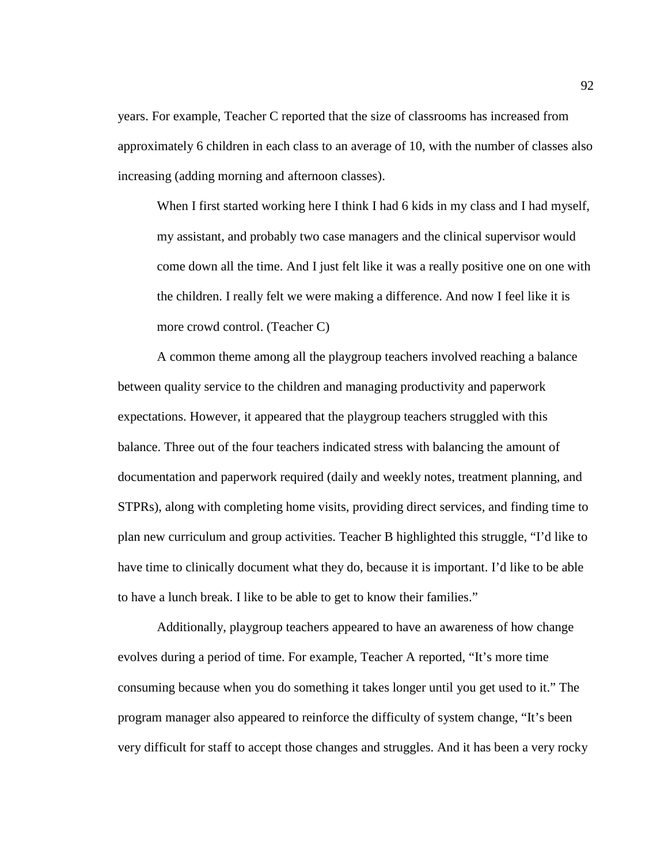years. For example, Teacher C reported that the size of classrooms has increased from approximately 6 children in each class to an average of 10, with the number of classes also increasing (adding morning and afternoon classes).

When I first started working here I think I had 6 kids in my class and I had myself, my assistant, and probably two case managers and the clinical supervisor would come down all the time. And I just felt like it was a really positive one on one with the children. I really felt we were making a difference. And now I feel like it is more crowd control. (Teacher C)

 A common theme among all the playgroup teachers involved reaching a balance between quality service to the children and managing productivity and paperwork expectations. However, it appeared that the playgroup teachers struggled with this balance. Three out of the four teachers indicated stress with balancing the amount of documentation and paperwork required (daily and weekly notes, treatment planning, and STPRs), along with completing home visits, providing direct services, and finding time to plan new curriculum and group activities. Teacher B highlighted this struggle, "I'd like to have time to clinically document what they do, because it is important. I'd like to be able to have a lunch break. I like to be able to get to know their families."

Additionally, playgroup teachers appeared to have an awareness of how change evolves during a period of time. For example, Teacher A reported, "It's more time consuming because when you do something it takes longer until you get used to it." The program manager also appeared to reinforce the difficulty of system change, "It's been very difficult for staff to accept those changes and struggles. And it has been a very rocky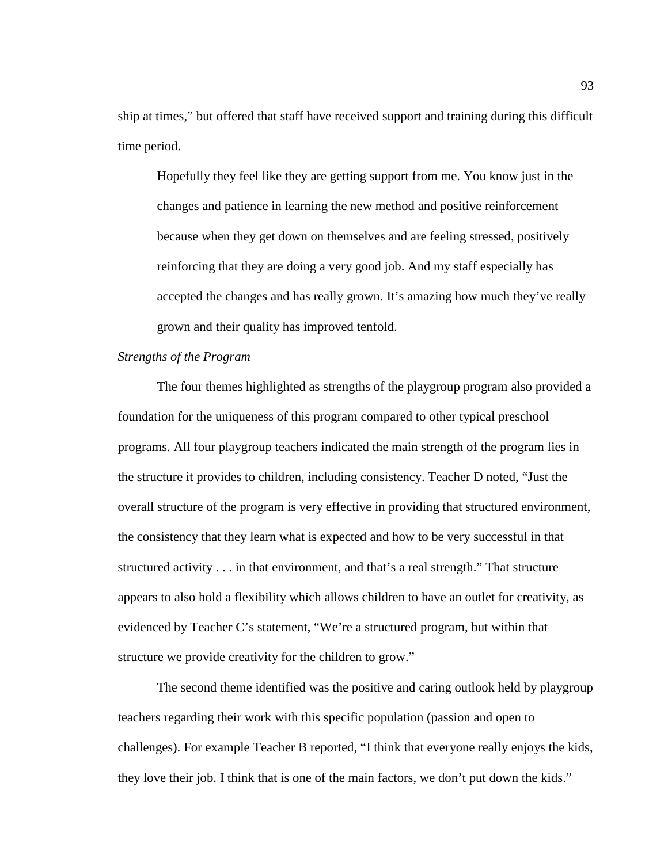ship at times," but offered that staff have received support and training during this difficult time period.

Hopefully they feel like they are getting support from me. You know just in the changes and patience in learning the new method and positive reinforcement because when they get down on themselves and are feeling stressed, positively reinforcing that they are doing a very good job. And my staff especially has accepted the changes and has really grown. It's amazing how much they've really grown and their quality has improved tenfold.

## *Strengths of the Program*

The four themes highlighted as strengths of the playgroup program also provided a foundation for the uniqueness of this program compared to other typical preschool programs. All four playgroup teachers indicated the main strength of the program lies in the structure it provides to children, including consistency. Teacher D noted, "Just the overall structure of the program is very effective in providing that structured environment, the consistency that they learn what is expected and how to be very successful in that structured activity . . . in that environment, and that's a real strength." That structure appears to also hold a flexibility which allows children to have an outlet for creativity, as evidenced by Teacher C's statement, "We're a structured program, but within that structure we provide creativity for the children to grow."

The second theme identified was the positive and caring outlook held by playgroup teachers regarding their work with this specific population (passion and open to challenges). For example Teacher B reported, "I think that everyone really enjoys the kids, they love their job. I think that is one of the main factors, we don't put down the kids."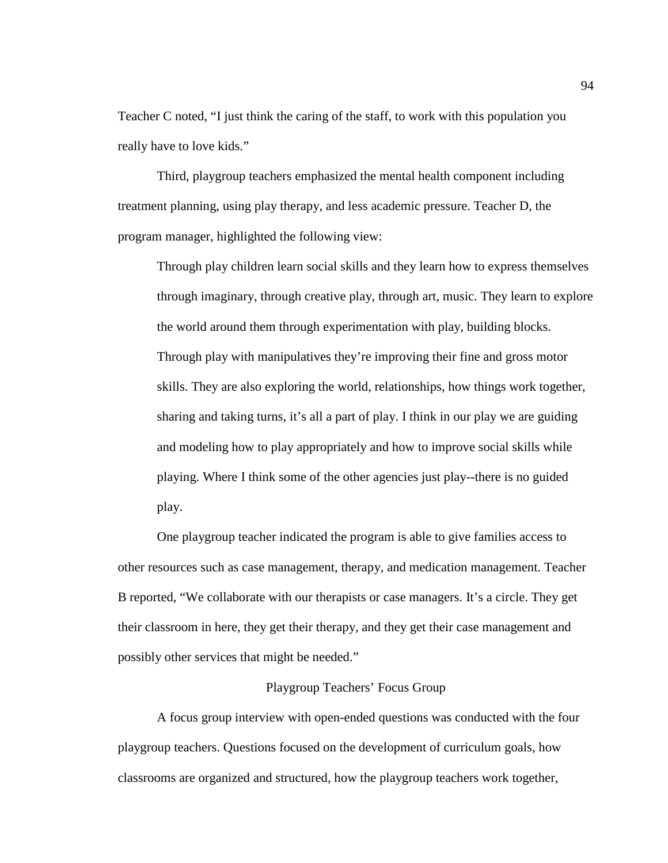Teacher C noted, "I just think the caring of the staff, to work with this population you really have to love kids."

Third, playgroup teachers emphasized the mental health component including treatment planning, using play therapy, and less academic pressure. Teacher D, the program manager, highlighted the following view:

Through play children learn social skills and they learn how to express themselves through imaginary, through creative play, through art, music. They learn to explore the world around them through experimentation with play, building blocks. Through play with manipulatives they're improving their fine and gross motor skills. They are also exploring the world, relationships, how things work together, sharing and taking turns, it's all a part of play. I think in our play we are guiding and modeling how to play appropriately and how to improve social skills while playing. Where I think some of the other agencies just play--there is no guided play.

One playgroup teacher indicated the program is able to give families access to other resources such as case management, therapy, and medication management. Teacher B reported, "We collaborate with our therapists or case managers. It's a circle. They get their classroom in here, they get their therapy, and they get their case management and possibly other services that might be needed."

### Playgroup Teachers' Focus Group

A focus group interview with open-ended questions was conducted with the four playgroup teachers. Questions focused on the development of curriculum goals, how classrooms are organized and structured, how the playgroup teachers work together,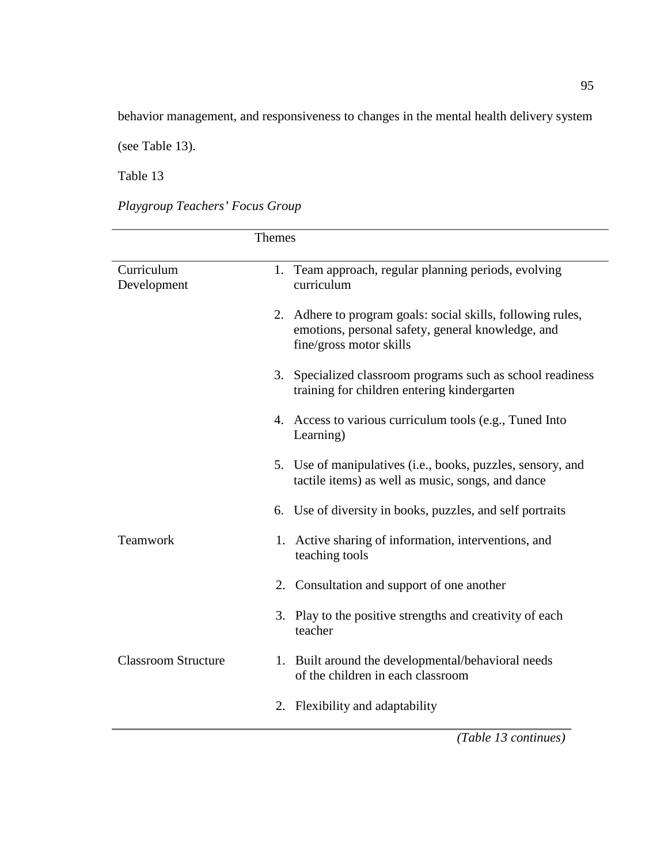behavior management, and responsiveness to changes in the mental health delivery system

(see Table 13).

Table 13

*Playgroup Teachers' Focus Group* 

|                            | <b>Themes</b>                     |                                                                                                                  |
|----------------------------|-----------------------------------|------------------------------------------------------------------------------------------------------------------|
| Curriculum<br>Development  | curriculum                        | 1. Team approach, regular planning periods, evolving                                                             |
|                            | fine/gross motor skills           | 2. Adhere to program goals: social skills, following rules,<br>emotions, personal safety, general knowledge, and |
|                            |                                   | 3. Specialized classroom programs such as school readiness<br>training for children entering kindergarten        |
|                            | Learning)                         | 4. Access to various curriculum tools (e.g., Tuned Into                                                          |
|                            |                                   | 5. Use of manipulatives (i.e., books, puzzles, sensory, and<br>tactile items) as well as music, songs, and dance |
|                            |                                   | 6. Use of diversity in books, puzzles, and self portraits                                                        |
| Teamwork                   | teaching tools                    | 1. Active sharing of information, interventions, and                                                             |
|                            |                                   | 2. Consultation and support of one another                                                                       |
|                            | teacher                           | 3. Play to the positive strengths and creativity of each                                                         |
| <b>Classroom Structure</b> | of the children in each classroom | 1. Built around the developmental/behavioral needs                                                               |
|                            | 2. Flexibility and adaptability   |                                                                                                                  |
|                            |                                   | (Table 13 continues)                                                                                             |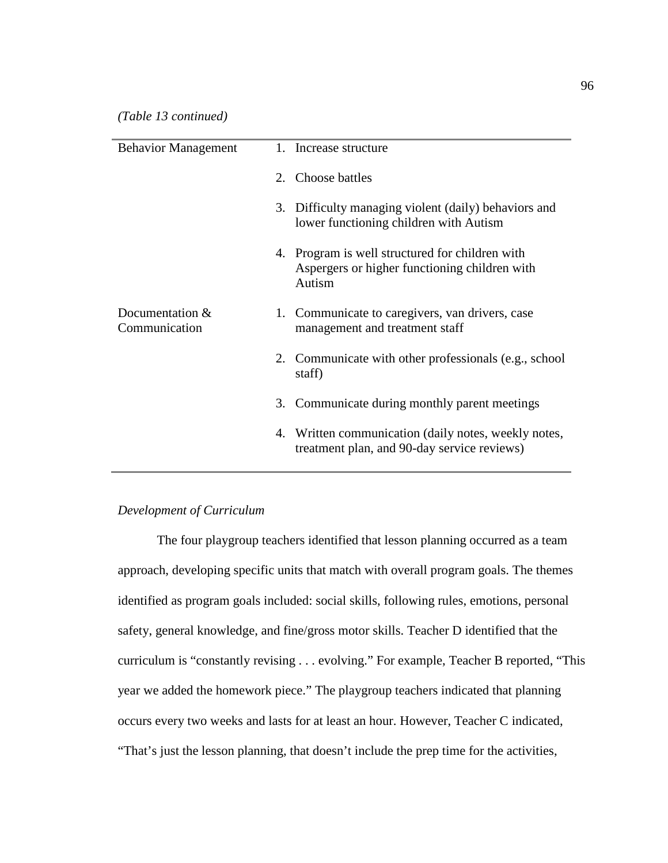| <b>Behavior Management</b>       | 1. Increase structure                                                                                      |
|----------------------------------|------------------------------------------------------------------------------------------------------------|
|                                  | 2. Choose battles                                                                                          |
|                                  | 3. Difficulty managing violent (daily) behaviors and<br>lower functioning children with Autism             |
|                                  | 4. Program is well structured for children with<br>Aspergers or higher functioning children with<br>Autism |
| Documentation &<br>Communication | 1. Communicate to caregivers, van drivers, case<br>management and treatment staff                          |
|                                  | 2. Communicate with other professionals (e.g., school<br>staff)                                            |
|                                  | 3. Communicate during monthly parent meetings                                                              |
|                                  | 4. Written communication (daily notes, weekly notes,<br>treatment plan, and 90-day service reviews)        |

# *Development of Curriculum*

The four playgroup teachers identified that lesson planning occurred as a team approach, developing specific units that match with overall program goals. The themes identified as program goals included: social skills, following rules, emotions, personal safety, general knowledge, and fine/gross motor skills. Teacher D identified that the curriculum is "constantly revising . . . evolving." For example, Teacher B reported, "This year we added the homework piece." The playgroup teachers indicated that planning occurs every two weeks and lasts for at least an hour. However, Teacher C indicated, "That's just the lesson planning, that doesn't include the prep time for the activities,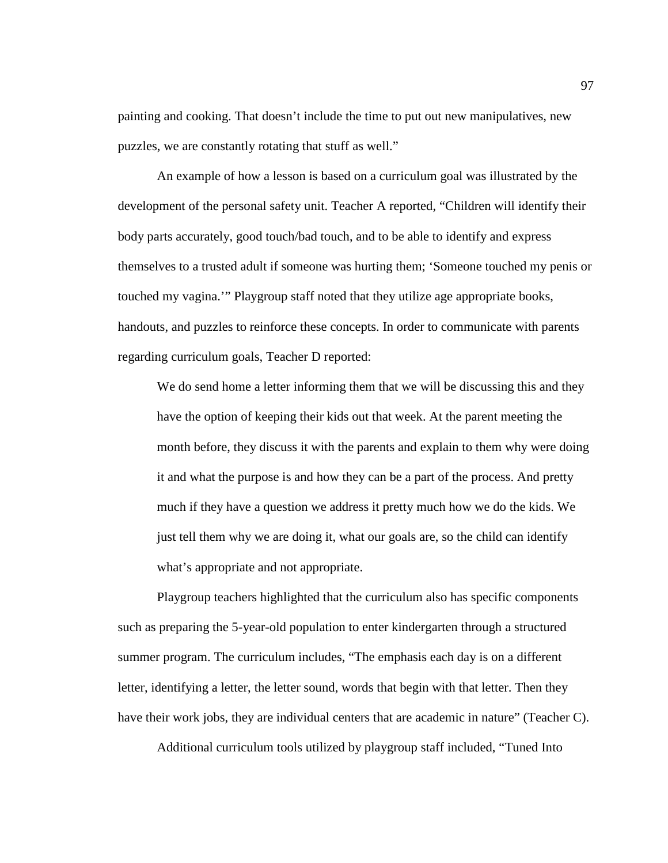painting and cooking. That doesn't include the time to put out new manipulatives, new puzzles, we are constantly rotating that stuff as well."

An example of how a lesson is based on a curriculum goal was illustrated by the development of the personal safety unit. Teacher A reported, "Children will identify their body parts accurately, good touch/bad touch, and to be able to identify and express themselves to a trusted adult if someone was hurting them; 'Someone touched my penis or touched my vagina.'" Playgroup staff noted that they utilize age appropriate books, handouts, and puzzles to reinforce these concepts. In order to communicate with parents regarding curriculum goals, Teacher D reported:

We do send home a letter informing them that we will be discussing this and they have the option of keeping their kids out that week. At the parent meeting the month before, they discuss it with the parents and explain to them why were doing it and what the purpose is and how they can be a part of the process. And pretty much if they have a question we address it pretty much how we do the kids. We just tell them why we are doing it, what our goals are, so the child can identify what's appropriate and not appropriate.

Playgroup teachers highlighted that the curriculum also has specific components such as preparing the 5-year-old population to enter kindergarten through a structured summer program. The curriculum includes, "The emphasis each day is on a different letter, identifying a letter, the letter sound, words that begin with that letter. Then they have their work jobs, they are individual centers that are academic in nature" (Teacher C).

Additional curriculum tools utilized by playgroup staff included, "Tuned Into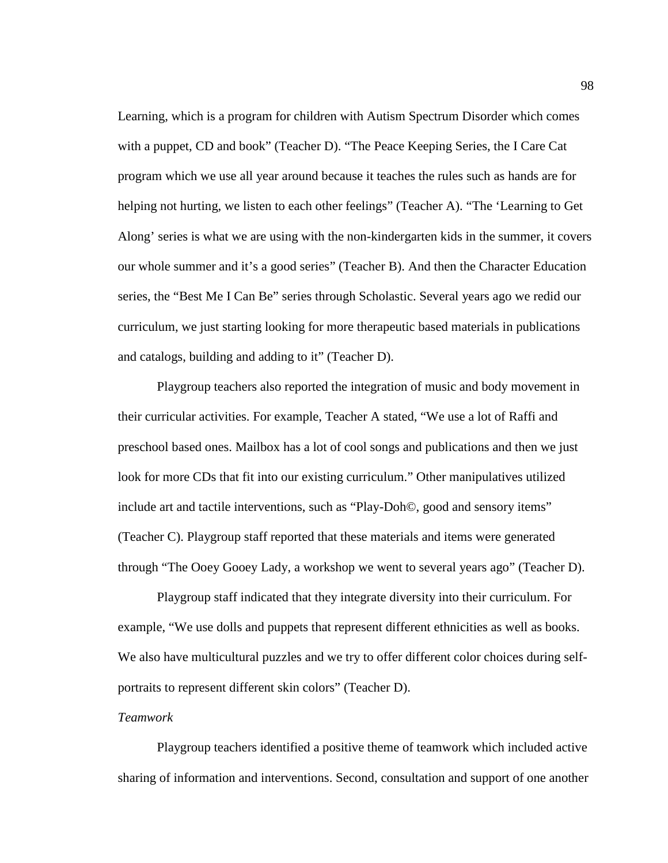Learning, which is a program for children with Autism Spectrum Disorder which comes with a puppet, CD and book" (Teacher D). "The Peace Keeping Series, the I Care Cat program which we use all year around because it teaches the rules such as hands are for helping not hurting, we listen to each other feelings" (Teacher A). "The 'Learning to Get Along' series is what we are using with the non-kindergarten kids in the summer, it covers our whole summer and it's a good series" (Teacher B). And then the Character Education series, the "Best Me I Can Be" series through Scholastic. Several years ago we redid our curriculum, we just starting looking for more therapeutic based materials in publications and catalogs, building and adding to it" (Teacher D).

Playgroup teachers also reported the integration of music and body movement in their curricular activities. For example, Teacher A stated, "We use a lot of Raffi and preschool based ones. Mailbox has a lot of cool songs and publications and then we just look for more CDs that fit into our existing curriculum." Other manipulatives utilized include art and tactile interventions, such as "Play-Doh©, good and sensory items" (Teacher C). Playgroup staff reported that these materials and items were generated through "The Ooey Gooey Lady, a workshop we went to several years ago" (Teacher D).

Playgroup staff indicated that they integrate diversity into their curriculum. For example, "We use dolls and puppets that represent different ethnicities as well as books. We also have multicultural puzzles and we try to offer different color choices during selfportraits to represent different skin colors" (Teacher D).

## *Teamwork*

Playgroup teachers identified a positive theme of teamwork which included active sharing of information and interventions. Second, consultation and support of one another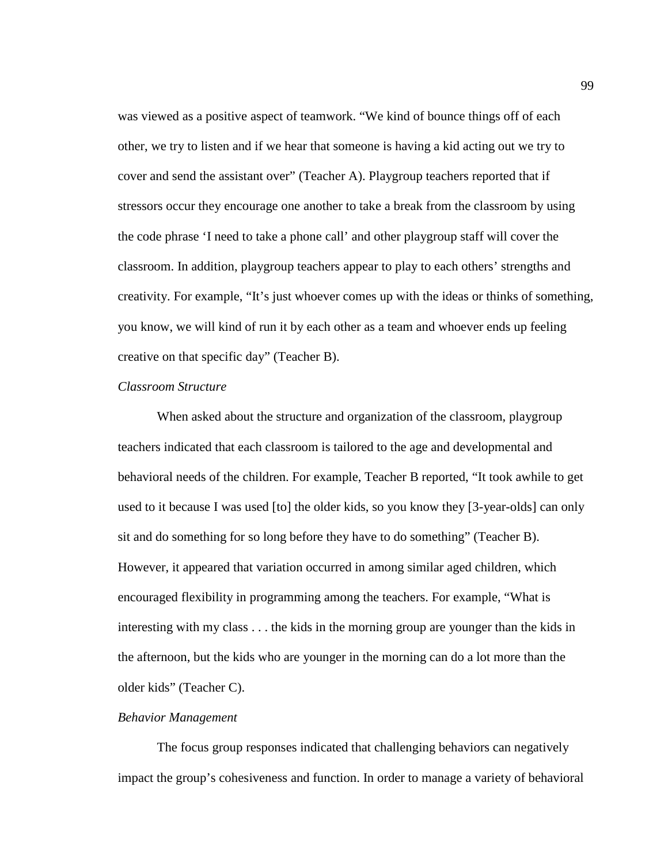was viewed as a positive aspect of teamwork. "We kind of bounce things off of each other, we try to listen and if we hear that someone is having a kid acting out we try to cover and send the assistant over" (Teacher A). Playgroup teachers reported that if stressors occur they encourage one another to take a break from the classroom by using the code phrase 'I need to take a phone call' and other playgroup staff will cover the classroom. In addition, playgroup teachers appear to play to each others' strengths and creativity. For example, "It's just whoever comes up with the ideas or thinks of something, you know, we will kind of run it by each other as a team and whoever ends up feeling creative on that specific day" (Teacher B).

### *Classroom Structure*

When asked about the structure and organization of the classroom, playgroup teachers indicated that each classroom is tailored to the age and developmental and behavioral needs of the children. For example, Teacher B reported, "It took awhile to get used to it because I was used [to] the older kids, so you know they [3-year-olds] can only sit and do something for so long before they have to do something" (Teacher B). However, it appeared that variation occurred in among similar aged children, which encouraged flexibility in programming among the teachers. For example, "What is interesting with my class . . . the kids in the morning group are younger than the kids in the afternoon, but the kids who are younger in the morning can do a lot more than the older kids" (Teacher C).

### *Behavior Management*

The focus group responses indicated that challenging behaviors can negatively impact the group's cohesiveness and function. In order to manage a variety of behavioral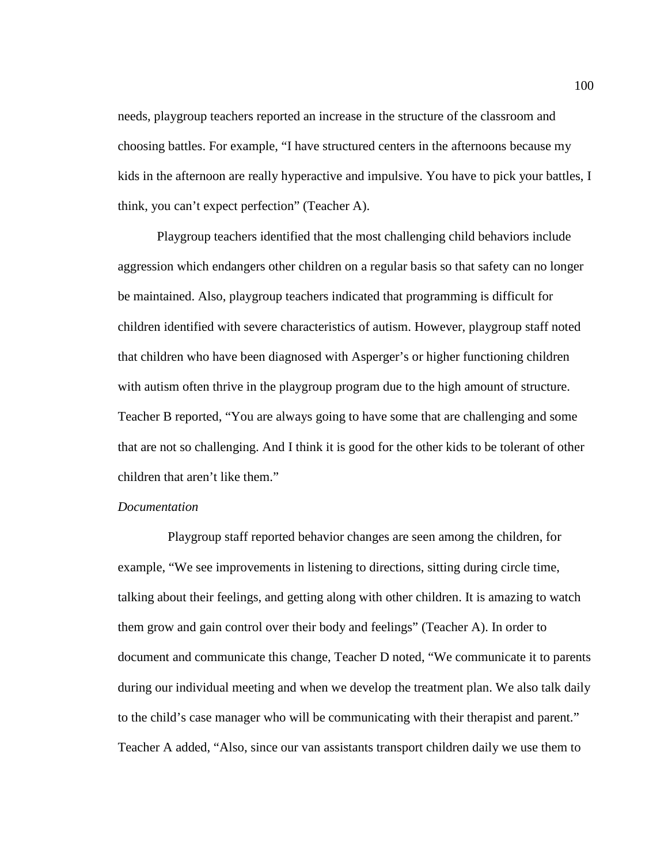needs, playgroup teachers reported an increase in the structure of the classroom and choosing battles. For example, "I have structured centers in the afternoons because my kids in the afternoon are really hyperactive and impulsive. You have to pick your battles, I think, you can't expect perfection" (Teacher A).

Playgroup teachers identified that the most challenging child behaviors include aggression which endangers other children on a regular basis so that safety can no longer be maintained. Also, playgroup teachers indicated that programming is difficult for children identified with severe characteristics of autism. However, playgroup staff noted that children who have been diagnosed with Asperger's or higher functioning children with autism often thrive in the playgroup program due to the high amount of structure. Teacher B reported, "You are always going to have some that are challenging and some that are not so challenging. And I think it is good for the other kids to be tolerant of other children that aren't like them."

## *Documentation*

Playgroup staff reported behavior changes are seen among the children, for example, "We see improvements in listening to directions, sitting during circle time, talking about their feelings, and getting along with other children. It is amazing to watch them grow and gain control over their body and feelings" (Teacher A). In order to document and communicate this change, Teacher D noted, "We communicate it to parents during our individual meeting and when we develop the treatment plan. We also talk daily to the child's case manager who will be communicating with their therapist and parent." Teacher A added, "Also, since our van assistants transport children daily we use them to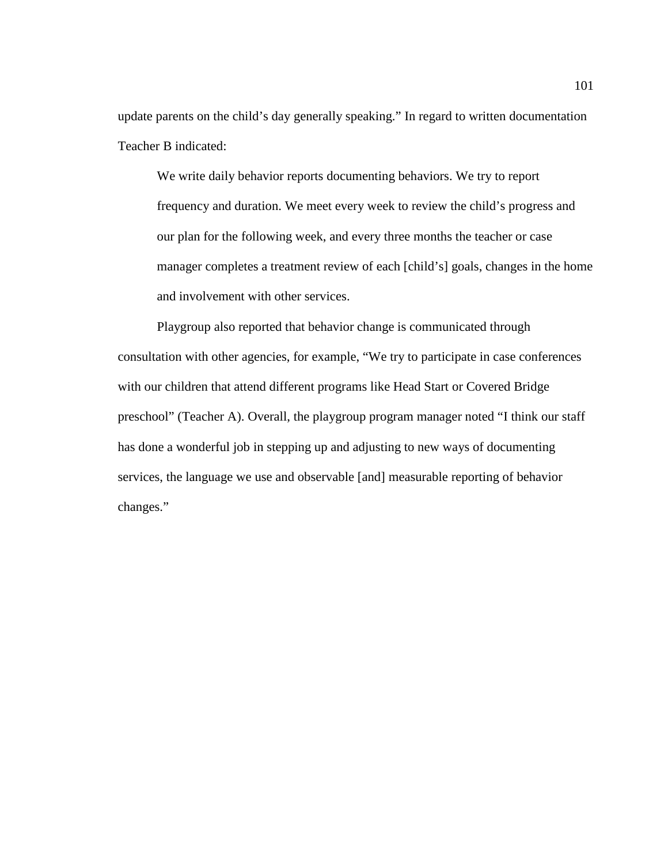update parents on the child's day generally speaking." In regard to written documentation Teacher B indicated:

We write daily behavior reports documenting behaviors. We try to report frequency and duration. We meet every week to review the child's progress and our plan for the following week, and every three months the teacher or case manager completes a treatment review of each [child's] goals, changes in the home and involvement with other services.

 Playgroup also reported that behavior change is communicated through consultation with other agencies, for example, "We try to participate in case conferences with our children that attend different programs like Head Start or Covered Bridge preschool" (Teacher A). Overall, the playgroup program manager noted "I think our staff has done a wonderful job in stepping up and adjusting to new ways of documenting services, the language we use and observable [and] measurable reporting of behavior changes."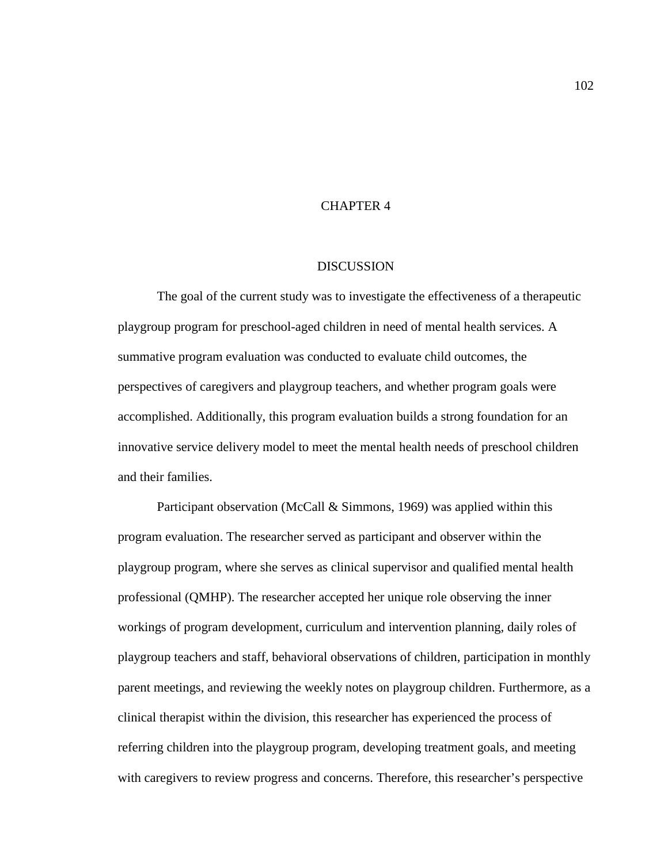# CHAPTER 4

### **DISCUSSION**

The goal of the current study was to investigate the effectiveness of a therapeutic playgroup program for preschool-aged children in need of mental health services. A summative program evaluation was conducted to evaluate child outcomes, the perspectives of caregivers and playgroup teachers, and whether program goals were accomplished. Additionally, this program evaluation builds a strong foundation for an innovative service delivery model to meet the mental health needs of preschool children and their families.

Participant observation (McCall & Simmons, 1969) was applied within this program evaluation. The researcher served as participant and observer within the playgroup program, where she serves as clinical supervisor and qualified mental health professional (QMHP). The researcher accepted her unique role observing the inner workings of program development, curriculum and intervention planning, daily roles of playgroup teachers and staff, behavioral observations of children, participation in monthly parent meetings, and reviewing the weekly notes on playgroup children. Furthermore, as a clinical therapist within the division, this researcher has experienced the process of referring children into the playgroup program, developing treatment goals, and meeting with caregivers to review progress and concerns. Therefore, this researcher's perspective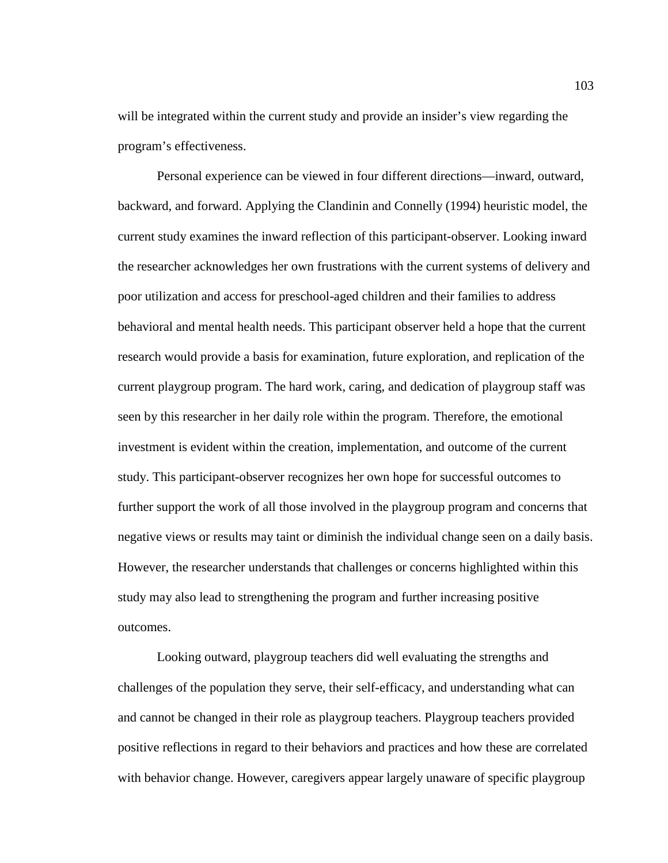will be integrated within the current study and provide an insider's view regarding the program's effectiveness.

Personal experience can be viewed in four different directions—inward, outward, backward, and forward. Applying the Clandinin and Connelly (1994) heuristic model, the current study examines the inward reflection of this participant-observer. Looking inward the researcher acknowledges her own frustrations with the current systems of delivery and poor utilization and access for preschool-aged children and their families to address behavioral and mental health needs. This participant observer held a hope that the current research would provide a basis for examination, future exploration, and replication of the current playgroup program. The hard work, caring, and dedication of playgroup staff was seen by this researcher in her daily role within the program. Therefore, the emotional investment is evident within the creation, implementation, and outcome of the current study. This participant-observer recognizes her own hope for successful outcomes to further support the work of all those involved in the playgroup program and concerns that negative views or results may taint or diminish the individual change seen on a daily basis. However, the researcher understands that challenges or concerns highlighted within this study may also lead to strengthening the program and further increasing positive outcomes.

Looking outward, playgroup teachers did well evaluating the strengths and challenges of the population they serve, their self-efficacy, and understanding what can and cannot be changed in their role as playgroup teachers. Playgroup teachers provided positive reflections in regard to their behaviors and practices and how these are correlated with behavior change. However, caregivers appear largely unaware of specific playgroup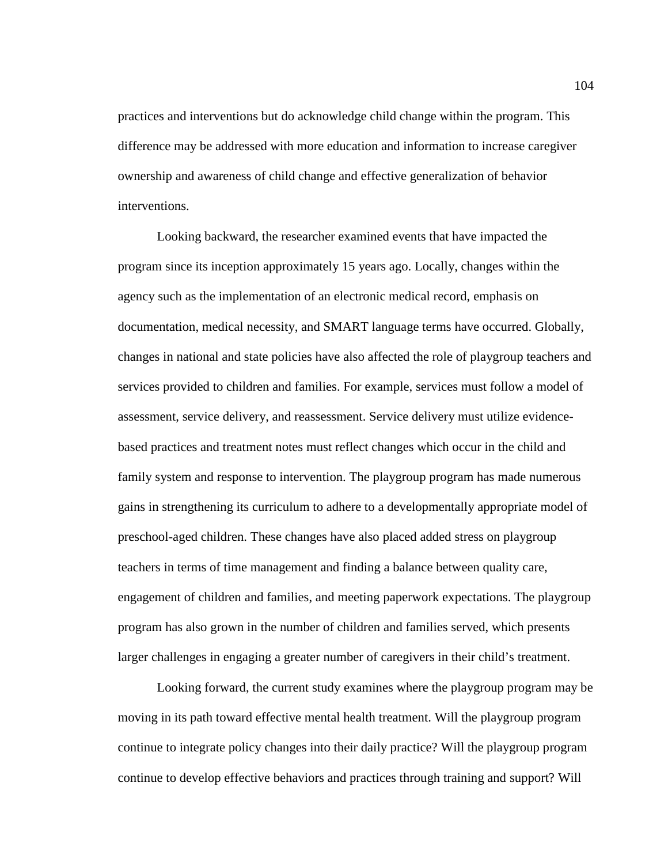practices and interventions but do acknowledge child change within the program. This difference may be addressed with more education and information to increase caregiver ownership and awareness of child change and effective generalization of behavior interventions.

Looking backward, the researcher examined events that have impacted the program since its inception approximately 15 years ago. Locally, changes within the agency such as the implementation of an electronic medical record, emphasis on documentation, medical necessity, and SMART language terms have occurred. Globally, changes in national and state policies have also affected the role of playgroup teachers and services provided to children and families. For example, services must follow a model of assessment, service delivery, and reassessment. Service delivery must utilize evidencebased practices and treatment notes must reflect changes which occur in the child and family system and response to intervention. The playgroup program has made numerous gains in strengthening its curriculum to adhere to a developmentally appropriate model of preschool-aged children. These changes have also placed added stress on playgroup teachers in terms of time management and finding a balance between quality care, engagement of children and families, and meeting paperwork expectations. The playgroup program has also grown in the number of children and families served, which presents larger challenges in engaging a greater number of caregivers in their child's treatment.

Looking forward, the current study examines where the playgroup program may be moving in its path toward effective mental health treatment. Will the playgroup program continue to integrate policy changes into their daily practice? Will the playgroup program continue to develop effective behaviors and practices through training and support? Will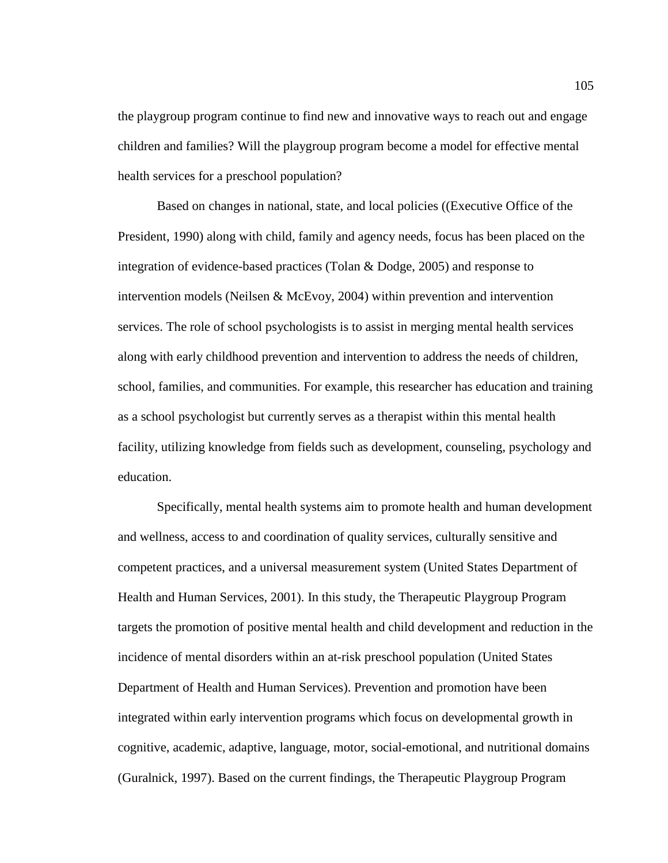the playgroup program continue to find new and innovative ways to reach out and engage children and families? Will the playgroup program become a model for effective mental health services for a preschool population?

Based on changes in national, state, and local policies ((Executive Office of the President, 1990) along with child, family and agency needs, focus has been placed on the integration of evidence-based practices (Tolan & Dodge, 2005) and response to intervention models (Neilsen & McEvoy, 2004) within prevention and intervention services. The role of school psychologists is to assist in merging mental health services along with early childhood prevention and intervention to address the needs of children, school, families, and communities. For example, this researcher has education and training as a school psychologist but currently serves as a therapist within this mental health facility, utilizing knowledge from fields such as development, counseling, psychology and education.

Specifically, mental health systems aim to promote health and human development and wellness, access to and coordination of quality services, culturally sensitive and competent practices, and a universal measurement system (United States Department of Health and Human Services, 2001). In this study, the Therapeutic Playgroup Program targets the promotion of positive mental health and child development and reduction in the incidence of mental disorders within an at-risk preschool population (United States Department of Health and Human Services). Prevention and promotion have been integrated within early intervention programs which focus on developmental growth in cognitive, academic, adaptive, language, motor, social-emotional, and nutritional domains (Guralnick, 1997). Based on the current findings, the Therapeutic Playgroup Program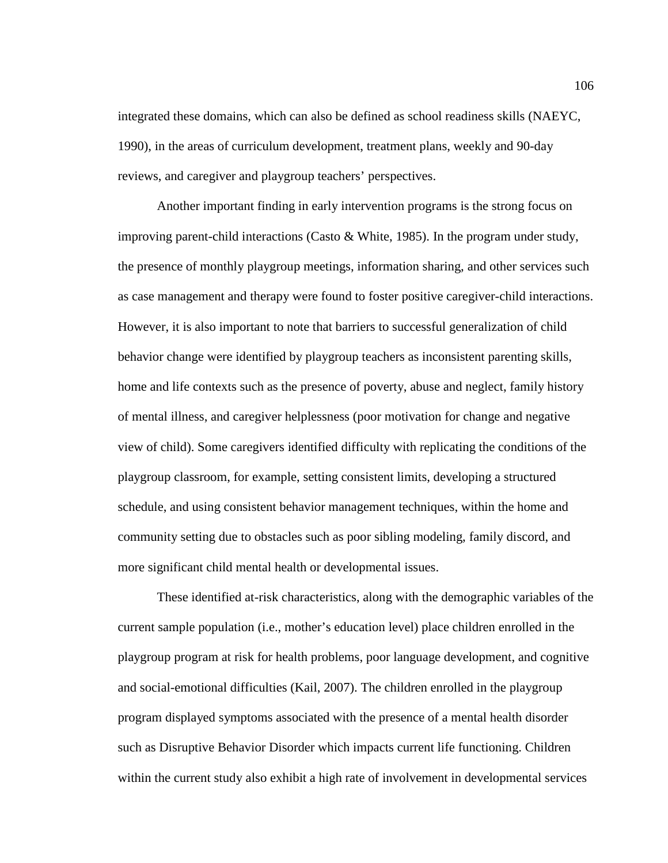integrated these domains, which can also be defined as school readiness skills (NAEYC, 1990), in the areas of curriculum development, treatment plans, weekly and 90-day reviews, and caregiver and playgroup teachers' perspectives.

Another important finding in early intervention programs is the strong focus on improving parent-child interactions (Casto & White, 1985). In the program under study, the presence of monthly playgroup meetings, information sharing, and other services such as case management and therapy were found to foster positive caregiver-child interactions. However, it is also important to note that barriers to successful generalization of child behavior change were identified by playgroup teachers as inconsistent parenting skills, home and life contexts such as the presence of poverty, abuse and neglect, family history of mental illness, and caregiver helplessness (poor motivation for change and negative view of child). Some caregivers identified difficulty with replicating the conditions of the playgroup classroom, for example, setting consistent limits, developing a structured schedule, and using consistent behavior management techniques, within the home and community setting due to obstacles such as poor sibling modeling, family discord, and more significant child mental health or developmental issues.

These identified at-risk characteristics, along with the demographic variables of the current sample population (i.e., mother's education level) place children enrolled in the playgroup program at risk for health problems, poor language development, and cognitive and social-emotional difficulties (Kail, 2007). The children enrolled in the playgroup program displayed symptoms associated with the presence of a mental health disorder such as Disruptive Behavior Disorder which impacts current life functioning. Children within the current study also exhibit a high rate of involvement in developmental services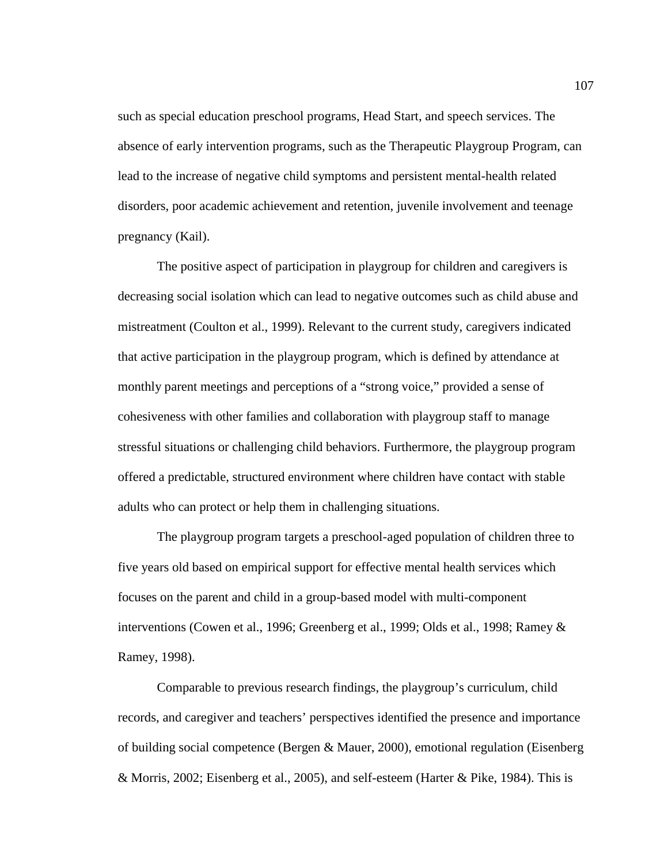such as special education preschool programs, Head Start, and speech services. The absence of early intervention programs, such as the Therapeutic Playgroup Program, can lead to the increase of negative child symptoms and persistent mental-health related disorders, poor academic achievement and retention, juvenile involvement and teenage pregnancy (Kail).

The positive aspect of participation in playgroup for children and caregivers is decreasing social isolation which can lead to negative outcomes such as child abuse and mistreatment (Coulton et al., 1999). Relevant to the current study, caregivers indicated that active participation in the playgroup program, which is defined by attendance at monthly parent meetings and perceptions of a "strong voice," provided a sense of cohesiveness with other families and collaboration with playgroup staff to manage stressful situations or challenging child behaviors. Furthermore, the playgroup program offered a predictable, structured environment where children have contact with stable adults who can protect or help them in challenging situations.

The playgroup program targets a preschool-aged population of children three to five years old based on empirical support for effective mental health services which focuses on the parent and child in a group-based model with multi-component interventions (Cowen et al., 1996; Greenberg et al., 1999; Olds et al., 1998; Ramey & Ramey, 1998).

Comparable to previous research findings, the playgroup's curriculum, child records, and caregiver and teachers' perspectives identified the presence and importance of building social competence (Bergen & Mauer, 2000), emotional regulation (Eisenberg & Morris, 2002; Eisenberg et al., 2005), and self-esteem (Harter & Pike, 1984). This is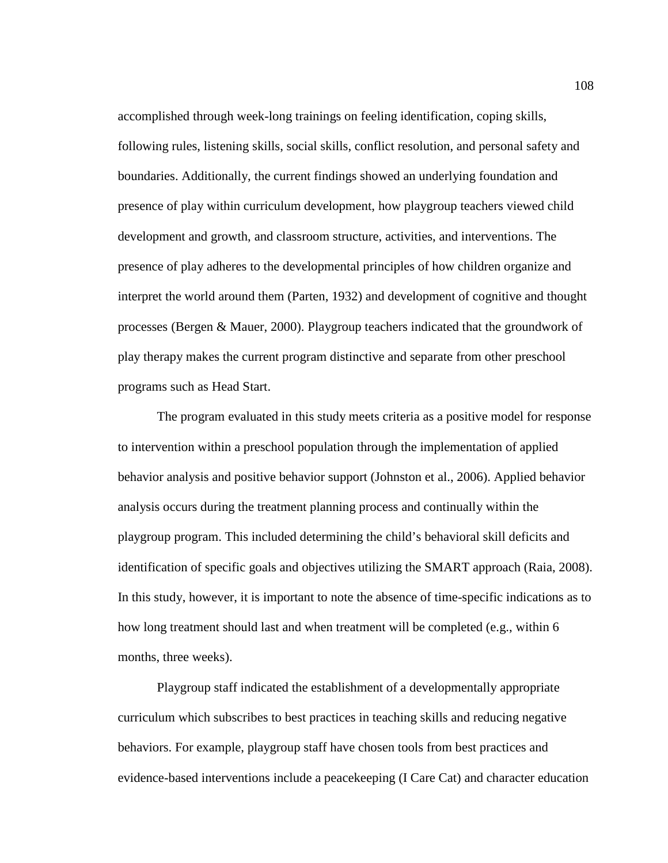accomplished through week-long trainings on feeling identification, coping skills, following rules, listening skills, social skills, conflict resolution, and personal safety and boundaries. Additionally, the current findings showed an underlying foundation and presence of play within curriculum development, how playgroup teachers viewed child development and growth, and classroom structure, activities, and interventions. The presence of play adheres to the developmental principles of how children organize and interpret the world around them (Parten, 1932) and development of cognitive and thought processes (Bergen & Mauer, 2000). Playgroup teachers indicated that the groundwork of play therapy makes the current program distinctive and separate from other preschool programs such as Head Start.

The program evaluated in this study meets criteria as a positive model for response to intervention within a preschool population through the implementation of applied behavior analysis and positive behavior support (Johnston et al., 2006). Applied behavior analysis occurs during the treatment planning process and continually within the playgroup program. This included determining the child's behavioral skill deficits and identification of specific goals and objectives utilizing the SMART approach (Raia, 2008). In this study, however, it is important to note the absence of time-specific indications as to how long treatment should last and when treatment will be completed (e.g., within 6 months, three weeks).

Playgroup staff indicated the establishment of a developmentally appropriate curriculum which subscribes to best practices in teaching skills and reducing negative behaviors. For example, playgroup staff have chosen tools from best practices and evidence-based interventions include a peacekeeping (I Care Cat) and character education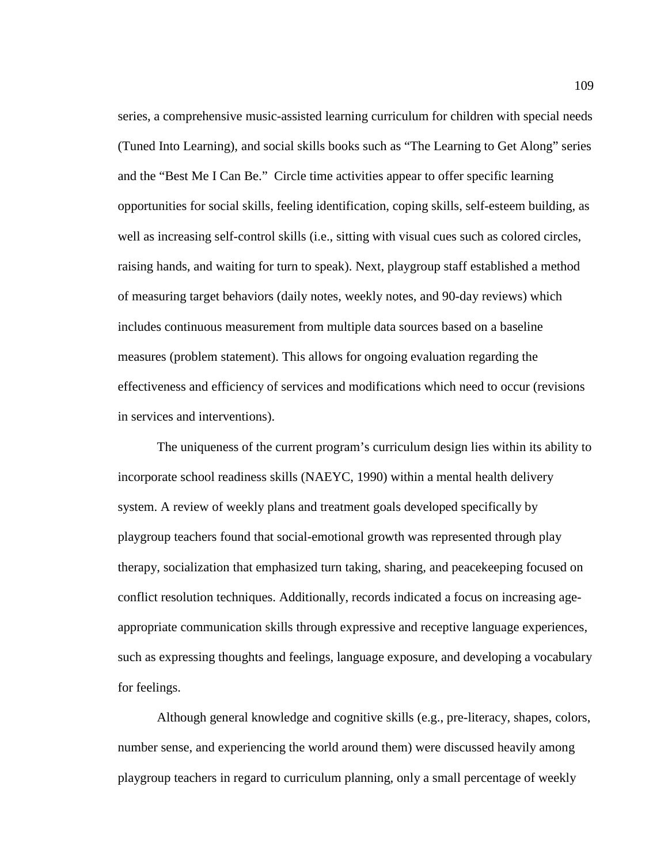series, a comprehensive music-assisted learning curriculum for children with special needs (Tuned Into Learning), and social skills books such as "The Learning to Get Along" series and the "Best Me I Can Be." Circle time activities appear to offer specific learning opportunities for social skills, feeling identification, coping skills, self-esteem building, as well as increasing self-control skills (i.e., sitting with visual cues such as colored circles, raising hands, and waiting for turn to speak). Next, playgroup staff established a method of measuring target behaviors (daily notes, weekly notes, and 90-day reviews) which includes continuous measurement from multiple data sources based on a baseline measures (problem statement). This allows for ongoing evaluation regarding the effectiveness and efficiency of services and modifications which need to occur (revisions in services and interventions).

The uniqueness of the current program's curriculum design lies within its ability to incorporate school readiness skills (NAEYC, 1990) within a mental health delivery system. A review of weekly plans and treatment goals developed specifically by playgroup teachers found that social-emotional growth was represented through play therapy, socialization that emphasized turn taking, sharing, and peacekeeping focused on conflict resolution techniques. Additionally, records indicated a focus on increasing ageappropriate communication skills through expressive and receptive language experiences, such as expressing thoughts and feelings, language exposure, and developing a vocabulary for feelings.

Although general knowledge and cognitive skills (e.g., pre-literacy, shapes, colors, number sense, and experiencing the world around them) were discussed heavily among playgroup teachers in regard to curriculum planning, only a small percentage of weekly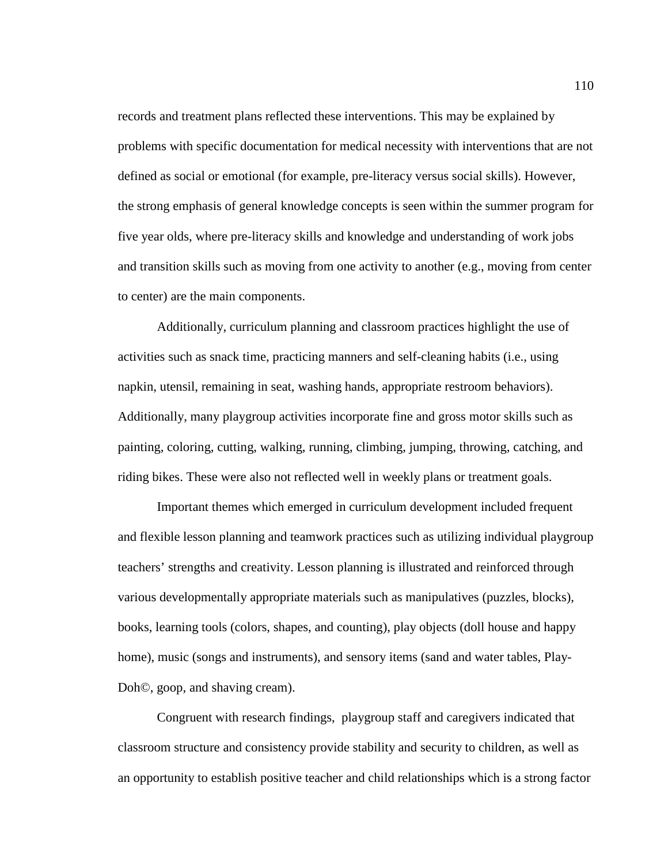records and treatment plans reflected these interventions. This may be explained by problems with specific documentation for medical necessity with interventions that are not defined as social or emotional (for example, pre-literacy versus social skills). However, the strong emphasis of general knowledge concepts is seen within the summer program for five year olds, where pre-literacy skills and knowledge and understanding of work jobs and transition skills such as moving from one activity to another (e.g., moving from center to center) are the main components.

Additionally, curriculum planning and classroom practices highlight the use of activities such as snack time, practicing manners and self-cleaning habits (i.e., using napkin, utensil, remaining in seat, washing hands, appropriate restroom behaviors). Additionally, many playgroup activities incorporate fine and gross motor skills such as painting, coloring, cutting, walking, running, climbing, jumping, throwing, catching, and riding bikes. These were also not reflected well in weekly plans or treatment goals.

 Important themes which emerged in curriculum development included frequent and flexible lesson planning and teamwork practices such as utilizing individual playgroup teachers' strengths and creativity. Lesson planning is illustrated and reinforced through various developmentally appropriate materials such as manipulatives (puzzles, blocks), books, learning tools (colors, shapes, and counting), play objects (doll house and happy home), music (songs and instruments), and sensory items (sand and water tables, Play-Doh©, goop, and shaving cream).

Congruent with research findings, playgroup staff and caregivers indicated that classroom structure and consistency provide stability and security to children, as well as an opportunity to establish positive teacher and child relationships which is a strong factor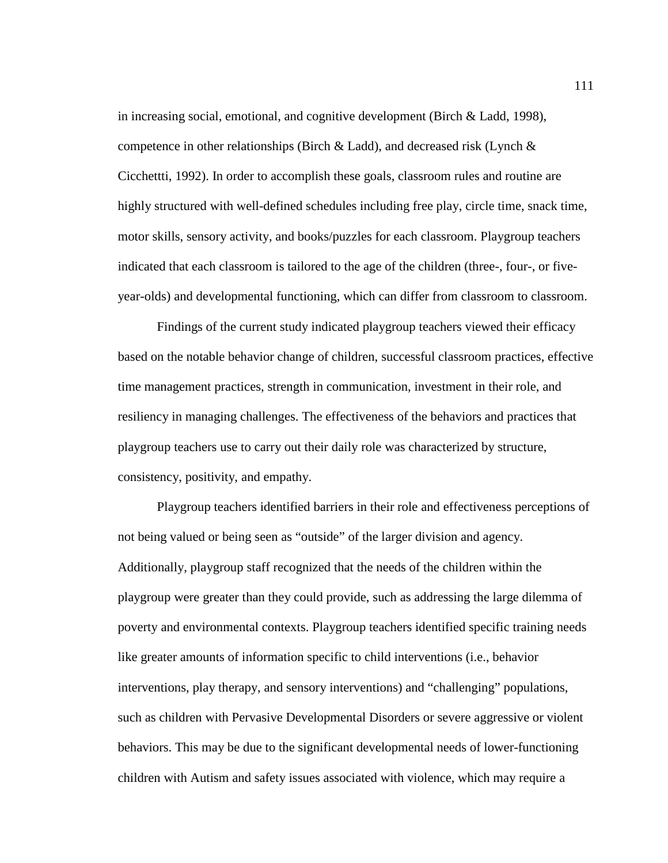in increasing social, emotional, and cognitive development (Birch & Ladd, 1998), competence in other relationships (Birch & Ladd), and decreased risk (Lynch & Cicchettti, 1992). In order to accomplish these goals, classroom rules and routine are highly structured with well-defined schedules including free play, circle time, snack time, motor skills, sensory activity, and books/puzzles for each classroom. Playgroup teachers indicated that each classroom is tailored to the age of the children (three-, four-, or fiveyear-olds) and developmental functioning, which can differ from classroom to classroom.

Findings of the current study indicated playgroup teachers viewed their efficacy based on the notable behavior change of children, successful classroom practices, effective time management practices, strength in communication, investment in their role, and resiliency in managing challenges. The effectiveness of the behaviors and practices that playgroup teachers use to carry out their daily role was characterized by structure, consistency, positivity, and empathy.

Playgroup teachers identified barriers in their role and effectiveness perceptions of not being valued or being seen as "outside" of the larger division and agency. Additionally, playgroup staff recognized that the needs of the children within the playgroup were greater than they could provide, such as addressing the large dilemma of poverty and environmental contexts. Playgroup teachers identified specific training needs like greater amounts of information specific to child interventions (i.e., behavior interventions, play therapy, and sensory interventions) and "challenging" populations, such as children with Pervasive Developmental Disorders or severe aggressive or violent behaviors. This may be due to the significant developmental needs of lower-functioning children with Autism and safety issues associated with violence, which may require a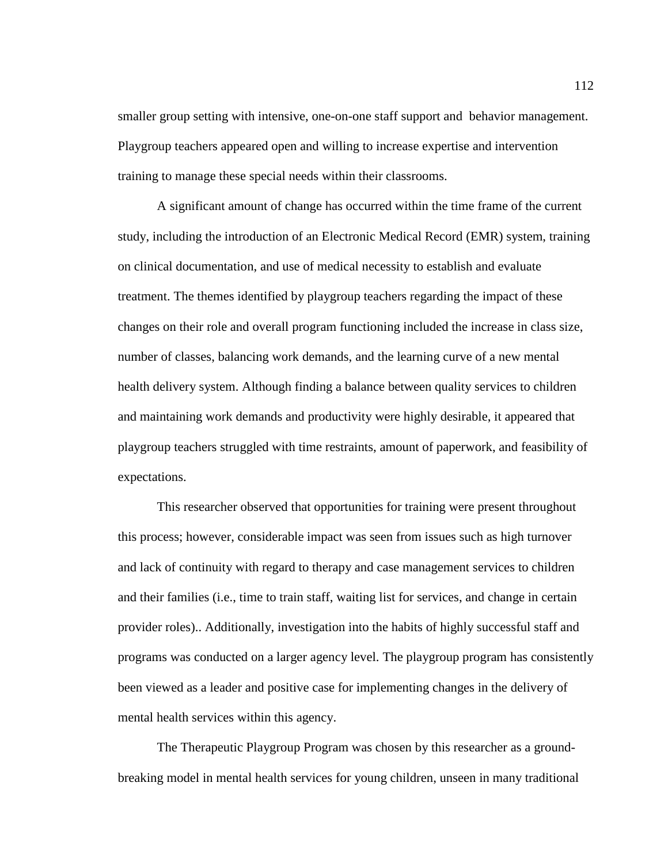smaller group setting with intensive, one-on-one staff support and behavior management. Playgroup teachers appeared open and willing to increase expertise and intervention training to manage these special needs within their classrooms.

 A significant amount of change has occurred within the time frame of the current study, including the introduction of an Electronic Medical Record (EMR) system, training on clinical documentation, and use of medical necessity to establish and evaluate treatment. The themes identified by playgroup teachers regarding the impact of these changes on their role and overall program functioning included the increase in class size, number of classes, balancing work demands, and the learning curve of a new mental health delivery system. Although finding a balance between quality services to children and maintaining work demands and productivity were highly desirable, it appeared that playgroup teachers struggled with time restraints, amount of paperwork, and feasibility of expectations.

 This researcher observed that opportunities for training were present throughout this process; however, considerable impact was seen from issues such as high turnover and lack of continuity with regard to therapy and case management services to children and their families (i.e., time to train staff, waiting list for services, and change in certain provider roles).. Additionally, investigation into the habits of highly successful staff and programs was conducted on a larger agency level. The playgroup program has consistently been viewed as a leader and positive case for implementing changes in the delivery of mental health services within this agency.

The Therapeutic Playgroup Program was chosen by this researcher as a groundbreaking model in mental health services for young children, unseen in many traditional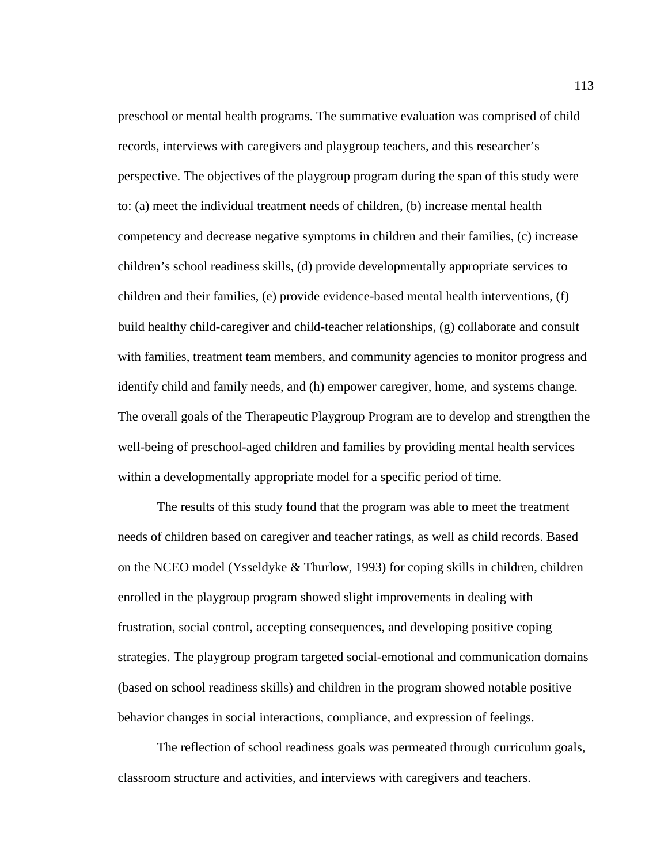preschool or mental health programs. The summative evaluation was comprised of child records, interviews with caregivers and playgroup teachers, and this researcher's perspective. The objectives of the playgroup program during the span of this study were to: (a) meet the individual treatment needs of children, (b) increase mental health competency and decrease negative symptoms in children and their families, (c) increase children's school readiness skills, (d) provide developmentally appropriate services to children and their families, (e) provide evidence-based mental health interventions, (f) build healthy child-caregiver and child-teacher relationships, (g) collaborate and consult with families, treatment team members, and community agencies to monitor progress and identify child and family needs, and (h) empower caregiver, home, and systems change. The overall goals of the Therapeutic Playgroup Program are to develop and strengthen the well-being of preschool-aged children and families by providing mental health services within a developmentally appropriate model for a specific period of time.

The results of this study found that the program was able to meet the treatment needs of children based on caregiver and teacher ratings, as well as child records. Based on the NCEO model (Ysseldyke & Thurlow, 1993) for coping skills in children, children enrolled in the playgroup program showed slight improvements in dealing with frustration, social control, accepting consequences, and developing positive coping strategies. The playgroup program targeted social-emotional and communication domains (based on school readiness skills) and children in the program showed notable positive behavior changes in social interactions, compliance, and expression of feelings.

The reflection of school readiness goals was permeated through curriculum goals, classroom structure and activities, and interviews with caregivers and teachers.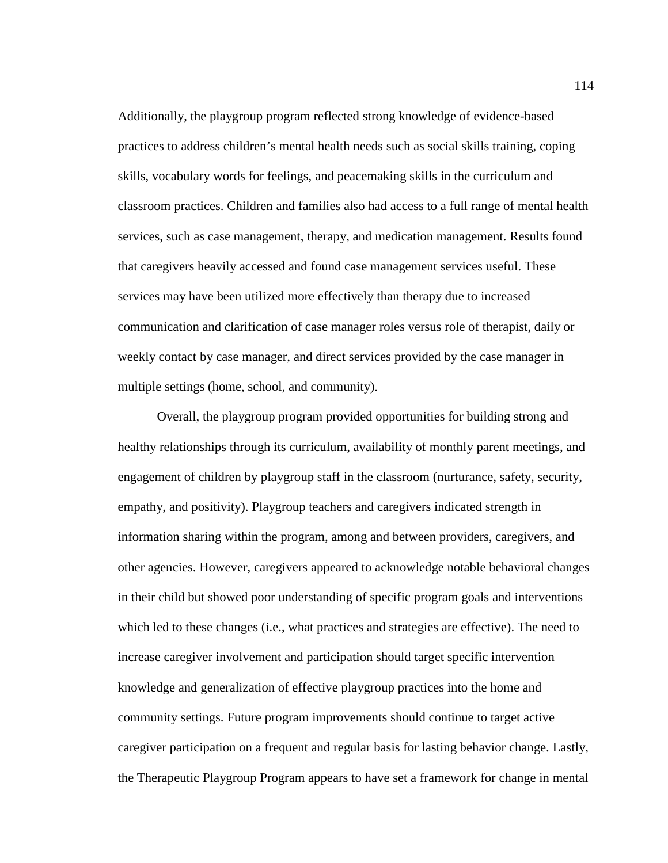Additionally, the playgroup program reflected strong knowledge of evidence-based practices to address children's mental health needs such as social skills training, coping skills, vocabulary words for feelings, and peacemaking skills in the curriculum and classroom practices. Children and families also had access to a full range of mental health services, such as case management, therapy, and medication management. Results found that caregivers heavily accessed and found case management services useful. These services may have been utilized more effectively than therapy due to increased communication and clarification of case manager roles versus role of therapist, daily or weekly contact by case manager, and direct services provided by the case manager in multiple settings (home, school, and community).

Overall, the playgroup program provided opportunities for building strong and healthy relationships through its curriculum, availability of monthly parent meetings, and engagement of children by playgroup staff in the classroom (nurturance, safety, security, empathy, and positivity). Playgroup teachers and caregivers indicated strength in information sharing within the program, among and between providers, caregivers, and other agencies. However, caregivers appeared to acknowledge notable behavioral changes in their child but showed poor understanding of specific program goals and interventions which led to these changes (i.e., what practices and strategies are effective). The need to increase caregiver involvement and participation should target specific intervention knowledge and generalization of effective playgroup practices into the home and community settings. Future program improvements should continue to target active caregiver participation on a frequent and regular basis for lasting behavior change. Lastly, the Therapeutic Playgroup Program appears to have set a framework for change in mental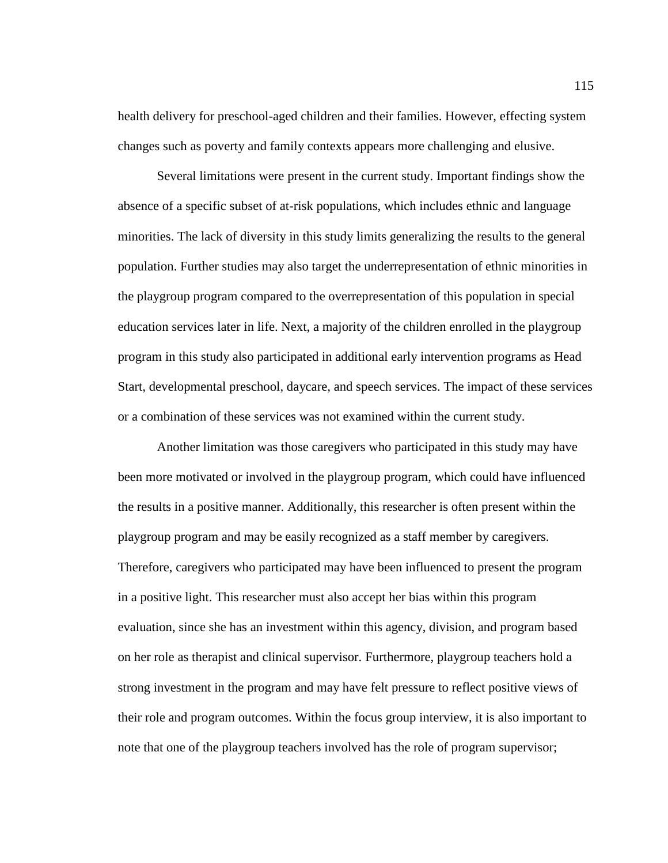health delivery for preschool-aged children and their families. However, effecting system changes such as poverty and family contexts appears more challenging and elusive.

Several limitations were present in the current study. Important findings show the absence of a specific subset of at-risk populations, which includes ethnic and language minorities. The lack of diversity in this study limits generalizing the results to the general population. Further studies may also target the underrepresentation of ethnic minorities in the playgroup program compared to the overrepresentation of this population in special education services later in life. Next, a majority of the children enrolled in the playgroup program in this study also participated in additional early intervention programs as Head Start, developmental preschool, daycare, and speech services. The impact of these services or a combination of these services was not examined within the current study.

Another limitation was those caregivers who participated in this study may have been more motivated or involved in the playgroup program, which could have influenced the results in a positive manner. Additionally, this researcher is often present within the playgroup program and may be easily recognized as a staff member by caregivers. Therefore, caregivers who participated may have been influenced to present the program in a positive light. This researcher must also accept her bias within this program evaluation, since she has an investment within this agency, division, and program based on her role as therapist and clinical supervisor. Furthermore, playgroup teachers hold a strong investment in the program and may have felt pressure to reflect positive views of their role and program outcomes. Within the focus group interview, it is also important to note that one of the playgroup teachers involved has the role of program supervisor;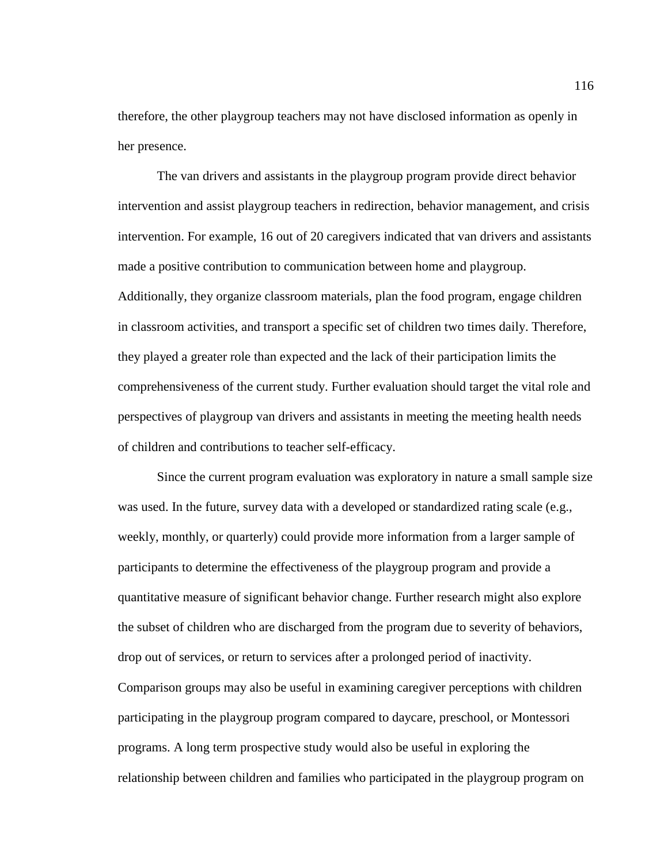therefore, the other playgroup teachers may not have disclosed information as openly in her presence.

The van drivers and assistants in the playgroup program provide direct behavior intervention and assist playgroup teachers in redirection, behavior management, and crisis intervention. For example, 16 out of 20 caregivers indicated that van drivers and assistants made a positive contribution to communication between home and playgroup. Additionally, they organize classroom materials, plan the food program, engage children in classroom activities, and transport a specific set of children two times daily. Therefore, they played a greater role than expected and the lack of their participation limits the comprehensiveness of the current study. Further evaluation should target the vital role and perspectives of playgroup van drivers and assistants in meeting the meeting health needs of children and contributions to teacher self-efficacy.

Since the current program evaluation was exploratory in nature a small sample size was used. In the future, survey data with a developed or standardized rating scale (e.g., weekly, monthly, or quarterly) could provide more information from a larger sample of participants to determine the effectiveness of the playgroup program and provide a quantitative measure of significant behavior change. Further research might also explore the subset of children who are discharged from the program due to severity of behaviors, drop out of services, or return to services after a prolonged period of inactivity. Comparison groups may also be useful in examining caregiver perceptions with children participating in the playgroup program compared to daycare, preschool, or Montessori programs. A long term prospective study would also be useful in exploring the relationship between children and families who participated in the playgroup program on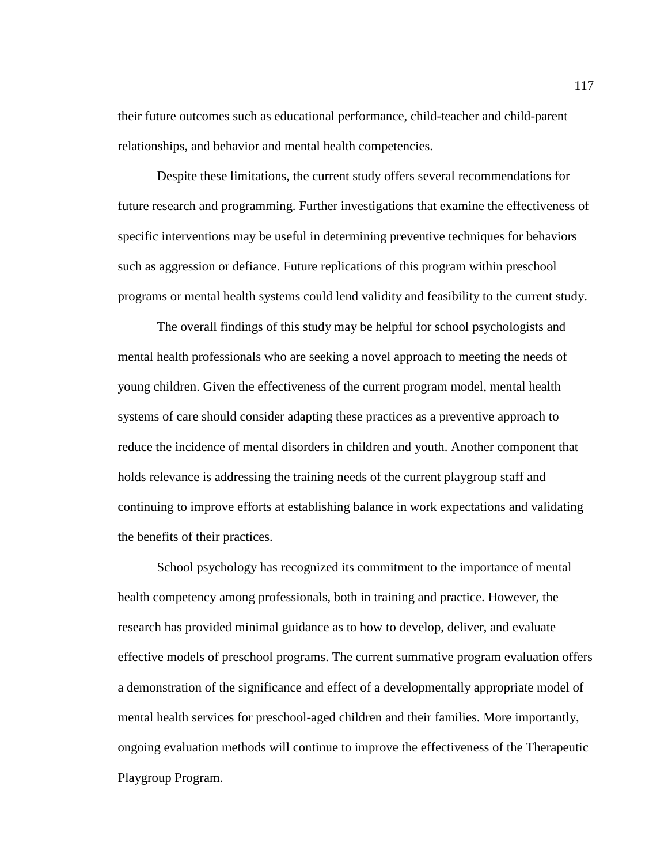their future outcomes such as educational performance, child-teacher and child-parent relationships, and behavior and mental health competencies.

Despite these limitations, the current study offers several recommendations for future research and programming. Further investigations that examine the effectiveness of specific interventions may be useful in determining preventive techniques for behaviors such as aggression or defiance. Future replications of this program within preschool programs or mental health systems could lend validity and feasibility to the current study.

The overall findings of this study may be helpful for school psychologists and mental health professionals who are seeking a novel approach to meeting the needs of young children. Given the effectiveness of the current program model, mental health systems of care should consider adapting these practices as a preventive approach to reduce the incidence of mental disorders in children and youth. Another component that holds relevance is addressing the training needs of the current playgroup staff and continuing to improve efforts at establishing balance in work expectations and validating the benefits of their practices.

School psychology has recognized its commitment to the importance of mental health competency among professionals, both in training and practice. However, the research has provided minimal guidance as to how to develop, deliver, and evaluate effective models of preschool programs. The current summative program evaluation offers a demonstration of the significance and effect of a developmentally appropriate model of mental health services for preschool-aged children and their families. More importantly, ongoing evaluation methods will continue to improve the effectiveness of the Therapeutic Playgroup Program.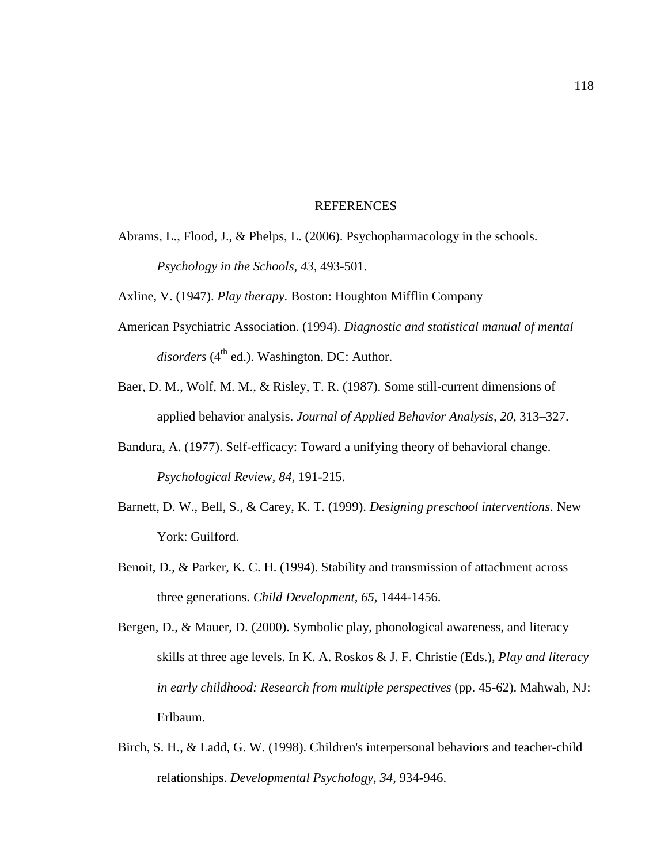#### **REFERENCES**

Abrams, L., Flood, J., & Phelps, L. (2006). Psychopharmacology in the schools. *Psychology in the Schools, 43,* 493-501.

Axline, V. (1947). *Play therapy.* Boston: Houghton Mifflin Company

- American Psychiatric Association. (1994). *Diagnostic and statistical manual of mental*  disorders (4<sup>th</sup> ed.). Washington, DC: Author.
- Baer, D. M., Wolf, M. M., & Risley, T. R. (1987). Some still-current dimensions of applied behavior analysis. *Journal of Applied Behavior Analysis, 20*, 313–327.
- Bandura, A. (1977). Self-efficacy: Toward a unifying theory of behavioral change. *Psychological Review, 84,* 191-215.
- Barnett, D. W., Bell, S., & Carey, K. T. (1999). *Designing preschool interventions*. New York: Guilford.
- Benoit, D., & Parker, K. C. H. (1994). Stability and transmission of attachment across three generations. *Child Development, 65,* 1444-1456.
- Bergen, D., & Mauer, D. (2000). Symbolic play, phonological awareness, and literacy skills at three age levels. In K. A. Roskos & J. F. Christie (Eds.), *Play and literacy in early childhood: Research from multiple perspectives* (pp. 45-62). Mahwah, NJ: Erlbaum.
- Birch, S. H., & Ladd, G. W. (1998). Children's interpersonal behaviors and teacher-child relationships. *Developmental Psychology, 34,* 934-946.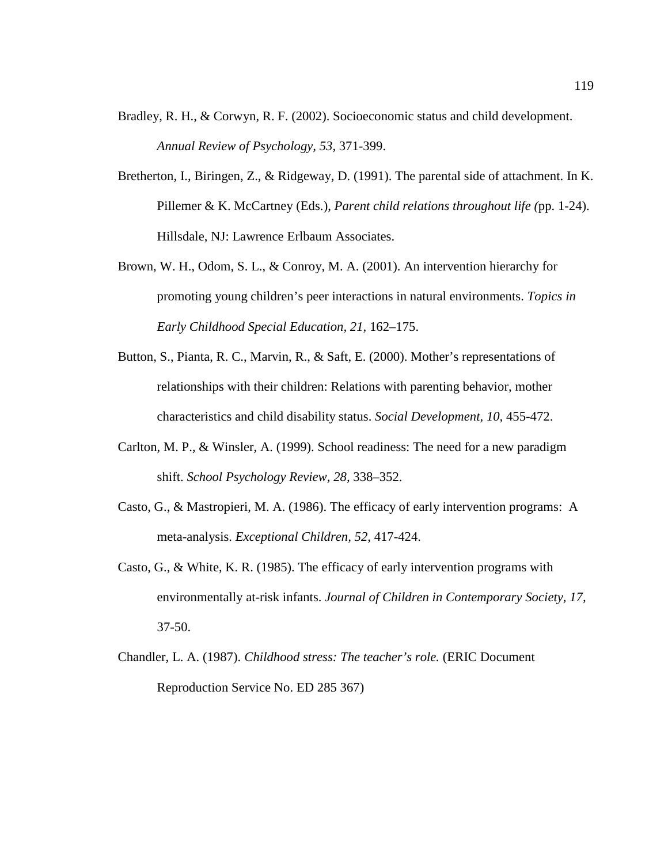- Bradley, R. H., & Corwyn, R. F. (2002). Socioeconomic status and child development. *Annual Review of Psychology, 53,* 371-399.
- Bretherton, I., Biringen, Z., & Ridgeway, D. (1991). The parental side of attachment. In K. Pillemer & K. McCartney (Eds.), *Parent child relations throughout life (*pp. 1-24). Hillsdale, NJ: Lawrence Erlbaum Associates.
- Brown, W. H., Odom, S. L., & Conroy, M. A. (2001). An intervention hierarchy for promoting young children's peer interactions in natural environments. *Topics in Early Childhood Special Education, 21,* 162–175.
- Button, S., Pianta, R. C., Marvin, R., & Saft, E. (2000). Mother's representations of relationships with their children: Relations with parenting behavior, mother characteristics and child disability status. *Social Development, 10,* 455-472.
- Carlton, M. P., & Winsler, A. (1999). School readiness: The need for a new paradigm shift. *School Psychology Review, 28,* 338–352.
- Casto, G., & Mastropieri, M. A. (1986). The efficacy of early intervention programs: A meta-analysis. *Exceptional Children, 52,* 417-424.
- Casto, G., & White, K. R. (1985). The efficacy of early intervention programs with environmentally at-risk infants. *Journal of Children in Contemporary Society, 17,*  37-50.
- Chandler, L. A. (1987). *Childhood stress: The teacher's role.* (ERIC Document Reproduction Service No. ED 285 367)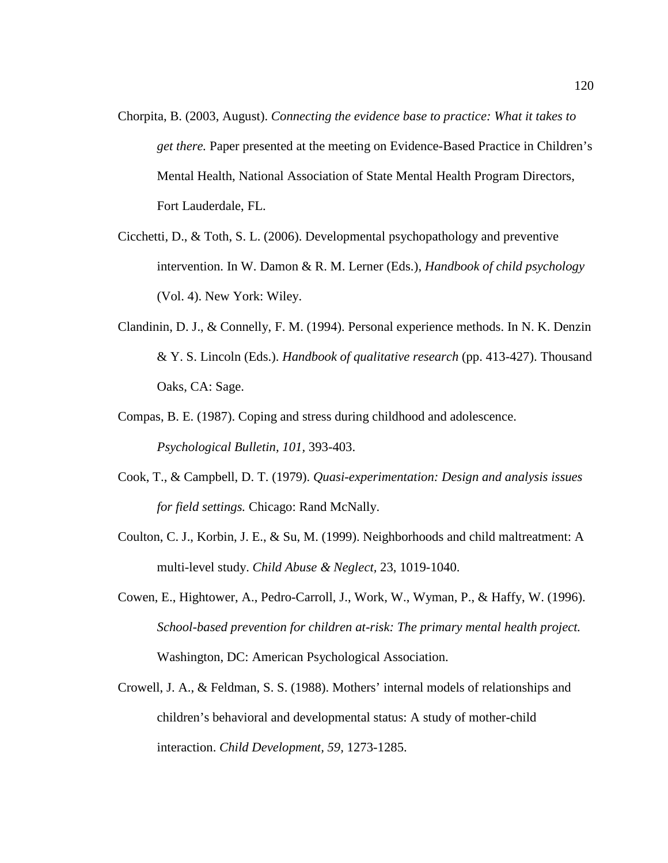- Chorpita, B. (2003, August). *Connecting the evidence base to practice: What it takes to get there.* Paper presented at the meeting on Evidence-Based Practice in Children's Mental Health, National Association of State Mental Health Program Directors, Fort Lauderdale, FL.
- Cicchetti, D., & Toth, S. L. (2006). Developmental psychopathology and preventive intervention. In W. Damon & R. M. Lerner (Eds.), *Handbook of child psychology*  (Vol. 4). New York: Wiley.
- Clandinin, D. J., & Connelly, F. M. (1994). Personal experience methods. In N. K. Denzin & Y. S. Lincoln (Eds.). *Handbook of qualitative research* (pp. 413-427). Thousand Oaks, CA: Sage.
- Compas, B. E. (1987). Coping and stress during childhood and adolescence. *Psychological Bulletin, 101,* 393-403.
- Cook, T., & Campbell, D. T. (1979). *Quasi-experimentation: Design and analysis issues for field settings.* Chicago: Rand McNally.
- Coulton, C. J., Korbin, J. E., & Su, M. (1999). Neighborhoods and child maltreatment: A multi-level study. *Child Abuse & Neglect,* 23, 1019-1040.
- Cowen, E., Hightower, A., Pedro-Carroll, J., Work, W., Wyman, P., & Haffy, W. (1996). *School-based prevention for children at-risk: The primary mental health project.*  Washington, DC: American Psychological Association.
- Crowell, J. A., & Feldman, S. S. (1988). Mothers' internal models of relationships and children's behavioral and developmental status: A study of mother-child interaction. *Child Development, 59,* 1273-1285.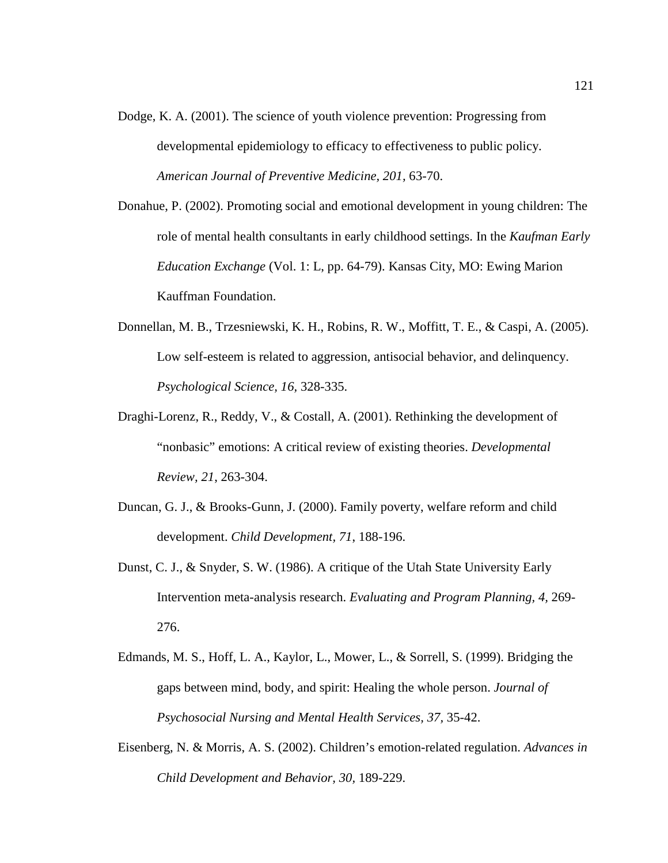- Dodge, K. A. (2001). The science of youth violence prevention: Progressing from developmental epidemiology to efficacy to effectiveness to public policy. *American Journal of Preventive Medicine, 201,* 63-70.
- Donahue, P. (2002). Promoting social and emotional development in young children: The role of mental health consultants in early childhood settings. In the *Kaufman Early Education Exchange* (Vol. 1: L, pp. 64-79). Kansas City, MO: Ewing Marion Kauffman Foundation.
- Donnellan, M. B., Trzesniewski, K. H., Robins, R. W., Moffitt, T. E., & Caspi, A. (2005). Low self-esteem is related to aggression, antisocial behavior, and delinquency. *Psychological Science, 16,* 328-335.
- Draghi-Lorenz, R., Reddy, V., & Costall, A. (2001). Rethinking the development of "nonbasic" emotions: A critical review of existing theories. *Developmental Review, 21*, 263-304.
- Duncan, G. J., & Brooks-Gunn, J. (2000). Family poverty, welfare reform and child development. *Child Development, 71*, 188-196.
- Dunst, C. J., & Snyder, S. W. (1986). A critique of the Utah State University Early Intervention meta-analysis research. *Evaluating and Program Planning, 4,* 269- 276.
- Edmands, M. S., Hoff, L. A., Kaylor, L., Mower, L., & Sorrell, S. (1999). Bridging the gaps between mind, body, and spirit: Healing the whole person. *Journal of Psychosocial Nursing and Mental Health Services, 37,* 35-42.
- Eisenberg, N. & Morris, A. S. (2002). Children's emotion-related regulation. *Advances in Child Development and Behavior, 30,* 189-229.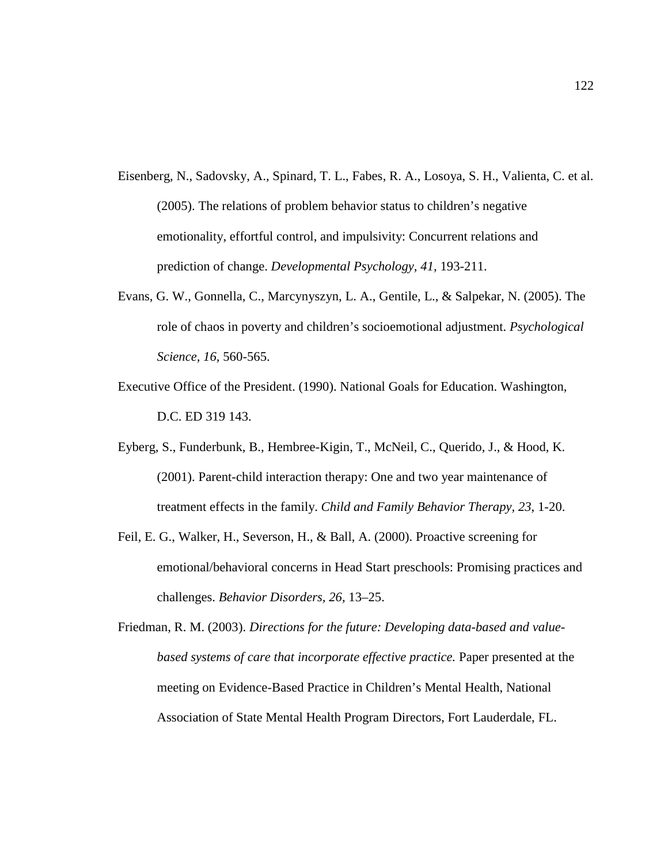- Eisenberg, N., Sadovsky, A., Spinard, T. L., Fabes, R. A., Losoya, S. H., Valienta, C. et al. (2005). The relations of problem behavior status to children's negative emotionality, effortful control, and impulsivity: Concurrent relations and prediction of change. *Developmental Psychology, 41,* 193-211.
- Evans, G. W., Gonnella, C., Marcynyszyn, L. A., Gentile, L., & Salpekar, N. (2005). The role of chaos in poverty and children's socioemotional adjustment. *Psychological Science, 16,* 560-565.
- Executive Office of the President. (1990). National Goals for Education. Washington, D.C. ED 319 143.
- Eyberg, S., Funderbunk, B., Hembree-Kigin, T., McNeil, C., Querido, J., & Hood, K. (2001). Parent-child interaction therapy: One and two year maintenance of treatment effects in the family. *Child and Family Behavior Therapy, 23*, 1-20.
- Feil, E. G., Walker, H., Severson, H., & Ball, A. (2000). Proactive screening for emotional/behavioral concerns in Head Start preschools: Promising practices and challenges. *Behavior Disorders, 26,* 13–25.
- Friedman, R. M. (2003). *Directions for the future: Developing data-based and valuebased systems of care that incorporate effective practice.* Paper presented at the meeting on Evidence-Based Practice in Children's Mental Health, National Association of State Mental Health Program Directors, Fort Lauderdale, FL.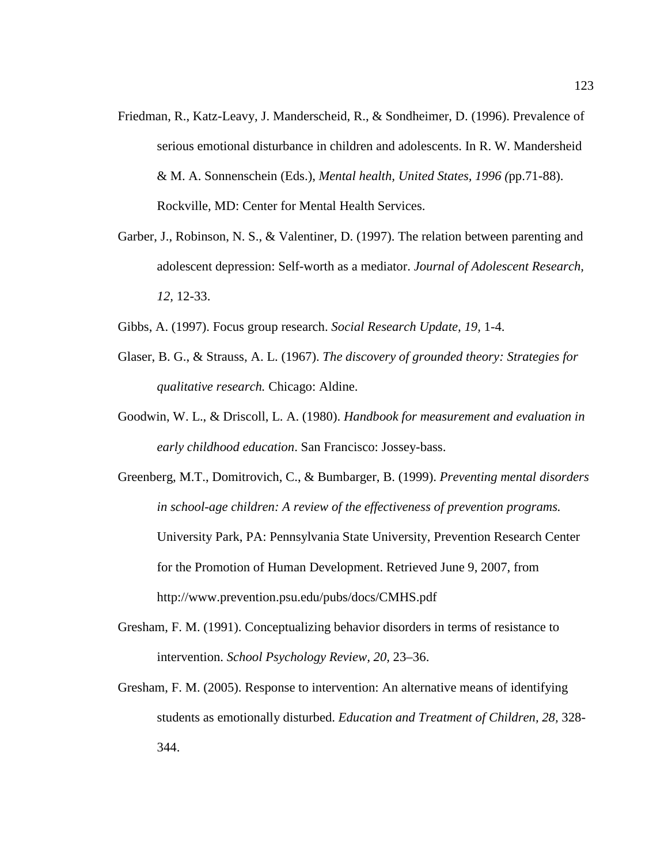- Friedman, R., Katz-Leavy, J. Manderscheid, R., & Sondheimer, D. (1996). Prevalence of serious emotional disturbance in children and adolescents. In R. W. Mandersheid & M. A. Sonnenschein (Eds.), *Mental health, United States, 1996 (*pp.71-88). Rockville, MD: Center for Mental Health Services.
- Garber, J., Robinson, N. S., & Valentiner, D. (1997). The relation between parenting and adolescent depression: Self-worth as a mediator. *Journal of Adolescent Research, 12,* 12-33.
- Gibbs, A. (1997). Focus group research. *Social Research Update, 19,* 1-4.
- Glaser, B. G., & Strauss, A. L. (1967). *The discovery of grounded theory: Strategies for qualitative research.* Chicago: Aldine.
- Goodwin, W. L., & Driscoll, L. A. (1980). *Handbook for measurement and evaluation in early childhood education*. San Francisco: Jossey-bass.
- Greenberg, M.T., Domitrovich, C., & Bumbarger, B. (1999). *Preventing mental disorders in school-age children: A review of the effectiveness of prevention programs.*  University Park, PA: Pennsylvania State University, Prevention Research Center for the Promotion of Human Development. Retrieved June 9, 2007, from http://www.prevention.psu.edu/pubs/docs/CMHS.pdf
- Gresham, F. M. (1991). Conceptualizing behavior disorders in terms of resistance to intervention. *School Psychology Review, 20,* 23–36.
- Gresham, F. M. (2005). Response to intervention: An alternative means of identifying students as emotionally disturbed. *Education and Treatment of Children, 28,* 328- 344.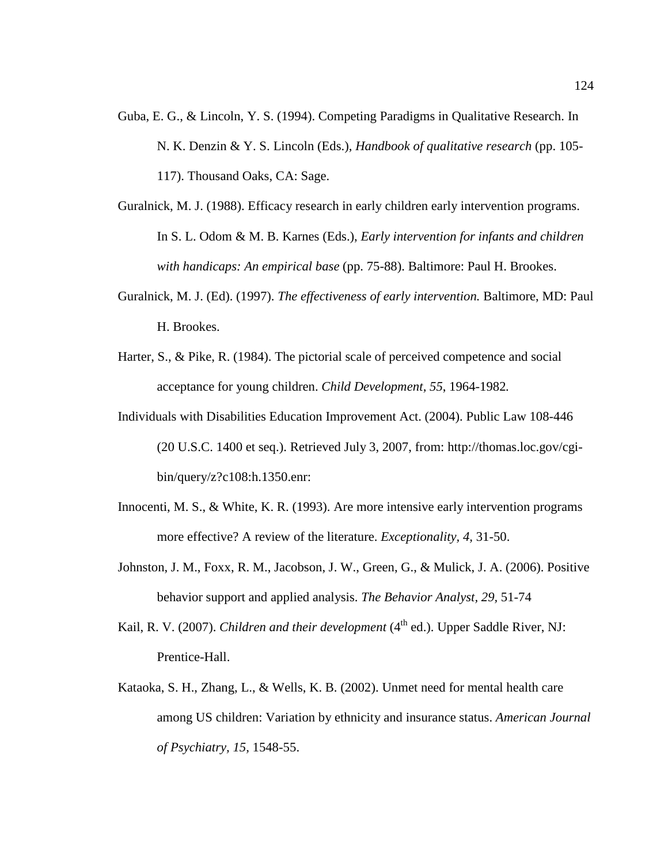- Guba, E. G., & Lincoln, Y. S. (1994). Competing Paradigms in Qualitative Research. In N. K. Denzin & Y. S. Lincoln (Eds.), *Handbook of qualitative research* (pp. 105- 117). Thousand Oaks, CA: Sage.
- Guralnick, M. J. (1988). Efficacy research in early children early intervention programs. In S. L. Odom & M. B. Karnes (Eds.), *Early intervention for infants and children with handicaps: An empirical base* (pp. 75-88). Baltimore: Paul H. Brookes.
- Guralnick, M. J. (Ed). (1997). *The effectiveness of early intervention.* Baltimore, MD: Paul H. Brookes.
- Harter, S., & Pike, R. (1984). The pictorial scale of perceived competence and social acceptance for young children. *Child Development, 55*, 1964-1982*.*
- Individuals with Disabilities Education Improvement Act. (2004). Public Law 108-446 (20 U.S.C. 1400 et seq.). Retrieved July 3, 2007, from: http://thomas.loc.gov/cgibin/query/z?c108:h.1350.enr:
- Innocenti, M. S., & White, K. R. (1993). Are more intensive early intervention programs more effective? A review of the literature. *Exceptionality, 4,* 31-50.
- Johnston, J. M., Foxx, R. M., Jacobson, J. W., Green, G., & Mulick, J. A. (2006). Positive behavior support and applied analysis. *The Behavior Analyst, 29,* 51-74
- Kail, R. V. (2007). *Children and their development* (4<sup>th</sup> ed.). Upper Saddle River, NJ: Prentice-Hall.
- Kataoka, S. H., Zhang, L., & Wells, K. B. (2002). Unmet need for mental health care among US children: Variation by ethnicity and insurance status. *American Journal of Psychiatry, 15,* 1548-55.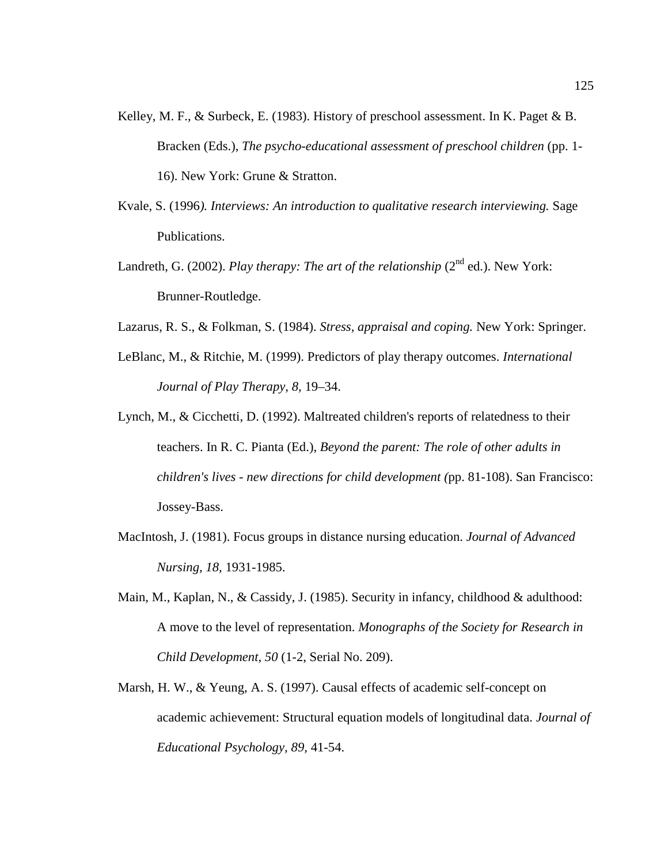- Kelley, M. F., & Surbeck, E. (1983). History of preschool assessment. In K. Paget & B. Bracken (Eds.), *The psycho-educational assessment of preschool children* (pp. 1-16). New York: Grune & Stratton.
- Kvale, S. (1996*). Interviews: An introduction to qualitative research interviewing.* Sage Publications.
- Landreth, G. (2002). *Play therapy: The art of the relationship* (2<sup>nd</sup> ed.). New York: Brunner-Routledge.
- Lazarus, R. S., & Folkman, S. (1984). *Stress, appraisal and coping.* New York: Springer.
- LeBlanc, M., & Ritchie, M. (1999). Predictors of play therapy outcomes. *International Journal of Play Therapy*, *8,* 19–34.
- Lynch, M., & Cicchetti, D. (1992). Maltreated children's reports of relatedness to their teachers. In R. C. Pianta (Ed.), *Beyond the parent: The role of other adults in children's lives - new directions for child development (*pp. 81-108). San Francisco: Jossey-Bass.
- MacIntosh, J. (1981). Focus groups in distance nursing education. *Journal of Advanced Nursing, 18,* 1931-1985.
- Main, M., Kaplan, N., & Cassidy, J. (1985). Security in infancy, childhood & adulthood: A move to the level of representation. *Monographs of the Society for Research in Child Development, 50* (1-2, Serial No. 209).
- Marsh, H. W., & Yeung, A. S. (1997). Causal effects of academic self-concept on academic achievement: Structural equation models of longitudinal data. *Journal of Educational Psychology, 89,* 41-54.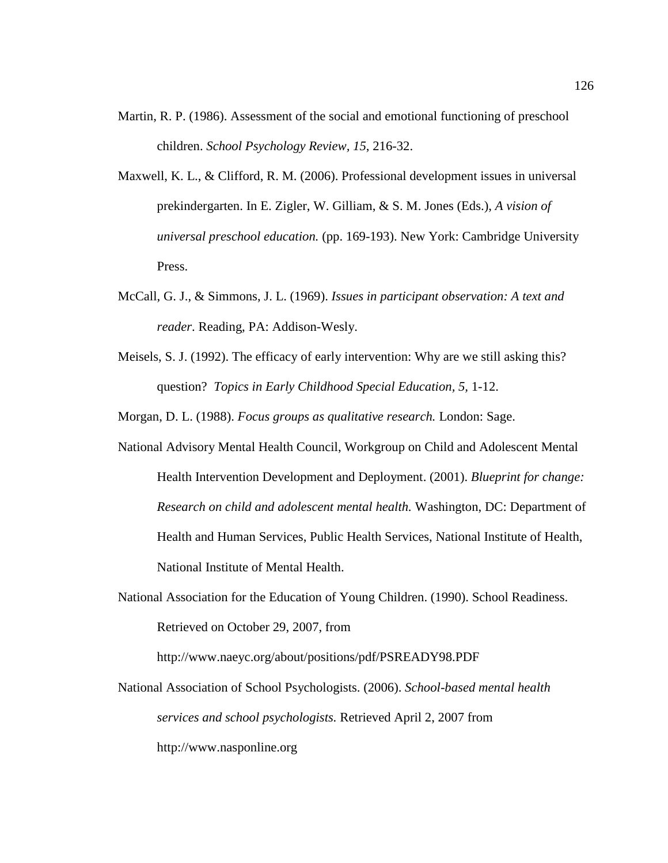- Martin, R. P. (1986). Assessment of the social and emotional functioning of preschool children. *School Psychology Review, 15*, 216-32.
- Maxwell, K. L., & Clifford, R. M. (2006). Professional development issues in universal prekindergarten. In E. Zigler, W. Gilliam, & S. M. Jones (Eds.), *A vision of universal preschool education.* (pp. 169-193). New York: Cambridge University Press.
- McCall, G. J., & Simmons, J. L. (1969). *Issues in participant observation: A text and reader*. Reading, PA: Addison-Wesly.
- Meisels, S. J. (1992). The efficacy of early intervention: Why are we still asking this? question? *Topics in Early Childhood Special Education, 5,* 1-12.

Morgan, D. L. (1988). *Focus groups as qualitative research.* London: Sage.

- National Advisory Mental Health Council, Workgroup on Child and Adolescent Mental Health Intervention Development and Deployment. (2001). *Blueprint for change: Research on child and adolescent mental health.* Washington, DC: Department of Health and Human Services, Public Health Services, National Institute of Health, National Institute of Mental Health.
- National Association for the Education of Young Children. (1990). School Readiness. Retrieved on October 29, 2007, from

http://www.naeyc.org/about/positions/pdf/PSREADY98.PDF

National Association of School Psychologists. (2006). *School-based mental health services and school psychologists.* Retrieved April 2, 2007 from http://www.nasponline.org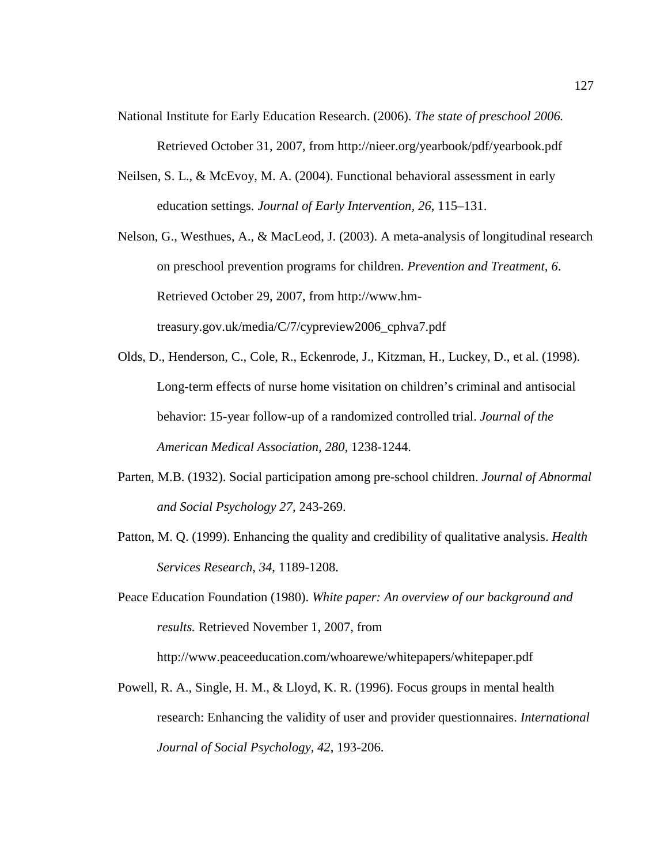- National Institute for Early Education Research. (2006). *The state of preschool 2006.*  Retrieved October 31, 2007, from http://nieer.org/yearbook/pdf/yearbook.pdf
- Neilsen, S. L., & McEvoy, M. A. (2004). Functional behavioral assessment in early education settings. *Journal of Early Intervention, 26*, 115–131.
- Nelson, G., Westhues, A., & MacLeod, J. (2003). A meta-analysis of longitudinal research on preschool prevention programs for children. *Prevention and Treatment, 6*. Retrieved October 29, 2007, from http://www.hmtreasury.gov.uk/media/C/7/cypreview2006\_cphva7.pdf
- Olds, D., Henderson, C., Cole, R., Eckenrode, J., Kitzman, H., Luckey, D., et al. (1998). Long-term effects of nurse home visitation on children's criminal and antisocial behavior: 15-year follow-up of a randomized controlled trial. *Journal of the American Medical Association, 280,* 1238-1244.
- Parten, M.B. (1932). Social participation among pre-school children. *Journal of Abnormal and Social Psychology 27,* 243-269.
- Patton, M. Q. (1999). Enhancing the quality and credibility of qualitative analysis. *Health Services Research, 34*, 1189-1208.
- Peace Education Foundation (1980). *White paper: An overview of our background and results.* Retrieved November 1, 2007, from

http://www.peaceeducation.com/whoarewe/whitepapers/whitepaper.pdf

Powell, R. A., Single, H. M., & Lloyd, K. R. (1996). Focus groups in mental health research: Enhancing the validity of user and provider questionnaires. *International Journal of Social Psychology, 42*, 193-206.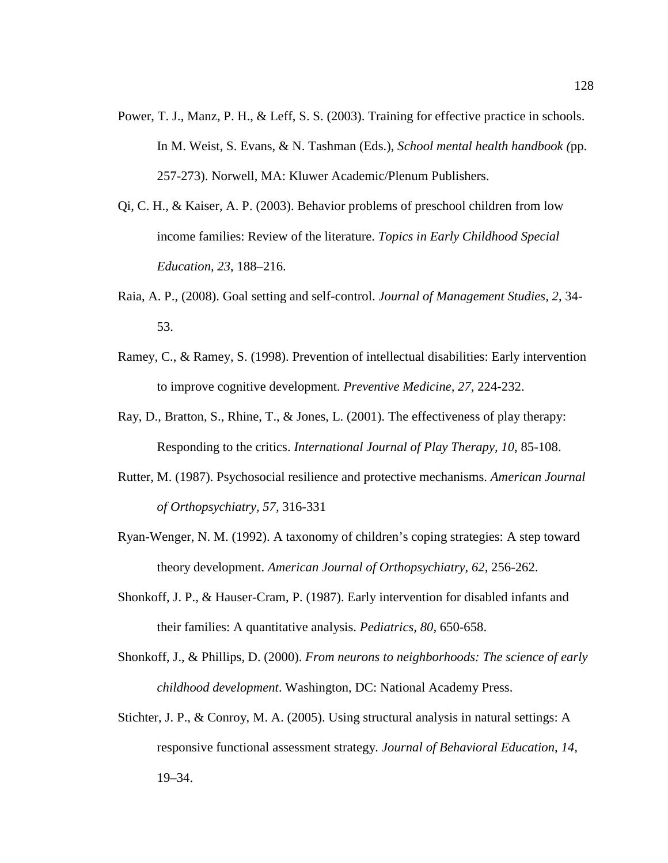- Power, T. J., Manz, P. H., & Leff, S. S. (2003). Training for effective practice in schools. In M. Weist, S. Evans, & N. Tashman (Eds.), *School mental health handbook (*pp. 257-273). Norwell, MA: Kluwer Academic/Plenum Publishers.
- Qi, C. H., & Kaiser, A. P. (2003). Behavior problems of preschool children from low income families: Review of the literature. *Topics in Early Childhood Special Education, 23*, 188–216.
- Raia, A. P., (2008). Goal setting and self-control. *Journal of Management Studies, 2,* 34- 53.
- Ramey, C., & Ramey, S. (1998). Prevention of intellectual disabilities: Early intervention to improve cognitive development. *Preventive Medicine, 27,* 224-232.
- Ray, D., Bratton, S., Rhine, T., & Jones, L. (2001). The effectiveness of play therapy: Responding to the critics. *International Journal of Play Therapy, 10*, 85-108.
- Rutter, M. (1987). Psychosocial resilience and protective mechanisms. *American Journal of Orthopsychiatry, 57,* 316-331
- Ryan-Wenger, N. M. (1992). A taxonomy of children's coping strategies: A step toward theory development. *American Journal of Orthopsychiatry, 62,* 256-262.
- Shonkoff, J. P., & Hauser-Cram, P. (1987). Early intervention for disabled infants and their families: A quantitative analysis. *Pediatrics, 80,* 650-658.
- Shonkoff, J., & Phillips, D. (2000). *From neurons to neighborhoods: The science of early childhood development*. Washington, DC: National Academy Press.
- Stichter, J. P., & Conroy, M. A. (2005). Using structural analysis in natural settings: A responsive functional assessment strategy*. Journal of Behavioral Education, 14,* 19–34.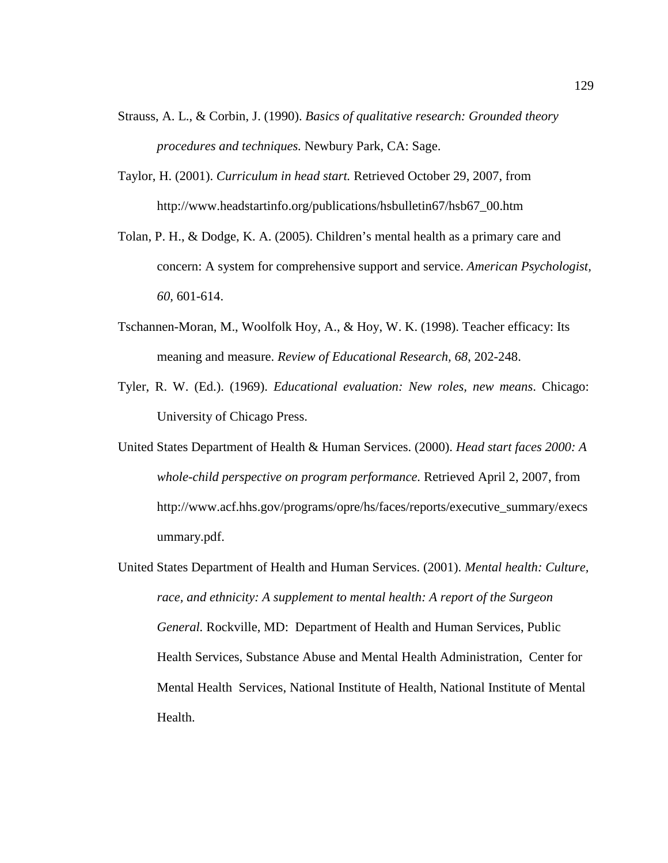- Strauss, A. L., & Corbin, J. (1990). *Basics of qualitative research: Grounded theory procedures and techniques.* Newbury Park, CA: Sage.
- Taylor, H. (2001). *Curriculum in head start.* Retrieved October 29, 2007, from http://www.headstartinfo.org/publications/hsbulletin67/hsb67\_00.htm
- Tolan, P. H., & Dodge, K. A. (2005). Children's mental health as a primary care and concern: A system for comprehensive support and service. *American Psychologist, 60,* 601-614.
- Tschannen-Moran, M., Woolfolk Hoy, A., & Hoy, W. K. (1998). Teacher efficacy: Its meaning and measure. *Review of Educational Research, 68*, 202-248.
- Tyler, R. W. (Ed.). (1969). *Educational evaluation: New roles, new means*. Chicago: University of Chicago Press.
- United States Department of Health & Human Services. (2000). *Head start faces 2000: A whole-child perspective on program performance.* Retrieved April 2, 2007, from http://www.acf.hhs.gov/programs/opre/hs/faces/reports/executive\_summary/execs ummary.pdf.
- United States Department of Health and Human Services. (2001). *Mental health: Culture, race, and ethnicity: A supplement to mental health: A report of the Surgeon General.* Rockville, MD: Department of Health and Human Services, Public Health Services, Substance Abuse and Mental Health Administration, Center for Mental Health Services, National Institute of Health, National Institute of Mental Health.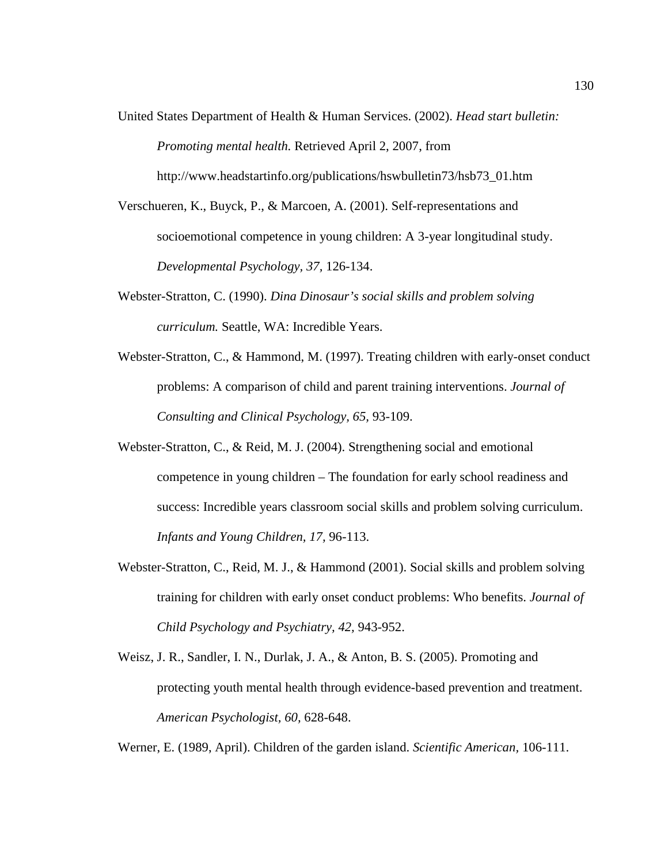United States Department of Health & Human Services. (2002). *Head start bulletin: Promoting mental health.* Retrieved April 2, 2007, from

http://www.headstartinfo.org/publications/hswbulletin73/hsb73\_01.htm

- Verschueren, K., Buyck, P., & Marcoen, A. (2001). Self-representations and socioemotional competence in young children: A 3-year longitudinal study. *Developmental Psychology, 37,* 126-134.
- Webster-Stratton, C. (1990). *Dina Dinosaur's social skills and problem solving curriculum.* Seattle, WA: Incredible Years.
- Webster-Stratton, C., & Hammond, M. (1997). Treating children with early-onset conduct problems: A comparison of child and parent training interventions. *Journal of Consulting and Clinical Psychology, 65,* 93-109.
- Webster-Stratton, C., & Reid, M. J. (2004). Strengthening social and emotional competence in young children – The foundation for early school readiness and success: Incredible years classroom social skills and problem solving curriculum. *Infants and Young Children, 17,* 96-113.
- Webster-Stratton, C., Reid, M. J., & Hammond (2001). Social skills and problem solving training for children with early onset conduct problems: Who benefits. *Journal of Child Psychology and Psychiatry, 42,* 943-952.
- Weisz, J. R., Sandler, I. N., Durlak, J. A., & Anton, B. S. (2005). Promoting and protecting youth mental health through evidence-based prevention and treatment. *American Psychologist, 60,* 628-648.

Werner, E. (1989, April). Children of the garden island. *Scientific American,* 106-111.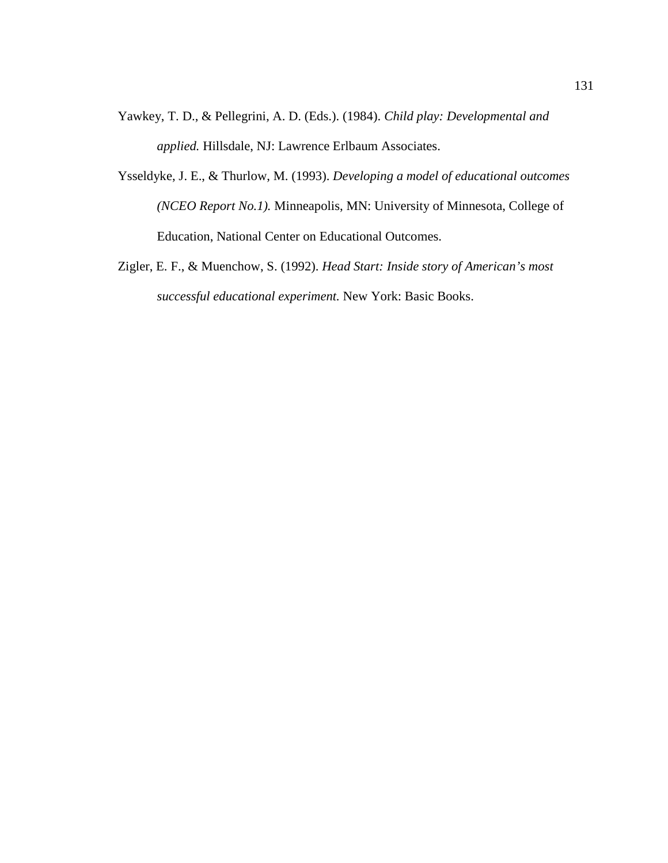- Yawkey, T. D., & Pellegrini, A. D. (Eds.). (1984). *Child play: Developmental and applied.* Hillsdale, NJ: Lawrence Erlbaum Associates.
- Ysseldyke, J. E., & Thurlow, M. (1993). *Developing a model of educational outcomes (NCEO Report No.1).* Minneapolis, MN: University of Minnesota, College of Education, National Center on Educational Outcomes.
- Zigler, E. F., & Muenchow, S. (1992). *Head Start: Inside story of American's most successful educational experiment.* New York: Basic Books.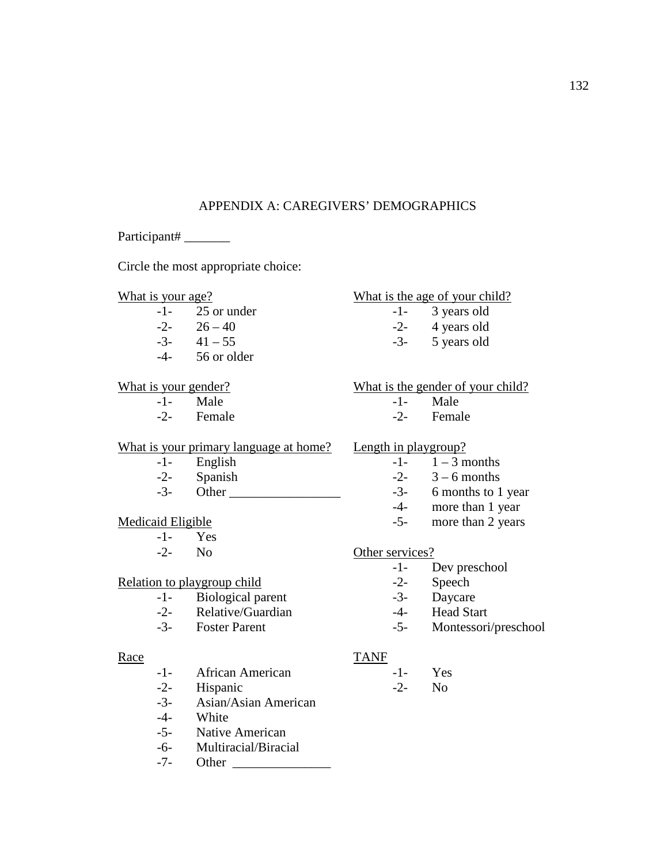# APPENDIX A: CAREGIVERS' DEMOGRAPHICS

Participant#

Circle the most appropriate choice:

- -1- 25 or under -1- 3 years old  $-2 - 26 - 40$   $-2 - 4$  years old  $-3$ -  $41 - 55$   $-3$ -  $5$  years old
- -4- 56 or older

- -1- Male -1- Male
- 

#### What is your primary language at home? Length in playgroup?

- 
- 
- $-3$  Other  $-3$  6 months to 1 year

- -1- Yes
- 

### Relation to playgroup child -2- Speech

- -1- Biological parent -3- Daycare
- -2- Relative/Guardian -4- Head Start
- 

- -1- African American -1- Yes
- -2- Hispanic -2- No
- -3- Asian/Asian American
- -4- White
- -5- Native American
- -6- Multiracial/Biracial
- -7- Other \_\_\_\_\_\_\_\_\_\_\_\_\_\_\_

## What is your age? What is the age of your child?

- 
- 
- 

What is your gender? What is the gender of your child?

- 
- -2- Female -2- Female

- $-1$  English  $-1$   $1-3$  months
- $-2$  Spanish  $-2$   $3-6$  months
	-
	- -4- more than 1 year
- Medicaid Eligible -5- more than 2 years

### -2- No Other services?

- -1- Dev preschool
- 
- 
- 
- -3- Foster Parent -5- Montessori/preschool

#### Race TANF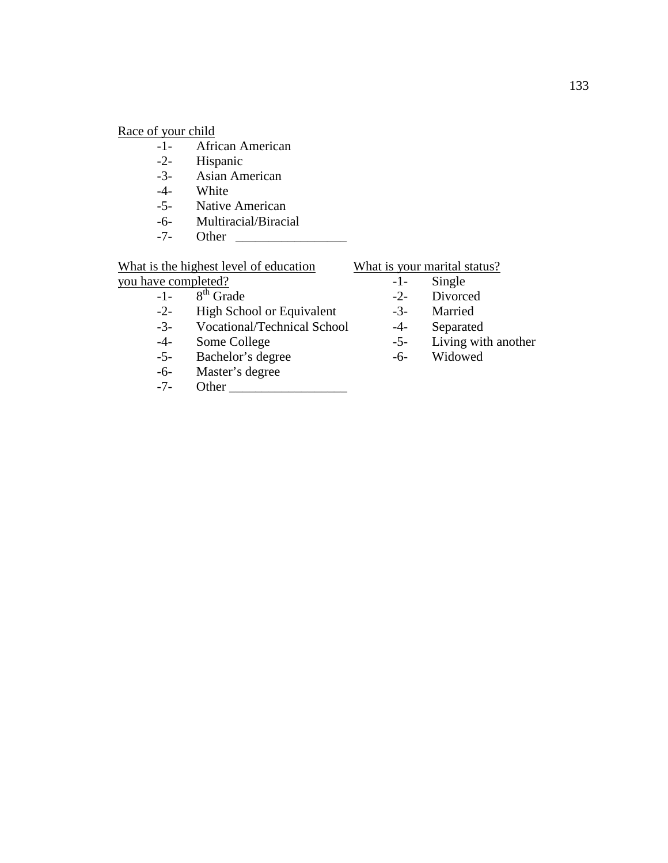Race of your child<br>-1- Afri

- African American
- -2- Hispanic
- -3- Asian American
- -4- White
- -5- Native American
- -6- Multiracial/Biracial<br>-7- Other
- -7- Other \_\_\_\_\_\_\_\_\_\_\_\_\_\_\_\_\_

What is the highest level of education<br>you have completed?<br> $\frac{\text{What is your marital status?}}{-1-\text{Single}}$ 

 $\frac{you \text{ have completed?}}{-1-\frac{8^{\text{th}}}{3}}$  -1- Single -2- Divorced

- 
- $-1$   $8^{th}$  Grade  $-2$ -<br>-2- High School or Equivalent  $-3$ -High School or Equivalent -3- Married
- -3- Vocational/Technical School -4- Separated<br>-4- Some College -5- Living wit
- 
- -5- Bachelor's degree -6-
- -6- Master's degree<br>-7- Other
- -7- Other \_\_\_\_\_\_\_\_\_\_\_\_\_\_\_\_\_\_

- 
- 
- 
- 
- -4- Some College -5- Living with another<br>-5- Bachelor's degree -6- Widowed
	-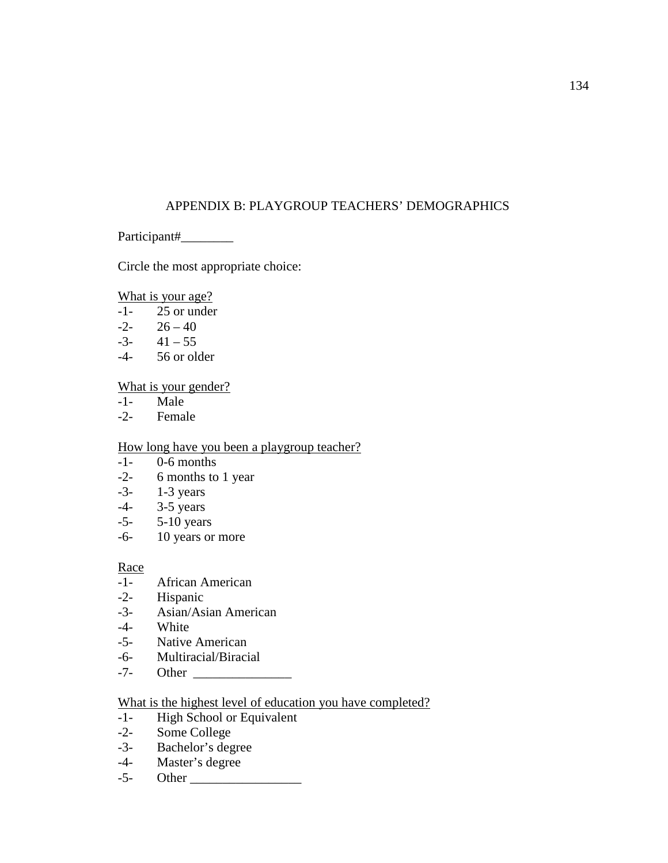# APPENDIX B: PLAYGROUP TEACHERS' DEMOGRAPHICS

Participant#

Circle the most appropriate choice:

What is your age?

- -1- 25 or under
- $-2 26 40$
- $-3-41-55$
- -4- 56 or older

### What is your gender?

- -1- Male
- -2- Female

## How long have you been a playgroup teacher?

- -1- 0-6 months
- -2- 6 months to 1 year
- -3- 1-3 years
- -4- 3-5 years
- -5- 5-10 years
- -6- 10 years or more

## Race

- -1- African American
- -2- Hispanic
- -3- Asian/Asian American
- -4- White
- -5- Native American
- -6- Multiracial/Biracial
- Other  $\overline{a}$

### What is the highest level of education you have completed?

- -1- High School or Equivalent
- -2- Some College
- -3- Bachelor's degree
- -4- Master's degree
- -5- Other \_\_\_\_\_\_\_\_\_\_\_\_\_\_\_\_\_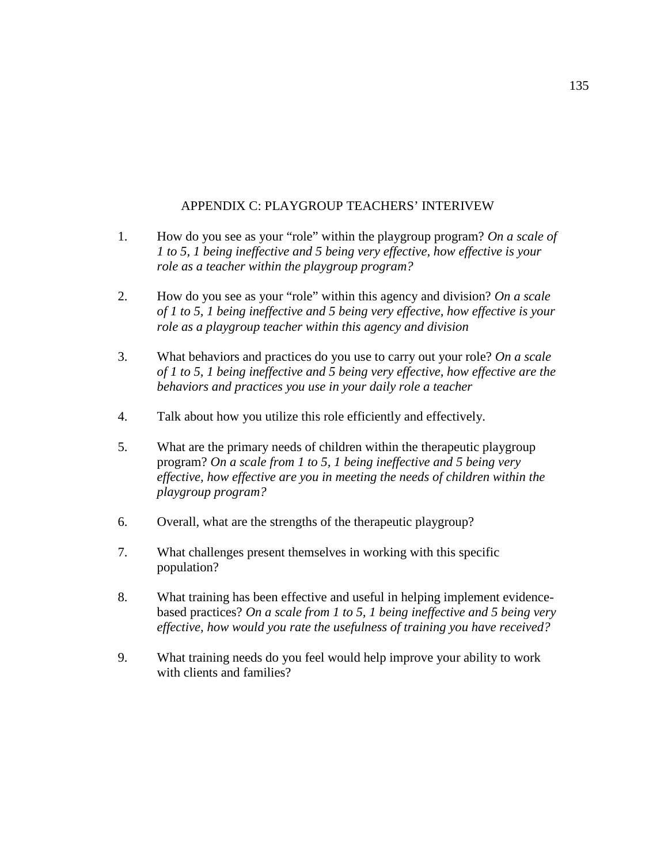## APPENDIX C: PLAYGROUP TEACHERS' INTERIVEW

- 1. How do you see as your "role" within the playgroup program? *On a scale of 1 to 5, 1 being ineffective and 5 being very effective, how effective is your role as a teacher within the playgroup program?*
- 2. How do you see as your "role" within this agency and division? *On a scale of 1 to 5, 1 being ineffective and 5 being very effective, how effective is your role as a playgroup teacher within this agency and division*
- 3. What behaviors and practices do you use to carry out your role? *On a scale of 1 to 5, 1 being ineffective and 5 being very effective, how effective are the behaviors and practices you use in your daily role a teacher*
- 4. Talk about how you utilize this role efficiently and effectively.
- 5. What are the primary needs of children within the therapeutic playgroup program? *On a scale from 1 to 5, 1 being ineffective and 5 being very effective, how effective are you in meeting the needs of children within the playgroup program?*
- 6. Overall, what are the strengths of the therapeutic playgroup?
- 7. What challenges present themselves in working with this specific population?
- 8. What training has been effective and useful in helping implement evidencebased practices? *On a scale from 1 to 5, 1 being ineffective and 5 being very effective, how would you rate the usefulness of training you have received?*
- 9. What training needs do you feel would help improve your ability to work with clients and families?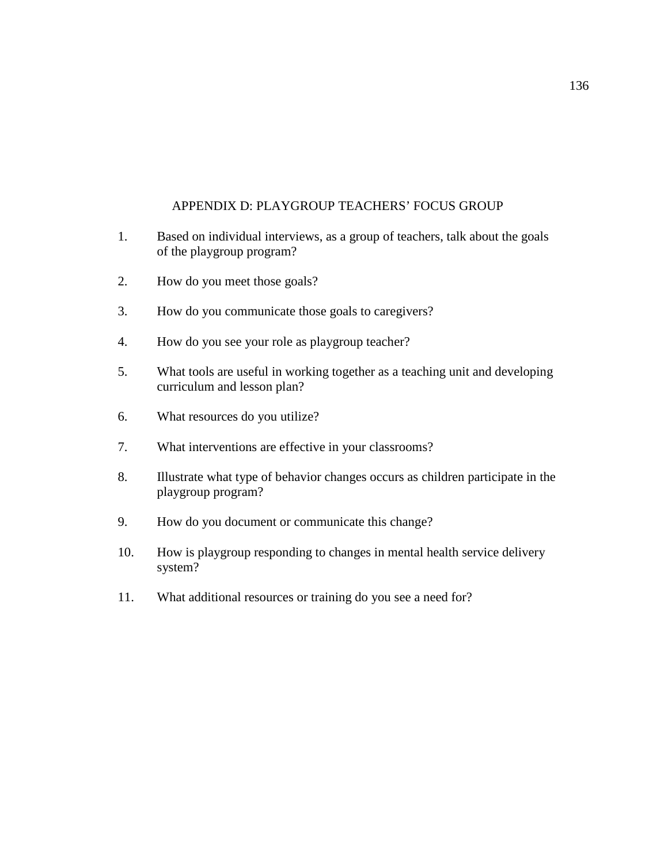# APPENDIX D: PLAYGROUP TEACHERS' FOCUS GROUP

- 1. Based on individual interviews, as a group of teachers, talk about the goals of the playgroup program?
- 2. How do you meet those goals?
- 3. How do you communicate those goals to caregivers?
- 4. How do you see your role as playgroup teacher?
- 5. What tools are useful in working together as a teaching unit and developing curriculum and lesson plan?
- 6. What resources do you utilize?
- 7. What interventions are effective in your classrooms?
- 8. Illustrate what type of behavior changes occurs as children participate in the playgroup program?
- 9. How do you document or communicate this change?
- 10. How is playgroup responding to changes in mental health service delivery system?
- 11. What additional resources or training do you see a need for?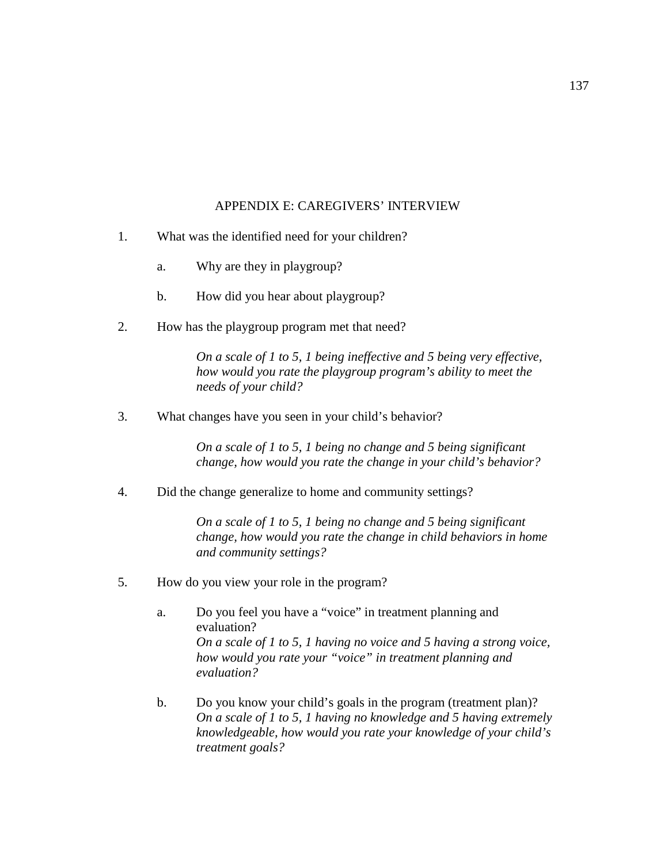## APPENDIX E: CAREGIVERS' INTERVIEW

- 1. What was the identified need for your children?
	- a. Why are they in playgroup?
	- b. How did you hear about playgroup?
- 2. How has the playgroup program met that need?

*On a scale of 1 to 5, 1 being ineffective and 5 being very effective, how would you rate the playgroup program's ability to meet the needs of your child?* 

3. What changes have you seen in your child's behavior?

*On a scale of 1 to 5, 1 being no change and 5 being significant change, how would you rate the change in your child's behavior?* 

4. Did the change generalize to home and community settings?

*On a scale of 1 to 5, 1 being no change and 5 being significant change, how would you rate the change in child behaviors in home and community settings?* 

- 5. How do you view your role in the program?
	- a. Do you feel you have a "voice" in treatment planning and evaluation? *On a scale of 1 to 5, 1 having no voice and 5 having a strong voice, how would you rate your "voice" in treatment planning and evaluation?*
	- b. Do you know your child's goals in the program (treatment plan)? *On a scale of 1 to 5, 1 having no knowledge and 5 having extremely knowledgeable, how would you rate your knowledge of your child's treatment goals?*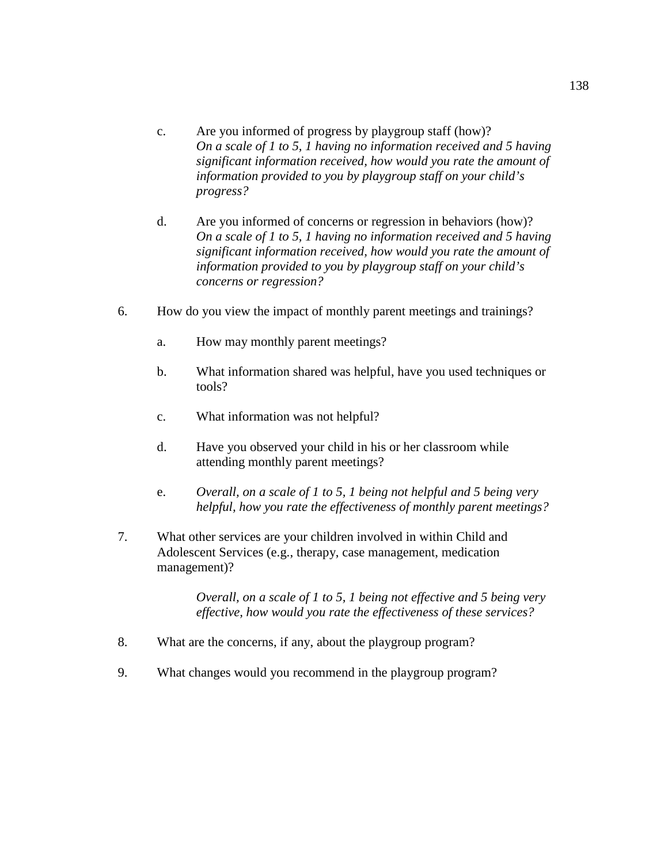- c. Are you informed of progress by playgroup staff (how)? *On a scale of 1 to 5, 1 having no information received and 5 having significant information received, how would you rate the amount of information provided to you by playgroup staff on your child's progress?*
- d. Are you informed of concerns or regression in behaviors (how)? *On a scale of 1 to 5, 1 having no information received and 5 having significant information received, how would you rate the amount of information provided to you by playgroup staff on your child's concerns or regression?*
- 6. How do you view the impact of monthly parent meetings and trainings?
	- a. How may monthly parent meetings?
	- b. What information shared was helpful, have you used techniques or tools?
	- c. What information was not helpful?
	- d. Have you observed your child in his or her classroom while attending monthly parent meetings?
	- e. *Overall, on a scale of 1 to 5, 1 being not helpful and 5 being very helpful, how you rate the effectiveness of monthly parent meetings?*
- 7. What other services are your children involved in within Child and Adolescent Services (e.g., therapy, case management, medication management)?

*Overall, on a scale of 1 to 5, 1 being not effective and 5 being very effective, how would you rate the effectiveness of these services?* 

- 8. What are the concerns, if any, about the playgroup program?
- 9. What changes would you recommend in the playgroup program?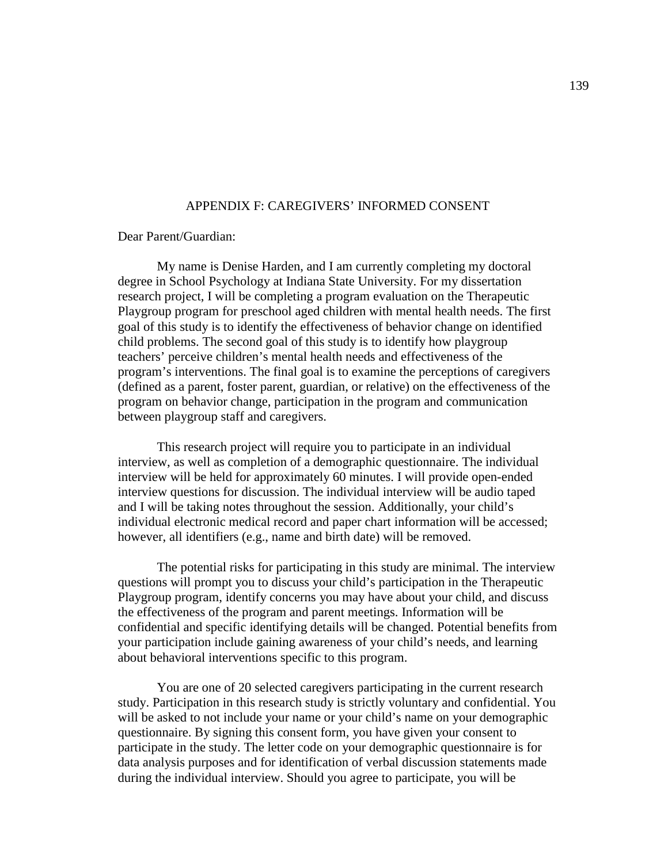### APPENDIX F: CAREGIVERS' INFORMED CONSENT

Dear Parent/Guardian:

My name is Denise Harden, and I am currently completing my doctoral degree in School Psychology at Indiana State University. For my dissertation research project, I will be completing a program evaluation on the Therapeutic Playgroup program for preschool aged children with mental health needs. The first goal of this study is to identify the effectiveness of behavior change on identified child problems. The second goal of this study is to identify how playgroup teachers' perceive children's mental health needs and effectiveness of the program's interventions. The final goal is to examine the perceptions of caregivers (defined as a parent, foster parent, guardian, or relative) on the effectiveness of the program on behavior change, participation in the program and communication between playgroup staff and caregivers.

This research project will require you to participate in an individual interview, as well as completion of a demographic questionnaire. The individual interview will be held for approximately 60 minutes. I will provide open-ended interview questions for discussion. The individual interview will be audio taped and I will be taking notes throughout the session. Additionally, your child's individual electronic medical record and paper chart information will be accessed; however, all identifiers (e.g., name and birth date) will be removed.

The potential risks for participating in this study are minimal. The interview questions will prompt you to discuss your child's participation in the Therapeutic Playgroup program, identify concerns you may have about your child, and discuss the effectiveness of the program and parent meetings. Information will be confidential and specific identifying details will be changed. Potential benefits from your participation include gaining awareness of your child's needs, and learning about behavioral interventions specific to this program.

You are one of 20 selected caregivers participating in the current research study. Participation in this research study is strictly voluntary and confidential. You will be asked to not include your name or your child's name on your demographic questionnaire. By signing this consent form, you have given your consent to participate in the study. The letter code on your demographic questionnaire is for data analysis purposes and for identification of verbal discussion statements made during the individual interview. Should you agree to participate, you will be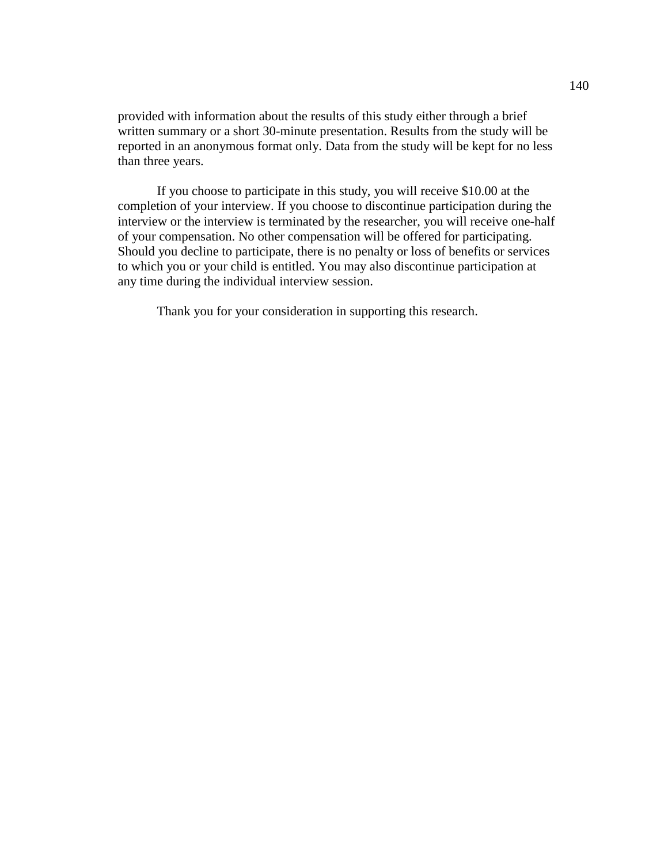provided with information about the results of this study either through a brief written summary or a short 30-minute presentation. Results from the study will be reported in an anonymous format only. Data from the study will be kept for no less than three years.

If you choose to participate in this study, you will receive \$10.00 at the completion of your interview. If you choose to discontinue participation during the interview or the interview is terminated by the researcher, you will receive one-half of your compensation. No other compensation will be offered for participating. Should you decline to participate, there is no penalty or loss of benefits or services to which you or your child is entitled. You may also discontinue participation at any time during the individual interview session.

Thank you for your consideration in supporting this research.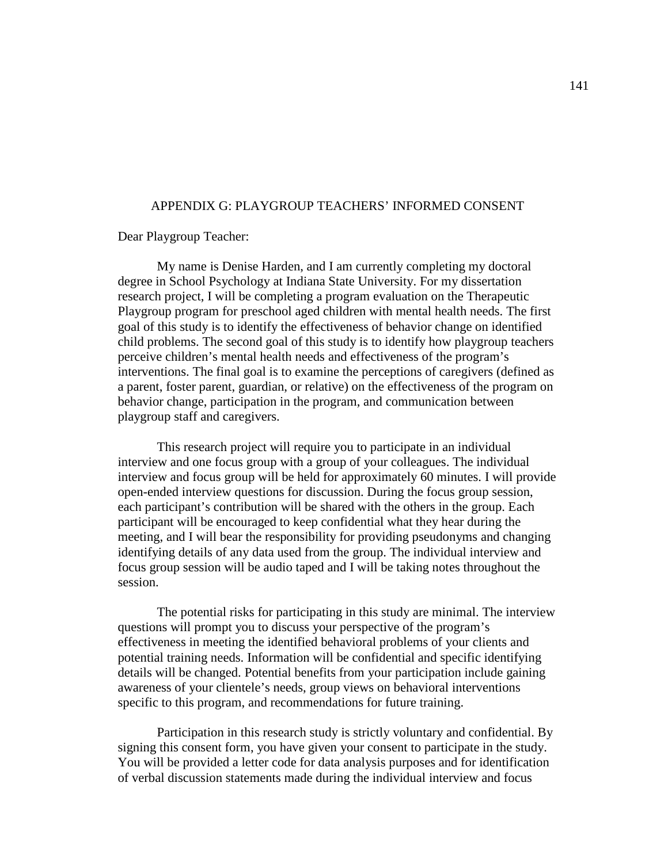### APPENDIX G: PLAYGROUP TEACHERS' INFORMED CONSENT

Dear Playgroup Teacher:

My name is Denise Harden, and I am currently completing my doctoral degree in School Psychology at Indiana State University. For my dissertation research project, I will be completing a program evaluation on the Therapeutic Playgroup program for preschool aged children with mental health needs. The first goal of this study is to identify the effectiveness of behavior change on identified child problems. The second goal of this study is to identify how playgroup teachers perceive children's mental health needs and effectiveness of the program's interventions. The final goal is to examine the perceptions of caregivers (defined as a parent, foster parent, guardian, or relative) on the effectiveness of the program on behavior change, participation in the program, and communication between playgroup staff and caregivers.

This research project will require you to participate in an individual interview and one focus group with a group of your colleagues. The individual interview and focus group will be held for approximately 60 minutes. I will provide open-ended interview questions for discussion. During the focus group session, each participant's contribution will be shared with the others in the group. Each participant will be encouraged to keep confidential what they hear during the meeting, and I will bear the responsibility for providing pseudonyms and changing identifying details of any data used from the group. The individual interview and focus group session will be audio taped and I will be taking notes throughout the session.

The potential risks for participating in this study are minimal. The interview questions will prompt you to discuss your perspective of the program's effectiveness in meeting the identified behavioral problems of your clients and potential training needs. Information will be confidential and specific identifying details will be changed. Potential benefits from your participation include gaining awareness of your clientele's needs, group views on behavioral interventions specific to this program, and recommendations for future training.

Participation in this research study is strictly voluntary and confidential. By signing this consent form, you have given your consent to participate in the study. You will be provided a letter code for data analysis purposes and for identification of verbal discussion statements made during the individual interview and focus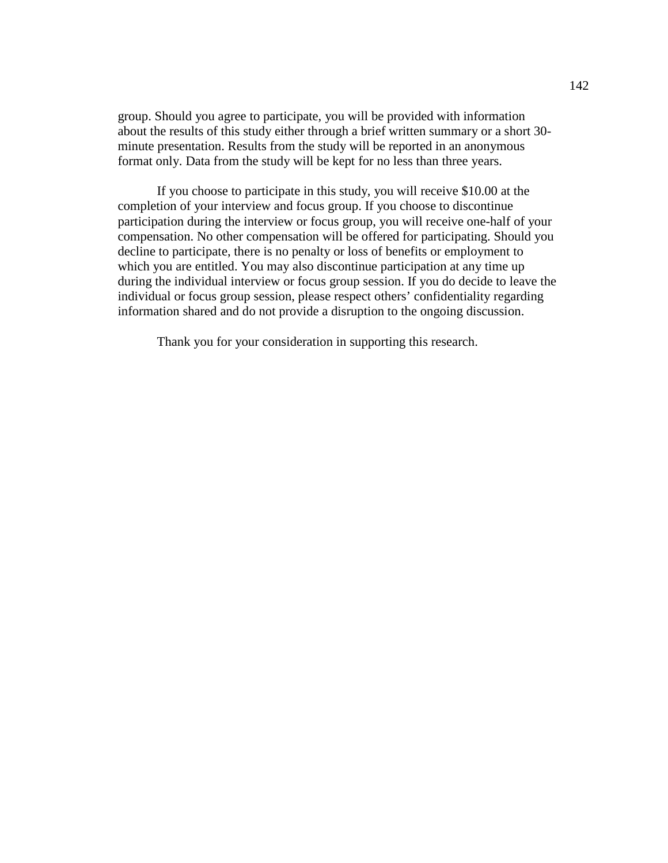group. Should you agree to participate, you will be provided with information about the results of this study either through a brief written summary or a short 30 minute presentation. Results from the study will be reported in an anonymous format only. Data from the study will be kept for no less than three years.

If you choose to participate in this study, you will receive \$10.00 at the completion of your interview and focus group. If you choose to discontinue participation during the interview or focus group, you will receive one-half of your compensation. No other compensation will be offered for participating. Should you decline to participate, there is no penalty or loss of benefits or employment to which you are entitled. You may also discontinue participation at any time up during the individual interview or focus group session. If you do decide to leave the individual or focus group session, please respect others' confidentiality regarding information shared and do not provide a disruption to the ongoing discussion.

Thank you for your consideration in supporting this research.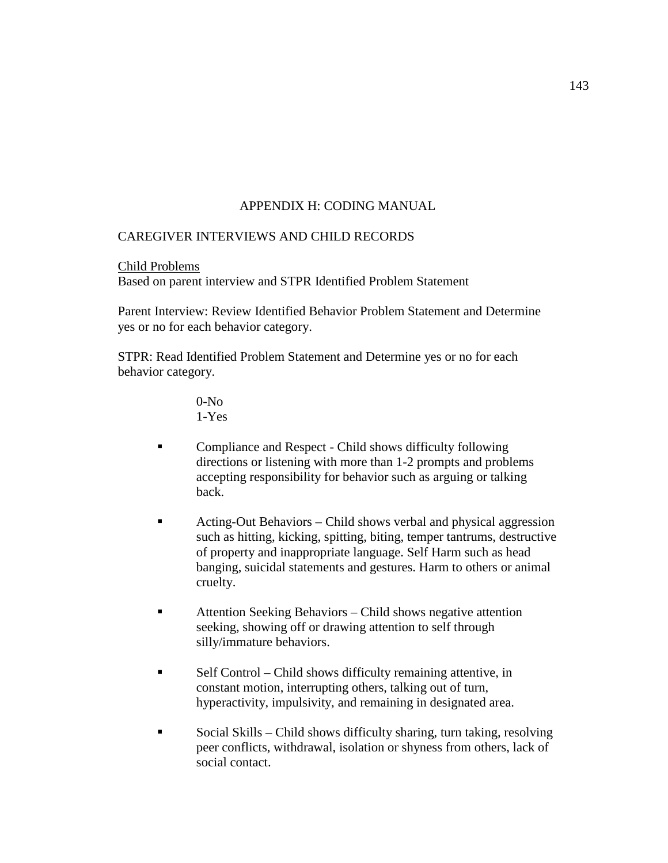# APPENDIX H: CODING MANUAL

### CAREGIVER INTERVIEWS AND CHILD RECORDS

Child Problems

Based on parent interview and STPR Identified Problem Statement

Parent Interview: Review Identified Behavior Problem Statement and Determine yes or no for each behavior category.

STPR: Read Identified Problem Statement and Determine yes or no for each behavior category.

> 0-No 1-Yes

- **Example 3** Compliance and Respect Child shows difficulty following directions or listening with more than 1-2 prompts and problems accepting responsibility for behavior such as arguing or talking back.
- Acting-Out Behaviors Child shows verbal and physical aggression such as hitting, kicking, spitting, biting, temper tantrums, destructive of property and inappropriate language. Self Harm such as head banging, suicidal statements and gestures. Harm to others or animal cruelty.
- Attention Seeking Behaviors Child shows negative attention seeking, showing off or drawing attention to self through silly/immature behaviors.
- Self Control Child shows difficulty remaining attentive, in constant motion, interrupting others, talking out of turn, hyperactivity, impulsivity, and remaining in designated area.
- Social Skills Child shows difficulty sharing, turn taking, resolving peer conflicts, withdrawal, isolation or shyness from others, lack of social contact.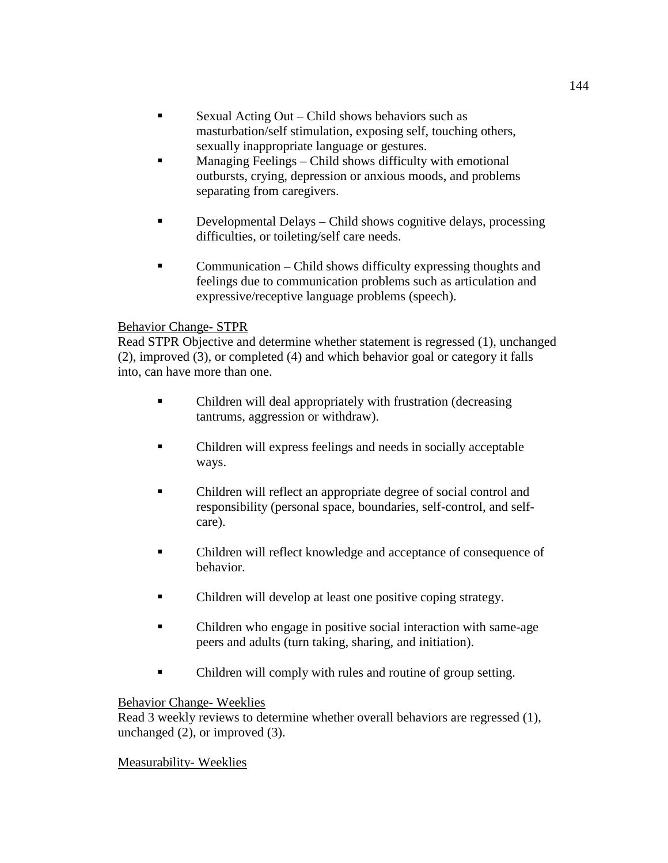- Sexual Acting Out Child shows behaviors such as masturbation/self stimulation, exposing self, touching others, sexually inappropriate language or gestures.
- **Managing Feelings Child shows difficulty with emotional** outbursts, crying, depression or anxious moods, and problems separating from caregivers.
- Developmental Delays Child shows cognitive delays, processing difficulties, or toileting/self care needs.
- Communication Child shows difficulty expressing thoughts and feelings due to communication problems such as articulation and expressive/receptive language problems (speech).

## Behavior Change- STPR

Read STPR Objective and determine whether statement is regressed (1), unchanged (2), improved (3), or completed (4) and which behavior goal or category it falls into, can have more than one.

- Children will deal appropriately with frustration (decreasing tantrums, aggression or withdraw).
- Children will express feelings and needs in socially acceptable ways.
- Children will reflect an appropriate degree of social control and responsibility (personal space, boundaries, self-control, and selfcare).
- Children will reflect knowledge and acceptance of consequence of behavior.
- Children will develop at least one positive coping strategy.
- Children who engage in positive social interaction with same-age peers and adults (turn taking, sharing, and initiation).
- Children will comply with rules and routine of group setting.

### Behavior Change- Weeklies

Read 3 weekly reviews to determine whether overall behaviors are regressed (1), unchanged (2), or improved (3).

# Measurability- Weeklies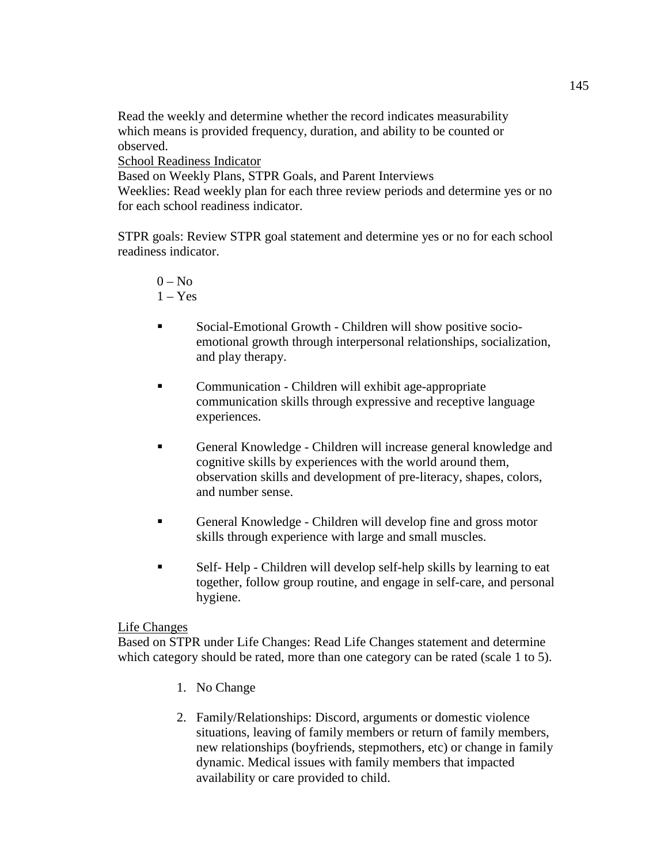Read the weekly and determine whether the record indicates measurability which means is provided frequency, duration, and ability to be counted or observed.

School Readiness Indicator

Based on Weekly Plans, STPR Goals, and Parent Interviews Weeklies: Read weekly plan for each three review periods and determine yes or no for each school readiness indicator.

STPR goals: Review STPR goal statement and determine yes or no for each school readiness indicator.

# $0 - No$  $1 - Yes$

- Social-Emotional Growth Children will show positive socioemotional growth through interpersonal relationships, socialization, and play therapy.
- Communication Children will exhibit age-appropriate communication skills through expressive and receptive language experiences.
- General Knowledge Children will increase general knowledge and cognitive skills by experiences with the world around them, observation skills and development of pre-literacy, shapes, colors, and number sense.
- General Knowledge Children will develop fine and gross motor skills through experience with large and small muscles.
- Self- Help Children will develop self-help skills by learning to eat together, follow group routine, and engage in self-care, and personal hygiene.

# Life Changes

Based on STPR under Life Changes: Read Life Changes statement and determine which category should be rated, more than one category can be rated (scale 1 to 5).

- 1. No Change
- 2. Family/Relationships: Discord, arguments or domestic violence situations, leaving of family members or return of family members, new relationships (boyfriends, stepmothers, etc) or change in family dynamic. Medical issues with family members that impacted availability or care provided to child.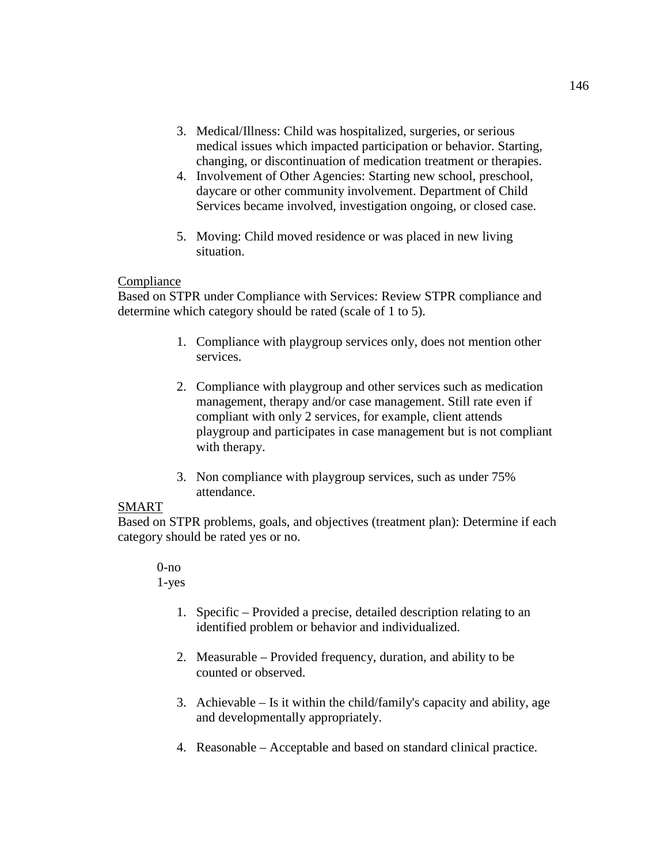- 3. Medical/Illness: Child was hospitalized, surgeries, or serious medical issues which impacted participation or behavior. Starting, changing, or discontinuation of medication treatment or therapies.
- 4. Involvement of Other Agencies: Starting new school, preschool, daycare or other community involvement. Department of Child Services became involved, investigation ongoing, or closed case.
- 5. Moving: Child moved residence or was placed in new living situation.

### **Compliance**

Based on STPR under Compliance with Services: Review STPR compliance and determine which category should be rated (scale of 1 to 5).

- 1. Compliance with playgroup services only, does not mention other services.
- 2. Compliance with playgroup and other services such as medication management, therapy and/or case management. Still rate even if compliant with only 2 services, for example, client attends playgroup and participates in case management but is not compliant with therapy.
- 3. Non compliance with playgroup services, such as under 75% attendance.

# SMART

Based on STPR problems, goals, and objectives (treatment plan): Determine if each category should be rated yes or no.

#### $0$ -no 1-yes

- 1. Specific Provided a precise, detailed description relating to an identified problem or behavior and individualized.
- 2. Measurable Provided frequency, duration, and ability to be counted or observed.
- 3. Achievable Is it within the child/family's capacity and ability, age and developmentally appropriately.
- 4. Reasonable Acceptable and based on standard clinical practice.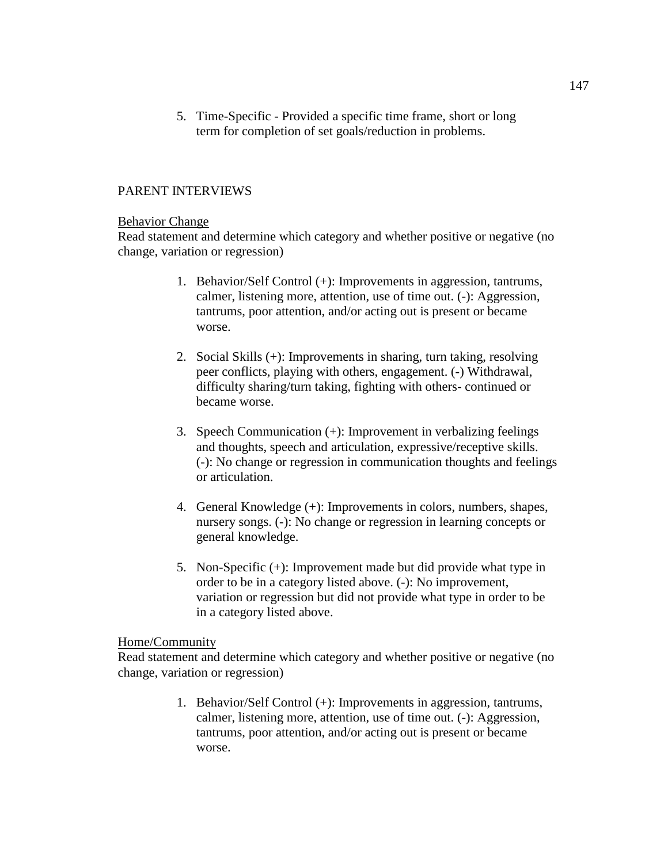5. Time-Specific - Provided a specific time frame, short or long term for completion of set goals/reduction in problems.

#### PARENT INTERVIEWS

#### Behavior Change

Read statement and determine which category and whether positive or negative (no change, variation or regression)

- 1. Behavior/Self Control (+): Improvements in aggression, tantrums, calmer, listening more, attention, use of time out. (-): Aggression, tantrums, poor attention, and/or acting out is present or became worse.
- 2. Social Skills (+): Improvements in sharing, turn taking, resolving peer conflicts, playing with others, engagement. (-) Withdrawal, difficulty sharing/turn taking, fighting with others- continued or became worse.
- 3. Speech Communication (+): Improvement in verbalizing feelings and thoughts, speech and articulation, expressive/receptive skills. (-): No change or regression in communication thoughts and feelings or articulation.
- 4. General Knowledge (+): Improvements in colors, numbers, shapes, nursery songs. (-): No change or regression in learning concepts or general knowledge.
- 5. Non-Specific (+): Improvement made but did provide what type in order to be in a category listed above. (-): No improvement, variation or regression but did not provide what type in order to be in a category listed above.

#### Home/Community

Read statement and determine which category and whether positive or negative (no change, variation or regression)

> 1. Behavior/Self Control (+): Improvements in aggression, tantrums, calmer, listening more, attention, use of time out. (-): Aggression, tantrums, poor attention, and/or acting out is present or became worse.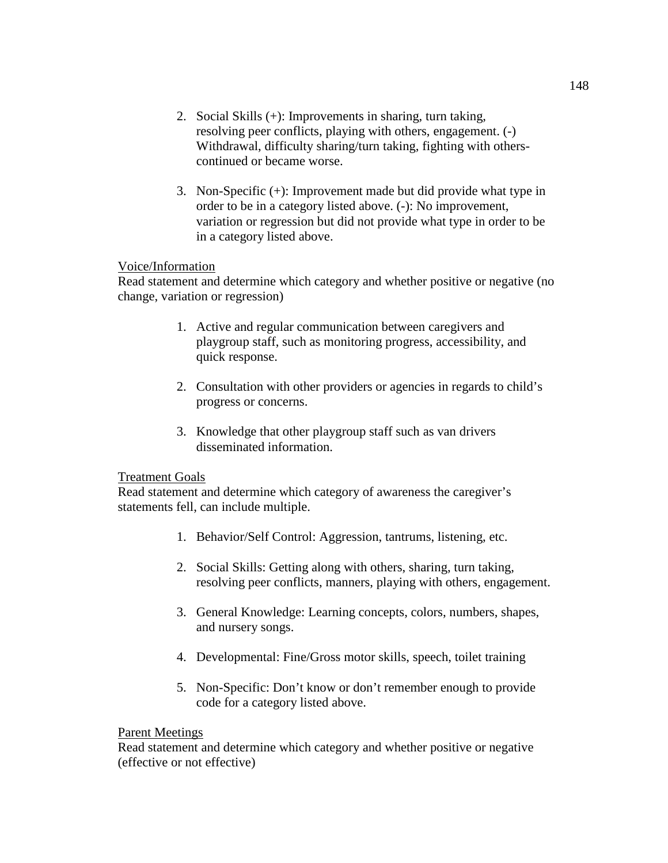- 2. Social Skills (+): Improvements in sharing, turn taking, resolving peer conflicts, playing with others, engagement. (-) Withdrawal, difficulty sharing/turn taking, fighting with otherscontinued or became worse.
- 3. Non-Specific (+): Improvement made but did provide what type in order to be in a category listed above. (-): No improvement, variation or regression but did not provide what type in order to be in a category listed above.

### Voice/Information

Read statement and determine which category and whether positive or negative (no change, variation or regression)

- 1. Active and regular communication between caregivers and playgroup staff, such as monitoring progress, accessibility, and quick response.
- 2. Consultation with other providers or agencies in regards to child's progress or concerns.
- 3. Knowledge that other playgroup staff such as van drivers disseminated information.

#### Treatment Goals

Read statement and determine which category of awareness the caregiver's statements fell, can include multiple.

- 1. Behavior/Self Control: Aggression, tantrums, listening, etc.
- 2. Social Skills: Getting along with others, sharing, turn taking, resolving peer conflicts, manners, playing with others, engagement.
- 3. General Knowledge: Learning concepts, colors, numbers, shapes, and nursery songs.
- 4. Developmental: Fine/Gross motor skills, speech, toilet training
- 5. Non-Specific: Don't know or don't remember enough to provide code for a category listed above.

#### Parent Meetings

Read statement and determine which category and whether positive or negative (effective or not effective)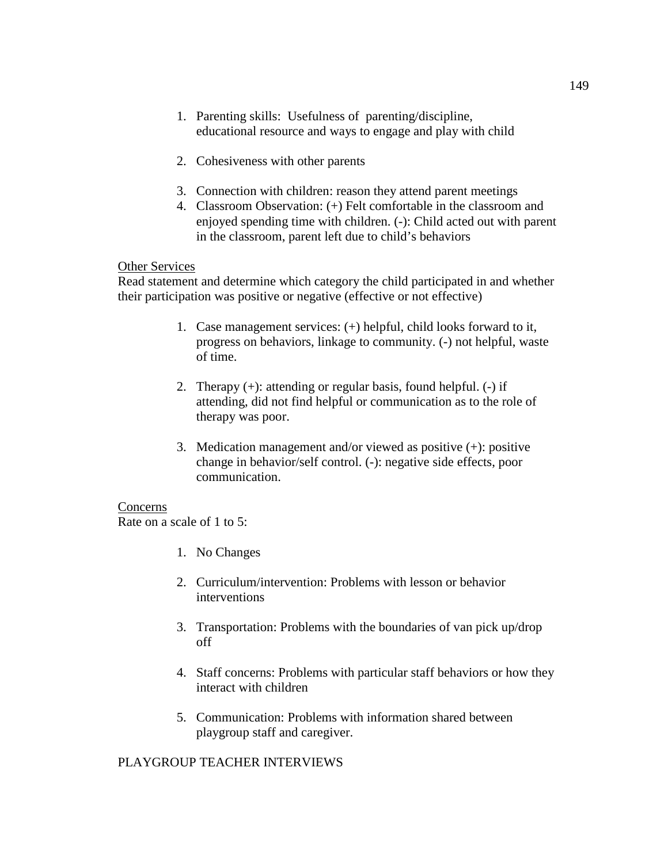- 1. Parenting skills: Usefulness of parenting/discipline, educational resource and ways to engage and play with child
- 2. Cohesiveness with other parents
- 3. Connection with children: reason they attend parent meetings
- 4. Classroom Observation: (+) Felt comfortable in the classroom and enjoyed spending time with children. (-): Child acted out with parent in the classroom, parent left due to child's behaviors

### Other Services

Read statement and determine which category the child participated in and whether their participation was positive or negative (effective or not effective)

- 1. Case management services: (+) helpful, child looks forward to it, progress on behaviors, linkage to community. (-) not helpful, waste of time.
- 2. Therapy (+): attending or regular basis, found helpful. (-) if attending, did not find helpful or communication as to the role of therapy was poor.
- 3. Medication management and/or viewed as positive (+): positive change in behavior/self control. (-): negative side effects, poor communication.

#### Concerns

Rate on a scale of 1 to 5:

- 1. No Changes
- 2. Curriculum/intervention: Problems with lesson or behavior interventions
- 3. Transportation: Problems with the boundaries of van pick up/drop off
- 4. Staff concerns: Problems with particular staff behaviors or how they interact with children
- 5. Communication: Problems with information shared between playgroup staff and caregiver.

### PLAYGROUP TEACHER INTERVIEWS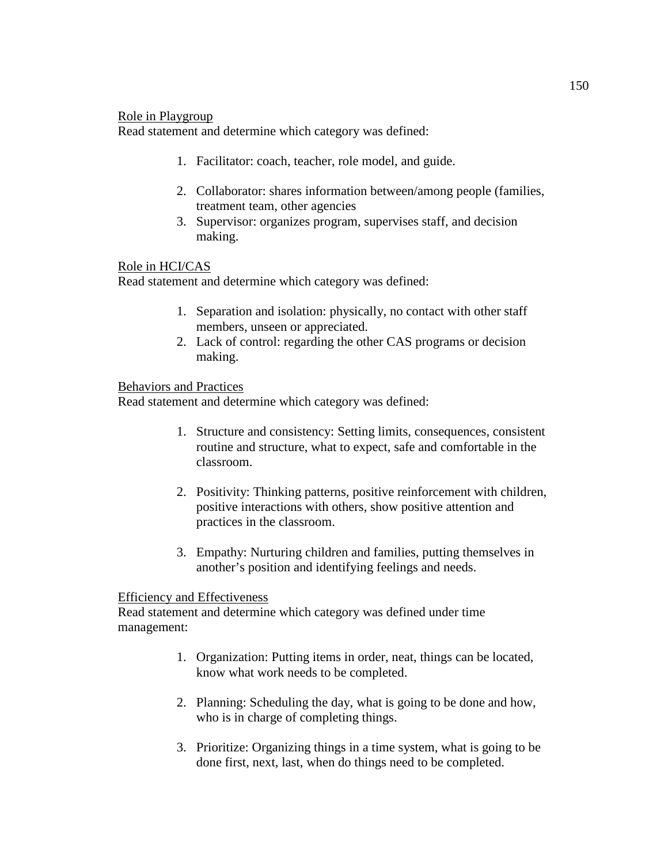#### Role in Playgroup

Read statement and determine which category was defined:

- 1. Facilitator: coach, teacher, role model, and guide.
- 2. Collaborator: shares information between/among people (families, treatment team, other agencies
- 3. Supervisor: organizes program, supervises staff, and decision making.

### Role in HCI/CAS

Read statement and determine which category was defined:

- 1. Separation and isolation: physically, no contact with other staff members, unseen or appreciated.
- 2. Lack of control: regarding the other CAS programs or decision making.

### Behaviors and Practices

Read statement and determine which category was defined:

- 1. Structure and consistency: Setting limits, consequences, consistent routine and structure, what to expect, safe and comfortable in the classroom.
- 2. Positivity: Thinking patterns, positive reinforcement with children, positive interactions with others, show positive attention and practices in the classroom.
- 3. Empathy: Nurturing children and families, putting themselves in another's position and identifying feelings and needs.

#### Efficiency and Effectiveness

Read statement and determine which category was defined under time management:

- 1. Organization: Putting items in order, neat, things can be located, know what work needs to be completed.
- 2. Planning: Scheduling the day, what is going to be done and how, who is in charge of completing things.
- 3. Prioritize: Organizing things in a time system, what is going to be done first, next, last, when do things need to be completed.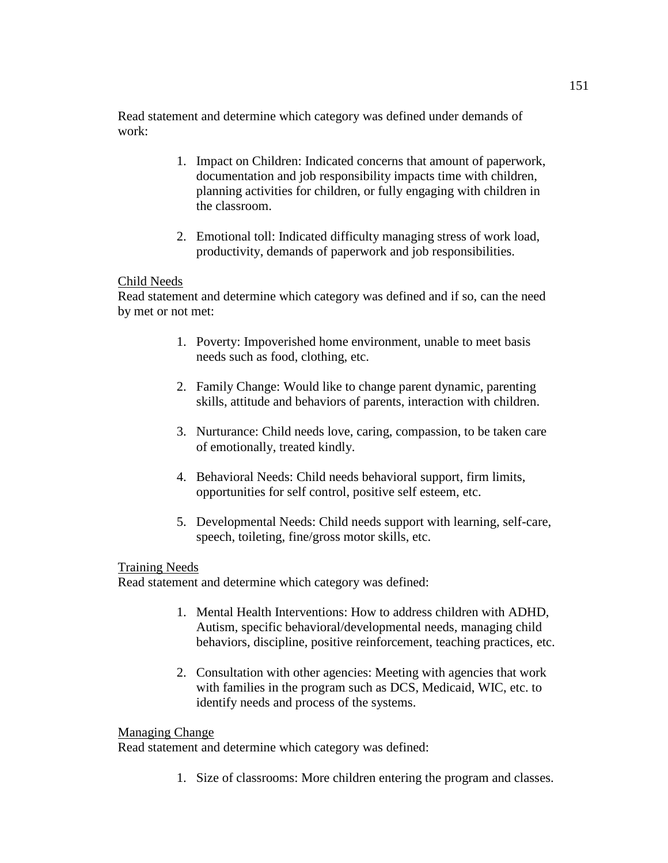Read statement and determine which category was defined under demands of work:

- 1. Impact on Children: Indicated concerns that amount of paperwork, documentation and job responsibility impacts time with children, planning activities for children, or fully engaging with children in the classroom.
- 2. Emotional toll: Indicated difficulty managing stress of work load, productivity, demands of paperwork and job responsibilities.

### Child Needs

Read statement and determine which category was defined and if so, can the need by met or not met:

- 1. Poverty: Impoverished home environment, unable to meet basis needs such as food, clothing, etc.
- 2. Family Change: Would like to change parent dynamic, parenting skills, attitude and behaviors of parents, interaction with children.
- 3. Nurturance: Child needs love, caring, compassion, to be taken care of emotionally, treated kindly.
- 4. Behavioral Needs: Child needs behavioral support, firm limits, opportunities for self control, positive self esteem, etc.
- 5. Developmental Needs: Child needs support with learning, self-care, speech, toileting, fine/gross motor skills, etc.

### Training Needs

Read statement and determine which category was defined:

- 1. Mental Health Interventions: How to address children with ADHD, Autism, specific behavioral/developmental needs, managing child behaviors, discipline, positive reinforcement, teaching practices, etc.
- 2. Consultation with other agencies: Meeting with agencies that work with families in the program such as DCS, Medicaid, WIC, etc. to identify needs and process of the systems.

### Managing Change

Read statement and determine which category was defined:

1. Size of classrooms: More children entering the program and classes.